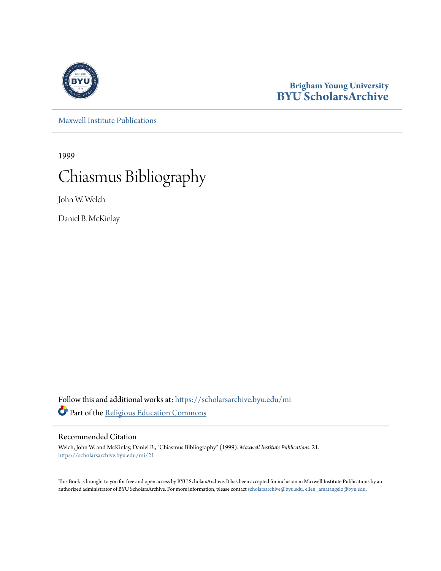

#### **Brigham Young University [BYU ScholarsArchive](https://scholarsarchive.byu.edu?utm_source=scholarsarchive.byu.edu%2Fmi%2F21&utm_medium=PDF&utm_campaign=PDFCoverPages)**

[Maxwell Institute Publications](https://scholarsarchive.byu.edu/mi?utm_source=scholarsarchive.byu.edu%2Fmi%2F21&utm_medium=PDF&utm_campaign=PDFCoverPages)

1999

# Chiasmus Bibliography

John W. Welch

Daniel B. McKinlay

Follow this and additional works at: [https://scholarsarchive.byu.edu/mi](https://scholarsarchive.byu.edu/mi?utm_source=scholarsarchive.byu.edu%2Fmi%2F21&utm_medium=PDF&utm_campaign=PDFCoverPages) Part of the [Religious Education Commons](http://network.bepress.com/hgg/discipline/1414?utm_source=scholarsarchive.byu.edu%2Fmi%2F21&utm_medium=PDF&utm_campaign=PDFCoverPages)

#### Recommended Citation

Welch, John W. and McKinlay, Daniel B., "Chiasmus Bibliography" (1999). *Maxwell Institute Publications*. 21. [https://scholarsarchive.byu.edu/mi/21](https://scholarsarchive.byu.edu/mi/21?utm_source=scholarsarchive.byu.edu%2Fmi%2F21&utm_medium=PDF&utm_campaign=PDFCoverPages)

This Book is brought to you for free and open access by BYU ScholarsArchive. It has been accepted for inclusion in Maxwell Institute Publications by an authorized administrator of BYU ScholarsArchive. For more information, please contact [scholarsarchive@byu.edu, ellen\\_amatangelo@byu.edu.](mailto:scholarsarchive@byu.edu,%20ellen_amatangelo@byu.edu)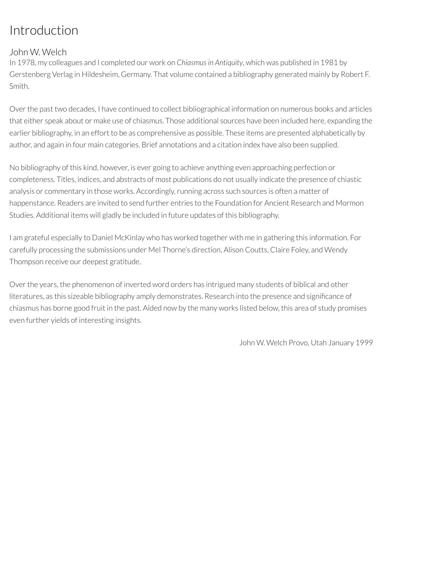### Introduction

#### John W. Welch

In 1978, my colleagues and I completed our work on *Chiasmusin Antiquity*, which was published in 1981 by Gerstenberg Verlag in Hildesheim, Germany. That volume contained a bibliography generated mainly by Robert F. Smith.

Overthe past two decades, I have continued to collect bibliographical information on numerous books and articles that either speak about or make use of chiasmus. Those additional sources have been included here, expanding the earlier bibliography, in an effort to be as comprehensive as possible. These items are presented alphabetically by author, and again in four main categories. Brief annotations and a citation index have also been supplied.

No bibliography of this kind, however, is ever going to achieve anything even approaching perfection or completeness. Titles, indices, and abstracts of most publications do not usually indicate the presence of chiastic analysis or commentary in those works. Accordingly, running across such sources is often a matter of happenstance. Readers are invited to send further entries to the Foundation for Ancient Research and Mormon Studies. Additional items will gladly be included in future updates of this bibliography.

I am grateful especially to Daniel McKinlay who has worked together with me in gathering this information. For carefully processing the submissions under Mel Thorne's direction, Alison Coutts, Claire Foley, and Wendy Thompson receive our deepest gratitude.

Over the years, the phenomenon of inverted word orders has intrigued many students of biblical and other literatures, as this sizeable bibliography amply demonstrates. Research into the presence and significance of chiasmus has borne good fruit in the past. Aided now by the many works listed below, this area of study promises even further yields of interesting insights.

John W. Welch Provo, Utah January 1999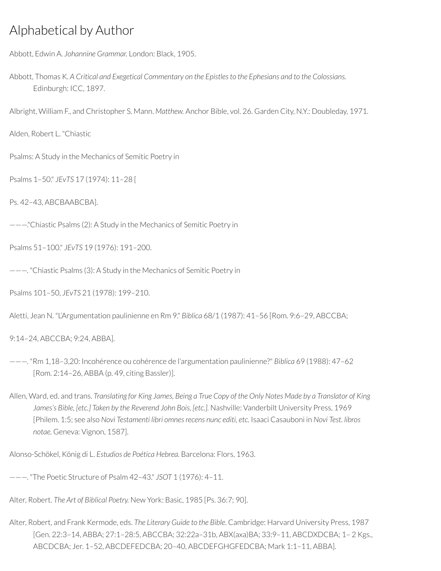### Alphabetical by Author

Abbott, Edwin A. *Johannine Grammar.* London: Black, 1905.

Abbott, Thomas K. *A Critical and Exegetical Commentary on the Epistlesto the Ephesians and to the Colossians.* Edinburgh: ICC, 1897.

Albright, William F., and Christopher S. Mann. *Matthew.* Anchor Bible, vol. 26. Garden City, N.Y.: Doubleday, 1971.

Alden, Robert L. "Chiastic

Psalms: A Study in the Mechanics of Semitic Poetry in

Psalms 1–50." *JEvTS* 17 (1974): 11–28 [

Ps. 42–43, ABCBAABCBA].

———."Chiastic Psalms (2): A Study in the Mechanics of Semitic Poetry in

Psalms 51–100." *JEvTS* 19 (1976): 191–200.

———. "Chiastic Psalms (3): A Study in the Mechanics of Semitic Poetry in

Psalms 101–50, *JEvTS* 21 (1978): 199–210.

Aletti, Jean N. "L'Argumentation paulinienne en Rm 9." *Biblica* 68/1 (1987): 41–56 [Rom. 9:6–29, ABCCBA;

9:14–24, ABCCBA; 9:24, ABBA].

———. "Rm 1,18–3,20: Incohérence ou cohérence de l'argumentation paulinienne?" *Biblica* 69 (1988): 47–62 [Rom. 2:14–26, ABBA (p. 49, citing Bassler)].

Allen, Ward, ed. and trans. Translating for King James, Being a True Copy of the Only Notes Made by a Translator of King *James's Bible, [etc.] Taken by the Reverend John Bois, [etc.].* Nashville: Vanderbilt University Press, 1969 [Philem. 1:5; see also *Novi Testamenti libri omnes recens nunc editi, etc.* Isaaci Casauboni in *Novi Test. libros notae.* Geneva: Vignon, 1587].

Alonso-Schökel, König di L. *Estudios de Poética Hebrea.* Barcelona: Flors, 1963.

———. "The Poetic Structure of Psalm 42–43." *JSOT* 1 (1976): 4–11.

Alter, Robert. *The Art of Biblical Poetry.* New York: Basic, 1985 [Ps. 36:7; 90].

Alter, Robert, and Frank Kermode, eds. *The Literary Guide to the Bible*. Cambridge: Harvard University Press, 1987 [Gen. 22:3–14, ABBA; 27:1–28:5, ABCCBA; 32:22a–31b, ABX(axa)BA; 33:9–11, ABCDXDCBA; 1– 2 Kgs., ABCDCBA; Jer. 1–52, ABCDEFEDCBA; 20–40, ABCDEFGHGFEDCBA; Mark 1:1–11, ABBA].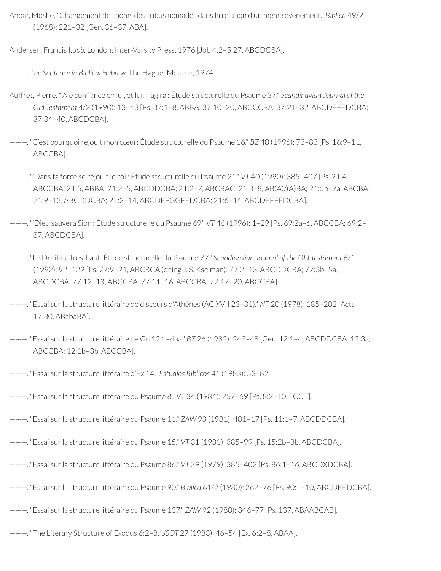Anbar, Moshe. "Changement des noms des tribus nomades dans la relation d'un même événement." *Biblica* 49/2 (1968): 221–32 [Gen. 36–37, ABA].

Andersen, Francis I. *Job.* London: Inter-Varsity Press, 1976 [Job 4:2–5:27, ABCDCBA].

———. *The Sentence in Biblical Hebrew.* The Hague: Mouton, 1974.

- Auffret, Pierre. "'Aie confiance en lui, et lui, il agira': Étude structurelle du Psaume 37." *Scandinavian Journal of the Old Testament* 4/2 (1990): 13–43 [Ps. 37:1–8, ABBA; 37:10–20, ABCCCBA; 37:21–32, ABCDEFEDCBA; 37:34–40, ABCDCBA].
- ———. "C'est pourquoirejouit mon cœur: Étude structurelle du Psaume 16." *BZ* 40 (1996): 73–83 [Ps. 16:9–11, ABCCBA].
- ———. "'Dans ta force se réjouit le roi': Étude structurelle du Psaume 21." *VT* 40 (1990): 385–407 [Ps. 21:4, ABCCBA; 21:5, ABBA; 21:2–5, ABCDDCBA; 21:2–7, ABCBAC; 21:3–8, AB(A)/(A)BA; 21:5b–7a, ABCBA; 21:9–13, ABCDDCBA; 21:2–14, ABCDEFGGFEDCBA; 21:6–14, ABCDEFFEDCBA].
- ———. "'Dieu sauvera Sion': Étude structurelle du Psaume 69." *VT* 46 (1996): 1–29 [Ps. 69:2a–6, ABCCBA; 69:2– 37, ABCDCBA].
- ———. "Le Droit du très-haut: Étude structurelle du Psaume 77." *Scandinavian Journal of the Old Testament* 6/1 (1992): 92–122 [Ps. 77:9–21, ABCBCA (citing J. S. Kselman); 77:2–13, ABCDDCBA; 77:3b–5a, ABCDCBA; 77:12–13, ABCCBA; 77:11–16, ABCCBA; 77:17–20, ABCCBA].
- ———. "Essai surla structure littéraire de discours d'Athènes (AC XVII 23–31)." *NT* 20 (1978): 185–202 [Acts 17:30, ABabaBA].
- ———. "Essai surla structure littéraire de Gn 12,1–4aa." *BZ* 26 (1982): 243–48 [Gen. 12:1–4, ABCDDCBA; 12:3a, ABCCBA; 12:1b–3b, ABCCBA].
- ———. "Essai surla structure littéraire d'Ex 14." *Estudios Biblicos* 41 (1983): 53–82.
- ———. "Essai surla structure littéraire du Psaume 8." *VT* 34 (1984): 257–69 [Ps. 8:2–10, TCCT].
- ———. "Essai surla structure littéraire du Psaume 11." *ZAW* 93 (1981): 401–17 [Ps. 11:1–7, ABCDDCBA].
- ———. "Essai surla structure littéraire du Psaume 15." *VT* 31 (1981): 385–99 [Ps. 15:2b–3b, ABCDCBA].
- ———. "Essai surla structure littéraire du Psaume 86." *VT* 29 (1979): 385–402 [Ps. 86:1–16, ABCDXDCBA].
- ———. "Essai surla structure littéraire du Psaume 90." *Biblica* 61/2 (1980): 262–76 [Ps. 90:1–10, ABCDEEDCBA].
- ———. "Essai surla structure littéraire du Psaume 137." *ZAW* 92 (1980): 346–77 [Ps. 137, ABAABCAB].
- ———. "The Literary Structure of Exodus 6:2–8." *JSOT* 27 (1983): 46–54 [Ex. 6:2–8, ABAA].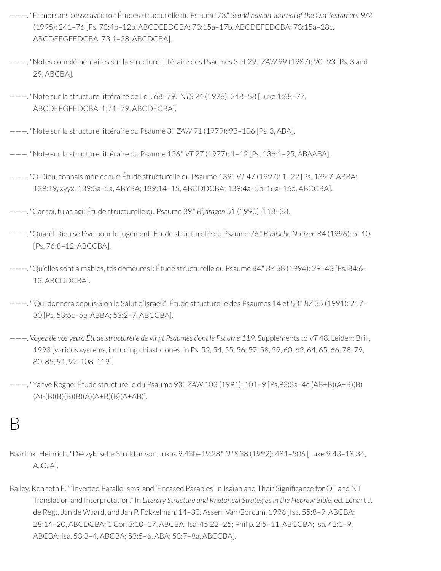- ———. "Et moi sans cesse avec toi: Études structurelle du Psaume 73." *Scandinavian Journal of the Old Testament* 9/2 (1995): 241–76 [Ps. 73:4b–12b, ABCDEEDCBA; 73:15a–17b, ABCDEFEDCBA; 73:15a–28c, ABCDEFGFEDCBA; 73:1–28, ABCDCBA].
- ———. "Notes complémentaires surla structure littéraire des Psaumes 3 et 29." *ZAW* 99 (1987): 90–93 [Ps. 3 and 29, ABCBA].
- ———. "Note surla structure littéraire de Lc I. 68–79." *NTS* 24 (1978): 248–58 [Luke 1:68–77, ABCDEFGFEDCBA; 1:71–79, ABCDECBA].
- ———. "Note surla structure littéraire du Psaume 3." *ZAW* 91 (1979): 93–106 [Ps. 3, ABA].
- ———. "Note surla structure littéraire du Psaume 136." *VT* 27 (1977): 1–12 [Ps. 136:1–25, ABAABA].
- ———. "O Dieu, connais mon coeur: Étude structurelle du Psaume 139." *VT* 47 (1997): 1–22 [Ps. 139:7, ABBA; 139:19, xyyx; 139:3a–5a, ABYBA; 139:14–15, ABCDDCBA; 139:4a–5b, 16a–16d, ABCCBA].
- ———. "Cartoi, tu as agi: Étude structurelle du Psaume 39." *Bijdragen* 51 (1990): 118–38.
- ———. "Quand Dieu se lève pourle jugement: Étude structurelle du Psaume 76." *Biblische Notizen* 84 (1996): 5–10 [Ps. 76:8–12, ABCCBA].
- ———. "Qu'elles sont aimables, tes demeures!: Étude structurelle du Psaume 84." *BZ* 38 (1994): 29–43 [Ps. 84:6– 13, ABCDDCBA].
- ———. "'Qui donnera depuis Sion le Salut d'Israel?': Étude structurelle des Psaumes 14 et 53." *BZ* 35 (1991): 217– 30 [Ps. 53:6c–6e, ABBA; 53:2–7, ABCCBA].
- ———. *Voyez de vos yeux: Étude structurelle de vingt Psaumes dont le Psaume 119.* Supplements to *VT* 48. Leiden: Brill, 1993 [various systems, including chiastic ones, in Ps. 52, 54, 55, 56, 57, 58, 59, 60, 62, 64, 65, 66, 78, 79, 80, 85, 91, 92, 108, 119].
- ———. "Yahve Regne: Étude structurelle du Psaume 93." *ZAW* 103 (1991): 101–9 [Ps.93:3a–4c (AB+B)(A+B)(B)  $(A)-(B)(B)(B)(A)(A+B)(B)(A+AB)$ ].

#### B

- Baarlink, Heinrich. "Die zyklische Struktur von Lukas 9.43b–19.28." *NTS* 38 (1992): 481–506 [Luke 9:43–18:34, A..O..A].
- Bailey, Kenneth E. "'Inverted Parallelisms' and 'Encased Parables' in Isaiah and Their Significance for OT and NT Translation and Interpretation." In *Literary Structure and Rhetorical Strategies in the Hebrew Bible*, ed. Lénart J. de Regt, Jan de Waard, and Jan P. Fokkelman, 14–30. Assen: Van Gorcum, 1996 [Isa. 55:8–9, ABCBA; 28:14–20, ABCDCBA; 1 Cor. 3:10–17, ABCBA; Isa. 45:22–25; Philip. 2:5–11, ABCCBA; Isa. 42:1–9, ABCBA; Isa. 53:3–4, ABCBA; 53:5–6, ABA; 53:7–8a, ABCCBA].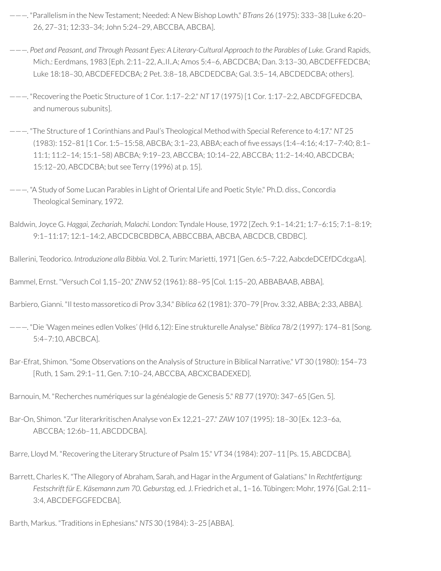- ———. "Parallelism in the New Testament; Needed: A New Bishop Lowth." *BTrans* 26 (1975): 333–38 [Luke 6:20– 26, 27–31; 12:33–34; John 5:24–29, ABCCBA, ABCBA].
- ———. *Poet and Peasant, and Through Peasant Eyes: A Literary-Cultural Approach to the Parables of Luke.* Grand Rapids, Mich.: Eerdmans, 1983 [Eph. 2:11–22, A..II..A; Amos 5:4–6, ABCDCBA; Dan. 3:13–30, ABCDEFFEDCBA; Luke 18:18–30, ABCDEFEDCBA; 2 Pet. 3:8–18, ABCDEDCBA; Gal. 3:5–14, ABCDEDCBA; others].
- ———. "Recovering the Poetic Structure of 1 Cor. 1:17–2:2." *NT* 17 (1975) [1 Cor. 1:17–2:2, ABCDFGFEDCBA, and numerous subunits].
- ———. "The Structure of 1 Corinthians and Paul's Theological Method with Special Reference to 4:17." *NT* 25 (1983): 152–81 [1 Cor. 1:5–15:58, ABCBA; 3:1–23, ABBA; each of ve essays (1:4–4:16; 4:17–7:40; 8:1– 11:1; 11:2–14; 15:1–58) ABCBA; 9:19–23, ABCCBA; 10:14–22, ABCCBA; 11:2–14:40, ABCDCBA; 15:12–20, ABCDCBA; but see Terry (1996) at p. 15].
- ———. "A Study of Some Lucan Parables in Light of Oriental Life and Poetic Style." Ph.D. diss., Concordia Theological Seminary, 1972.
- Baldwin, Joyce G. *Haggai, Zechariah, Malachi.* London: Tyndale House, 1972 [Zech. 9:1–14:21; 1:7–6:15; 7:1–8:19; 9:1–11:17; 12:1–14:2, ABCDCBCBDBCA, ABBCCBBA, ABCBA, ABCDCB, CBDBC].
- Ballerini, Teodorico. *Introduzione alla Bibbia.* Vol. 2. Turin: Marietti, 1971 [Gen. 6:5–7:22, AabcdeDCEfDCdcgaA].

Bammel, Ernst. "Versuch Col 1,15–20," *ZNW* 52 (1961): 88–95 [Col. 1:15–20, ABBABAAB, ABBA].

- Barbiero, Gianni. "Il testo massoretico di Prov 3,34." *Biblica* 62 (1981): 370–79 [Prov. 3:32, ABBA; 2:33, ABBA].
- ———. "Die 'Wagen meines edlen Volkes' (Hld 6,12): Eine strukturelle Analyse." *Biblica* 78/2 (1997): 174–81 [Song. 5:4–7:10, ABCBCA].
- Bar-Efrat, Shimon. "Some Observations on the Analysis of Structure in Biblical Narrative." *VT* 30 (1980): 154–73 [Ruth, 1 Sam. 29:1–11, Gen. 7:10–24, ABCCBA, ABCXCBADEXED].
- Barnouin, M. "Recherches numériques surla généalogie de Genesis 5." *RB* 77 (1970): 347–65 [Gen. 5].
- Bar-On, Shimon. "Zurliterarkritischen Analyse von Ex 12,21–27." *ZAW* 107 (1995): 18–30 [Ex. 12:3–6a, ABCCBA; 12:6b–11, ABCDDCBA].

Barre, Lloyd M. "Recovering the Literary Structure of Psalm 15." *VT* 34 (1984): 207–11 [Ps. 15, ABCDCBA].

Barrett, Charles K. "The Allegory of Abraham, Sarah, and Hagarin the Argument of Galatians." In *Rechtfertigung: Festschrift für E. Käsemann zum 70. Geburstag,* ed. J. Friedrich et al., 1–16. Tübingen: Mohr, 1976 [Gal. 2:11– 3:4, ABCDEFGGFEDCBA].

Barth, Markus. "Traditions in Ephesians." *NTS* 30 (1984): 3–25 [ABBA].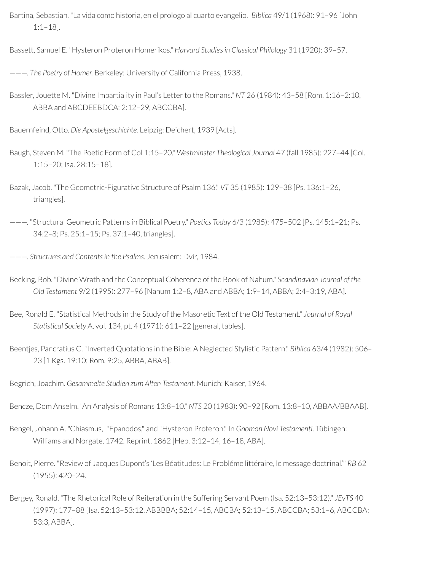Bartina, Sebastian. "La vida como historia, en el prologo al cuarto evangelio." *Biblica* 49/1 (1968): 91–96 [John 1:1–18].

Bassett, Samuel E. "Hysteron Proteron Homerikos." *Harvard Studies in Classical Philology* 31 (1920): 39–57.

———. *The Poetry of Homer.* Berkeley: University of California Press, 1938.

Bassler, Jouette M. "Divine Impartiality in Paul's Letterto the Romans." *NT* 26 (1984): 43–58 [Rom. 1:16–2:10, ABBA and ABCDEEBDCA; 2:12–29, ABCCBA].

Bauernfeind, Otto. *Die Apostelgeschichte.* Leipzig: Deichert, 1939 [Acts].

Baugh, Steven M. "The Poetic Form of Col 1:15–20." *Westminster Theological Journal* 47 (fall 1985): 227–44 [Col. 1:15–20; Isa. 28:15–18].

Bazak, Jacob. "The Geometric-Figurative Structure of Psalm 136." *VT* 35 (1985): 129–38 [Ps. 136:1–26, triangles].

———. "Structural Geometric Patterns in Biblical Poetry." *Poetics Today* 6/3 (1985): 475–502 [Ps. 145:1–21; Ps. 34:2–8; Ps. 25:1–15; Ps. 37:1–40, triangles].

- ———. *Structures and Contentsin the Psalms.* Jerusalem: Dvir, 1984.
- Becking, Bob. "Divine Wrath and the Conceptual Coherence of the Book of Nahum." *Scandinavian Journal of the Old Testament* 9/2 (1995): 277–96 [Nahum 1:2–8, ABA and ABBA; 1:9–14, ABBA; 2:4–3:19, ABA].
- Bee, Ronald E. "Statistical Methods in the Study of the Masoretic Text of the Old Testament." *Journal of Royal Statistical Society* A, vol. 134, pt. 4 (1971): 611–22 [general, tables].
- Beentjes, Pancratius C. "Inverted Quotations in the Bible: A Neglected Stylistic Pattern." *Biblica* 63/4 (1982): 506– 23 [1 Kgs. 19:10; Rom. 9:25, ABBA, ABAB].

Begrich, Joachim. *Gesammelte Studien zum Alten Testament.* Munich: Kaiser, 1964.

Bencze, Dom Anselm. "An Analysis of Romans 13:8–10." *NTS* 20 (1983): 90–92 [Rom. 13:8–10, ABBAA/BBAAB].

- Bengel, Johann A. "Chiasmus," "Epanodos," and "Hysteron Proteron." In *Gnomon Novi Testamenti.* Tübingen: Williams and Norgate, 1742. Reprint, 1862 [Heb. 3:12–14, 16–18, ABA].
- Benoit, Pierre. "Review of Jacques Dupont's 'Les Béatitudes: Le Probléme littéraire, le message doctrinal.'" *RB* 62 (1955): 420–24.
- Bergey, Ronald. "The Rhetorical Role of Reiteration in the Suffering Servant Poem (Isa. 52:13–53:12)." *JEvTS* 40 (1997): 177–88 [Isa. 52:13–53:12, ABBBBA; 52:14–15, ABCBA; 52:13–15, ABCCBA; 53:1–6, ABCCBA; 53:3, ABBA].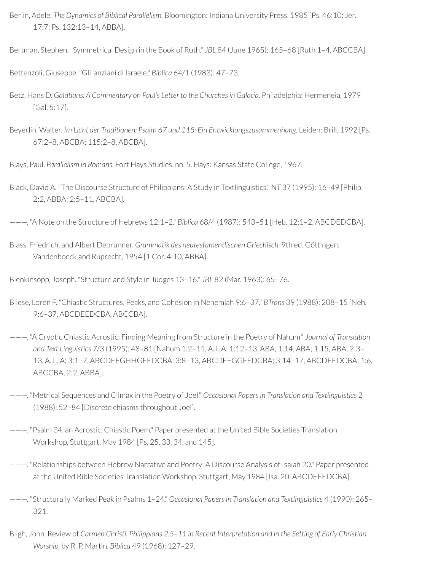- Berlin, Adele. *The Dynamics of Biblical Parallelism.* Bloomington: Indiana University Press, 1985 [Ps. 46:10; Jer. 17:7; Ps. 132:13–14, ABBA].
- Bertman, Stephen. "Symmetrical Design in the Book of Ruth." *JBL* 84 (June 1965): 165–68 [Ruth 1–4, ABCCBA].

Bettenzoli, Giuseppe. "Gli 'anziani di Israele." *Biblica* 64/1 (1983): 47–73.

- Betz, Hans D. *Galatians: A Commentary on Paul's Letter to the Churchesin Galatia.* Philadelphia: Hermeneia, 1979 [Gal. 5:17].
- Beyerlin, Walter. *Im Licht der Traditionen: Psalm 67 und 115: Ein Entwicklungszusammenhang.* Leiden: Brill, 1992 [Ps. 67:2–8, ABCBA; 115:2–8, ABCBA].

Biays, Paul. *Parallelism in Romans*. Fort Hays Studies, no. 5. Hays: Kansas State College, 1967.

- Black, David A. "The Discourse Structure of Philippians: A Study in Textlinguistics." *NT* 37 (1995): 16–49 [Philip. 2:2, ABBA; 2:5–11, ABCBA].
- ———. "A Note on the Structure of Hebrews 12:1–2." *Biblica* 68/4 (1987): 543–51 [Heb. 12:1–2, ABCDEDCBA].
- Blass, Friedrich, and Albert Debrunner. *Grammatik des neutestamentlischen Griechisch.* 9th ed. Göttingen: Vandenhoeck and Ruprecht, 1954 [1 Cor. 4:10, ABBA].

Blenkinsopp, Joseph. "Structure and Style in Judges 13–16." *JBL* 82 (Mar. 1963): 65–76.

- Bliese, Loren F. "Chiastic Structures, Peaks, and Cohesion in Nehemiah 9:6–37." *BTrans* 39 (1988): 208–15 [Neh. 9:6–37, ABCDEEDCBA, ABCCBA].
- ———. "A Cryptic Chiastic Acrostic: Finding Meaning from Structure in the Poetry of Nahum." *Journal of Translation and Text Linguistics* 7/3 (1995): 48–81 [Nahum 1:2–11, A..I..A; 1:12–13, ABA; 1:14, ABA; 1:15, ABA; 2:3– 13, A..L..A; 3:1–7, ABCDEFGHHGFEDCBA; 3:8–13, ABCDEFGGFEDCBA; 3:14–17, ABCDEEDCBA; 1:6, ABCCBA; 2:2, ABBA].
- ———. "Metrical Sequences and Climax in the Poetry of Joel." *Occasional Papers in Translation and Textlinguistics* 2 (1988): 52–84 [Discrete chiasms throughout Joel].
- ———. "Psalm 34, an Acrostic, Chiastic Poem." Paper presented at the United Bible Societies Translation Workshop, Stuttgart, May 1984 [Ps. 25, 33, 34, and 145].
- ———. "Relationships between Hebrew Narrative and Poetry: A Discourse Analysis of Isaiah 20." Paper presented at the United Bible Societies Translation Workshop, Stuttgart, May 1984 [Isa. 20, ABCDEFEDCBA].
- ———. "Structurally Marked Peak in Psalms 1–24." *Occasional Papers in Translation and Textlinguistics* 4 (1990): 265– 321.
- Bligh, John. Review of *Carmen Christi, Philippians 2:5–11 in Recent Interpretation and in the Setting of Early Christian Worship,* by R. P. Martin. *Biblica* 49 (1968): 127–29.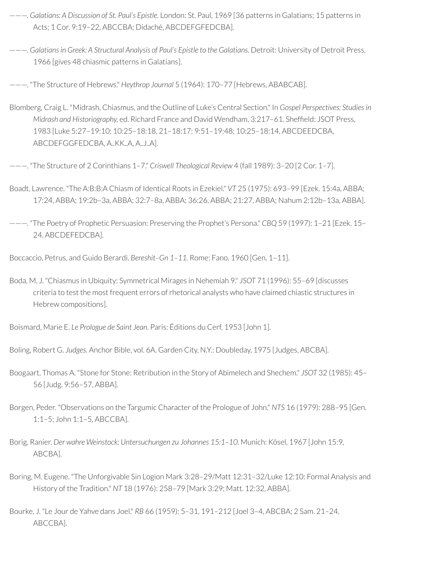- ———. *Galatians: A Discussion of St. Paul's Epistle.* London: St. Paul, 1969 [36 patterns in Galatians; 15 patterns in Acts; 1 Cor. 9:19–22, ABCCBA; Didaché, ABCDEFGFEDCBA].
- ———. *Galatiansin Greek: A Structural Analysis of Paul's Epistle to the Galatians.* Detroit: University of Detroit Press, 1966 [gives 48 chiasmic patterns in Galatians].
- ———. "The Structure of Hebrews." *Heythrop Journal* 5 (1964): 170–77 [Hebrews, ABABCAB].
- Blomberg, Craig L. "Midrash, Chiasmus, and the Outline of Luke's Central Section." In *Gospel Perspectives: Studiesin Midrash and Historiography, ed. Richard France and David Wendham, 3:217-61. Sheffield: JSOT Press,* 1983 [Luke 5:27–19:10; 10:25–18:18, 21–18:17; 9:51–19:48; 10:25–18:14, ABCDEEDCBA, ABCDEFGGFEDCBA, A..KK..A, A..J..A].
- ———. "The Structure of 2 Corinthians 1–7." *Criswell Theological Review* 4 (fall 1989): 3–20 [2 Cor. 1–7].
- Boadt, Lawrence. "The A:B:B:A Chiasm of Identical Roots in Ezekiel." *VT* 25 (1975): 693–99 [Ezek. 15:4a, ABBA; 17:24, ABBA; 19:2b–3a, ABBA; 32:7–8a, ABBA; 36:26, ABBA; 21:27, ABBA; Nahum 2:12b–13a, ABBA].
- ———. "The Poetry of Prophetic Persuasion: Preserving the Prophet's Persona." *CBQ* 59 (1997): 1–21 [Ezek. 15– 24, ABCDEFEDCBA].
- Boccaccio, Petrus, and Guido Berardi. *Bereshit–Gn 1–11.* Rome: Fano, 1960 [Gen. 1–11].
- Boda, M. J. "Chiasmus in Ubiquity: Symmetrical Mirages in Nehemiah 9." *JSOT* 71 (1996): 55–69 [discusses criteria to test the most frequent errors ofrhetorical analysts who have claimed chiastic structures in Hebrew compositions].
- Boismard, Marie E. *Le Prologue de Saint Jean.* Paris: Éditions du Cerf, 1953 [John 1].
- Boling, Robert G. *Judges.* Anchor Bible, vol. 6A. Garden City, N.Y.: Doubleday, 1975 [Judges, ABCBA].
- Boogaart, Thomas A. "Stone for Stone: Retribution in the Story of Abimelech and Shechem." *JSOT* 32 (1985): 45– 56 [Judg. 9:56–57, ABBA].
- Borgen, Peder. "Observations on the Targumic Character of the Prologue of John." *NTS* 16 (1979): 288–95 [Gen. 1:1–5; John 1:1–5, ABCCBA].
- Borig, Ranier. *Der wahre Weinstock: Untersuchungen zu Johannes 15:1–10.* Munich: Kösel, 1967 [John 15:9, ABCBA].
- Boring, M. Eugene. "The Unforgivable Sin Logion Mark 3:28–29/Matt 12:31–32/Luke 12:10: Formal Analysis and History of the Tradition." *NT* 18 (1976): 258–79 [Mark 3:29; Matt. 12:32, ABBA].
- Bourke, J. "Le Jour de Yahve dans Joel." *RB* 66 (1959): 5–31, 191–212 [Joel 3–4, ABCBA; 2 Sam. 21–24, ABCCBA].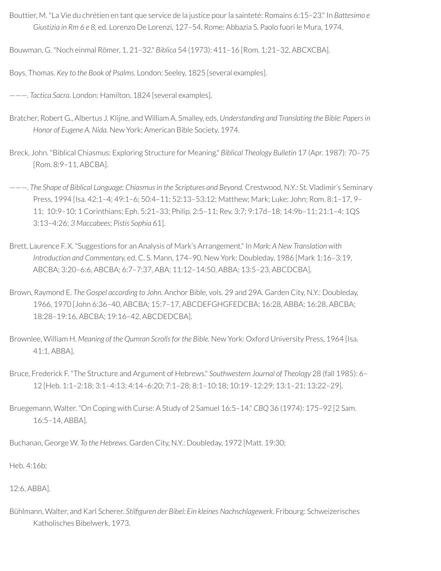Bouttier, M. "La Vie du chrétien en tant que service de la justice pourla sainteté: Romains 6:15–23." In *Battesimo e Giustizia in Rm 6 e 8,* ed. Lorenzo De Lorenzi, 127–54. Rome: Abbazia S. Paolo fuori le Mura, 1974.

Bouwman, G. "Noch einmal Römer, 1, 21–32." *Biblica* 54 (1973): 411–16 [Rom. 1:21–32, ABCXCBA].

Boys, Thomas. *Key to the Book of Psalms.* London: Seeley, 1825 [several examples].

———. *Tactica Sacra.* London: Hamilton, 1824 [several examples].

- Bratcher, Robert G., Albertus J. Klijne, and William A. Smalley, eds. *Understanding and Translating the Bible: Papers in Honor of Eugene A. Nida.* New York: American Bible Society, 1974.
- Breck, John. "Biblical Chiasmus: Exploring Structure for Meaning." *Biblical Theology Bulletin* 17 (Apr. 1987): 70–75 [Rom. 8:9–11, ABCBA].
- ———. *The Shape of Biblical Language: Chiasmus in the Scriptures and Beyond.* Crestwood, N.Y.: St. Vladimir's Seminary Press, 1994 [Isa. 42:1–4; 49:1–6; 50:4–11; 52:13–53:12; Matthew; Mark; Luke; John; Rom. 8:1–17, 9– 11; 10:9–10; 1 Corinthians; Eph. 5:21–33; Philip. 2:5–11; Rev. 3:7; 9:17d–18; 14:9b–11; 21:1–4; 1QS 3:13–4:26; *3 Maccabees*; *Pistis Sophia* 61].
- Brett, Laurence F. X. "Suggestions for an Analysis of Mark's Arrangement." In *Mark: A New Translation with Introduction and Commentary,* ed. C. S. Mann, 174–90. New York: Doubleday, 1986 [Mark 1:16–3:19, ABCBA; 3:20–6:6, ABCBA; 6:7–7:37, ABA; 11:12–14:50, ABBA; 13:5–23, ABCDCBA].
- Brown, Raymond E. *The Gospel according to John.* Anchor Bible, vols. 29 and 29A. Garden City, N.Y.: Doubleday, 1966, 1970 [John 6:36–40, ABCBA; 15:7–17, ABCDEFGHGFEDCBA; 16:28, ABBA; 16:28, ABCBA; 18:28–19:16, ABCBA; 19:16–42, ABCDEDCBA].
- Brownlee, William H. *Meaning of the Qumran Scrollsfor the Bible.* New York: Oxford University Press, 1964 [Isa. 41:1, ABBA].
- Bruce, Frederick F. "The Structure and Argument of Hebrews." *Southwestern Journal of Theology* 28 (fall 1985): 6– 12 [Heb. 1:1–2:18; 3:1–4:13; 4:14–6:20; 7:1–28; 8:1–10:18; 10:19–12:29; 13:1–21; 13:22–29].
- Bruegemann, Walter. "On Coping with Curse: A Study of 2 Samuel 16:5–14." *CBQ* 36 (1974): 175–92 [2 Sam. 16:5–14, ABBA].

Buchanan, George W. *To the Hebrews.* Garden City, N.Y.: Doubleday, 1972 [Matt. 19:30;

Heb. 4:16b;

#### 12:6, ABBA].

Bühlmann, Walter, and Karl Scherer. *Stilguren der Bibel: Ein kleines Nachschlagewerk.* Fribourg: Schweizerisches Katholisches Bibelwerk, 1973.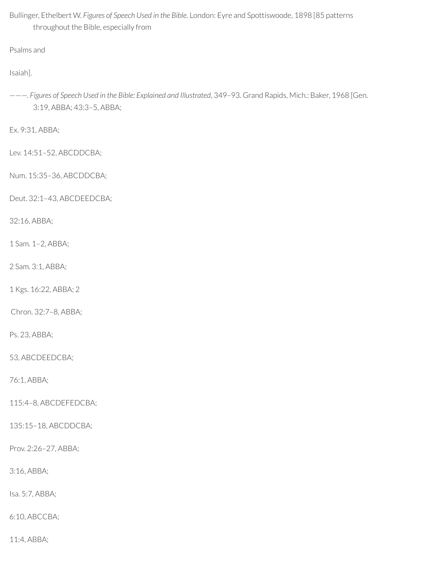Bullinger, Ethelbert W. *Figures of Speech Used in the Bible.* London: Eyre and Spottiswoode, 1898 [85 patterns throughout the Bible, especially from

Psalms and

Isaiah].

———. *Figures of Speech Used in the Bible: Explained and Illustrated*, 349–93. Grand Rapids, Mich.: Baker, 1968 [Gen. 3:19, ABBA; 43:3–5, ABBA;

Ex. 9:31, ABBA;

Lev. 14:51–52, ABCDDCBA;

Num. 15:35–36, ABCDDCBA;

Deut. 32:1–43, ABCDEEDCBA;

32:16, ABBA;

1 Sam. 1–2, ABBA;

2 Sam. 3:1, ABBA;

1 Kgs. 16:22, ABBA; 2

Chron. 32:7–8, ABBA;

Ps. 23, ABBA;

53, ABCDEEDCBA;

76:1, ABBA;

115:4–8, ABCDEFEDCBA;

135:15–18, ABCDDCBA;

Prov. 2:26–27, ABBA;

3:16, ABBA;

Isa. 5:7, ABBA;

6:10, ABCCBA;

11:4, ABBA;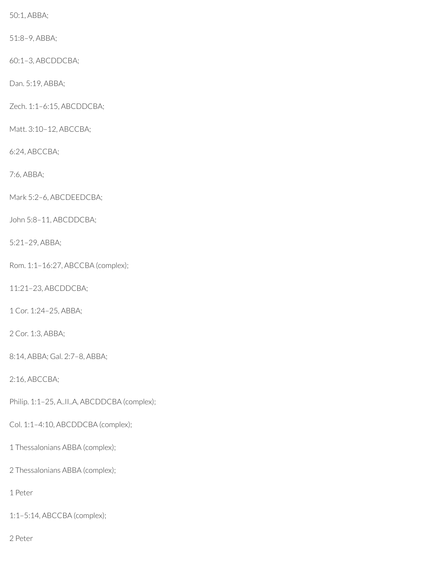50:1, ABBA;

51:8–9, ABBA;

60:1–3, ABCDDCBA;

Dan. 5:19, ABBA;

Zech. 1:1–6:15, ABCDDCBA;

Matt. 3:10–12, ABCCBA;

6:24, ABCCBA;

7:6, ABBA;

Mark 5:2–6, ABCDEEDCBA;

John 5:8–11, ABCDDCBA;

5:21–29, ABBA;

Rom. 1:1–16:27, ABCCBA (complex);

11:21–23, ABCDDCBA;

1 Cor. 1:24–25, ABBA;

2 Cor. 1:3, ABBA;

8:14, ABBA; Gal. 2:7–8, ABBA;

2:16, ABCCBA;

Philip. 1:1-25, A..II..A, ABCDDCBA (complex);

Col. 1:1–4:10, ABCDDCBA (complex);

1 Thessalonians ABBA (complex);

2 Thessalonians ABBA (complex);

1 Peter

1:1–5:14, ABCCBA (complex);

2 Peter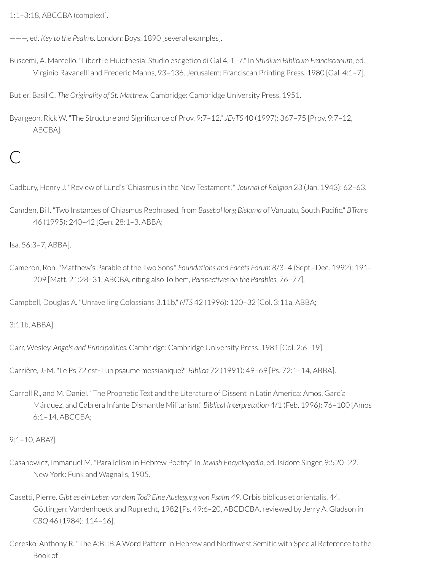1:1–3:18, ABCCBA (complex)].

———, ed. *Key to the Psalms.* London: Boys, 1890 [several examples].

Buscemi, A. Marcello. "Liberti e Huiothesia: Studio esegetico di Gal 4, 1–7." In *Studium Biblicum Franciscanum,* ed. Virginio Ravanelli and Frederic Manns, 93–136. Jerusalem: Franciscan Printing Press, 1980 [Gal. 4:1–7].

Butler, Basil C. *The Originality of St. Matthew.* Cambridge: Cambridge University Press, 1951.

Byargeon, Rick W. "The Structure and Significance of Prov. 9:7-12." *JEvTS* 40 (1997): 367-75 [Prov. 9:7-12, ABCBA].

# $\mathsf{C}$

Cadbury, Henry J. "Review of Lund's 'Chiasmus in the New Testament.'" *Journal of Religion* 23 (Jan. 1943): 62–63.

Camden, Bill. "Two Instances of Chiasmus Rephrased, from *Basebol long Bislama* of Vanuatu, South Pacic." *BTrans* 46 (1995): 240–42 [Gen. 28:1–3, ABBA;

Isa. 56:3–7, ABBA].

Cameron, Ron. "Matthew's Parable of the Two Sons." *Foundations and Facets Forum* 8/3–4 (Sept.–Dec. 1992): 191– 209 [Matt. 21:28–31, ABCBA, citing also Tolbert, *Perspectives on the Parables*, 76–77].

Campbell, Douglas A. "Unravelling Colossians 3.11b." *NTS* 42 (1996): 120–32 [Col. 3:11a, ABBA;

3:11b, ABBA].

Carr, Wesley. *Angels and Principalities.* Cambridge: Cambridge University Press, 1981 [Col. 2:6–19].

Carrière, J.-M. "Le Ps 72 est-il un psaume messianique?" *Biblica* 72 (1991): 49–69 [Ps. 72:1–14, ABBA].

Carroll R., and M. Daniel. "The Prophetic Text and the Literature of Dissent in Latin America: Amos, García Márquez, and Cabrera Infante Dismantle Militarism." *Biblical Interpretation* 4/1 (Feb. 1996): 76–100 [Amos 6:1–14, ABCCBA;

9:1–10, ABA?].

- Casanowicz, Immanuel M. "Parallelism in Hebrew Poetry." In *Jewish Encyclopedia,* ed. Isidore Singer, 9:520–22. New York: Funk and Wagnalls, 1905.
- Casetti, Pierre. *Gibt es ein Leben vor dem Tod? Eine Auslegung von Psalm 49.* Orbis biblicus et orientalis, 44. Göttingen: Vandenhoeck and Ruprecht, 1982 [Ps. 49:6-20, ABCDCBA, reviewed by Jerry A. Gladson in *CBQ* 46 (1984): 114–16].
- Ceresko, Anthony R. "The A:B: :B:A Word Pattern in Hebrew and Northwest Semitic with Special Reference to the Book of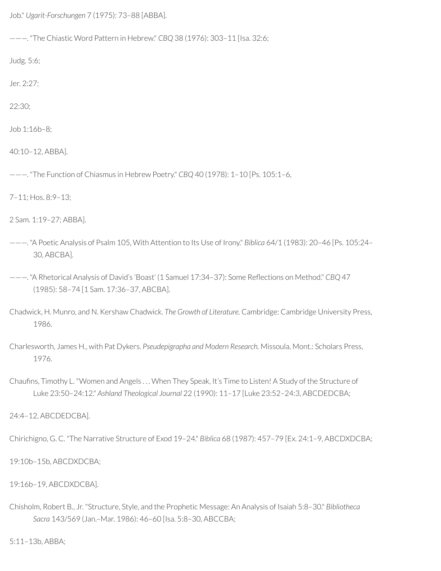Job." *Ugarit-Forschungen* 7 (1975): 73–88 [ABBA].

———. "The Chiastic Word Pattern in Hebrew." *CBQ* 38 (1976): 303–11 [Isa. 32:6;

Judg. 5:6;

Jer. 2:27;

22:30;

Job 1:16b–8;

40:10–12, ABBA].

———. "The Function of Chiasmus in Hebrew Poetry." *CBQ* 40 (1978): 1–10 [Ps. 105:1–6,

7–11; Hos. 8:9–13;

2 Sam. 1:19–27; ABBA].

———. "A Poetic Analysis of Psalm 105, With Attention to Its Use of Irony." *Biblica* 64/1 (1983): 20–46 [Ps. 105:24– 30, ABCBA].

———. "A Rhetorical Analysis of David's 'Boast' (1 Samuel 17:34–37): Some Reections on Method." *CBQ* 47 (1985): 58–74 [1 Sam. 17:36–37, ABCBA].

Chadwick, H. Munro, and N. Kershaw Chadwick. *The Growth of Literature.* Cambridge: Cambridge University Press, 1986.

Charlesworth, James H., with Pat Dykers. *Pseudepigrapha and Modern Research.* Missoula, Mont.: Scholars Press, 1976.

Chaufins, Timothy L. "Women and Angels ... When They Speak, It's Time to Listen! A Study of the Structure of Luke 23:50–24:12." *Ashland Theological Journal* 22 (1990): 11–17 [Luke 23:52–24:3, ABCDEDCBA;

24:4–12, ABCDEDCBA].

Chirichigno, G. C. "The Narrative Structure of Exod 19–24." *Biblica* 68 (1987): 457–79 [Ex. 24:1–9, ABCDXDCBA;

19:10b–15b, ABCDXDCBA;

19:16b–19, ABCDXDCBA].

Chisholm, Robert B., Jr. "Structure, Style, and the Prophetic Message: An Analysis of Isaiah 5:8–30." *Bibliotheca Sacra* 143/569 (Jan.–Mar. 1986): 46–60 [Isa. 5:8–30, ABCCBA;

5:11–13b, ABBA;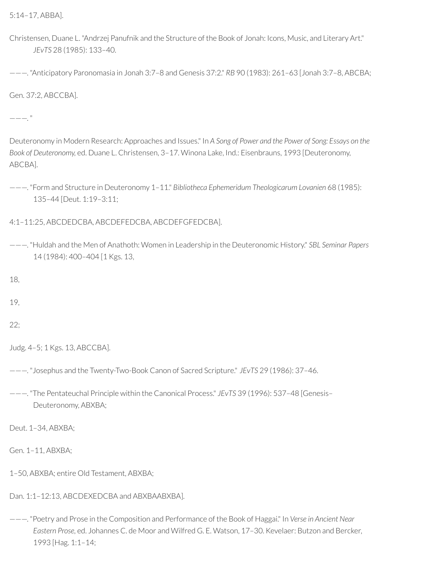5:14–17, ABBA].

Christensen, Duane L. "Andrzej Panufnik and the Structure of the Book of Jonah: Icons, Music, and Literary Art." *JEvTS* 28 (1985): 133–40.

———. "Anticipatory Paronomasia in Jonah 3:7–8 and Genesis 37:2." *RB* 90 (1983): 261–63 [Jonah 3:7–8, ABCBA;

Gen. 37:2, ABCCBA].

 $---<sup>1</sup>$ 

Deuteronomy in Modern Research: Approaches and Issues." In *A Song of Power and the Power of Song: Essays on the Book of Deuteronomy,* ed. Duane L. Christensen, 3–17. Winona Lake, Ind.: Eisenbrauns, 1993 [Deuteronomy, ABCBA].

———. "Form and Structure in Deuteronomy 1–11." *Bibliotheca Ephemeridum Theologicarum Lovanien* 68 (1985): 135–44 [Deut. 1:19–3:11;

4:1–11:25, ABCDEDCBA, ABCDEFEDCBA, ABCDEFGFEDCBA].

———. "Huldah and the Men of Anathoth: Women in Leadership in the Deuteronomic History." *SBL Seminar Papers* 14 (1984): 400–404 [1 Kgs. 13,

18,

19,

22;

Judg. 4–5; 1 Kgs. 13, ABCCBA].

- ———. "Josephus and the Twenty-Two-Book Canon of Sacred Scripture." *JEvTS* 29 (1986): 37–46.
- ———. "The Pentateuchal Principle within the Canonical Process." *JEvTS* 39 (1996): 537–48 [Genesis– Deuteronomy, ABXBA;

Deut. 1–34, ABXBA;

Gen. 1–11, ABXBA;

- 1–50, ABXBA; entire Old Testament, ABXBA;
- Dan. 1:1–12:13, ABCDEXEDCBA and ABXBAABXBA].
- ———. "Poetry and Prose in the Composition and Performance of the Book of Haggai." In *Verse in Ancient Near Eastern Prose,* ed. Johannes C. de Moor and Wilfred G. E. Watson, 17–30. Kevelaer: Butzon and Bercker, 1993 [Hag. 1:1–14;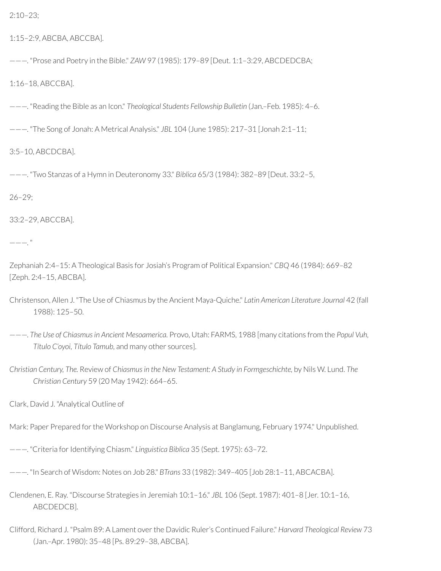2:10–23;

1:15–2:9, ABCBA, ABCCBA].

———. "Prose and Poetry in the Bible." *ZAW* 97 (1985): 179–89 [Deut. 1:1–3:29, ABCDEDCBA;

1:16–18, ABCCBA].

———. "Reading the Bible as an Icon." *Theological Students Fellowship Bulletin* (Jan.–Feb. 1985): 4–6.

———. "The Song of Jonah: A Metrical Analysis." *JBL* 104 (June 1985): 217–31 [Jonah 2:1–11;

3:5–10, ABCDCBA].

———. "Two Stanzas of a Hymn in Deuteronomy 33." *Biblica* 65/3 (1984): 382–89 [Deut. 33:2–5,

26–29;

33:2–29, ABCCBA].

 $---$ ."

Zephaniah 2:4–15: A Theological Basis for Josiah's Program of Political Expansion." *CBQ* 46 (1984): 669–82 [Zeph. 2:4–15, ABCBA].

- Christenson, Allen J. "The Use of Chiasmus by the Ancient Maya-Quiche." *Latin American Literature Journal* 42 (fall 1988): 125–50.
- ———. *The Use of Chiasmusin Ancient Mesoamerica.* Provo, Utah: FARMS, 1988 [many citations from the *Popul Vuh, Título C'oyoi, Título Tamub,* and many other sources].
- *Christian Century, The.* Review of *Chiasmus in the New Testament: A Study in Formgeschichte,* by Nils W. Lund. *The Christian Century* 59 (20 May 1942): 664–65.

Clark, David J. "Analytical Outline of

Mark: Paper Prepared for the Workshop on Discourse Analysis at Banglamung, February 1974." Unpublished.

———. "Criteria for Identifying Chiasm." *Linguistica Biblica* 35 (Sept. 1975): 63–72.

———. "In Search of Wisdom: Notes on Job 28." *BTrans* 33 (1982): 349–405 [Job 28:1–11, ABCACBA].

Clendenen, E. Ray. "Discourse Strategies in Jeremiah 10:1–16." *JBL* 106 (Sept. 1987): 401–8 [Jer. 10:1–16, ABCDEDCB].

Clifford, Richard J. "Psalm 89: A Lament overthe Davidic Ruler's Continued Failure." *Harvard Theological Review* 73 (Jan.–Apr. 1980): 35–48 [Ps. 89:29–38, ABCBA].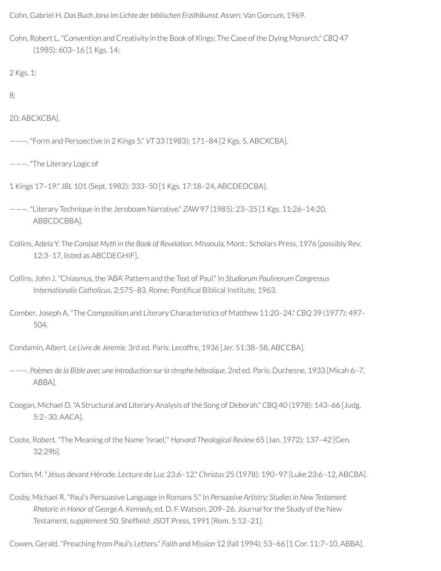Cohn, Gabriel H. *Das Buch Jona im Lichte der biblischen Erzählkunst.* Assen: Van Gorcum, 1969.

Cohn, Robert L. "Convention and Creativity in the Book of Kings: The Case of the Dying Monarch." *CBQ* 47 (1985): 603–16 [1 Kgs. 14;

2 Kgs. 1;

8;

20; ABCXCBA].

- ———. "Form and Perspective in 2 Kings 5." *VT* 33 (1983): 171–84 [2 Kgs. 5, ABCXCBA].
- ———. "The Literary Logic of
- 1 Kings 17–19." *JBL* 101 (Sept. 1982): 333–50 [1 Kgs. 17:18–24, ABCDEDCBA].
- ———. "Literary Technique in the Jeroboam Narrative." *ZAW* 97 (1985): 23–35 [1 Kgs. 11:26–14:20, ABBCDCBBA].
- Collins, Adela Y. *The Combat Myth in the Book of Revelation.* Missoula, Mont.: Scholars Press, 1976 [possibly Rev. 12:3–17, listed as ABCDEGHIF].
- Collins, John J. "Chiasmus, the 'ABA' Pattern and the Text of Paul." In *Studiorum Paulinorum Congressus Internationalis Catholicus,* 2:575–83. Rome: Pontical Biblical Institute, 1963.
- Comber, Joseph A. "The Composition and Literary Characteristics of Matthew 11:20–24." *CBQ* 39 (1977): 497– 504.

Condamin, Albert. *Le Livre de Jeremie.* 3rd ed. Paris: Lecoffre, 1936 [Jer. 51:38–58, ABCCBA].

- ———. *Poèmes de la Bible avec une introduction sur la strophe hébraïque.* 2nd ed. Paris: Duchesne, 1933 [Micah 6–7, ABBA].
- Coogan, Michael D. "A Structural and Literary Analysis of the Song of Deborah." *CBQ* 40 (1978): 143–66 [Judg. 5:2–30, AACA].
- Coote, Robert. "The Meaning of the Name 'Israel.'" *Harvard Theological Review* 65 (Jan. 1972): 137–42 [Gen. 32:29b].
- Corbin, M. "Jésus devant Hérode. Lecture de Luc 23,6–12." *Christus* 25 (1978): 190–97 [Luke 23:6–12, ABCBA].
- Cosby, Michael R. "Paul's Persuasive Language in Romans 5." In *Persuasive Artistry: Studies in New Testament Rhetoric in Honor of George A. Kennedy,* ed. D. F. Watson, 209–26. Journal forthe Study of the New Testament, supplement 50. Sheffield: JSOT Press, 1991 [Rom. 5:12-21].

Cowen, Gerald. "Preaching from Paul's Letters." *Faith and Mission* 12 (fall 1994): 53–66 [1 Cor. 11:7–10, ABBA].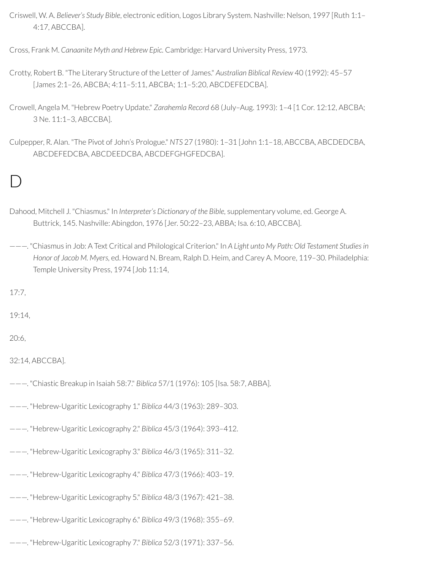- Criswell, W. A. *Believer's Study Bible*, electronic edition, Logos Library System. Nashville: Nelson, 1997 [Ruth 1:1– 4:17, ABCCBA].
- Cross, Frank M. *Canaanite Myth and Hebrew Epic.* Cambridge: Harvard University Press, 1973.
- Crotty, Robert B. "The Literary Structure of the Letter of James." *Australian Biblical Review* 40 (1992): 45–57 [James 2:1–26, ABCBA; 4:11–5:11, ABCBA; 1:1–5:20, ABCDEFEDCBA].
- Crowell, Angela M. "Hebrew Poetry Update." *Zarahemla Record* 68 (July–Aug. 1993): 1–4 [1 Cor. 12:12, ABCBA; 3 Ne. 11:1–3, ABCCBA].
- Culpepper, R. Alan. "The Pivot of John's Prologue." *NTS* 27 (1980): 1–31 [John 1:1–18, ABCCBA, ABCDEDCBA, ABCDEFEDCBA, ABCDEEDCBA, ABCDEFGHGFEDCBA].

## $\Box$

- Dahood, Mitchell J. "Chiasmus." In *Interpreter's Dictionary of the Bible,* supplementary volume, ed. George A. Buttrick, 145. Nashville: Abingdon, 1976 [Jer. 50:22–23, ABBA; Isa. 6:10, ABCCBA].
- ———. "Chiasmus in Job: A Text Critical and Philological Criterion." In *A Light unto My Path: Old Testament Studiesin Honor of Jacob M. Myers,* ed. Howard N. Bream, Ralph D. Heim, and Carey A. Moore, 119–30. Philadelphia: Temple University Press, 1974 [Job 11:14,

17:7,

19:14,

20:6,

```
32:14, ABCCBA].
```
- ———. "Chiastic Breakup in Isaiah 58:7." *Biblica* 57/1 (1976): 105 [Isa. 58:7, ABBA].
- ———. "Hebrew-Ugaritic Lexicography 1." *Biblica* 44/3 (1963): 289–303.
- ———. "Hebrew-Ugaritic Lexicography 2." *Biblica* 45/3 (1964): 393–412.
- ———. "Hebrew-Ugaritic Lexicography 3." *Biblica* 46/3 (1965): 311–32.
- ———. "Hebrew-Ugaritic Lexicography 4." *Biblica* 47/3 (1966): 403–19.
- ———. "Hebrew-Ugaritic Lexicography 5." *Biblica* 48/3 (1967): 421–38.
- ———. "Hebrew-Ugaritic Lexicography 6." *Biblica* 49/3 (1968): 355–69.
- ———. "Hebrew-Ugaritic Lexicography 7." *Biblica* 52/3 (1971): 337–56.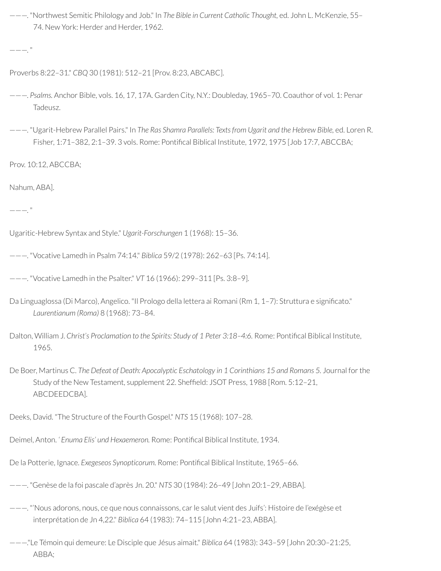———. "Northwest Semitic Philology and Job." In *The Bible in Current Catholic Thought,* ed. John L. McKenzie, 55– 74. New York: Herder and Herder, 1962.

 $---$ ."

- Proverbs 8:22–31." *CBQ* 30 (1981): 512–21 [Prov. 8:23, ABCABC].
- ———. *Psalms.* Anchor Bible, vols. 16, 17, 17A. Garden City, N.Y.: Doubleday, 1965–70. Coauthor of vol. 1: Penar Tadeusz.
- ———. "Ugarit-Hebrew Parallel Pairs." In *The Ras Shamra Parallels: Textsfrom Ugarit and the Hebrew Bible,* ed. Loren R. Fisher, 1:71-382, 2:1-39. 3 vols. Rome: Pontifical Biblical Institute, 1972, 1975 [Job 17:7, ABCCBA;

Prov. 10:12, ABCCBA;

Nahum, ABA].

———. "

Ugaritic-Hebrew Syntax and Style." *Ugarit-Forschungen* 1 (1968): 15–36.

- ———. "Vocative Lamedh in Psalm 74:14." *Biblica* 59/2 (1978): 262–63 [Ps. 74:14].
- ———. "Vocative Lamedh in the Psalter." *VT* 16 (1966): 299–311 [Ps. 3:8–9].
- Da Linguaglossa (Di Marco), Angelico. "Il Prologo della lettera ai Romani (Rm 1, 1-7): Struttura e significato." *Laurentianum (Roma)* 8 (1968): 73–84.
- Dalton, William J. *Christ's Proclamation to the Spirits: Study of 1 Peter 3:18–4:6.* Rome: Pontical Biblical Institute, 1965.
- De Boer, Martinus C. *The Defeat of Death: Apocalyptic Eschatology in 1 Corinthians 15 and Romans 5.* Journal forthe Study of the New Testament, supplement 22. Sheffield: JSOT Press, 1988 [Rom. 5:12-21, ABCDEEDCBA].

Deeks, David. "The Structure of the Fourth Gospel." *NTS* 15 (1968): 107–28.

Deimel, Anton. *' Enuma Elis' und Hexaemeron.* Rome: Pontical Biblical Institute, 1934.

De la Potterie, Ignace. *Exegeseos Synopticorum*. Rome: Pontifical Biblical Institute, 1965-66.

- ———. "Genèse de la foi pascale d'après Jn. 20." *NTS* 30 (1984): 26–49 [John 20:1–29, ABBA].
- ———. "'Nous adorons, nous, ce que nous connaissons, carle salut vient des Juifs': Histoire de l'exégèse et interprétation de Jn 4,22." *Biblica* 64 (1983): 74–115 [John 4:21–23, ABBA].
- ———."Le Témoin qui demeure: Le Disciple que Jésus aimait." *Biblica* 64 (1983): 343–59 [John 20:30–21:25, ABBA;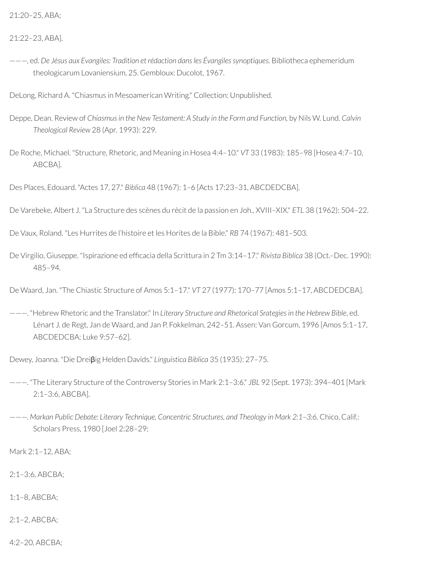21:22–23, ABA].

———, ed. *De Jésus aux Evangiles: Tradition et rédaction dansles Évangilessynoptiques.* Bibliotheca ephemeridum theologicarum Lovaniensium, 25. Gembloux: Ducolot, 1967.

DeLong, Richard A. "Chiasmus in Mesoamerican Writing." Collection: Unpublished.

- Deppe, Dean. Review of *Chiasmusin the New Testament: A Study in the Form and Function,* by Nils W. Lund. *Calvin Theological Review* 28 (Apr. 1993): 229.
- De Roche, Michael. "Structure, Rhetoric, and Meaning in Hosea 4:4–10." *VT* 33 (1983): 185–98 [Hosea 4:7–10, ABCBA].

Des Places, Edouard. "Actes 17, 27." *Biblica* 48 (1967): 1–6 [Acts 17:23–31, ABCDEDCBA].

De Varebeke, Albert J. "La Structure des scènes du rècit de la passion en Joh., XVIII–XIX." *ETL* 38 (1962): 504–22.

De Vaux, Roland. "Les Hurrites de l'histoire et les Horites de la Bible." *RB* 74 (1967): 481–503.

De Virgilio, Giuseppe. "Ispirazione ed efficacia della Scrittura in 2 Tm 3:14-17." *Rivista Biblica* 38 (Oct.-Dec. 1990): 485–94.

De Waard, Jan. "The Chiastic Structure of Amos 5:1–17." *VT* 27 (1977): 170–77 [Amos 5:1–17, ABCDEDCBA].

———. "Hebrew Rhetoric and the Translator." In *Literary Structure and Rhetorical Srategies in the Hebrew Bible*, ed. Lénart J. de Regt, Jan de Waard, and Jan P. Fokkelman, 242–51. Assen: Van Gorcum, 1996 [Amos 5:1–17, ABCDEDCBA; Luke 9:57–62].

Dewey, Joanna. "Die Dreiβig Helden Davids." *Linguistica Biblica* 35 (1935): 27–75.

- ———. "The Literary Structure of the Controversy Stories in Mark 2:1–3:6." *JBL* 92 (Sept. 1973): 394–401 [Mark 2:1–3:6, ABCBA].
- ———. *Markan Public Debate: Literary Technique, Concentric Structures, and Theology in Mark 2:1–3:6.* Chico, Calif.: Scholars Press, 1980 [Joel 2:28–29;

Mark 2:1–12, ABA;

2:1–3:6, ABCBA;

1:1–8, ABCBA;

2:1–2, ABCBA;

4:2–20, ABCBA;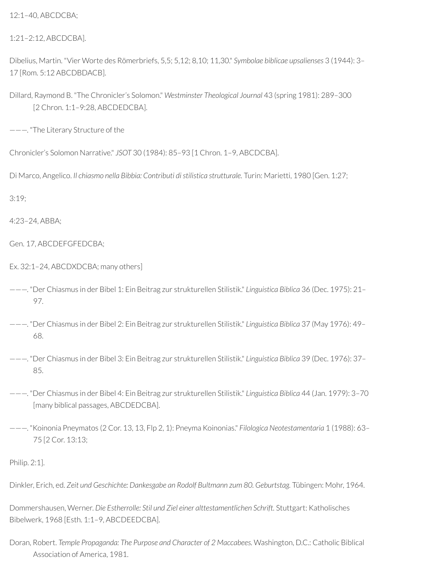12:1–40, ABCDCBA;

1:21–2:12, ABCDCBA].

Dibelius, Martin. "Vier Worte des Römerbriefs, 5,5; 5,12; 8,10; 11,30." *Symbolae biblicae upsalienses* 3 (1944): 3– 17 [Rom. 5:12 ABCDBDACB].

Dillard, Raymond B. "The Chronicler's Solomon." *Westminster Theological Journal* 43 (spring 1981): 289–300 [2 Chron. 1:1–9:28, ABCDEDCBA].

———. "The Literary Structure of the

Chronicler's Solomon Narrative." *JSOT* 30 (1984): 85–93 [1 Chron. 1–9, ABCDCBA].

Di Marco, Angelico. *Il chiasmo nella Bibbia: Contributi di stilistica strutturale.* Turin: Marietti, 1980 [Gen. 1:27;

3:19;

4:23–24, ABBA;

Gen. 17, ABCDEFGFEDCBA;

Ex. 32:1–24, ABCDXDCBA; many others]

- ———. "Der Chiasmus in der Bibel 1: Ein Beitrag zur strukturellen Stilistik." *Linguistica Biblica* 36 (Dec. 1975): 21– 97.
- ———. "Der Chiasmus in der Bibel 2: Ein Beitrag zur strukturellen Stilistik." *Linguistica Biblica* 37 (May 1976): 49– 68.
- ———. "Der Chiasmus in der Bibel 3: Ein Beitrag zur strukturellen Stilistik." *Linguistica Biblica* 39 (Dec. 1976): 37– 85.
- ———. "Der Chiasmus in der Bibel 4: Ein Beitrag zur strukturellen Stilistik." *Linguistica Biblica* 44 (Jan. 1979): 3–70 [many biblical passages, ABCDEDCBA].
- ———. "Koinonia Pneymatos (2 Cor. 13, 13, Flp 2, 1): Pneyma Koinonias." *Filologica Neotestamentaria* 1 (1988): 63– 75 [2 Cor. 13:13;

Philip. 2:1].

Dinkler, Erich, ed. *Zeit und Geschichte: Dankesgabe an Rodolf Bultmann zum 80. Geburtstag.* Tübingen: Mohr, 1964.

Dommershausen, Werner. *Die Estherrolle: Stil und Ziel einer alttestamentlichen Schrift.* Stuttgart: Katholisches Bibelwerk, 1968 [Esth. 1:1–9, ABCDEEDCBA].

Doran, Robert. *Temple Propaganda: The Purpose and Character of 2 Maccabees.* Washington, D.C.: Catholic Biblical Association of America, 1981.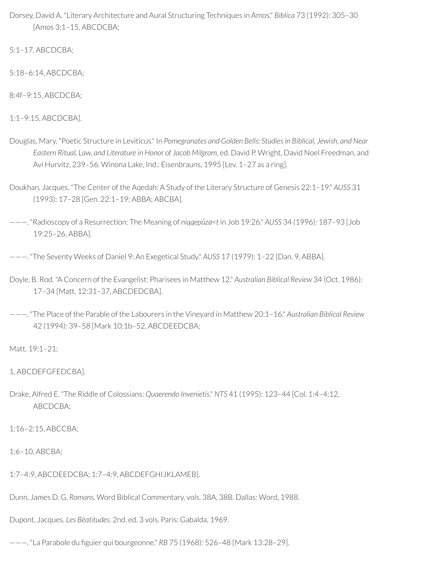Dorsey, David A. "Literary Architecture and Aural Structuring Techniques in Amos." *Biblica* 73 (1992): 305–30 [Amos 3:1–15, ABCDCBA;

5:1–17, ABCDCBA;

5:18–6:14, ABCDCBA;

8:4f–9:15, ABCDCBA;

1:1–9:15, ABCDCBA].

- Douglas, Mary. "Poetic Structure in Leviticus." In *Pomegranates and Golden Bells: Studiesin Biblical, Jewish, and Near Eastern Ritual, Law, and Literature in Honor of Jacob Milgrom,* ed. David P. Wright, David Noel Freedman, and Avi Hurvitz, 239–56. Winona Lake, Ind.: Eisenbrauns, 1995 [Lev. 1–27 as a ring].
- Doukhan, Jacques. "The Center of the Aqedah: A Study of the Literary Structure of Genesis 22:1–19." *AUSS* 31 (1993): 17–28 [Gen. 22:1–19; ABBA; ABCBA].
- ———. "Radioscopy of a Resurrection: The Meaning of *niqqepûzø<t* in Job 19:26." *AUSS* 34 (1996): 187–93 [Job 19:25–26, ABBA].

———. "The Seventy Weeks of Daniel 9: An Exegetical Study." *AUSS* 17 (1979): 1–22 [Dan. 9, ABBA].

- Doyle, B. Rod. "A Concern of the Evangelist: Pharisees in Matthew 12." *Australian Biblical Review* 34 (Oct. 1986): 17–34 [Matt. 12:31–37, ABCDEDCBA].
- ———. "The Place of the Parable of the Labourers in the Vineyard in Matthew 20:1–16." *Australian Biblical Review* 42 (1994): 39–58 [Mark 10:1b–52, ABCDEEDCBA;

Matt. 19:1–21;

1, ABCDEFGFEDCBA].

Drake, Alfred E. "The Riddle of Colossians: *Quaerendo Invenietis*." *NTS* 41 (1995): 123–44 [Col. 1:4–4:12, ABCDCBA;

1:16–2:15, ABCCBA;

1:6–10, ABCBA;

- 1:7–4:9, ABCDEEDCBA; 1:7–4:9, ABCDEFGHIJKLAMEB].
- Dunn, James D. G. *Romans.* Word Biblical Commentary, vols. 38A, 38B. Dallas: Word, 1988.

Dupont, Jacques. *Les Béatitudes.* 2nd. ed. 3 vols. Paris: Gabalda, 1969.

---. "La Parabole du figuier qui bourgeonne." *RB* 75 (1968): 526-48 [Mark 13:28-29].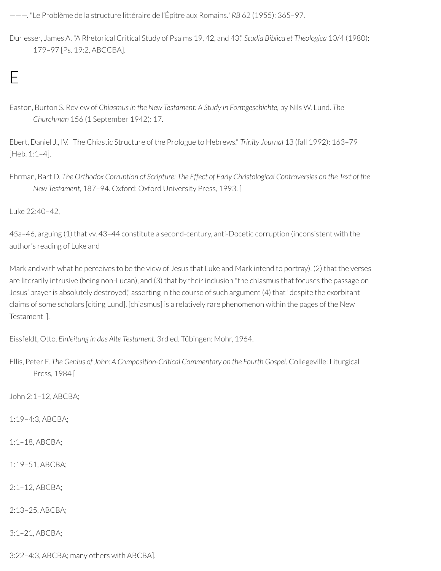———. "Le Problème de la structure littéraire de l'Épître aux Romains." *RB* 62 (1955): 365–97.

Durlesser, James A. "A Rhetorical Critical Study of Psalms 19, 42, and 43." *Studia Biblica et Theologica* 10/4 (1980): 179–97 [Ps. 19:2, ABCCBA].

Easton, Burton S. Review of *Chiasmus in the New Testament: A Study in Formgeschichte,* by Nils W. Lund. *The Churchman* 156 (1 September 1942): 17.

Ebert, Daniel J., IV. "The Chiastic Structure of the Prologue to Hebrews." *Trinity Journal* 13 (fall 1992): 163–79 [Heb. 1:1–4].

Ehrman, Bart D. The Orthodox Corruption of Scripture: The Effect of Early Christological Controversies on the Text of the *New Testament*, 187–94. Oxford: Oxford University Press, 1993. [

Luke 22:40–42,

E

45a–46, arguing (1) that vv. 43–44 constitute a second-century, anti-Docetic corruption (inconsistent with the author's reading of Luke and

Mark and with what he perceives to be the view of Jesus that Luke and Mark intend to portray), (2) that the verses are literarily intrusive (being non-Lucan), and (3) that by their inclusion "the chiasmus that focuses the passage on Jesus' prayer is absolutely destroyed," asserting in the course of such argument (4) that "despite the exorbitant claims of some scholars [citing Lund], [chiasmus] is a relatively rare phenomenon within the pages of the New Testament"].

Eissfeldt, Otto. *Einleitung in das Alte Testament.* 3rd ed. Tübingen: Mohr, 1964.

Ellis, Peter F. *The Genius of John: A Composition-Critical Commentary on the Fourth Gospel.* Collegeville: Liturgical Press, 1984 [

John 2:1–12, ABCBA;

1:19–4:3, ABCBA;

1:1–18, ABCBA;

1:19–51, ABCBA;

2:1–12, ABCBA;

2:13–25, ABCBA;

3:1–21, ABCBA;

3:22–4:3, ABCBA; many others with ABCBA].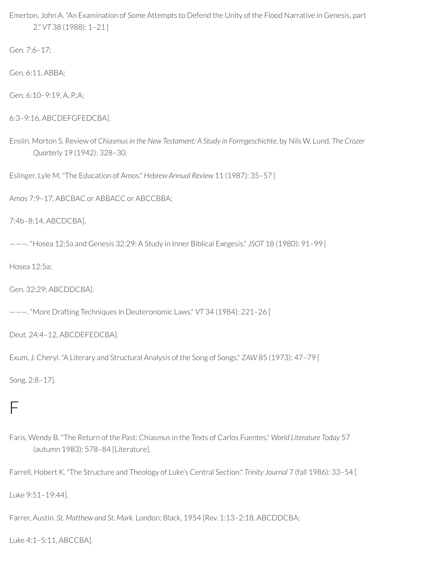Emerton, John A. "An Examination of Some Attempts to Defend the Unity of the Flood Narrative in Genesis, part 2." *VT* 38 (1988): 1–21 [

Gen. 7:6–17;

Gen. 6:11, ABBA;

Gen. 6:10-9:19, A., P.A;

```
6:3–9:16, ABCDEFGFEDCBA].
```
Enslin, Morton S. Review of *Chiasmusin the New Testament: A Study in Formgeschichte,* by Nils W. Lund. *The Crozer Quarterly* 19 (1942): 328–30.

Eslinger, Lyle M. "The Education of Amos." *Hebrew Annual Review* 11 (1987): 35–57 [

Amos 7:9–17, ABCBAC or ABBACC or ABCCBBA;

7:4b–8:14, ABCDCBA].

———. "Hosea 12:5a and Genesis 32:29: A Study in Inner Biblical Exegesis." *JSOT* 18 (1980): 91–99 [

Hosea 12:5a;

Gen. 32:29; ABCDDCBA].

———. "More Drafting Techniques in Deuteronomic Laws." *VT* 34 (1984): 221–26 [

Deut. 24:4–12, ABCDEFEDCBA].

Exum, J. Cheryl. "A Literary and Structural Analysis of the Song of Songs." *ZAW* 85 (1973): 47–79 [

Song. 2:8–17].

### F

Faris, Wendy B. "The Return of the Past: Chiasmus in the Texts of Carlos Fuentes." *World Literature Today* 57 (autumn 1983): 578–84 [Literature].

Farrell, Hobert K. "The Structure and Theology of Luke's Central Section." *Trinity Journal* 7 (fall 1986): 33–54 [

Luke 9:51–19:44].

Farrer, Austin. *St. Matthew and St. Mark.* London: Black, 1954 [Rev. 1:13–2:18, ABCDDCBA;

Luke 4:1–5:11, ABCCBA].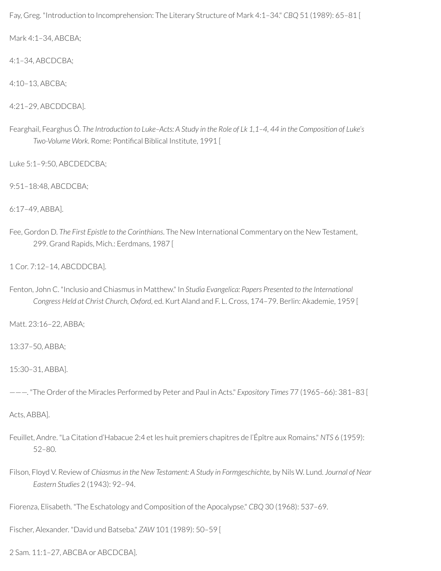Fay, Greg. "Introduction to Incomprehension: The Literary Structure of Mark 4:1–34." *CBQ* 51 (1989): 65–81 [

Mark 4:1–34, ABCBA;

4:1–34, ABCDCBA;

4:10–13, ABCBA;

4:21–29, ABCDDCBA].

Fearghail, Fearghus Ó. The Introduction to Luke-Acts: A Study in the Role of Lk 1,1-4, 44 in the Composition of Luke's *Two-Volume Work*. Rome: Pontifical Biblical Institute, 1991 [

Luke 5:1–9:50, ABCDEDCBA;

9:51–18:48, ABCDCBA;

6:17–49, ABBA].

Fee, Gordon D. *The First Epistle to the Corinthians*. The New International Commentary on the New Testament, 299. Grand Rapids, Mich.: Eerdmans, 1987 [

1 Cor. 7:12–14, ABCDDCBA].

Fenton, John C. "Inclusio and Chiasmus in Matthew." In *Studia Evangelica: Papers Presented to the International Congress Held at Christ Church, Oxford,* ed. Kurt Aland and F. L. Cross, 174–79. Berlin: Akademie, 1959 [

Matt. 23:16–22, ABBA;

13:37–50, ABBA;

15:30–31, ABBA].

———. "The Order of the Miracles Performed by Peter and Paul in Acts." *Expository Times* 77 (1965–66): 381–83 [

Acts, ABBA].

- Feuillet, Andre. "La Citation d'Habacue 2:4 et les huit premiers chapitres de l'Épître aux Romains." *NTS* 6 (1959): 52–80.
- Filson, Floyd V. Review of *Chiasmus in the New Testament: A Study in Formgeschichte,* by Nils W. Lund. *Journal of Near Eastern Studies* 2 (1943): 92–94.

Fiorenza, Elisabeth. "The Eschatology and Composition of the Apocalypse." *CBQ* 30 (1968): 537–69.

Fischer, Alexander. "David und Batseba." *ZAW* 101 (1989): 50–59 [

2 Sam. 11:1–27, ABCBA or ABCDCBA].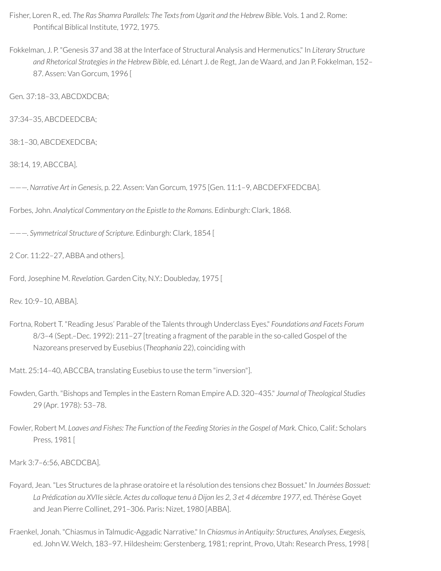- Fisher, Loren R., ed. *The Ras Shamra Parallels: The Texts from Ugarit and the Hebrew Bible.* Vols. 1 and 2. Rome: Pontifical Biblical Institute, 1972, 1975.
- Fokkelman, J. P. "Genesis 37 and 38 at the Interface of Structural Analysis and Hermenutics." In *Literary Structure and Rhetorical Strategiesin the Hebrew Bible*, ed. Lénart J. de Regt, Jan de Waard, and Jan P. Fokkelman, 152– 87. Assen: Van Gorcum, 1996 [

Gen. 37:18–33, ABCDXDCBA;

37:34–35, ABCDEEDCBA;

38:1–30, ABCDEXEDCBA;

38:14, 19, ABCCBA].

———. *Narrative Art in Genesis,* p. 22. Assen: Van Gorcum, 1975 [Gen. 11:1–9, ABCDEFXFEDCBA].

Forbes, John. *Analytical Commentary on the Epistle to the Romans.* Edinburgh: Clark, 1868.

———. *Symmetrical Structure of Scripture.* Edinburgh: Clark, 1854 [

2 Cor. 11:22–27, ABBA and others].

Ford, Josephine M. *Revelation.* Garden City, N.Y.: Doubleday, 1975 [

Rev. 10:9–10, ABBA].

Fortna, Robert T. "Reading Jesus' Parable of the Talents through Underclass Eyes." *Foundations and Facets Forum* 8/3–4 (Sept.–Dec. 1992): 211–27 [treating a fragment of the parable in the so-called Gospel of the Nazoreans preserved by Eusebius (*Theophania* 22), coinciding with

Matt. 25:14–40, ABCCBA, translating Eusebius to use the term "inversion"].

- Fowden, Garth. "Bishops and Temples in the Eastern Roman Empire A.D. 320–435." *Journal of Theological Studies* 29 (Apr. 1978): 53–78.
- Fowler, Robert M. *Loaves and Fishes: The Function of the Feeding Storiesin the Gospel of Mark.* Chico, Calif.: Scholars Press, 1981 [

Mark 3:7–6:56, ABCDCBA].

- Foyard, Jean. "Les Structures de la phrase oratoire et la résolution des tensions chez Bossuet." In *Journées Bossuet:* La Prédication au XVIIe siècle. Actes du colloque tenu à Dijon les 2, 3 et 4 décembre 1977, ed. Thérèse Goyet and Jean Pierre Collinet, 291–306. Paris: Nizet, 1980 [ABBA].
- Fraenkel, Jonah. "Chiasmus in Talmudic-Aggadic Narrative." In *Chiasmusin Antiquity: Structures, Analyses, Exegesis,* ed. John W. Welch, 183-97. Hildesheim: Gerstenberg, 1981; reprint, Provo, Utah: Research Press, 1998 [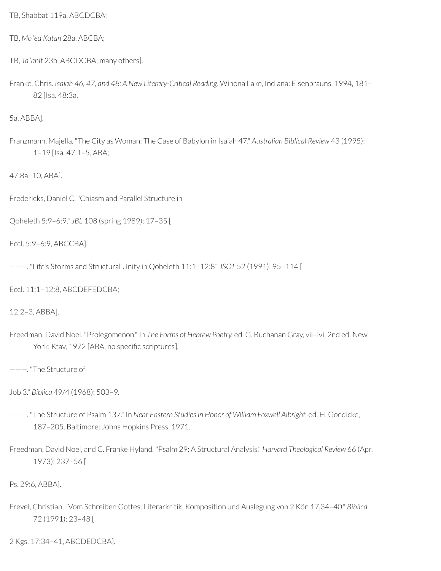TB, Shabbat 119a, ABCDCBA;

TB, *Moʿed Katan* 28a, ABCBA;

- TB, *Taʾanit* 23b, ABCDCBA; many others].
- Franke, Chris. *Isaiah 46, 47, and 48: A New Literary-Critical Reading*. Winona Lake, Indiana: Eisenbrauns, 1994, 181– 82 [Isa. 48:3a,

5a, ABBA].

Franzmann, Majella. "The City as Woman: The Case of Babylon in Isaiah 47." *Australian Biblical Review* 43 (1995): 1–19 [Isa. 47:1–5, ABA;

47:8a–10, ABA].

Fredericks, Daniel C. "Chiasm and Parallel Structure in

Qoheleth 5:9–6:9." *JBL* 108 (spring 1989): 17–35 [

Eccl. 5:9–6:9, ABCCBA].

———. "Life's Storms and Structural Unity in Qoheleth 11:1–12:8" *JSOT* 52 (1991): 95–114 [

Eccl. 11:1–12:8, ABCDEFEDCBA;

12:2–3, ABBA].

Freedman, David Noel. "Prolegomenon." In *The Forms of Hebrew Poetry,* ed. G. Buchanan Gray, vii–lvi. 2nd ed. New York: Ktav, 1972 [ABA, no specific scriptures].

———. "The Structure of

Job 3." *Biblica* 49/4 (1968): 503–9.

- ———. "The Structure of Psalm 137." In *Near Eastern Studiesin Honor of William Foxwell Albright,* ed. H. Goedicke, 187–205. Baltimore: Johns Hopkins Press, 1971.
- Freedman, David Noel, and C. Franke Hyland. "Psalm 29: A Structural Analysis." *Harvard Theological Review* 66 (Apr. 1973): 237–56 [

Ps. 29:6, ABBA].

Frevel, Christian. "Vom Schreiben Gottes: Literarkritik, Komposition und Auslegung von 2 Kön 17,34–40." *Biblica* 72 (1991): 23–48 [

2 Kgs. 17:34–41, ABCDEDCBA].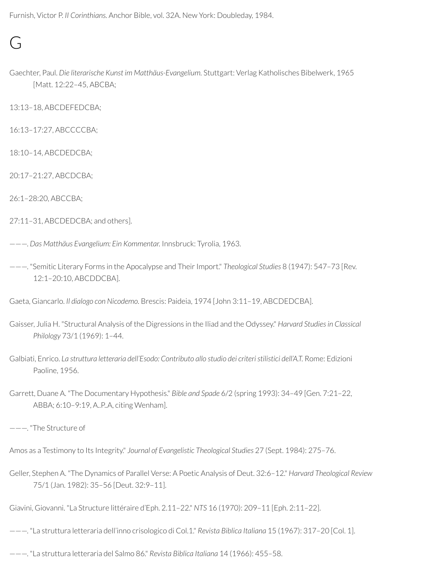Furnish, Victor P. *II Corinthians.* Anchor Bible, vol. 32A. New York: Doubleday, 1984.

### $\overline{C}$

Gaechter, Paul. *Die literarische Kunst im Matthäus-Evangelium.* Stuttgart: Verlag Katholisches Bibelwerk, 1965 [Matt. 12:22–45, ABCBA;

13:13–18, ABCDEFEDCBA;

16:13–17:27, ABCCCCBA;

18:10–14, ABCDEDCBA;

20:17–21:27, ABCDCBA;

26:1–28:20, ABCCBA;

- 27:11–31, ABCDEDCBA; and others].
- ———. *Das Matthäus Evangelium: Ein Kommentar.* Innsbruck: Tyrolia, 1963.
- ———. "Semitic Literary Forms in the Apocalypse and TheirImport." *Theological Studies* 8 (1947): 547–73 [Rev. 12:1–20:10, ABCDDCBA].

Gaeta, Giancarlo. *Il dialogo con Nicodemo.* Brescis: Paideia, 1974 [John 3:11–19, ABCDEDCBA].

- Gaisser, Julia H. "Structural Analysis of the Digressions in the Iliad and the Odyssey." *Harvard Studies in Classical Philology* 73/1 (1969): 1–44.
- Galbiati, Enrico. *La struttura letteraria dell'Esodo: Contributo allo studio dei criteri stilistici dell'A.T.* Rome: Edizioni Paoline, 1956.
- Garrett, Duane A. "The Documentary Hypothesis." *Bible and Spade* 6/2 (spring 1993): 34–49 [Gen. 7:21–22, ABBA; 6:10–9:19, A..P..A, citing Wenham].

———. "The Structure of

Amos as a Testimony to Its Integrity." *Journal of Evangelistic Theological Studies* 27 (Sept. 1984): 275–76.

Geller, Stephen A. "The Dynamics of Parallel Verse: A Poetic Analysis of Deut. 32:6–12." *Harvard Theological Review* 75/1 (Jan. 1982): 35–56 [Deut. 32:9–11].

Giavini, Giovanni. "La Structure littéraire d'Eph. 2.11–22." *NTS* 16 (1970): 209–11 [Eph. 2:11–22].

———. "La struttura letteraria dell'inno crisologico di Col.1." *Revista Biblica Italiana* 15 (1967): 317–20 [Col. 1].

———. "La struttura letteraria del Salmo 86." *Revista Biblica Italiana* 14 (1966): 455–58.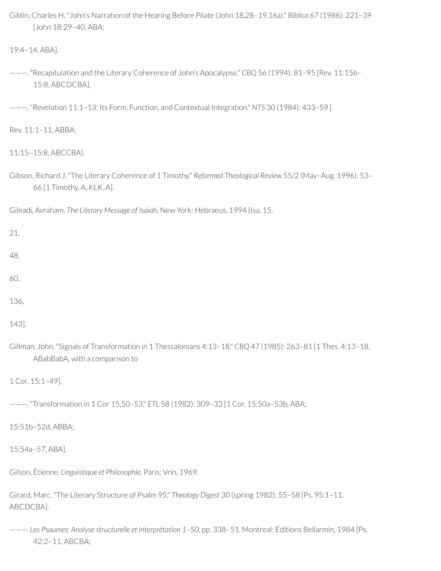Giblin, Charles H. "John's Narration of the Hearing Before Pilate (John 18,28–19,16a)." *Biblica* 67 (1986): 221–39 [John 18:29–40, ABA;

```
19:4–14, ABA].
```
- ———. "Recapitulation and the Literary Coherence of John's Apocalypse." *CBQ* 56 (1994): 81–95 [Rev. 11:15b– 15:8, ABCDCBA].
- ———. "Revelation 11:1–13: Its Form, Function, and Contextual Integration." *NTS* 30 (1984): 433–59 [

Rev. 11:1–11, ABBA;

11:15–15:8, ABCCBA].

Gibson, Richard J. "The Literary Coherence of 1 Timothy." *Reformed Theological Review* 55/2 (May–Aug. 1996): 53– 66 [1 Timothy, A..KLK..A].

Gileadi, Avraham. *The Literary Message of Isaiah.* New York: Hebraeus, 1994 [Isa. 15,

21,

48,

- 60,
- 136,

143].

Gillman, John. "Signals of Transformation in 1 Thessalonians 4:13–18." *CBQ* 47 (1985): 263–81 [1 Thes. 4:13–18, ABabBabA, with a comparison to

1 Cor. 15:1–49].

———. "Transformation in 1 Cor 15,50–53." *ETL* 58 (1982): 309–33 [1 Cor. 15:50a–53b, ABA;

15:51b–52d, ABBA;

15:54a–57, ABA].

Gilson, Étienne. *Linguistique et Philosophie.* Paris: Vrin, 1969.

Girard, Marc. "The Literary Structure of Psalm 95." *Theology Digest* 30 (spring 1982): 55–58 [Ps. 95:1–11, ABCDCBA].

———. *Les Psaumes: Analyse structurelle et interprétation 1–50*, pp. 338–51. Montreal: Éditions Bellarmin, 1984 [Ps. 42:2–11, ABCBA;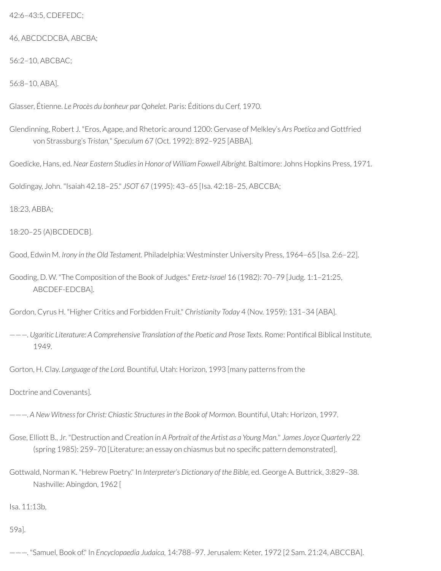42:6–43:5, CDEFEDC;

46, ABCDCDCBA, ABCBA;

56:2–10, ABCBAC;

56:8–10, ABA].

Glasser, Étienne. *Le Procès du bonheur par Qohelet.* Paris: Éditions du Cerf, 1970.

Glendinning, Robert J. "Eros, Agape, and Rhetoric around 1200: Gervase of Melkley's *Ars Poetica* and Gottfried von Strassburg's *Tristan,*" *Speculum* 67 (Oct. 1992): 892–925 [ABBA].

Goedicke, Hans, ed. *Near Eastern Studiesin Honor of William Foxwell Albright.* Baltimore: Johns Hopkins Press, 1971.

Goldingay, John. "Isaiah 42.18–25." *JSOT* 67 (1995): 43–65 [Isa. 42:18–25, ABCCBA;

18:23, ABBA;

18:20–25 (A)BCDEDCB].

Good, Edwin M. *Irony in the Old Testament.* Philadelphia: Westminster University Press, 1964–65 [Isa. 2:6–22].

Gooding, D. W. "The Composition of the Book of Judges." *Eretz-Israel* 16 (1982): 70–79 [Judg. 1:1–21:25, ABCDEF-EDCBA].

Gordon, Cyrus H. "Higher Critics and Forbidden Fruit." *Christianity Today* 4 (Nov. 1959): 131–34 [ABA].

———. *Ugaritic Literature: A Comprehensive Translation of the Poetic and Prose Texts.* Rome: Pontical Biblical Institute, 1949.

Gorton, H. Clay. *Language of the Lord.* Bountiful, Utah: Horizon, 1993 [many patterns from the

Doctrine and Covenants].

———. *A New Witnessfor Christ: Chiastic Structuresin the Book of Mormon*. Bountiful, Utah: Horizon, 1997.

- Gose, Elliott B., Jr. "Destruction and Creation in *A Portrait of the Artist as a Young Man.*" *James Joyce Quarterly* 22 (spring 1985): 259-70 [Literature; an essay on chiasmus but no specific pattern demonstrated].
- Gottwald, Norman K. "Hebrew Poetry." In *Interpreter's Dictionary of the Bible,* ed. George A. Buttrick, 3:829–38. Nashville: Abingdon, 1962 [

Isa. 11:13b,

59a].

———. "Samuel, Book of." In *Encyclopaedia Judaica,* 14:788–97. Jerusalem: Keter, 1972 [2 Sam. 21:24, ABCCBA].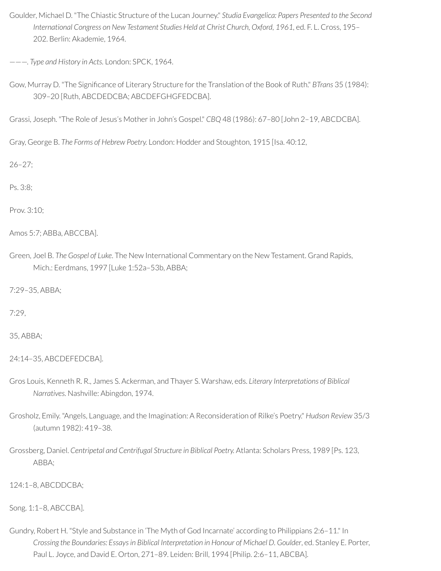Goulder, Michael D. "The Chiastic Structure of the Lucan Journey." *Studia Evangelica: Papers Presented to the Second International Congress on New Testament Studies Held at Christ Church, Oxford, 1961,* ed. F. L. Cross, 195– 202. Berlin: Akademie, 1964.

———. *Type and History in Acts.* London: SPCK, 1964.

Gow, Murray D. "The Significance of Literary Structure for the Translation of the Book of Ruth." *BTrans* 35 (1984): 309–20 [Ruth, ABCDEDCBA; ABCDEFGHGFEDCBA].

Grassi, Joseph. "The Role of Jesus's Motherin John's Gospel." *CBQ* 48 (1986): 67–80 [John 2–19, ABCDCBA].

Gray, George B. *The Forms of Hebrew Poetry.* London: Hodder and Stoughton, 1915 [Isa. 40:12,

26–27;

Ps. 3:8;

Prov. 3:10;

```
Amos 5:7; ABBa, ABCCBA].
```
Green, Joel B. *The Gospel of Luke*. The New International Commentary on the New Testament. Grand Rapids, Mich.: Eerdmans, 1997 [Luke 1:52a–53b, ABBA;

7:29–35, ABBA;

7:29,

35, ABBA;

24:14–35, ABCDEFEDCBA].

- Gros Louis, Kenneth R. R., James S. Ackerman, and Thayer S. Warshaw, eds. *Literary Interpretations of Biblical Narratives.* Nashville: Abingdon, 1974.
- Grosholz, Emily. "Angels, Language, and the Imagination: A Reconsideration of Rilke's Poetry." *Hudson Review* 35/3 (autumn 1982): 419–38.
- Grossberg, Daniel. *Centripetal and Centrifugal Structure in Biblical Poetry.* Atlanta: Scholars Press, 1989 [Ps. 123, ABBA;

124:1–8, ABCDDCBA;

Song. 1:1–8, ABCCBA].

Gundry, Robert H. "Style and Substance in 'The Myth of God Incarnate' according to Philippians 2:6–11." In *Crossing the Boundaries: Essaysin Biblical Interpretation in Honour of Michael D. Goulder*, ed. Stanley E. Porter, Paul L. Joyce, and David E. Orton, 271–89. Leiden: Brill, 1994 [Philip. 2:6–11, ABCBA].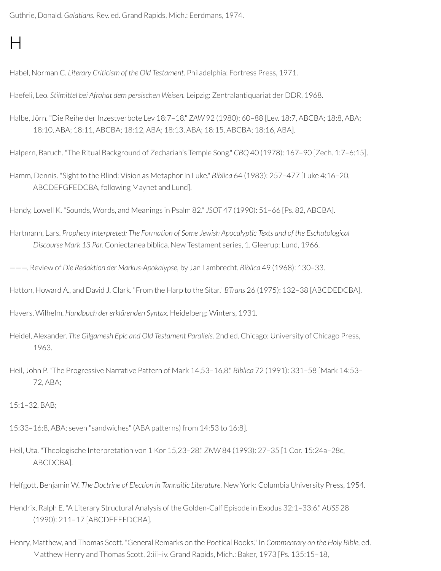Guthrie, Donald. *Galatians.* Rev. ed. Grand Rapids, Mich.: Eerdmans, 1974.

## $\mathsf{H}$

Habel, Norman C. *Literary Criticism of the Old Testament.* Philadelphia: Fortress Press, 1971.

Haefeli, Leo. *Stilmittel bei Afrahat dem persischen Weisen.* Leipzig: Zentralantiquariat der DDR, 1968.

Halbe, Jörn. "Die Reihe derInzestverbote Lev 18:7–18." *ZAW* 92 (1980): 60–88 [Lev. 18:7, ABCBA; 18:8, ABA; 18:10, ABA; 18:11, ABCBA; 18:12, ABA; 18:13, ABA; 18:15, ABCBA; 18:16, ABA].

Halpern, Baruch. "The Ritual Background of Zechariah's Temple Song." *CBQ* 40 (1978): 167–90 [Zech. 1:7–6:15].

Hamm, Dennis. "Sight to the Blind: Vision as Metaphorin Luke." *Biblica* 64 (1983): 257–477 [Luke 4:16–20, ABCDEFGFEDCBA, following Maynet and Lund].

Handy, Lowell K. "Sounds, Words, and Meanings in Psalm 82." *JSOT* 47 (1990): 51–66 [Ps. 82, ABCBA].

Hartmann, Lars. *Prophecy Interpreted: The Formation of Some Jewish Apocalyptic Texts and of the Eschatological Discourse Mark 13 Par.* Coniectanea biblica. New Testament series, 1. Gleerup: Lund, 1966.

———. Review of *Die Redaktion der Markus-Apokalypse,* by Jan Lambrecht*. Biblica* 49 (1968): 130–33.

Hatton, Howard A., and David J. Clark. "From the Harp to the Sitar." *BTrans* 26 (1975): 132–38 [ABCDEDCBA].

Havers, Wilhelm. *Handbuch der erklärenden Syntax.* Heidelberg: Winters, 1931.

Heidel, Alexander. *The Gilgamesh Epic and Old Testament Parallels.* 2nd ed. Chicago: University of Chicago Press, 1963.

Heil, John P. "The Progressive Narrative Pattern of Mark 14,53–16,8." *Biblica* 72 (1991): 331–58 [Mark 14:53– 72, ABA;

15:1–32, BAB;

- 15:33–16:8, ABA; seven "sandwiches" (ABA patterns) from 14:53 to 16:8].
- Heil, Uta. "Theologische Interpretation von 1 Kor 15,23–28." *ZNW* 84 (1993): 27–35 [1 Cor. 15:24a–28c, ABCDCBA].

Helfgott, Benjamin W. *The Doctrine of Election in Tannaitic Literature.* New York: Columbia University Press, 1954.

Hendrix, Ralph E. "A Literary Structural Analysis of the Golden-Calf Episode in Exodus 32:1–33:6." *AUSS* 28 (1990): 211–17 [ABCDEFEFDCBA].

Henry, Matthew, and Thomas Scott. "General Remarks on the Poetical Books." In *Commentary on the Holy Bible,* ed. Matthew Henry and Thomas Scott, 2:iii–iv. Grand Rapids, Mich.: Baker, 1973 [Ps. 135:15–18,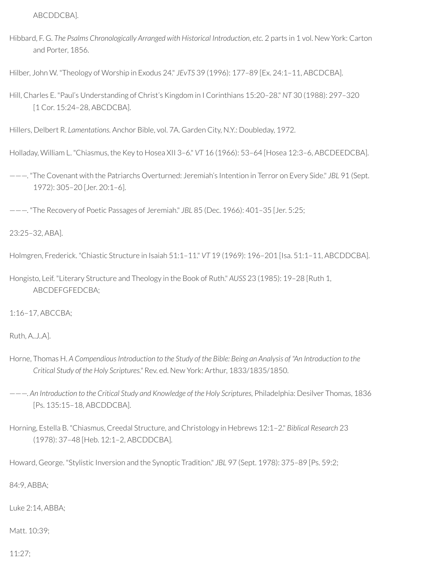ABCDDCBA].

Hibbard, F. G. *The Psalms Chronologically Arranged with Historical Introduction, etc.* 2 parts in 1 vol. New York: Carton and Porter, 1856.

Hilber, John W. "Theology of Worship in Exodus 24." *JEvTS* 39 (1996): 177–89 [Ex. 24:1–11, ABCDCBA].

Hill, Charles E. "Paul's Understanding of Christ's Kingdom in I Corinthians 15:20–28." *NT* 30 (1988): 297–320 [1 Cor. 15:24–28, ABCDCBA].

Hillers, Delbert R. *Lamentations.* Anchor Bible, vol. 7A. Garden City, N.Y.: Doubleday, 1972.

Holladay, William L. "Chiasmus, the Key to Hosea XII 3–6." *VT* 16 (1966): 53–64 [Hosea 12:3–6, ABCDEEDCBA].

———. "The Covenant with the Patriarchs Overturned: Jeremiah's Intention in Terror on Every Side." *JBL* 91 (Sept. 1972): 305–20 [Jer. 20:1–6].

———. "The Recovery of Poetic Passages of Jeremiah." *JBL* 85 (Dec. 1966): 401–35 [Jer. 5:25;

23:25–32, ABA].

Holmgren, Frederick. "Chiastic Structure in Isaiah 51:1–11." *VT* 19 (1969): 196–201 [Isa. 51:1–11, ABCDDCBA].

Hongisto, Leif. "Literary Structure and Theology in the Book of Ruth." *AUSS* 23 (1985): 19–28 [Ruth 1, ABCDEFGFEDCBA;

1:16–17, ABCCBA;

Ruth, A..J..A].

Horne, Thomas H. A Compendious Introduction to the Study of the Bible: Being an Analysis of "An Introduction to the *Critical Study of the Holy Scriptures."* Rev. ed. New York: Arthur, 1833/1835/1850.

———. *An Introduction to the Critical Study and Knowledge of the Holy Scriptures,* Philadelphia: Desilver Thomas, 1836 [Ps. 135:15–18, ABCDDCBA].

Horning, Estella B. "Chiasmus, Creedal Structure, and Christology in Hebrews 12:1–2." *Biblical Research* 23 (1978): 37–48 [Heb. 12:1–2, ABCDDCBA].

Howard, George. "Stylistic Inversion and the Synoptic Tradition." *JBL* 97 (Sept. 1978): 375–89 [Ps. 59:2;

84:9, ABBA;

Luke 2:14, ABBA;

Matt. 10:39;

11:27;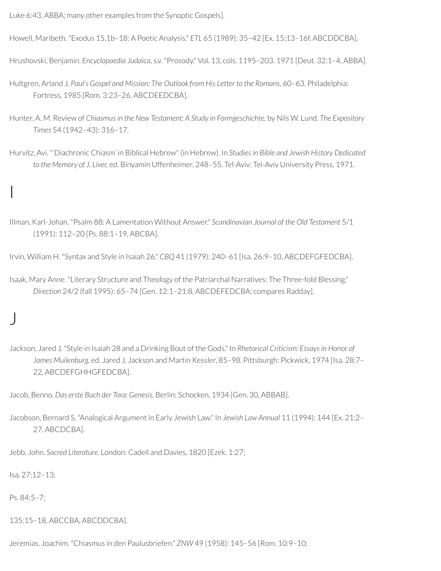Luke 6:43, ABBA; many other examples from the Synoptic Gospels].

Howell, Maribeth. "Exodus 15,1b–18: A Poetic Analysis." *ETL* 65 (1989): 35–42 [Ex. 15:13–16f, ABCDDCBA].

Hrushovski, Benjamin. *Encyclopaedia Judaica,* s.v. "Prosody." Vol. 13, cols. 1195–203. 1971 [Deut. 32:1–4, ABBA].

- Hultgren, Arland J. *Paul's Gospel and Mission: The Outlook from His Letter to the Romans,* 60–63. Philadelphia: Fortress, 1985 [Rom. 3:23–26, ABCDEEDCBA].
- Hunter, A. M. Review of *Chiasmusin the New Testament: A Study in Formgeschichte,* by Nils W. Lund. *The Expository Times* 54 (1942–43): 316–17.
- Hurvitz, Avi. "'Diachronic Chiasm' in Biblical Hebrew" (in Hebrew). In *Studiesin Bible and Jewish History Dedicated to the Memory of J. Liver,* ed. Binyamin Uffenheimer, 248–55. Tel-Aviv: Tel-Aviv University Press, 1971.

## I

Illman, Karl-Johan. "Psalm 88: A Lamentation Without Answer." *Scandinavian Journal of the Old Testament* 5/1 (1991): 112–20 [Ps. 88:1–19, ABCBA].

Irvin, William H. "Syntax and Style in Isaiah 26." *CBQ* 41 (1979): 240–61 [Isa. 26:9–10, ABCDEFGFEDCBA].

Isaak, Mary Anne. "Literary Structure and Theology of the Patriarchal Narratives: The Three-fold Blessing." *Direction* 24/2 (fall 1995): 65–74 [Gen. 12:1–21:8, ABCDEFEDCBA; compares Radday].

## J

Jackson, Jared J. "Style in Isaiah 28 and a Drinking Bout of the Gods." In *Rhetorical Criticism: Essaysin Honor of James Muilenburg,* ed. Jared J. Jackson and Martin Kessler, 85–98. Pittsburgh: Pickwick, 1974 [Isa. 28:7– 22, ABCDEFGHHGFEDCBA].

Jacob, Benno. *Das erste Buch der Tora: Genesis.* Berlin: Schocken, 1934 [Gen. 30, ABBAB].

Jacobson, Bernard S. "Analogical Argument in Early Jewish Law." In *Jewish Law Annual* 11 (1994): 144 [Ex. 21:2– 27, ABCDCBA].

Jebb, John. *Sacred Literature.* London: Cadell and Davies, 1820 [Ezek. 1:27;

Isa. 27:12–13;

Ps. 84:5–7;

135:15–18, ABCCBA, ABCDDCBA].

Jeremias, Joachim. "Chiasmus in den Paulusbriefen." *ZNW* 49 (1958): 145–56 [Rom. 10:9–10;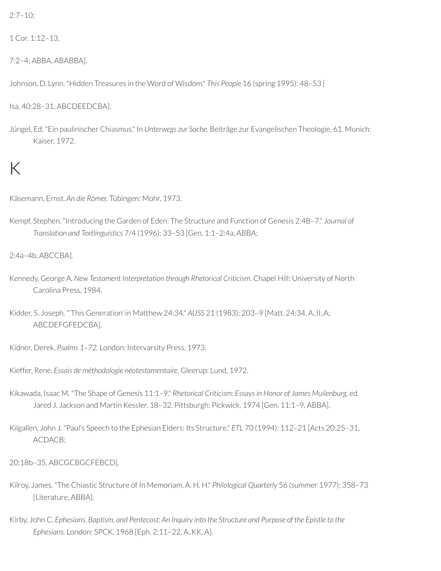2:7–10;

1 Cor. 1:12–13,

7:2–4; ABBA, ABABBA].

Johnson, D. Lynn. "Hidden Treasures in the Word of Wisdom." *This People* 16 (spring 1995): 48–53 [

Isa. 40:28–31, ABCDEEDCBA].

Jüngel, Ed. "Ein paulinischer Chiasmus." In *Unterwegs zur Sache.* Beiträge zur Evangelischen Theologie, 61. Munich: Kaiser, 1972.

# $\mathsf{K}$

Käsemann, Ernst. *An die Römer.* Tübingen: Mohr, 1973.

Kempf, Stephen. "Introducing the Garden of Eden: The Structure and Function of Genesis 2:4B–7." *Journal of Translation and Textlinguistics* 7/4 (1996): 33–53 [Gen. 1:1–2:4a, ABBA;

2:4a–4b, ABCCBA].

- Kennedy, George A. *New Testament Interpretation through Rhetorical Criticism.* Chapel Hill: University of North Carolina Press, 1984.
- Kidder, S. Joseph. "'This Generation' in Matthew 24:34." *AUSS* 21 (1983): 203–9 [Matt. 24:34, A..II..A; ABCDEFGFEDCBA].

Kidner, Derek. *Psalms 1–72.* London: Intervarsity Press, 1973.

Kieffer, Rene. *Essais de méthodologie néotestamentaire.* Gleerup: Lund, 1972.

- Kikawada, Isaac M. "The Shape of Genesis 11:1–9." *Rhetorical Criticism: Essaysin Honor of James Muilenburg,* ed. Jared J. Jackson and Martin Kessler, 18–32. Pittsburgh: Pickwick, 1974 [Gen. 11:1–9, ABBA].
- Kilgallen, John J. "Paul's Speech to the Ephesian Elders: Its Structure." *ETL* 70 (1994): 112–21 [Acts 20:25–31, ACDACB;

20:18b–35, ABCGCBGCFEBCD].

- Kilroy, James. "The Chiastic Structure of In Memoriam, A. H. H." *Philological Quarterly* 56 (summer 1977): 358–73 [Literature, ABBA].
- Kirby, John C. Ephesians, Baptism, and Pentecost: An Inquiry into the Structure and Purpose of the Epistle to the *Ephesians.* London: SPCK, 1968 [Eph. 2:11–22, A..KK..A].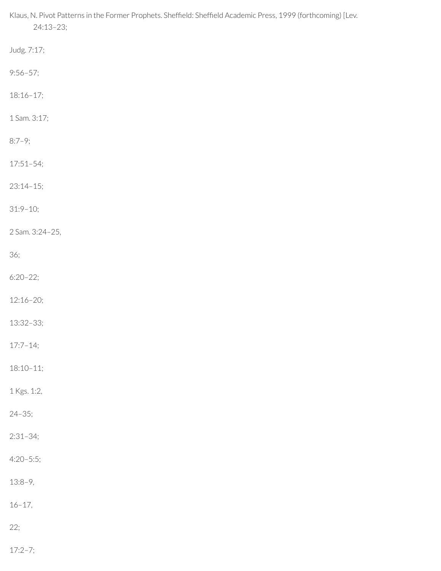Klaus, N. Pivot Patterns in the Former Prophets. Sheffield: Sheffield Academic Press, 1999 (forthcoming) [Lev. 24:13–23; Judg. 7:17; 9:56–57; 18:16–17; 1 Sam. 3:17; 8:7–9; 17:51–54; 23:14–15; 31:9–10; 2 Sam. 3:24–25, 36; 6:20–22; 12:16–20; 13:32–33; 17:7–14; 18:10–11; 1 Kgs. 1:2, 24–35; 2:31–34; 4:20–5:5; 13:8–9, 16–17, 22;

17:2–7;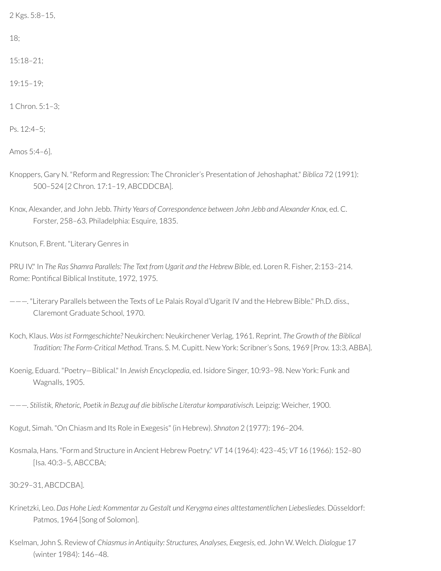2 Kgs. 5:8–15,

18;

15:18–21;

19:15–19;

1 Chron. 5:1–3;

Ps. 12:4–5;

Amos 5:4–6].

Knoppers, Gary N. "Reform and Regression: The Chronicler's Presentation of Jehoshaphat." *Biblica* 72 (1991): 500–524 [2 Chron. 17:1–19, ABCDDCBA].

Knox, Alexander, and John Jebb. *Thirty Years of Correspondence between John Jebb and Alexander Knox,* ed. C. Forster, 258–63. Philadelphia: Esquire, 1835.

Knutson, F. Brent. "Literary Genres in

PRU IV." In *The Ras Shamra Parallels: The Text from Ugarit and the Hebrew Bible,* ed. Loren R. Fisher, 2:153–214. Rome: Pontifical Biblical Institute, 1972, 1975.

———. "Literary Parallels between the Texts of Le Palais Royal d'Ugarit IV and the Hebrew Bible." Ph.D. diss., Claremont Graduate School, 1970.

Koch, Klaus. *Wasist Formgeschichte?* Neukirchen: Neukirchener Verlag, 1961. Reprint. *The Growth of the Biblical Tradition: The Form-Critical Method.* Trans. S. M. Cupitt. New York: Scribner's Sons, 1969 [Prov. 13:3, ABBA].

Koenig, Eduard. "Poetry—Biblical." In *Jewish Encyclopedia,* ed. Isidore Singer, 10:93–98. New York: Funk and Wagnalls, 1905.

———. *Stilistik, Rhetoric, Poetik in Bezug auf die biblische Literatur komparativisch.* Leipzig: Weicher, 1900.

Kogut, Simah. "On Chiasm and Its Role in Exegesis" (in Hebrew). *Shnaton* 2 (1977): 196–204.

Kosmala, Hans. "Form and Structure in Ancient Hebrew Poetry." *VT* 14 (1964): 423–45; *VT* 16 (1966): 152–80 [Isa. 40:3–5, ABCCBA;

30:29–31, ABCDCBA].

- Krinetzki, Leo. *Das Hohe Lied: Kommentar zu Gestalt und Kerygma eines alttestamentlichen Liebesliedes.* Düsseldorf: Patmos, 1964 [Song of Solomon].
- Kselman, John S. Review of *Chiasmusin Antiquity: Structures, Analyses, Exegesis,* ed. John W. Welch. *Dialogue* 17 (winter 1984): 146–48.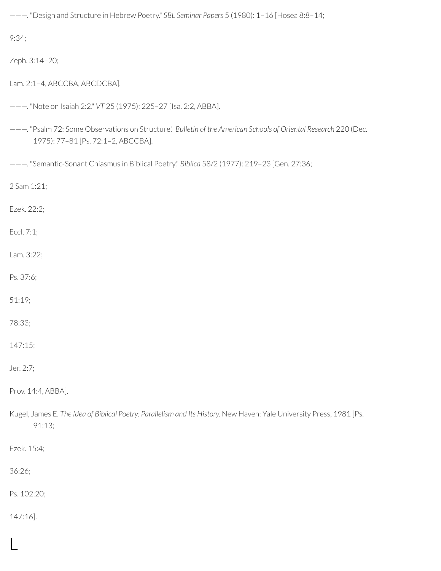———. "Design and Structure in Hebrew Poetry." *SBL Seminar Papers* 5 (1980): 1–16 [Hosea 8:8–14;

9:34;

Zeph. 3:14–20;

Lam. 2:1–4, ABCCBA, ABCDCBA].

```
———. "Note on Isaiah 2:2." VT 25 (1975): 225–27 [Isa. 2:2, ABBA].
```
———. "Psalm 72: Some Observations on Structure." *Bulletin of the American Schools of Oriental Research* 220 (Dec. 1975): 77–81 [Ps. 72:1–2, ABCCBA].

———. "Semantic-Sonant Chiasmus in Biblical Poetry." *Biblica* 58/2 (1977): 219–23 [Gen. 27:36;

2 Sam 1:21;

Ezek. 22:2;

Eccl. 7:1;

Lam. 3:22;

Ps. 37:6;

51:19;

78:33;

147:15;

Jer. 2:7;

Prov. 14:4, ABBA].

Kugel, James E. *The Idea of Biblical Poetry: Parallelism and Its History.* New Haven: Yale University Press, 1981 [Ps. 91:13;

Ezek. 15:4;

36:26;

Ps. 102:20;

147:16].

L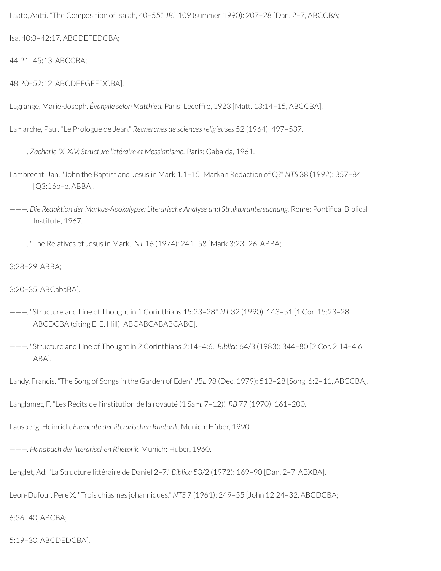Laato, Antti. "The Composition of Isaiah, 40–55." *JBL* 109 (summer 1990): 207–28 [Dan. 2–7, ABCCBA;

Isa. 40:3–42:17, ABCDEFEDCBA;

44:21–45:13, ABCCBA;

48:20–52:12, ABCDEFGFEDCBA].

Lagrange, Marie-Joseph. *Évangile selon Matthieu.* Paris: Lecoffre, 1923 [Matt. 13:14–15, ABCCBA].

Lamarche, Paul. "Le Prologue de Jean." *Recherches de sciencesreligieuses* 52 (1964): 497–537.

———. *Zacharie IX–XIV: Structure littéraire et Messianisme.* Paris: Gabalda, 1961.

- Lambrecht, Jan. "John the Baptist and Jesus in Mark 1.1–15: Markan Redaction of Q?" *NTS* 38 (1992): 357–84 [Q3:16b–e, ABBA].
- ———. *Die Redaktion der Markus-Apokalypse: Literarische Analyse und Strukturuntersuchung.* Rome: Pontical Biblical Institute, 1967.

———. "The Relatives of Jesus in Mark." *NT* 16 (1974): 241–58 [Mark 3:23–26, ABBA;

3:28–29, ABBA;

3:20–35, ABCabaBA].

- ———. "Structure and Line of Thought in 1 Corinthians 15:23–28." *NT* 32 (1990): 143–51 [1 Cor. 15:23–28, ABCDCBA (citing E. E. Hill); ABCABCABABCABC].
- ———. "Structure and Line of Thought in 2 Corinthians 2:14–4:6." *Biblica* 64/3 (1983): 344–80 [2 Cor. 2:14–4:6, ABA].

Landy, Francis. "The Song of Songs in the Garden of Eden." *JBL* 98 (Dec. 1979): 513–28 [Song. 6:2–11, ABCCBA].

Langlamet, F. "Les Récits de l'institution de la royauté (1 Sam. 7–12)." *RB* 77 (1970): 161–200.

Lausberg, Heinrich. *Elemente der literarischen Rhetorik.* Munich: Hüber, 1990.

———. *Handbuch der literarischen Rhetorik.* Munich: Hüber, 1960.

Lenglet, Ad. "La Structure littéraire de Daniel 2–7." *Biblica* 53/2 (1972): 169–90 [Dan. 2–7, ABXBA].

Leon-Dufour, Pere X. "Trois chiasmes johanniques." *NTS* 7 (1961): 249–55 [John 12:24–32, ABCDCBA;

6:36–40, ABCBA;

5:19–30, ABCDEDCBA].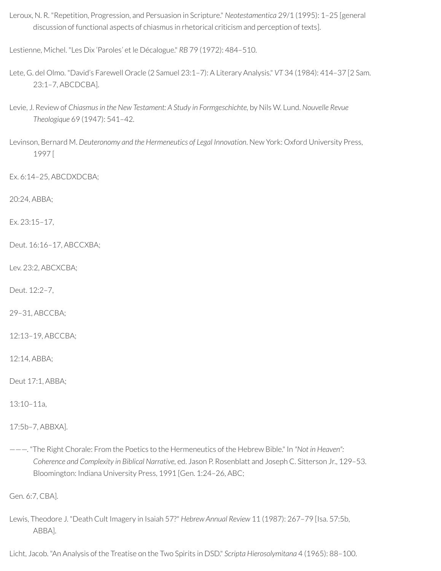Leroux, N. R. "Repetition, Progression, and Persuasion in Scripture." *Neotestamentica* 29/1 (1995): 1–25 [general discussion of functional aspects of chiasmus in rhetorical criticism and perception of texts].

Lestienne, Michel. "Les Dix 'Paroles' et le Décalogue." *RB* 79 (1972): 484–510.

- Lete, G. del Olmo. "David's Farewell Oracle (2 Samuel 23:1–7): A Literary Analysis." *VT* 34 (1984): 414–37 [2 Sam. 23:1–7, ABCDCBA].
- Levie, J. Review of *Chiasmusin the New Testament: A Study in Formgeschichte,* by Nils W. Lund. *Nouvelle Revue Theologique* 69 (1947): 541–42.
- Levinson, Bernard M. *Deuteronomy and the Hermeneutics of Legal Innovation*. New York: Oxford University Press, 1997 [

Ex. 6:14–25, ABCDXDCBA;

20:24, ABBA;

Ex. 23:15–17,

Deut. 16:16–17, ABCCXBA;

Lev. 23:2, ABCXCBA;

Deut. 12:2–7,

29–31, ABCCBA;

12:13–19, ABCCBA;

12:14, ABBA;

Deut 17:1, ABBA;

13:10–11a,

17:5b–7, ABBXA].

———. "The Right Chorale: From the Poetics to the Hermeneutics of the Hebrew Bible." In *"Not in Heaven": Coherence and Complexity in Biblical Narrative,* ed. Jason P. Rosenblatt and Joseph C. Sitterson Jr., 129–53. Bloomington: Indiana University Press, 1991 [Gen. 1:24–26, ABC;

Gen. 6:7, CBA].

Lewis, Theodore J. "Death Cult Imagery in Isaiah 57?" *Hebrew Annual Review* 11 (1987): 267–79 [Isa. 57:5b, ABBA].

Licht, Jacob. "An Analysis of the Treatise on the Two Spirits in DSD." *Scripta Hierosolymitana* 4 (1965): 88–100.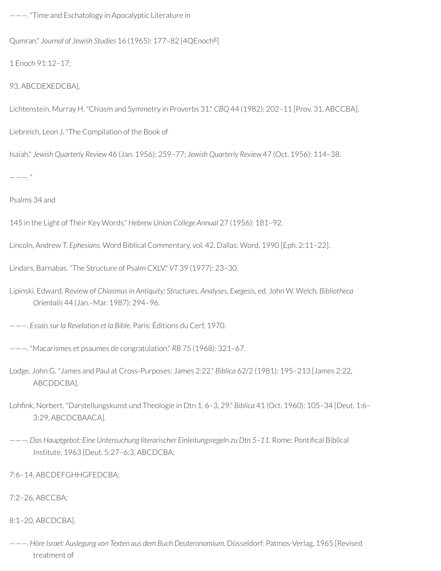———. "Time and Eschatology in Apocalyptic Literature in

Qumran." Journal of Jewish Studies 16 (1965): 177-82 [4QEnoch<sup>g</sup>]

1 Enoch 91:12–17;

93, ABCDEXEDCBA].

Lichtenstein, Murray H. "Chiasm and Symmetry in Proverbs 31." *CBQ* 44 (1982): 202–11 [Prov. 31, ABCCBA].

Liebreich, Leon J. "The Compilation of the Book of

Isaiah." *Jewish Quarterly Review* 46 (Jan. 1956): 259–77; *Jewish Quarterly Review* 47 (Oct. 1956): 114–38.

 $---$ ."

Psalms 34 and

145 in the Light of Their Key Words." *Hebrew Union College Annual* 27 (1956): 181–92.

Lincoln, Andrew T. *Ephesians.* Word Biblical Commentary, vol. 42. Dallas: Word, 1990 [Eph. 2:11–22].

Lindars, Barnabas. "The Structure of Psalm CXLV." *VT* 39 (1977): 23–30.

Lipinski, Edward. Review of *Chiasmusin Antiquity: Structures, Analyses, Exegesis,* ed. John W. Welch*. Bibliotheca Orientalis* 44 (Jan.–Mar. 1987): 294–96.

———. *Essaissur la Revelation et la Bible.* Paris: Éditions du Cerf, 1970.

- ———. "Macarismes et psaumes de congratulation." *RB* 75 (1968): 321–67.
- Lodge, John G. "James and Paul at Cross-Purposes: James 2:22." *Biblica* 62/2 (1981): 195–213 [James 2:22, ABCDDCBA].
- Lohfink, Norbert. "Darstellungskunst und Theologie in Dtn 1, 6-3, 29." Biblica 41 (Oct. 1960): 105-34 [Deut. 1:6-3:29, ABCDCBAACA].
- ———. *Das Hauptgebot: Eine Untersuchung literarischer Einleitungsregeln zu Dtn 5–11.* Rome: Pontical Biblical Institute, 1963 [Deut. 5:27–6:3, ABCDCBA;
- 7:6–14, ABCDEFGHHGFEDCBA;
- 7:2–26, ABCCBA;

8:1–20, ABCDCBA].

———. *Höre Israel: Auslegung von Texten aus dem Buch Deuteronomium.* Düsseldorf: Patmos-Verlag, 1965 [Revised treatment of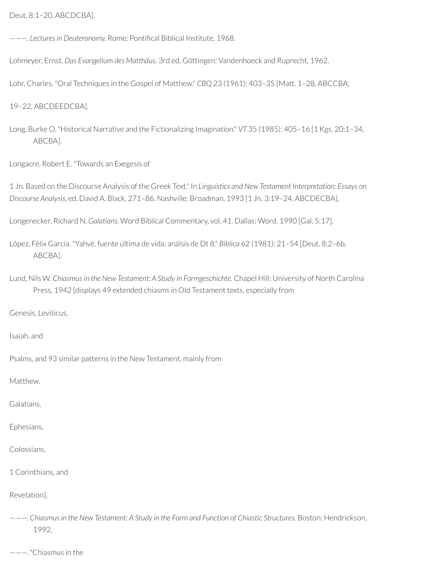Deut. 8:1–20, ABCDCBA].

 $---$ . *Lectures in Deuteronomy.* Rome: Pontifical Biblical Institute, 1968.

Lohmeyer, Ernst. *Das Evangelium des Matthäus.* 3rd ed. Göttingen: Vandenhoeck and Ruprecht, 1962.

Lohr, Charles. "Oral Techniques in the Gospel of Matthew." *CBQ* 23 (1961): 403–35 [Matt. 1–28, ABCCBA;

19–22, ABCDEEDCBA].

Long, Burke O. "Historical Narrative and the Fictionalizing Imagination." *VT* 35 (1985): 405–16 [1 Kgs. 20:1–34, ABCBA].

Longacre, Robert E. "Towards an Exegesis of

1 Jn. Based on the Discourse Analysis of the Greek Text." In *Linguistics and New Testament Interpretation: Essays on Discourse Analysis*, ed. David A. Black, 271–86. Nashville: Broadman, 1993 [1 Jn. 3:19–24, ABCDECBA].

Longenecker, Richard N. *Galatians.* Word Biblical Commentary, vol. 41. Dallas: Word, 1990 [Gal. 5:17].

López, Félix García. "Yahvé, fuente última de vida: análsis de Dt 8." *Biblica* 62 (1981): 21–54 [Deut. 8:2–6b, ABCBA].

Lund, Nils W. *Chiasmusin the New Testament: A Study in Formgeschichte.* Chapel Hill: University of North Carolina Press, 1942 [displays 49 extended chiasms in Old Testament texts, especially from

Genesis, Leviticus,

Isaiah, and

Psalms, and 93 similar patterns in the New Testament, mainly from

Matthew,

Galatians,

Ephesians,

Colossians,

1 Corinthians, and

Revelation].

———. *Chiasmusin the New Testament: A Study in the Form and Function of Chiastic Structures.* Boston: Hendrickson, 1992.

———. "Chiasmus in the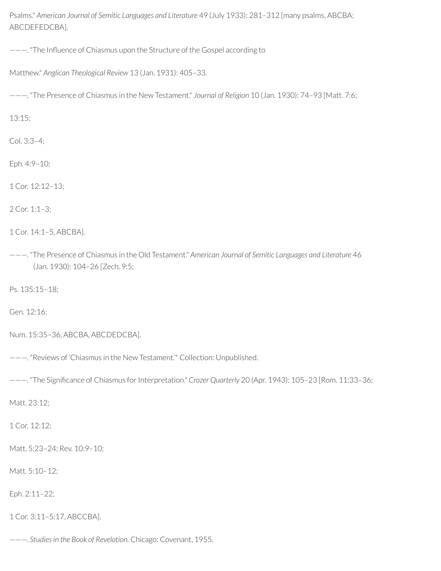Psalms." *American Journal of Semitic Languages and Literature* 49 (July 1933): 281–312 [many psalms, ABCBA; ABCDEFEDCBA].

---. "The Influence of Chiasmus upon the Structure of the Gospel according to

```
Matthew." Anglican Theological Review 13 (Jan. 1931): 405–33.
```
———. "The Presence of Chiasmus in the New Testament." *Journal of Religion* 10 (Jan. 1930): 74–93 [Matt. 7:6;

13:15;

Col. 3:3–4;

Eph. 4:9–10;

1 Cor. 12:12–13;

2 Cor. 1:1–3;

```
1 Cor. 14:1–5, ABCBA].
```
———. "The Presence of Chiasmus in the Old Testament." *American Journal of Semitic Languages and Literature* 46 (Jan. 1930): 104–26 [Zech. 9:5;

Ps. 135:15–18;

Gen. 12:16;

Num. 15:35–36, ABCBA, ABCDEDCBA].

———. "Reviews of 'Chiasmus in the New Testament.'" Collection: Unpublished.

———. "The Signicance of Chiasmus forInterpretation." *Crozer Quarterly* 20 (Apr. 1943): 105–23 [Rom. 11:33–36;

Matt. 23:12;

1 Cor. 12:12;

Matt. 5:23–24; Rev. 10:9–10;

Matt. 5:10–12;

Eph. 2:11–22;

1 Cor. 3:11–5:17, ABCCBA].

———. *Studiesin the Book of Revelation.* Chicago: Covenant, 1955.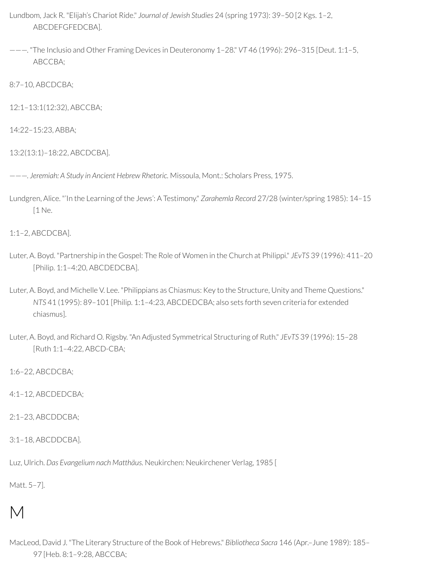- Lundbom, Jack R. "Elijah's Chariot Ride." *Journal of Jewish Studies* 24 (spring 1973): 39–50 [2 Kgs. 1–2, ABCDEFGFEDCBA].
- ———. "The Inclusio and Other Framing Devices in Deuteronomy 1–28." *VT* 46 (1996): 296–315 [Deut. 1:1–5, ABCCBA;
- 8:7–10, ABCDCBA;
- 12:1–13:1(12:32), ABCCBA;
- 14:22–15:23, ABBA;
- 13:2(13:1)–18:22, ABCDCBA].
- ———. *Jeremiah: A Study in Ancient Hebrew Rhetoric.* Missoula, Mont.: Scholars Press, 1975.
- Lundgren, Alice. "'In the Learning of the Jews': A Testimony." *Zarahemla Record* 27/28 (winter/spring 1985): 14–15 [1 Ne.
- 1:1–2, ABCDCBA].
- Luter, A. Boyd. "Partnership in the Gospel: The Role of Women in the Church at Philippi." *JEvTS* 39 (1996): 411–20 [Philip. 1:1–4:20, ABCDEDCBA].
- Luter, A. Boyd, and Michelle V. Lee. "Philippians as Chiasmus: Key to the Structure, Unity and Theme Questions." *NTS* 41 (1995): 89–101 [Philip. 1:1–4:23, ABCDEDCBA; also sets forth seven criteria for extended chiasmus].
- Luter, A. Boyd, and Richard O. Rigsby. "An Adjusted Symmetrical Structuring of Ruth." *JEvTS* 39 (1996): 15–28 [Ruth 1:1–4:22, ABCD-CBA;
- 1:6–22, ABCDCBA;
- 4:1–12, ABCDEDCBA;
- 2:1–23, ABCDDCBA;
- 3:1–18, ABCDDCBA].

Luz, Ulrich. *Das Evangelium nach Matthäus.* Neukirchen: Neukirchener Verlag, 1985 [

Matt. 5–7].

### M

MacLeod, David J. "The Literary Structure of the Book of Hebrews." *Bibliotheca Sacra* 146 (Apr.–June 1989): 185– 97 [Heb. 8:1–9:28, ABCCBA;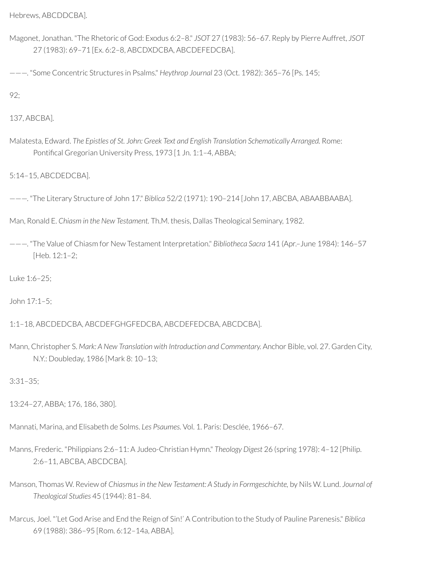Hebrews, ABCDDCBA].

Magonet, Jonathan. "The Rhetoric of God: Exodus 6:2–8." *JSOT* 27 (1983): 56–67. Reply by Pierre Auffret, *JSOT* 27 (1983): 69–71 [Ex. 6:2–8, ABCDXDCBA, ABCDEFEDCBA].

———. "Some Concentric Structures in Psalms." *Heythrop Journal* 23 (Oct. 1982): 365–76 [Ps. 145;

92;

137, ABCBA].

Malatesta, Edward. *The Epistles of St. John: Greek Text and English Translation Schematically Arranged.* Rome: Pontifical Gregorian University Press, 1973 [1 Jn. 1:1-4, ABBA;

5:14–15, ABCDEDCBA].

———. "The Literary Structure of John 17." *Biblica* 52/2 (1971): 190–214 [John 17, ABCBA, ABAABBAABA].

Man, Ronald E. *Chiasm in the New Testament.* Th.M. thesis, Dallas Theological Seminary, 1982.

———. "The Value of Chiasm for New Testament Interpretation." *Bibliotheca Sacra* 141 (Apr.–June 1984): 146–57 [Heb. 12:1–2;

Luke 1:6–25;

John 17:1–5;

1:1–18, ABCDEDCBA, ABCDEFGHGFEDCBA, ABCDEFEDCBA, ABCDCBA].

Mann, Christopher S. *Mark: A New Translation with Introduction and Commentary.* Anchor Bible, vol. 27. Garden City, N.Y.: Doubleday, 1986 [Mark 8: 10–13;

3:31–35;

13:24–27, ABBA; 176, 186, 380].

Mannati, Marina, and Elisabeth de Solms. *Les Psaumes.* Vol. 1. Paris: Desclée, 1966–67.

- Manns, Frederic. "Philippians 2:6–11: A Judeo-Christian Hymn." *Theology Digest* 26 (spring 1978): 4–12 [Philip. 2:6–11, ABCBA, ABCDCBA].
- Manson, Thomas W. Review of *Chiasmus in the New Testament: A Study in Formgeschichte,* by Nils W. Lund. *Journal of Theological Studies* 45 (1944): 81–84.
- Marcus, Joel. "'Let God Arise and End the Reign of Sin!' A Contribution to the Study of Pauline Parenesis." *Biblica* 69 (1988): 386–95 [Rom. 6:12–14a, ABBA].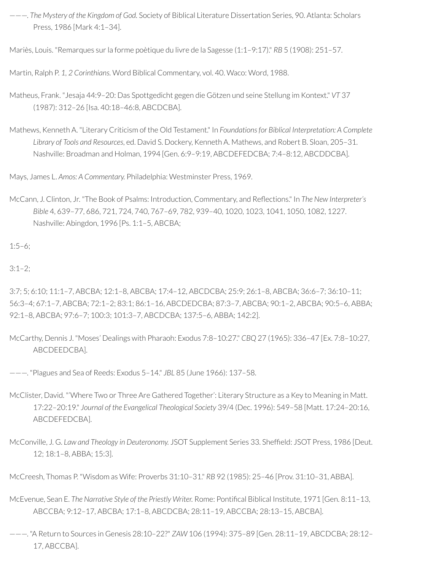———. *The Mystery of the Kingdom of God.* Society of Biblical Literature Dissertation Series, 90. Atlanta: Scholars Press, 1986 [Mark 4:1–34].

Mariès, Louis. "Remarques surla forme poètique du livre de la Sagesse (1:1–9:17)." *RB* 5 (1908): 251–57.

Martin, Ralph P. *1, 2 Corinthians.* Word Biblical Commentary, vol. 40. Waco: Word, 1988.

- Matheus, Frank. "Jesaja 44:9–20: Das Spottgedicht gegen die Götzen und seine Stellung im Kontext." *VT* 37 (1987): 312–26 [Isa. 40:18–46:8, ABCDCBA].
- Mathews, Kenneth A. "Literary Criticism of the Old Testament." In *Foundationsfor Biblical Interpretation: A Complete Library of Tools and Resources*, ed. David S. Dockery, Kenneth A. Mathews, and Robert B. Sloan, 205–31. Nashville: Broadman and Holman, 1994 [Gen. 6:9–9:19, ABCDEFEDCBA; 7:4–8:12, ABCDDCBA].

Mays, James L. *Amos: A Commentary.* Philadelphia: Westminster Press, 1969.

McCann, J. Clinton, Jr. "The Book of Psalms: Introduction, Commentary, and Reflections." In *The New Interpreter's Bible* 4, 639–77, 686, 721, 724, 740, 767–69, 782, 939–40, 1020, 1023, 1041, 1050, 1082, 1227. Nashville: Abingdon, 1996 [Ps. 1:1–5, ABCBA;

 $1:5-6$ ;

 $3:1-2$ ;

3:7; 5; 6:10; 11:1–7, ABCBA; 12:1–8, ABCBA; 17:4–12, ABCDCBA; 25:9; 26:1–8, ABCBA; 36:6–7; 36:10–11; 56:3–4; 67:1–7, ABCBA; 72:1–2; 83:1; 86:1–16, ABCDEDCBA; 87:3–7, ABCBA; 90:1–2, ABCBA; 90:5–6, ABBA; 92:1–8, ABCBA; 97:6–7; 100:3; 101:3–7, ABCDCBA; 137:5–6, ABBA; 142:2].

McCarthy, Dennis J. "Moses' Dealings with Pharaoh: Exodus 7:8–10:27." *CBQ* 27 (1965): 336–47 [Ex. 7:8–10:27, ABCDEEDCBA].

———. "Plagues and Sea of Reeds: Exodus 5–14." *JBL* 85 (June 1966): 137–58.

- McClister, David. "'Where Two or Three Are Gathered Together': Literary Structure as a Key to Meaning in Matt. 17:22–20:19." *Journal of the Evangelical Theological Society* 39/4 (Dec. 1996): 549–58 [Matt. 17:24–20:16, ABCDEFEDCBA].
- McConville, J. G. *Law and Theology in Deuteronomy.* JSOT Supplement Series 33. Shefeld: JSOT Press, 1986 [Deut. 12; 18:1–8, ABBA; 15:3].

McCreesh, Thomas P. "Wisdom as Wife: Proverbs 31:10–31." *RB* 92 (1985): 25–46 [Prov. 31:10–31, ABBA].

McEvenue, Sean E. The Narrative Style of the Priestly Writer. Rome: Pontifical Biblical Institute, 1971 [Gen. 8:11-13, ABCCBA; 9:12–17, ABCBA; 17:1–8, ABCDCBA; 28:11–19, ABCCBA; 28:13–15, ABCBA].

<sup>———.</sup> "A Return to Sources in Genesis 28:10–22?" *ZAW* 106 (1994): 375–89 [Gen. 28:11–19, ABCDCBA; 28:12– 17, ABCCBA].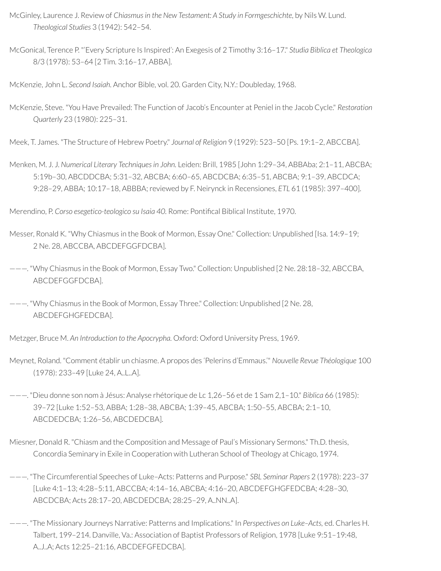- McGinley, Laurence J. Review of *Chiasmus in the New Testament: A Study in Formgeschichte*, by Nils W. Lund. *Theological Studies* 3 (1942): 542–54.
- McGonical, Terence P. "'Every Scripture Is Inspired': An Exegesis of 2 Timothy 3:16–17." *Studia Biblica et Theologica* 8/3 (1978): 53–64 [2 Tim. 3:16–17, ABBA].

McKenzie, John L. *Second Isaiah.* Anchor Bible, vol. 20. Garden City, N.Y.: Doubleday, 1968.

McKenzie, Steve. "You Have Prevailed: The Function of Jacob's Encounter at Peniel in the Jacob Cycle." *Restoration Quarterly* 23 (1980): 225–31.

Meek, T. James. "The Structure of Hebrew Poetry." *Journal of Religion* 9 (1929): 523–50 [Ps. 19:1–2, ABCCBA].

Menken, M. J. J. *Numerical Literary Techniquesin John.* Leiden: Brill, 1985 [John 1:29–34, ABBAba; 2:1–11, ABCBA; 5:19b–30, ABCDDCBA; 5:31–32, ABCBA; 6:60–65, ABCDCBA; 6:35–51, ABCBA; 9:1–39, ABCDCA; 9:28–29, ABBA; 10:17–18, ABBBA;reviewed by F. Neirynck in Recensiones, *ETL* 61 (1985): 397–400].

Merendino, P. *Corso esegetico-teologico su Isaia 40.* Rome: Pontical Biblical Institute, 1970.

- Messer, Ronald K. "Why Chiasmus in the Book of Mormon, Essay One." Collection: Unpublished [Isa. 14:9–19; 2 Ne. 28, ABCCBA, ABCDEFGGFDCBA].
- ———. "Why Chiasmus in the Book of Mormon, Essay Two." Collection: Unpublished [2 Ne. 28:18–32, ABCCBA, ABCDEFGGFDCBA].

———. "Why Chiasmus in the Book of Mormon, Essay Three." Collection: Unpublished [2 Ne. 28, ABCDEFGHGFEDCBA].

Metzger, Bruce M. *An Introduction to the Apocrypha.* Oxford: Oxford University Press, 1969.

- Meynet, Roland. "Comment établir un chiasme. A propos des 'Pelerins d'Emmaus.'" *Nouvelle Revue Théologique* 100 (1978): 233–49 [Luke 24, A..L..A].
- ———. "Dieu donne son nom à Jésus: Analyse rhétorique de Lc 1,26–56 et de 1 Sam 2,1–10." *Biblica* 66 (1985): 39–72 [Luke 1:52–53, ABBA; 1:28–38, ABCBA; 1:39–45, ABCBA; 1:50–55, ABCBA; 2:1–10, ABCDEDCBA; 1:26–56, ABCDEDCBA].
- Miesner, Donald R. "Chiasm and the Composition and Message of Paul's Missionary Sermons." Th.D. thesis, Concordia Seminary in Exile in Cooperation with Lutheran School of Theology at Chicago, 1974.
- ———. "The Circumferential Speeches of Luke–Acts: Patterns and Purpose." *SBL Seminar Papers* 2 (1978): 223–37 [Luke 4:1–13; 4:28–5:11, ABCCBA; 4:14–16, ABCBA; 4:16–20, ABCDEFGHGFEDCBA; 4:28–30, ABCDCBA; Acts 28:17–20, ABCDEDCBA; 28:25–29, A..NN..A].
- ———. "The Missionary Journeys Narrative: Patterns and Implications." In *Perspectives on Luke–Acts,* ed. Charles H. Talbert, 199–214. Danville, Va.: Association of Baptist Professors of Religion, 1978 [Luke 9:51–19:48, A..J..A; Acts 12:25–21:16, ABCDEFGFEDCBA].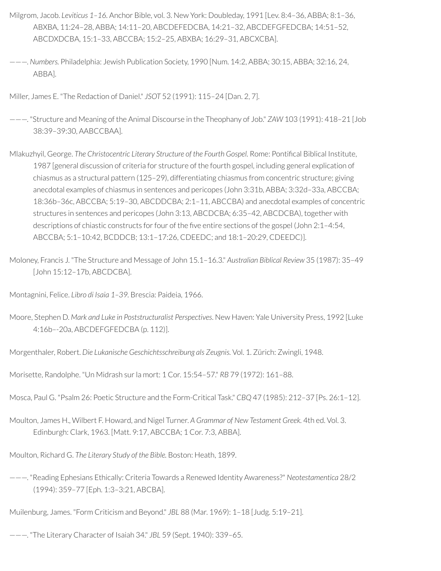- Milgrom, Jacob. *Leviticus 1–16.* Anchor Bible, vol. 3. New York: Doubleday, 1991 [Lev. 8:4–36, ABBA; 8:1–36, ABXBA, 11:24–28, ABBA; 14:11–20, ABCDEFEDCBA, 14:21–32, ABCDEFGFEDCBA; 14:51–52, ABCDXDCBA, 15:1–33, ABCCBA; 15:2–25, ABXBA; 16:29–31, ABCXCBA].
- ———. *Numbers.* Philadelphia: Jewish Publication Society, 1990 [Num. 14:2, ABBA; 30:15, ABBA; 32:16, 24, ABBA].

Miller, James E. "The Redaction of Daniel." *JSOT* 52 (1991): 115–24 [Dan. 2, 7].

- ———. "Structure and Meaning of the Animal Discourse in the Theophany of Job." *ZAW* 103 (1991): 418–21 [Job 38:39–39:30, AABCCBAA].
- Mlakuzhyil, George. *The Christocentric Literary Structure of the Fourth Gospel.* Rome: Pontical Biblical Institute, 1987 [general discussion of criteria for structure of the fourth gospel, including general explication of chiasmus as a structural pattern (125–29), differentiating chiasmus from concentric structure; giving anecdotal examples of chiasmus in sentences and pericopes (John 3:31b, ABBA; 3:32d–33a, ABCCBA; 18:36b–36c, ABCCBA; 5:19–30, ABCDDCBA; 2:1–11, ABCCBA) and anecdotal examples of concentric structures in sentences and pericopes (John 3:13, ABCDCBA; 6:35–42, ABCDCBA), together with descriptions of chiastic constructs for four of the five entire sections of the gospel (John 2:1-4:54, ABCCBA; 5:1–10:42, BCDDCB; 13:1–17:26, CDEEDC; and 18:1–20:29, CDEEDC)].
- Moloney, Francis J. "The Structure and Message of John 15.1–16.3." *Australian Biblical Review* 35 (1987): 35–49 [John 15:12–17b, ABCDCBA].

Montagnini, Felice. *Libro di Isaia 1–39.* Brescia: Paideia, 1966.

- Moore, Stephen D. *Mark and Luke in Poststructuralist Perspectives*. New Haven: Yale University Press, 1992 [Luke 4:16b–-20a, ABCDEFGFEDCBA (p. 112)].
- Morgenthaler, Robert. *Die Lukanische Geschichtsschreibung als Zeugnis.* Vol. 1. Zürich: Zwingli, 1948.
- Morisette, Randolphe. "Un Midrash surla mort: 1 Cor. 15:54–57." *RB* 79 (1972): 161–88.
- Mosca, Paul G. "Psalm 26: Poetic Structure and the Form-Critical Task." *CBQ* 47 (1985): 212–37 [Ps. 26:1–12].
- Moulton, James H., Wilbert F. Howard, and Nigel Turner. *A Grammar of New Testament Greek.* 4th ed. Vol. 3. Edinburgh: Clark, 1963. [Matt. 9:17, ABCCBA; 1 Cor. 7:3, ABBA].

Moulton, Richard G. *The Literary Study of the Bible.* Boston: Heath, 1899.

———. "Reading Ephesians Ethically: Criteria Towards a Renewed Identity Awareness?" *Neotestamentica* 28/2 (1994): 359–77 [Eph. 1:3–3:21, ABCBA].

Muilenburg, James. "Form Criticism and Beyond." *JBL* 88 (Mar. 1969): 1–18 [Judg. 5:19–21].

———. "The Literary Character of Isaiah 34." *JBL* 59 (Sept. 1940): 339–65.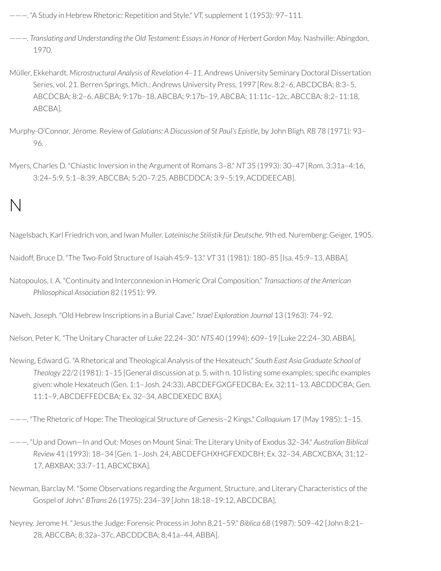- ———. "A Study in Hebrew Rhetoric: Repetition and Style." *VT,* supplement 1 (1953): 97–111.
- ———. *Translating and Understanding the Old Testament: Essaysin Honor of Herbert Gordon May.* Nashville: Abingdon, 1970.
- Müller, Ekkehardt. *Microstructural Analysis of Revelation 4–11*. Andrews University Seminary Doctoral Dissertation Series, vol. 21. Berren Springs, Mich.: Andrews University Press, 1997 [Rev. 8:2–6, ABCDCBA; 8:3–5, ABCDCBA; 8:2–6, ABCBA; 9:17b–18, ABCBA; 9:17b–19, ABCBA; 11:11c–12c, ABCCBA; 8:2–11:18, ABCBA].
- Murphy-O'Connor, Jérome. Review of *Galatians: A Discussion of St Paul's Epistle,* by John Bligh*. RB* 78 (1971): 93– 96.
- Myers, Charles D. "Chiastic Inversion in the Argument of Romans 3–8." *NT* 35 (1993): 30–47 [Rom. 3:31a–4:16, 3:24–5:9, 5:1–8:39, ABCCBA; 5:20–7:25, ABBCDDCA; 3:9–5:19, ACDDEECAB].

## N

Nagelsbach, Karl Friedrich von, and Iwan Muller. *Lateinische Stilistik für Deutsche.* 9th ed. Nuremberg: Geiger, 1905.

Naidoff, Bruce D. "The Two-Fold Structure of Isaiah 45:9–13." *VT* 31 (1981): 180–85 [Isa. 45:9–13, ABBA].

Natopoulos, I. A. "Continuity and Interconnexion in Homeric Oral Composition." *Transactions of the American Philosophical Association* 82 (1951): 99.

Naveh, Joseph. "Old Hebrew Inscriptions in a Burial Cave." *Israel Exploration Journal* 13 (1963): 74–92.

Nelson, Peter K. "The Unitary Character of Luke 22.24–30." *NTS* 40 (1994): 609–19 [Luke 22:24–30, ABBA].

Newing, Edward G. "A Rhetorical and Theological Analysis of the Hexateuch." *South East Asia Graduate School of Theology* 22/2 (1981): 1–15 [General discussion at p. 5, with n. 10 listing some examples; specific examples given: whole Hexateuch (Gen. 1:1–Josh. 24:33), ABCDEFGXGFEDCBA; Ex. 32:11–13, ABCDDCBA; Gen. 11:1–9, ABCDEFFEDCBA; Ex. 32–34, ABCDEXEDC BXA].

———. "The Rhetoric of Hope: The Theological Structure of Genesis–2 Kings." *Colloquium* 17 (May 1985): 1–15.

- ———. "Up and Down—In and Out: Moses on Mount Sinai: The Literary Unity of Exodus 32–34." *Australian Biblical Review* 41 (1993): 18–34 [Gen. 1–Josh. 24, ABCDEFGHXHGFEXDCBH; Ex. 32–34, ABCXCBXA; 31:12– 17, ABXBAX; 33:7–11, ABCXCBXA].
- Newman, Barclay M. "Some Observations regarding the Argument, Structure, and Literary Characteristics of the Gospel of John." *BTrans* 26 (1975): 234–39 [John 18:18–19:12, ABCDCBA].
- Neyrey, Jerome H. "Jesus the Judge: Forensic Process in John 8,21–59." *Biblica* 68 (1987): 509–42 [John 8:21– 28, ABCCBA; 8:32a–37c, ABCDDCBA; 8:41a–44, ABBA].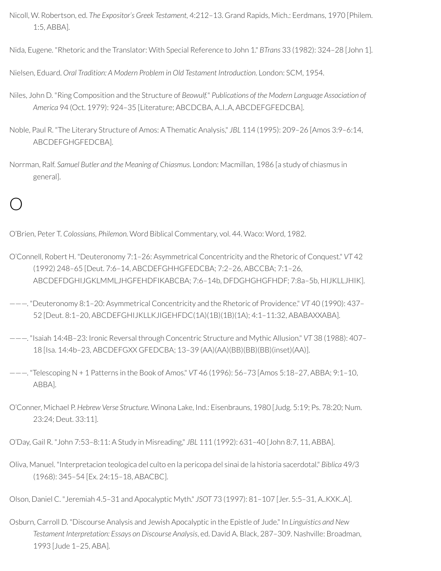- Nicoll, W. Robertson, ed. *The Expositor's Greek Testament,* 4:212–13. Grand Rapids, Mich.: Eerdmans, 1970 [Philem. 1:5, ABBA].
- Nida, Eugene. "Rhetoric and the Translator: With Special Reference to John 1." *BTrans* 33 (1982): 324–28 [John 1].
- Nielsen, Eduard. *Oral Tradition: A Modern Problem in Old Testament Introduction.* London: SCM, 1954.
- Niles, John D. "Ring Composition and the Structure of *Beowulf.*" *Publications of the Modern Language Association of America* 94 (Oct. 1979): 924–35 [Literature; ABCDCBA, A..I..A, ABCDEFGFEDCBA].
- Noble, Paul R. "The Literary Structure of Amos: A Thematic Analysis," *JBL* 114 (1995): 209–26 [Amos 3:9–6:14, ABCDEFGHGFEDCBA].
- Norrman, Ralf. *Samuel Butler and the Meaning of Chiasmus.* London: Macmillan, 1986 [a study of chiasmus in general].

### O

O'Brien, Peter T. *Colossians, Philemon.* Word Biblical Commentary, vol. 44. Waco: Word, 1982.

- O'Connell, Robert H. "Deuteronomy 7:1–26: Asymmetrical Concentricity and the Rhetoric of Conquest." *VT* 42 (1992) 248–65 [Deut. 7:6–14, ABCDEFGHHGFEDCBA; 7:2–26, ABCCBA; 7:1–26, ABCDEFDGHIJGKLMMLJHGFEHDFIKABCBA; 7:6–14b, DFDGHGHGFHDF; 7:8a–5b, HIJKLLJHIK].
- ———. "Deuteronomy 8:1–20: Asymmetrical Concentricity and the Rhetoric of Providence." *VT* 40 (1990): 437– 52 [Deut. 8:1–20, ABCDEFGHIJKLLKJIGEHFDC(1A)(1B)(1B)(1A); 4:1–11:32, ABABAXXABA].
- ———. "Isaiah 14:4B–23: Ironic Reversal through Concentric Structure and Mythic Allusion." *VT* 38 (1988): 407– 18 [Isa. 14:4b–23, ABCDEFGXX GFEDCBA; 13–39 (AA)(AA)(BB)(BB)(BB)(inset)(AA)].
- ———. "Telescoping N + 1 Patterns in the Book of Amos." *VT* 46 (1996): 56–73 [Amos 5:18–27, ABBA; 9:1–10, ABBA].
- O'Conner, Michael P. *Hebrew Verse Structure.* Winona Lake, Ind.: Eisenbrauns, 1980 [Judg. 5:19; Ps. 78:20; Num. 23:24; Deut. 33:11].

O'Day, Gail R. "John 7:53–8:11: A Study in Misreading," *JBL* 111 (1992): 631–40 [John 8:7, 11, ABBA].

Oliva, Manuel. "Interpretacion teologica del culto en la pericopa del sinai de la historia sacerdotal." *Biblica* 49/3 (1968): 345–54 [Ex. 24:15–18, ABACBC].

Olson, Daniel C. "Jeremiah 4.5–31 and Apocalyptic Myth." *JSOT* 73 (1997): 81–107 [Jer. 5:5–31, A..KXK..A].

Osburn, Carroll D. "Discourse Analysis and Jewish Apocalyptic in the Epistle of Jude." In *Linguistics and New Testament Interpretation: Essays on Discourse Analysis*, ed. David A. Black, 287–309. Nashville: Broadman, 1993 [Jude 1–25, ABA].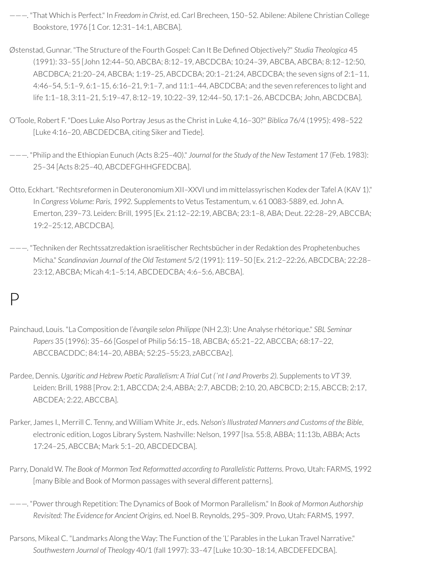- ———. "That Which is Perfect." In *Freedom in Christ*, ed. Carl Brecheen, 150–52. Abilene: Abilene Christian College Bookstore, 1976 [1 Cor. 12:31–14:1, ABCBA].
- Østenstad, Gunnar. "The Structure of the Fourth Gospel: Can It Be Dened Objectively?" *Studia Theologica* 45 (1991): 33–55 [John 12:44–50, ABCBA; 8:12–19, ABCDCBA; 10:24–39, ABCBA, ABCBA; 8:12–12:50, ABCDBCA; 21:20–24, ABCBA; 1:19–25, ABCDCBA; 20:1–21:24, ABCDCBA; the seven signs of 2:1–11, 4:46–54, 5:1–9, 6:1–15, 6:16–21, 9:1–7, and 11:1–44, ABCDCBA; and the seven references to light and life 1:1–18, 3:11–21, 5:19–47, 8:12–19, 10:22–39, 12:44–50, 17:1–26, ABCDCBA; John, ABCDCBA].
- O'Toole, Robert F. "Does Luke Also Portray Jesus as the Christ in Luke 4,16–30?" *Biblica* 76/4 (1995): 498–522 [Luke 4:16–20, ABCDEDCBA, citing Siker and Tiede].
- ———. "Philip and the Ethiopian Eunuch (Acts 8:25–40)." *Journal for the Study of the New Testament* 17 (Feb. 1983): 25–34 [Acts 8:25–40, ABCDEFGHHGFEDCBA].
- Otto, Eckhart. "Rechtsreformen in Deuteronomium XII–XXVI und im mittelassyrischen Kodex der Tafel A (KAV 1)." In *Congress Volume: Paris, 1992.* Supplements to Vetus Testamentum, v. 61 0083-5889, ed. John A. Emerton, 239–73. Leiden: Brill, 1995 [Ex. 21:12–22:19, ABCBA; 23:1–8, ABA; Deut. 22:28–29, ABCCBA; 19:2–25:12, ABCDCBA].
- ———. "Techniken der Rechtssatzredaktion israelitischer Rechtsbücherin der Redaktion des Prophetenbuches Micha." *Scandinavian Journal of the Old Testament* 5/2 (1991): 119–50 [Ex. 21:2–22:26, ABCDCBA; 22:28– 23:12, ABCBA; Micah 4:1–5:14, ABCDEDCBA; 4:6–5:6, ABCBA].

#### $\mathsf{D}$

- Painchaud, Louis. "La Composition de l'*êvangile selon Philippe* (NH 2,3): Une Analyse rhétorique." *SBL Seminar Papers* 35 (1996): 35–66 [Gospel of Philip 56:15–18, ABCBA; 65:21–22, ABCCBA; 68:17–22, ABCCBACDDC; 84:14–20, ABBA; 52:25–55:23, zABCCBAz].
- Pardee, Dennis. *Ugaritic and Hebrew Poetic Parallelism: A Trial Cut (ʿnt I and Proverbs 2).* Supplements to *VT* 39. Leiden: Brill, 1988 [Prov. 2:1, ABCCDA; 2:4, ABBA; 2:7, ABCDB; 2:10, 20, ABCBCD; 2:15, ABCCB; 2:17, ABCDEA; 2:22, ABCCBA].
- Parker, James I., Merrill C. Tenny, and William White Jr., eds. *Nelson'sIllustrated Manners and Customs of the Bible*, electronic edition, Logos Library System. Nashville: Nelson, 1997 [Isa. 55:8, ABBA; 11:13b, ABBA; Acts 17:24–25, ABCCBA; Mark 5:1–20, ABCDEDCBA].
- Parry, Donald W. *The Book of Mormon Text Reformatted according to Parallelistic Patterns*. Provo, Utah: FARMS, 1992 [many Bible and Book of Mormon passages with several different patterns].
- ———. "Powerthrough Repetition: The Dynamics of Book of Mormon Parallelism." In *Book of Mormon Authorship Revisited: The Evidence for Ancient Origins,* ed. Noel B. Reynolds, 295–309. Provo, Utah: FARMS, 1997.
- Parsons, Mikeal C. "Landmarks Along the Way: The Function of the 'L' Parables in the Lukan Travel Narrative." *Southwestern Journal of Theology* 40/1 (fall 1997): 33–47 [Luke 10:30–18:14, ABCDEFEDCBA].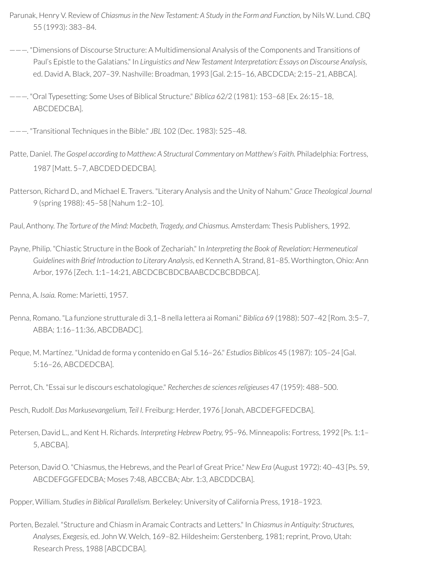- Parunak, Henry V. Review of *Chiasmusin the New Testament: A Study in the Form and Function,* by Nils W. Lund. *CBQ* 55 (1993): 383–84.
- ———. "Dimensions of Discourse Structure: A Multidimensional Analysis of the Components and Transitions of Paul's Epistle to the Galatians." In *Linguistics and New Testament Interpretation: Essays on Discourse Analysis*, ed. David A. Black, 207–39. Nashville: Broadman, 1993 [Gal. 2:15–16, ABCDCDA; 2:15–21, ABBCA].
- ———. "Oral Typesetting: Some Uses of Biblical Structure." *Biblica* 62/2 (1981): 153–68 [Ex. 26:15–18, ABCDEDCBA].
- ———. "Transitional Techniques in the Bible." *JBL* 102 (Dec. 1983): 525–48.
- Patte, Daniel. *The Gospel according to Matthew: A Structural Commentary on Matthew's Faith.* Philadelphia: Fortress, 1987 [Matt. 5–7, ABCDED.DEDCBA].
- Patterson, Richard D., and Michael E. Travers. "Literary Analysis and the Unity of Nahum." *Grace Theological Journal* 9 (spring 1988): 45–58 [Nahum 1:2–10].
- Paul, Anthony. *The Torture of the Mind: Macbeth, Tragedy, and Chiasmus.* Amsterdam: Thesis Publishers, 1992.
- Payne, Philip. "Chiastic Structure in the Book of Zechariah." In *Interpreting the Book of Revelation: Hermeneutical Guidelines with Brief Introduction to Literary Analysis*, ed Kenneth A. Strand, 81–85. Worthington, Ohio: Ann Arbor, 1976 [Zech. 1:1–14:21, ABCDCBCBDCBAABCDCBCBDBCA].
- Penna, A. *Isaia.* Rome: Marietti, 1957.
- Penna, Romano. "La funzione strutturale di 3,1–8 nella lettera ai Romani." *Biblica* 69 (1988): 507–42 [Rom. 3:5–7, ABBA; 1:16–11:36, ABCDBADC].
- Peque, M. Martínez. "Unidad de forma y contenido en Gal 5.16–26." *Estudios Biblicos* 45 (1987): 105–24 [Gal. 5:16–26, ABCDEDCBA].
- Perrot, Ch. "Essai surle discours eschatologique." *Recherches de sciencesreligieuses* 47 (1959): 488–500.
- Pesch, Rudolf. *Das Markusevangelium, Teil I.* Freiburg: Herder, 1976 [Jonah, ABCDEFGFEDCBA].
- Petersen, David L., and Kent H. Richards. *Interpreting Hebrew Poetry,* 95–96. Minneapolis: Fortress, 1992 [Ps. 1:1– 5, ABCBA].
- Peterson, David O. "Chiasmus, the Hebrews, and the Pearl of Great Price." *New Era* (August 1972): 40–43 [Ps. 59, ABCDEFGGFEDCBA; Moses 7:48, ABCCBA; Abr. 1:3, ABCDDCBA].
- Popper, William. *Studiesin Biblical Parallelism.* Berkeley: University of California Press, 1918–1923.
- Porten, Bezalel. "Structure and Chiasm in Aramaic Contracts and Letters." In *Chiasmusin Antiquity: Structures, Analyses, Exegesis,* ed. John W. Welch, 169–82. Hildesheim: Gerstenberg, 1981;reprint, Provo, Utah: Research Press, 1988 [ABCDCBA].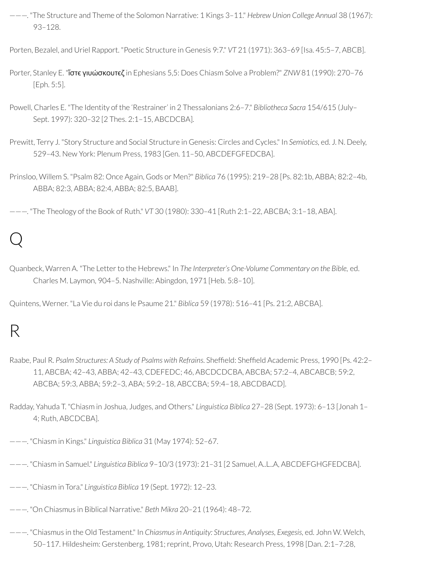———. "The Structure and Theme of the Solomon Narrative: 1 Kings 3–11." *Hebrew Union College Annual* 38 (1967): 93–128.

Porten, Bezalel, and Uriel Rapport. "Poetic Structure in Genesis 9:7." *VT* 21 (1971): 363–69 [Isa. 45:5–7, ABCB].

- Porter, Stanley E. "**ἴστε γιυώσκουτεζ** in Ephesians 5,5: Does Chiasm Solve a Problem?" *ZNW* 81 (1990): 270-76 [Eph. 5:5].
- Powell, Charles E. "The Identity of the 'Restrainer' in 2 Thessalonians 2:6–7." *Bibliotheca Sacra* 154/615 (July– Sept. 1997): 320–32 [2 Thes. 2:1–15, ABCDCBA].
- Prewitt, Terry J. "Story Structure and Social Structure in Genesis: Circles and Cycles." In *Semiotics,* ed. J. N. Deely, 529–43. New York: Plenum Press, 1983 [Gen. 11–50, ABCDEFGFEDCBA].
- Prinsloo, Willem S. "Psalm 82: Once Again, Gods or Men?" *Biblica* 76 (1995): 219–28 [Ps. 82:1b, ABBA; 82:2–4b, ABBA; 82:3, ABBA; 82:4, ABBA; 82:5, BAAB].

———. "The Theology of the Book of Ruth." *VT* 30 (1980): 330–41 [Ruth 2:1–22, ABCBA; 3:1–18, ABA].

## Q

Quanbeck, Warren A. "The Letterto the Hebrews." In *The Interpreter's One-Volume Commentary on the Bible,* ed. Charles M. Laymon, 904–5. Nashville: Abingdon, 1971 [Heb. 5:8–10].

Quintens, Werner. "La Vie du roi dans le Psaume 21." *Biblica* 59 (1978): 516–41 [Ps. 21:2, ABCBA].

# R

- Raabe, Paul R. Psalm Structures: A Study of Psalms with Refrains. Sheffield: Sheffield Academic Press, 1990 [Ps. 42:2-11, ABCBA; 42–43, ABBA; 42–43, CDEFEDC; 46, ABCDCDCBA, ABCBA; 57:2–4, ABCABCB; 59:2, ABCBA; 59:3, ABBA; 59:2–3, ABA; 59:2–18, ABCCBA; 59:4–18, ABCDBACD].
- Radday, Yahuda T. "Chiasm in Joshua, Judges, and Others." *Linguistica Biblica* 27–28 (Sept. 1973): 6–13 [Jonah 1– 4; Ruth, ABCDCBA].
- ———. "Chiasm in Kings." *Linguistica Biblica* 31 (May 1974): 52–67.
- ———. "Chiasm in Samuel." *Linguistica Biblica* 9–10/3 (1973): 21–31 [2 Samuel, A..L..A, ABCDEFGHGFEDCBA].
- ———. "Chiasm in Tora." *Linguistica Biblica* 19 (Sept. 1972): 12–23.
- ———. "On Chiasmus in Biblical Narrative." *Beth Mikra* 20–21 (1964): 48–72.
- ———. "Chiasmus in the Old Testament." In *Chiasmusin Antiquity: Structures, Analyses, Exegesis,* ed. John W. Welch, 50–117. Hildesheim: Gerstenberg, 1981; reprint, Provo, Utah: Research Press, 1998 [Dan. 2:1–7:28,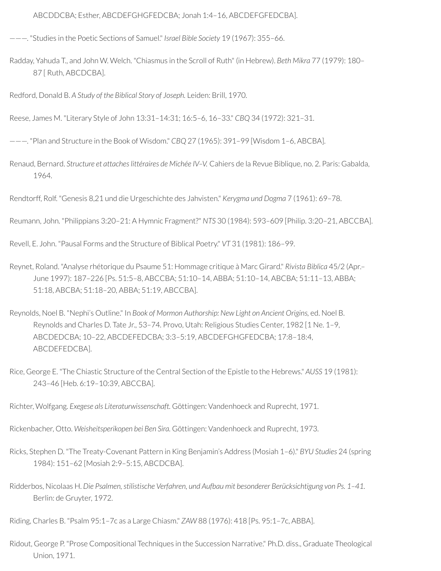ABCDDCBA; Esther, ABCDEFGHGFEDCBA; Jonah 1:4–16, ABCDEFGFEDCBA].

———. "Studies in the Poetic Sections of Samuel." *Israel Bible Society* 19 (1967): 355–66.

Radday, Yahuda T., and John W. Welch. "Chiasmus in the Scroll of Ruth" (in Hebrew). *Beth Mikra* 77 (1979): 180– 87 [ Ruth, ABCDCBA].

Redford, Donald B. *A Study of the Biblical Story of Joseph.* Leiden: Brill, 1970.

Reese, James M. "Literary Style of John 13:31–14:31; 16:5–6, 16–33." *CBQ* 34 (1972): 321–31.

———. "Plan and Structure in the Book of Wisdom." *CBQ* 27 (1965): 391–99 [Wisdom 1–6, ABCBA].

Renaud, Bernard. *Structure et attacheslittéraires de Michée IV–V.* Cahiers de la Revue Biblique, no. 2. Paris: Gabalda, 1964.

Rendtorff, Rolf. "Genesis 8,21 und die Urgeschichte des Jahvisten." *Kerygma und Dogma* 7 (1961): 69–78.

Reumann, John. "Philippians 3:20–21: A Hymnic Fragment?" *NTS* 30 (1984): 593–609 [Philip. 3:20–21, ABCCBA].

Revell, E. John. "Pausal Forms and the Structure of Biblical Poetry." *VT* 31 (1981): 186–99.

Reynet, Roland. "Analyse rhétorique du Psaume 51: Hommage critique à Marc Girard." *Rivista Biblica* 45/2 (Apr.– June 1997): 187–226 [Ps. 51:5–8, ABCCBA; 51:10–14, ABBA; 51:10–14, ABCBA; 51:11–13, ABBA; 51:18, ABCBA; 51:18–20, ABBA; 51:19, ABCCBA].

Reynolds, Noel B. "Nephi's Outline." In *Book of Mormon Authorship: New Light on Ancient Origins,* ed. Noel B. Reynolds and Charles D. Tate Jr., 53–74. Provo, Utah: Religious Studies Center, 1982 [1 Ne. 1–9, ABCDEDCBA; 10–22, ABCDEFEDCBA; 3:3–5:19, ABCDEFGHGFEDCBA; 17:8–18:4, ABCDEFEDCBA].

Rice, George E. "The Chiastic Structure of the Central Section of the Epistle to the Hebrews." *AUSS* 19 (1981): 243–46 [Heb. 6:19–10:39, ABCCBA].

Richter, Wolfgang. *Exegese als Literaturwissenschaft.* Göttingen: Vandenhoeck and Ruprecht, 1971.

Rickenbacher, Otto. *Weisheitsperikopen bei Ben Sira.* Göttingen: Vandenhoeck and Ruprecht, 1973.

Ricks, Stephen D. "The Treaty-Covenant Pattern in King Benjamin's Address (Mosiah 1–6)." *BYU Studies* 24 (spring 1984): 151–62 [Mosiah 2:9–5:15, ABCDCBA].

Ridderbos, Nicolaas H. *Die Psalmen, stilistische Verfahren, und Aufbau mit besonderer Berücksichtigung von Ps. 1–41.* Berlin: de Gruyter, 1972.

Riding, Charles B. "Psalm 95:1–7c as a Large Chiasm." *ZAW* 88 (1976): 418 [Ps. 95:1–7c, ABBA].

Ridout, George P. "Prose Compositional Techniques in the Succession Narrative." Ph.D. diss., Graduate Theological Union, 1971.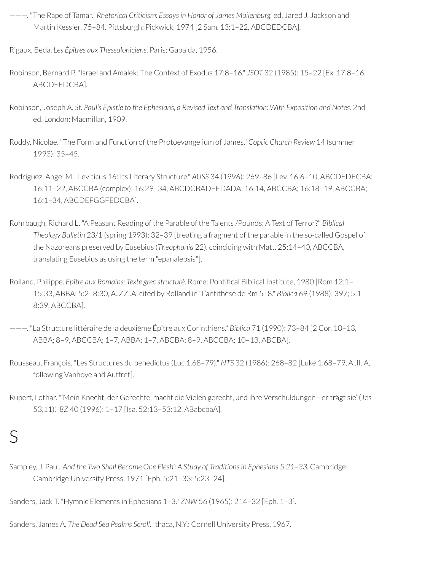- ———. "The Rape of Tamar." *Rhetorical Criticism: Essays in Honor of James Muilenburg,* ed. Jared J. Jackson and Martin Kessler, 75–84. Pittsburgh: Pickwick, 1974 [2 Sam. 13:1–22, ABCDEDCBA].
- Rigaux, Beda. *Les Épîtres aux Thessaloniciens.* Paris: Gabalda, 1956.
- Robinson, Bernard P. "Israel and Amalek: The Context of Exodus 17:8–16." *JSOT* 32 (1985): 15–22 [Ex. 17:8–16, ABCDEEDCBA].
- Robinson, Joseph A. *St. Paul's Epistle to the Ephesians, a Revised Text and Translation: With Exposition and Notes.* 2nd ed. London: Macmillan, 1909.
- Roddy, Nicolae. "The Form and Function of the Protoevangelium of James." *Coptic Church Review* 14 (summer 1993): 35–45.
- Rodriguez, Angel M. "Leviticus 16: Its Literary Structure." *AUSS* 34 (1996): 269–86 [Lev. 16:6–10, ABCDEDECBA; 16:11–22, ABCCBA (complex); 16:29–34, ABCDCBADEEDADA; 16:14, ABCCBA; 16:18–19, ABCCBA; 16:1–34, ABCDEFGGFEDCBA].
- Rohrbaugh, Richard L. "A Peasant Reading of the Parable of the Talents /Pounds: A Text of Terror?" *Biblical Theology Bulletin* 23/1 (spring 1993): 32–39 [treating a fragment of the parable in the so-called Gospel of the Nazoreans preserved by Eusebius (*Theophania* 22), coinciding with Matt. 25:14–40, ABCCBA, translating Eusebius as using the term "epanalepsis"].
- Rolland, Philippe. *Epître aux Romains: Texte grec structuré*. Rome: Pontical Biblical Institute, 1980 [Rom 12:1– 15:33, ABBA; 5:2–8:30, A..ZZ..A, cited by Rolland in "L'antithèse de Rm 5–8." *Biblica* 69 (1988): 397; 5:1– 8:39, ABCCBA].
- ———. "La Structure littéraire de la deuxième Épître aux Corinthiens." *Biblica* 71 (1990): 73–84 [2 Cor. 10–13, ABBA; 8–9, ABCCBA; 1–7, ABBA; 1–7, ABCBA; 8–9, ABCCBA; 10–13, ABCBA].
- Rousseau, François. "Les Structures du benedictus (Luc 1.68–79)." *NTS* 32 (1986): 268–82 [Luke 1:68–79, A..II..A, following Vanhoye and Auffret].
- Rupert, Lothar. "'Mein Knecht, der Gerechte, macht die Vielen gerecht, und ihre Verschuldungen-er trägt sie' (Jes 53,11)." *BZ* 40 (1996): 1–17 [Isa. 52:13–53:12, ABabcbaA].

### S

- Sampley, J. Paul. *'And the Two Shall Become One Flesh': A Study of Traditionsin Ephesians 5:21–33.* Cambridge: Cambridge University Press, 1971 [Eph. 5:21–33; 5:23–24].
- Sanders, Jack T. "Hymnic Elements in Ephesians 1–3." *ZNW* 56 (1965): 214–32 [Eph. 1–3].
- Sanders, James A. *The Dead Sea Psalms Scroll.* Ithaca, N.Y.: Cornell University Press, 1967.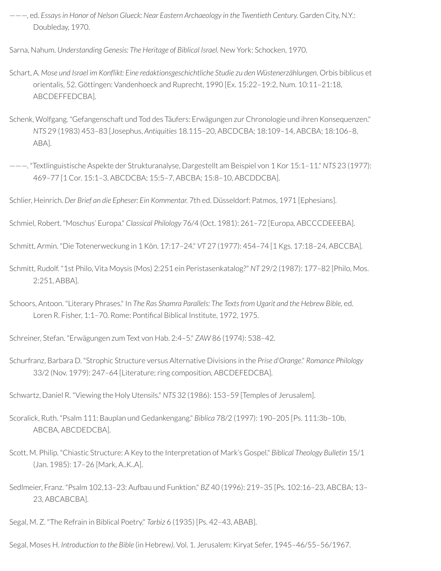———, ed. *Essaysin Honor of Nelson Glueck: Near Eastern Archaeology in the Twentieth Century.* Garden City, N.Y.: Doubleday, 1970.

Sarna, Nahum. *Understanding Genesis: The Heritage of Biblical Israel.* New York: Schocken, 1970.

- Schart, A. *Mose und Israel im Konikt: Eine redaktionsgeschichtliche Studie zu den Wüstenerzählungen.* Orbis biblicus et orientalis, 52. Göttingen: Vandenhoeck and Ruprecht, 1990 [Ex. 15:22–19:2, Num. 10:11–21:18, ABCDEFFEDCBA].
- Schenk, Wolfgang. "Gefangenschaft und Tod des Täufers: Erwägungen zur Chronologie und ihren Konsequenzen." *NTS* 29 (1983) 453–83 [Josephus, *Antiquities* 18.115–20, ABCDCBA; 18:109–14, ABCBA; 18:106–8, ABA].
- ———. "Textlinguistische Aspekte der Strukturanalyse, Dargestellt am Beispiel von 1 Kor 15:1–11." *NTS* 23 (1977): 469–77 [1 Cor. 15:1–3, ABCDCBA; 15:5–7, ABCBA; 15:8–10, ABCDDCBA].

Schlier, Heinrich. *Der Brief an die Epheser: Ein Kommentar.* 7th ed. Düsseldorf: Patmos, 1971 [Ephesians].

Schmiel, Robert. "Moschus' Europa." *Classical Philology* 76/4 (Oct. 1981): 261–72 [Europa, ABCCCDEEEBA].

Schmitt, Armin. "Die Totenerweckung in 1 Kön. 17:17–24." *VT* 27 (1977): 454–74 [1 Kgs. 17:18–24, ABCCBA].

- Schmitt, Rudolf. "1st Philo, Vita Moysis (Mos) 2:251 ein Peristasenkatalog?" *NT* 29/2 (1987): 177–82 [Philo, Mos. 2:251, ABBA].
- Schoors, Antoon. "Literary Phrases." In *The Ras Shamra Parallels: The Textsfrom Ugarit and the Hebrew Bible,* ed. Loren R. Fisher, 1:1-70. Rome: Pontifical Biblical Institute, 1972, 1975.

Schreiner, Stefan. "Erwägungen zum Text von Hab. 2:4–5." *ZAW* 86 (1974): 538–42.

Schurfranz, Barbara D. "Strophic Structure versus Alternative Divisions in the *Prise d'Orange*." *Romance Philology* 33/2 (Nov. 1979): 247-64 [Literature; ring composition, ABCDEFEDCBA].

Schwartz, Daniel R. "Viewing the Holy Utensils." *NTS* 32 (1986): 153–59 [Temples of Jerusalem].

- Scoralick, Ruth. "Psalm 111: Bauplan und Gedankengang." *Biblica* 78/2 (1997): 190–205 [Ps. 111:3b–10b, ABCBA, ABCDEDCBA].
- Scott, M. Philip. "Chiastic Structure: A Key to the Interpretation of Mark's Gospel." *Biblical Theology Bulletin* 15/1 (Jan. 1985): 17–26 [Mark, A..K..A].
- Sedlmeier, Franz. "Psalm 102,13–23: Aufbau und Funktion." *BZ* 40 (1996): 219–35 [Ps. 102:16–23, ABCBA; 13– 23, ABCABCBA].

Segal, M. Z. "The Refrain in Biblical Poetry." *Tarbiz* 6 (1935) [Ps. 42–43, ABAB].

Segal, Moses H. *Introduction to the Bible* (in Hebrew*).* Vol. 1. Jerusalem: Kiryat Sefer, 1945–46/55–56/1967.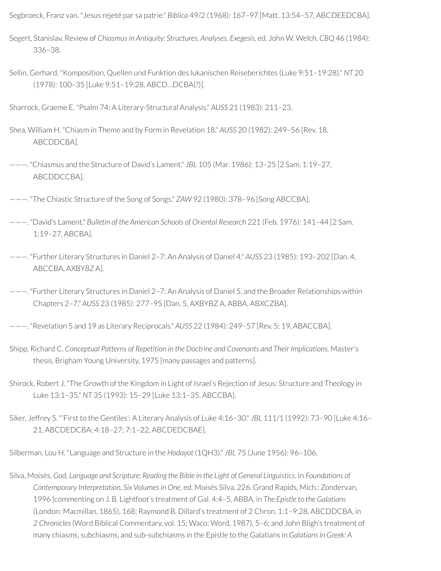Segbroeck, Franz van. "Jesus rejeté par sa patrie." *Biblica* 49/2 (1968): 167–97 [Matt. 13:54–57, ABCDEEDCBA].

- Segert, Stanislav. Review of *Chiasmusin Antiquity: Structures, Analyses, Exegesis,* ed. John W. Welch. *CBQ* 46 (1984): 336–38.
- Sellin, Gerhard. "Komposition, Quellen und Funktion des lukanischen Reiseberichtes (Luke 9:51–19:28)." *NT* 20 (1978): 100–35 [Luke 9:51–19:28, ABCD…DCBA(?)].

Sharrock, Graeme E. "Psalm 74: A Literary-Structural Analysis." *AUSS* 21 (1983): 211–23.

- Shea, William H. "Chiasm in Theme and by Form in Revelation 18." *AUSS* 20 (1982): 249–56 [Rev. 18, ABCDDCBA].
- ———. "Chiasmus and the Structure of David's Lament." *JBL* 105 (Mar. 1986): 13–25 [2 Sam. 1:19–27, ABCDDCCBA].
- ———. "The Chiastic Structure of the Song of Songs." *ZAW* 92 (1980): 378–96 [Song ABCCBA].
- ———. "David's Lament." *Bulletin of the American Schools of Oriental Research* 221 (Feb. 1976): 141–44 [2 Sam. 1:19–27, ABCBA].
- ———. "Further Literary Structures in Daniel 2–7: An Analysis of Daniel 4." *AUSS* 23 (1985): 193–202 [Dan. 4, ABCCBA, AXBY*BZ* A].

———. "Further Literary Structures in Daniel 2–7: An Analysis of Daniel 5, and the Broader Relationships within Chapters 2–7." *AUSS* 23 (1985): 277–95 [Dan. 5, AXBYBZ A, ABBA, ABXCZBA].

- ———. "Revelation 5 and 19 as Literary Reciprocals." *AUSS* 22 (1984): 249–57 [Rev. 5; 19, ABACCBA].
- Shipp, Richard C. *Conceptual Patterns of Repetition in the Doctrine and Covenants and Their Implications.* Master's thesis, Brigham Young University, 1975 [many passages and patterns].
- Shirock, Robert J. "The Growth of the Kingdom in Light of Israel's Rejection of Jesus: Structure and Theology in Luke 13:1–35." *NT* 35 (1993): 15–29 [Luke 13:1–35, ABCCBA].
- Siker, Jeffrey S. "'First to the Gentiles': A Literary Analysis of Luke 4:16–30." *JBL* 111/1 (1992): 73–90 [Luke 4:16– 21, ABCDEDCBA; 4:18–27; 7:1–22, ABCDEDCBAE].

Silberman, Lou H. "Language and Structure in the *Hodayot* (1QH3)." *JBL* 75 (June 1956): 96–106.

Silva, Moisés. *God, Language and Scripture: Reading the Bible in the Light of General Linguistics*. In *Foundations of Contemporary Interpretation, Six Volumesin One*, ed. Moisés Silva, 226. Grand Rapids, Mich.: Zondervan, 1996 [commenting on J. B. Lightfoot's treatment of Gal. 4:4–5, ABBA, in *The Epistle to the Galatians* (London: Macmillan, 1865), 168; Raymond B. Dillard's treatment of 2 Chron. 1:1–9:28, ABCDDCBA, in *2 Chronicles*(Word Biblical Commentary, vol. 15; Waco: Word, 1987), 5–6; and John Bligh's treatment of many chiasms, subchiasms, and sub-subchiasms in the Epistle to the Galatians in *Galatians in Greek: A*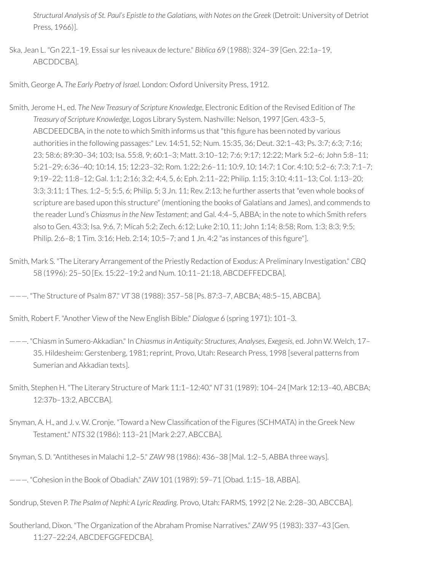*Structural Analysis of St. Paul's Epistle to the Galatians, with Notes on the Greek* (Detroit: University of Detriot Press, 1966)].

Ska, Jean L. "Gn 22,1–19. Essai surles niveaux de lecture." *Biblica* 69 (1988): 324–39 [Gen. 22:1a–19, ABCDDCBA].

Smith, George A. *The Early Poetry of Israel.* London: Oxford University Press, 1912.

- Smith, Jerome H., ed. *The New Treasury of Scripture Knowledge*, Electronic Edition of the Revised Edition of *The Treasury of Scripture Knowledge*, Logos Library System. Nashville: Nelson, 1997 [Gen. 43:3–5, ABCDEEDCBA, in the note to which Smith informs us that "this figure has been noted by various authorities in the following passages:" Lev. 14:51, 52; Num. 15:35, 36; Deut. 32:1–43; Ps. 3:7; 6:3; 7:16; 23; 58:6; 89:30–34; 103; Isa. 55:8, 9; 60:1–3; Matt. 3:10–12; 7:6; 9:17; 12:22; Mark 5:2–6; John 5:8–11; 5:21–29; 6:36–40; 10:14, 15; 12:23–32; Rom. 1:22; 2:6–11; 10:9, 10; 14:7; 1 Cor. 4:10; 5:2–6; 7:3; 7:1–7; 9:19–22; 11:8–12; Gal. 1:1; 2:16; 3:2; 4:4, 5, 6; Eph. 2:11–22; Philip. 1:15; 3:10; 4:11–13; Col. 1:13–20; 3:3; 3:11; 1 Thes. 1:2–5; 5:5, 6; Philip. 5; 3 Jn. 11; Rev. 2:13; he further asserts that "even whole books of scripture are based upon this structure" (mentioning the books of Galatians and James), and commends to the reader Lund's *Chiasmusin the New Testament*; and Gal. 4:4–5, ABBA; in the note to which Smith refers also to Gen. 43:3; Isa. 9:6, 7; Micah 5:2; Zech. 6:12; Luke 2:10, 11; John 1:14; 8:58; Rom. 1:3; 8:3; 9:5; Philip. 2:6–8; 1 Tim. 3:16; Heb. 2:14; 10:5–7; and 1 Jn. 4:2 "as instances of this gure"].
- Smith, Mark S. "The Literary Arrangement of the Priestly Redaction of Exodus: A Preliminary Investigation." *CBQ* 58 (1996): 25–50 [Ex. 15:22–19:2 and Num. 10:11–21:18, ABCDEFFEDCBA].

———. "The Structure of Psalm 87." *VT* 38 (1988): 357–58 [Ps. 87:3–7, ABCBA; 48:5–15, ABCBA].

Smith, Robert F. "Another View of the New English Bible." *Dialogue* 6 (spring 1971): 101–3.

- ———. "Chiasm in Sumero-Akkadian." In *Chiasmusin Antiquity: Structures, Analyses, Exegesis,* ed. John W. Welch, 17– 35. Hildesheim: Gerstenberg, 1981; reprint, Provo, Utah: Research Press, 1998 [several patterns from Sumerian and Akkadian texts].
- Smith, Stephen H. "The Literary Structure of Mark 11:1–12:40." *NT* 31 (1989): 104–24 [Mark 12:13–40, ABCBA; 12:37b–13:2, ABCCBA].
- Snyman, A. H., and J. v. W. Cronje. "Toward a New Classification of the Figures (SCHMATA) in the Greek New Testament." *NTS* 32 (1986): 113–21 [Mark 2:27, ABCCBA].
- Snyman, S. D. "Antitheses in Malachi 1,2–5." *ZAW* 98 (1986): 436–38 [Mal. 1:2–5, ABBA three ways].

- Sondrup, Steven P. *The Psalm of Nephi: A Lyric Reading.* Provo, Utah: FARMS, 1992 [2 Ne. 2:28–30, ABCCBA].
- Southerland, Dixon. "The Organization of the Abraham Promise Narratives." *ZAW* 95 (1983): 337–43 [Gen. 11:27–22:24, ABCDEFGGFEDCBA].

<sup>———.</sup> "Cohesion in the Book of Obadiah." *ZAW* 101 (1989): 59–71 [Obad. 1:15–18, ABBA].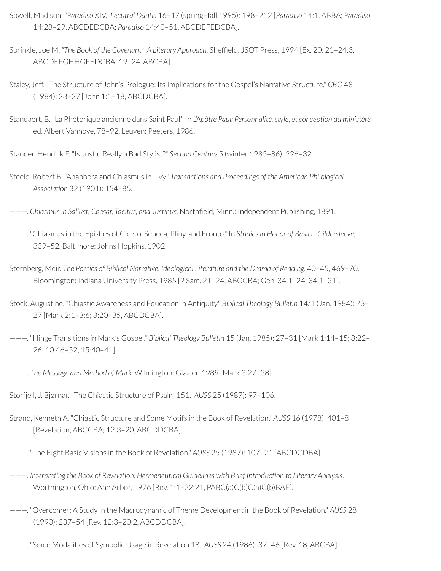- Sowell, Madison. "*Paradiso* XIV." *Lecutral Dantis* 16–17 (spring–fall 1995): 198–212 [*Paradiso* 14:1, ABBA; *Paradiso* 14:28–29, ABCDEDCBA; *Paradiso* 14:40–51, ABCDEFEDCBA].
- Sprinkle, Joe M. *"The Book of the Covenant:" A Literary Approach.* Shefeld: JSOT Press, 1994 [Ex. 20: 21–24:3, ABCDEFGHHGFEDCBA; 19–24, ABCBA].
- Staley, Jeff. "The Structure of John's Prologue: Its Implications forthe Gospel's Narrative Structure." *CBQ* 48 (1984): 23–27 [John 1:1–18, ABCDCBA].
- Standaert, B. "La Rhétorique ancienne dans Saint Paul." In *L'Apôtre Paul: Personnalité, style, et conception du ministère,* ed. Albert Vanhoye, 78–92. Leuven: Peeters, 1986.

Stander, Hendrik F. "Is Justin Really a Bad Stylist?" *Second Century* 5 (winter 1985–86): 226–32.

Steele, Robert B. "Anaphora and Chiasmus in Livy." *Transactions and Proceedings of the American Philological Association* 32 (1901): 154–85.

———. *Chiasmusin Sallust, Caesar, Tacitus, and Justinus.* Northeld, Minn.: Independent Publishing, 1891.

- ———. "Chiasmus in the Epistles of Cicero, Seneca, Pliny, and Fronto." In *Studiesin Honor of Basil L. Gildersleeve,* 339–52. Baltimore: Johns Hopkins, 1902.
- Sternberg, Meir. *The Poetics of Biblical Narrative: Ideological Literature and the Drama of Reading*. 40–45, 469–70. Bloomington: Indiana University Press, 1985 [2 Sam. 21–24, ABCCBA; Gen. 34:1–24; 34:1–31].
- Stock, Augustine. "Chiastic Awareness and Education in Antiquity." *Biblical Theology Bulletin* 14/1 (Jan. 1984): 23– 27 [Mark 2:1–3:6; 3:20–35, ABCDCBA].
- ———. "Hinge Transitions in Mark's Gospel." *Biblical Theology Bulletin* 15 (Jan. 1985): 27–31 [Mark 1:14–15; 8:22– 26; 10:46–52; 15:40–41].
- ———. *The Message and Method of Mark.* Wilmington: Glazier, 1989 [Mark 3:27–38].
- Storfjell, J. Bjørnar. "The Chiastic Structure of Psalm 151." *AUSS* 25 (1987): 97–106.
- Strand, Kenneth A. "Chiastic Structure and Some Motifs in the Book of Revelation." *AUSS* 16 (1978): 401–8 [Revelation, ABCCBA; 12:3–20, ABCDDCBA].
- ———. "The Eight Basic Visions in the Book of Revelation." *AUSS* 25 (1987): 107–21 [ABCDCDBA].
- ———. *Interpreting the Book of Revelation: Hermeneutical Guidelines with Brief Introduction to Literary Analysis*. Worthington, Ohio: Ann Arbor, 1976 [Rev. 1:1–22:21, PABC(a)C(b)C(a)C(b)BAE].
- ———. "Overcomer: A Study in the Macrodynamic of Theme Development in the Book of Revelation." *AUSS* 28 (1990): 237–54 [Rev. 12:3–20:2, ABCDDCBA].
- ———. "Some Modalities of Symbolic Usage in Revelation 18." *AUSS* 24 (1986): 37–46 [Rev. 18, ABCBA].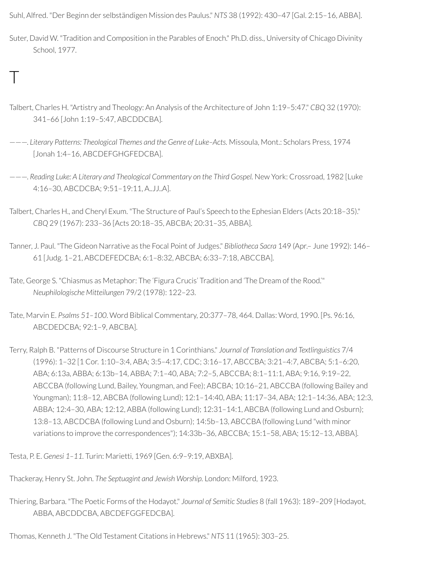Suhl, Alfred. "Der Beginn der selbständigen Mission des Paulus." *NTS* 38 (1992): 430–47 [Gal. 2:15–16, ABBA].

- Suter, David W. "Tradition and Composition in the Parables of Enoch." Ph.D. diss., University of Chicago Divinity School, 1977.
- Talbert, Charles H. "Artistry and Theology: An Analysis of the Architecture of John 1:19–5:47." *CBQ* 32 (1970): 341–66 [John 1:19–5:47, ABCDDCBA].

 $\top$ 

- ———. *Literary Patterns: Theological Themes and the Genre of Luke–Acts.* Missoula, Mont.: Scholars Press, 1974 [Jonah 1:4–16, ABCDEFGHGFEDCBA].
- ———. *Reading Luke: A Literary and Theological Commentary on the Third Gospel.* New York: Crossroad, 1982 [Luke 4:16–30, ABCDCBA; 9:51–19:11, A..JJ..A].
- Talbert, Charles H., and Cheryl Exum. "The Structure of Paul's Speech to the Ephesian Elders (Acts 20:18–35)." *CBQ* 29 (1967): 233–36 [Acts 20:18–35, ABCBA; 20:31–35, ABBA].
- Tanner, J. Paul. "The Gideon Narrative as the Focal Point of Judges." *Bibliotheca Sacra* 149 (Apr.– June 1992): 146– 61 [Judg. 1–21, ABCDEFEDCBA; 6:1–8:32, ABCBA; 6:33–7:18, ABCCBA].
- Tate, George S. "Chiasmus as Metaphor: The 'Figura Crucis' Tradition and 'The Dream of the Rood.'" *Neuphilologische Mitteilungen* 79/2 (1978): 122–23.
- Tate, Marvin E. *Psalms 51–100*. Word Biblical Commentary, 20:377–78, 464. Dallas: Word, 1990. [Ps. 96:16, ABCDEDCBA; 92:1–9, ABCBA].
- Terry, Ralph B. "Patterns of Discourse Structure in 1 Corinthians." *Journal of Translation and Textlinguistics* 7/4 (1996): 1–32 [1 Cor. 1:10–3:4, ABA; 3:5–4:17, CDC; 3:16–17, ABCCBA; 3:21–4:7, ABCBA; 5:1–6:20, ABA; 6:13a, ABBA; 6:13b–14, ABBA; 7:1–40, ABA; 7:2–5, ABCCBA; 8:1–11:1, ABA; 9:16, 9:19–22, ABCCBA (following Lund, Bailey, Youngman, and Fee); ABCBA; 10:16–21, ABCCBA (following Bailey and Youngman); 11:8–12, ABCBA (following Lund); 12:1–14:40, ABA; 11:17–34, ABA; 12:1–14:36, ABA; 12:3, ABBA; 12:4–30, ABA; 12:12, ABBA (following Lund); 12:31–14:1, ABCBA (following Lund and Osburn); 13:8–13, ABCDCBA (following Lund and Osburn); 14:5b–13, ABCCBA (following Lund "with minor variations to improve the correspondences"); 14:33b–36, ABCCBA; 15:1–58, ABA; 15:12–13, ABBA].

Testa, P. E. *Genesi 1–11.* Turin: Marietti, 1969 [Gen. 6:9–9:19, ABXBA].

Thackeray, Henry St. John. *The Septuagint and Jewish Worship.* London: Milford, 1923.

Thiering, Barbara. "The Poetic Forms of the Hodayot." *Journal of Semitic Studies* 8 (fall 1963): 189–209 [Hodayot, ABBA, ABCDDCBA, ABCDEFGGFEDCBA].

Thomas, Kenneth J. "The Old Testament Citations in Hebrews." *NTS* 11 (1965): 303–25.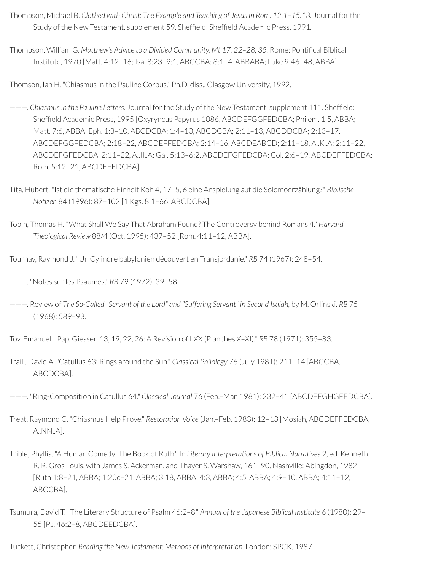- Thompson, Michael B. *Clothed with Christ: The Example and Teaching of Jesusin Rom. 12.1–15.13.* Journal forthe Study of the New Testament, supplement 59. Sheffield: Sheffield Academic Press, 1991.
- Thompson, William G. *Matthew's Advice to a Divided Community, Mt 17, 22–28, 35.* Rome: Pontical Biblical Institute, 1970 [Matt. 4:12–16; Isa. 8:23–9:1, ABCCBA; 8:1–4, ABBABA; Luke 9:46–48, ABBA].

Thomson, Ian H. "Chiasmus in the Pauline Corpus." Ph.D. diss., Glasgow University, 1992.

- ———. *Chiasmusin the Pauline Letters.* Journal forthe Study of the New Testament, supplement 111. Shefeld: Shefeld Academic Press, 1995 [Oxyryncus Papyrus 1086, ABCDEFGGFEDCBA; Philem. 1:5, ABBA; Matt. 7:6, ABBA; Eph. 1:3–10, ABCDCBA; 1:4–10, ABCDCBA; 2:11–13, ABCDDCBA; 2:13–17, ABCDEFGGFEDCBA; 2:18–22, ABCDEFFEDCBA; 2:14–16, ABCDEABCD; 2:11–18, A..K..A; 2:11–22, ABCDEFGFEDCBA; 2:11–22, A..II..A; Gal. 5:13–6:2, ABCDEFGFEDCBA; Col. 2:6–19, ABCDEFFEDCBA; Rom. 5:12–21, ABCDEFEDCBA].
- Tita, Hubert. "Ist die thematische Einheit Koh 4, 17–5, 6 eine Anspielung auf die Solomoerzählung?" *Biblische Notizen* 84 (1996): 87–102 [1 Kgs. 8:1–66, ABCDCBA].
- Tobin, Thomas H. "What Shall We Say That Abraham Found? The Controversy behind Romans 4." *Harvard Theological Review* 88/4 (Oct. 1995): 437–52 [Rom. 4:11–12, ABBA].
- Tournay, Raymond J. "Un Cylindre babylonien découvert en Transjordanie." *RB* 74 (1967): 248–54.
- ———. "Notes surles Psaumes." *RB* 79 (1972): 39–58.
- ———. Review of *The So-Called "Servant of the Lord" and "Suffering Servant" in Second Isaiah,* by M. Orlinski. *RB* 75 (1968): 589–93.
- Tov, Emanuel. "Pap. Giessen 13, 19, 22, 26: A Revision of LXX (Planches X–XI)." *RB* 78 (1971): 355–83.
- Traill, David A. "Catullus 63: Rings around the Sun." *Classical Philology* 76 (July 1981): 211–14 [ABCCBA, ABCDCBA].
- ———. "Ring-Composition in Catullus 64." *Classical Journal* 76 (Feb.–Mar. 1981): 232–41 [ABCDEFGHGFEDCBA].
- Treat, Raymond C. "Chiasmus Help Prove." *Restoration Voice* (Jan.–Feb. 1983): 12–13 [Mosiah, ABCDEFFEDCBA, A..NN..A].
- Trible, Phyllis. "A Human Comedy: The Book of Ruth." In *Literary Interpretations of Biblical Narratives* 2, ed. Kenneth R. R*.* Gros Louis, with James S. Ackerman, and Thayer S. Warshaw, 161–90. Nashville: Abingdon, 1982 [Ruth 1:8–21, ABBA; 1:20c–21, ABBA; 3:18, ABBA; 4:3, ABBA; 4:5, ABBA; 4:9–10, ABBA; 4:11–12, ABCCBA].
- Tsumura, David T. "The Literary Structure of Psalm 46:2–8." *Annual of the Japanese Biblical Institute* 6 (1980): 29– 55 [Ps. 46:2–8, ABCDEEDCBA].
- Tuckett, Christopher. *Reading the New Testament: Methods of Interpretation.* London: SPCK, 1987.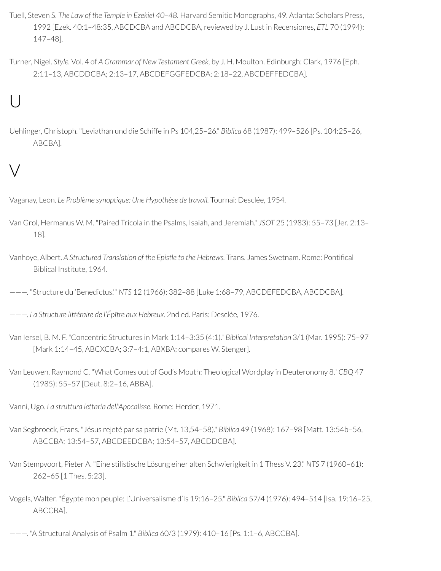- Tuell, Steven S. *The Law of the Temple in Ezekiel 40–48.* Harvard Semitic Monographs, 49. Atlanta: Scholars Press, 1992 [Ezek. 40:1–48:35, ABCDCBA and ABCDCBA,reviewed by J. Lust in Recensiones, *ETL* 70 (1994): 147–48].
- Turner, Nigel. *Style.* Vol. 4 of *A Grammar of New Testament Greek,* by J. H. Moulton. Edinburgh: Clark, 1976 [Eph. 2:11–13, ABCDDCBA; 2:13–17, ABCDEFGGFEDCBA; 2:18–22, ABCDEFFEDCBA].

## U

Uehlinger, Christoph. "Leviathan und die Schiffe in Ps 104,25–26." *Biblica* 68 (1987): 499–526 [Ps. 104:25–26, ABCBA].

## V

Vaganay, Leon. *Le Problème synoptique: Une Hypothèse de travail.* Tournai: Desclée, 1954.

- Van Grol, Hermanus W. M. "Paired Tricola in the Psalms, Isaiah, and Jeremiah." *JSOT* 25 (1983): 55–73 [Jer. 2:13– 18].
- Vanhoye, Albert. *A Structured Translation of the Epistle to the Hebrews.* Trans. James Swetnam. Rome: Pontical Biblical Institute, 1964.

———. "Structure du 'Benedictus.'" *NTS* 12 (1966): 382–88 [Luke 1:68–79, ABCDEFEDCBA, ABCDCBA].

- ———. *La Structure littéraire de l'Épître aux Hebreux.* 2nd ed. Paris: Desclée, 1976.
- Van Iersel, B. M. F. "Concentric Structures in Mark 1:14–3:35 (4:1)." *Biblical Interpretation* 3/1 (Mar. 1995): 75–97 [Mark 1:14–45, ABCXCBA; 3:7–4:1, ABXBA; compares W. Stenger].
- Van Leuwen, Raymond C. "What Comes out of God's Mouth: Theological Wordplay in Deuteronomy 8." *CBQ* 47 (1985): 55–57 [Deut. 8:2–16, ABBA].
- Vanni, Ugo. *La struttura lettaria dell'Apocalisse.* Rome: Herder, 1971.
- Van Segbroeck, Frans. "Jésus rejeté par sa patrie (Mt. 13,54–58)." *Biblica* 49 (1968): 167–98 [Matt. 13:54b–56, ABCCBA; 13:54–57, ABCDEEDCBA; 13:54–57, ABCDDCBA].
- Van Stempvoort, Pieter A. "Eine stilistische Lösung einer alten Schwierigkeit in 1 Thess V. 23." *NTS* 7 (1960–61): 262–65 [1 Thes. 5:23].
- Vogels, Walter. "Égypte mon peuple: L'Universalisme d'Is 19:16–25." *Biblica* 57/4 (1976): 494–514 [Isa. 19:16–25, ABCCBA].
- ———. "A Structural Analysis of Psalm 1." *Biblica* 60/3 (1979): 410–16 [Ps. 1:1–6, ABCCBA].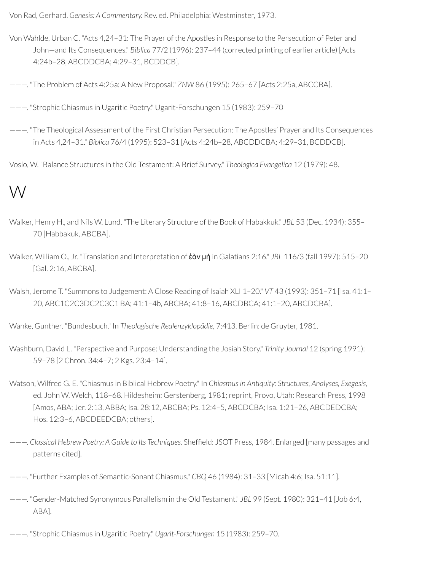Von Rad, Gerhard. *Genesis: A Commentary.* Rev. ed. Philadelphia: Westminster, 1973.

- Von Wahlde, Urban C. "Acts 4,24–31: The Prayer of the Apostles in Response to the Persecution of Peter and John—and Its Consequences." *Biblica* 77/2 (1996): 237–44 (corrected printing of earlier article) [Acts 4:24b–28, ABCDDCBA; 4:29–31, BCDDCB].
- ———. "The Problem of Acts 4:25a: A New Proposal." *ZNW* 86 (1995): 265–67 [Acts 2:25a, ABCCBA].
- ———. "Strophic Chiasmus in Ugaritic Poetry." Ugarit-Forschungen 15 (1983): 259–70
- ———. "The Theological Assessment of the First Christian Persecution: The Apostles' Prayer and Its Consequences in Acts 4,24–31." *Biblica* 76/4 (1995): 523–31 [Acts 4:24b–28, ABCDDCBA; 4:29–31, BCDDCB].
- Voslo, W. "Balance Structures in the Old Testament: A Brief Survey." *Theologica Evangelica* 12 (1979): 48.

#### W

- Walker, Henry H., and Nils W. Lund. "The Literary Structure of the Book of Habakkuk." *JBL* 53 (Dec. 1934): 355– 70 [Habbakuk, ABCBA].
- Walker, William O., Jr. "Translation and Interpretation of ἐὰν μή in Galatians 2:16." *JBL* 116/3 (fall 1997): 515–20 [Gal. 2:16, ABCBA].
- Walsh, Jerome T. "Summons to Judgement: A Close Reading of Isaiah XLI 1–20." *VT* 43 (1993): 351–71 [Isa. 41:1– 20, ABC1C2C3DC2C3C1 BA; 41:1–4b, ABCBA; 41:8–16, ABCDBCA; 41:1–20, ABCDCBA].

Wanke, Gunther. "Bundesbuch." In *Theologische Realenzyklopädie,* 7:413. Berlin: de Gruyter, 1981.

- Washburn, David L. "Perspective and Purpose: Understanding the Josiah Story." *Trinity Journal* 12 (spring 1991): 59–78 [2 Chron. 34:4–7; 2 Kgs. 23:4–14].
- Watson, Wilfred G. E. "Chiasmus in Biblical Hebrew Poetry." In *Chiasmusin Antiquity: Structures, Analyses, Exegesis,* ed. John W. Welch, 118-68. Hildesheim: Gerstenberg, 1981; reprint, Provo, Utah: Research Press, 1998 [Amos, ABA; Jer. 2:13, ABBA; Isa. 28:12, ABCBA; Ps. 12:4–5, ABCDCBA; Isa. 1:21–26, ABCDEDCBA; Hos. 12:3–6, ABCDEEDCBA; others].
- ———. *Classical Hebrew Poetry: A Guide to Its Techniques.* Shefeld: JSOT Press, 1984. Enlarged [many passages and patterns cited].
- ———. "Further Examples of Semantic-Sonant Chiasmus." *CBQ* 46 (1984): 31–33 [Micah 4:6; Isa. 51:11].
- ———. "Gender-Matched Synonymous Parallelism in the Old Testament." *JBL* 99 (Sept. 1980): 321–41 [Job 6:4, ABA].
- ———. "Strophic Chiasmus in Ugaritic Poetry." *Ugarit-Forschungen* 15 (1983): 259–70.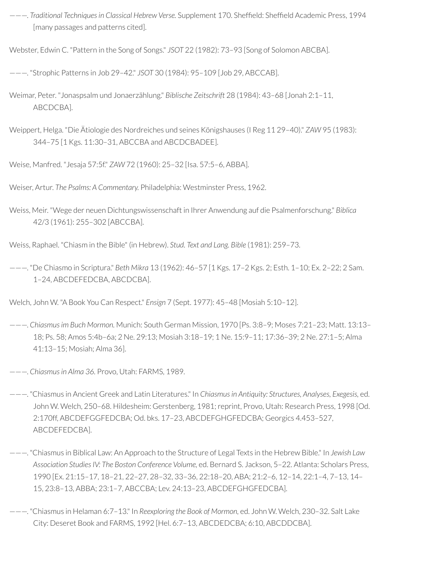———. *Traditional Techniquesin Classical Hebrew Verse.* Supplement 170. Shefeld: Shefeld Academic Press, 1994 [many passages and patterns cited].

Webster, Edwin C. "Pattern in the Song of Songs." *JSOT* 22 (1982): 73–93 [Song of Solomon ABCBA].

———. "Strophic Patterns in Job 29–42." *JSOT* 30 (1984): 95–109 [Job 29, ABCCAB].

- Weimar, Peter. "Jonaspsalm und Jonaerzählung." *Biblische Zeitschrift* 28 (1984): 43–68 [Jonah 2:1–11, ABCDCBA].
- Weippert, Helga. "Die Ätiologie des Nordreiches und seines Königshauses (I Reg 11 29–40)." *ZAW* 95 (1983): 344–75 [1 Kgs. 11:30–31, ABCCBA and ABCDCBADEE].

Weise, Manfred. "Jesaja 57:5f." *ZAW* 72 (1960): 25–32 [Isa. 57:5–6, ABBA].

Weiser, Artur. *The Psalms: A Commentary.* Philadelphia: Westminster Press, 1962.

Weiss, Meir. "Wege der neuen Dichtungswissenschaft in Ihrer Anwendung auf die Psalmenforschung." *Biblica* 42/3 (1961): 255–302 [ABCCBA].

Weiss, Raphael. "Chiasm in the Bible" (in Hebrew). *Stud. Text and Lang. Bible* (1981): 259–73.

———. "De Chiasmo in Scriptura." *Beth Mikra* 13 (1962): 46–57 [1 Kgs. 17–2 Kgs. 2; Esth. 1–10; Ex. 2–22; 2 Sam. 1–24, ABCDEFEDCBA, ABCDCBA].

Welch, John W. "A Book You Can Respect." *Ensign* 7 (Sept. 1977): 45–48 [Mosiah 5:10–12].

———. *Chiasmusim Buch Mormon.* Munich: South German Mission, 1970 [Ps. 3:8–9; Moses 7:21–23; Matt. 13:13– 18; Ps. 58; Amos 5:4b–6a; 2 Ne. 29:13; Mosiah 3:18–19; 1 Ne. 15:9–11; 17:36–39; 2 Ne. 27:1–5; Alma 41:13–15; Mosiah; Alma 36].

———. *Chiasmusin Alma 36.* Provo, Utah: FARMS, 1989.

- ———. "Chiasmus in Ancient Greek and Latin Literatures." In *Chiasmusin Antiquity: Structures, Analyses, Exegesis,* ed. John W. Welch, 250-68. Hildesheim: Gerstenberg, 1981; reprint, Provo, Utah: Research Press, 1998 [Od. 2:170ff, ABCDEFGGFEDCBA; Od. bks. 17–23, ABCDEFGHGFEDCBA; Georgics 4.453–527, ABCDEFEDCBA].
- ———. "Chiasmus in Biblical Law: An Approach to the Structure of Legal Texts in the Hebrew Bible." In *Jewish Law Association StudiesIV: The Boston Conference Volume,* ed. Bernard S. Jackson, 5–22. Atlanta: Scholars Press, 1990 [Ex. 21:15–17, 18–21, 22–27, 28–32, 33–36, 22:18–20, ABA; 21:2–6, 12–14, 22:1–4, 7–13, 14– 15, 23:8–13, ABBA; 23:1–7, ABCCBA; Lev. 24:13–23, ABCDEFGHGFEDCBA].
- ———. "Chiasmus in Helaman 6:7–13." In *Reexploring the Book of Mormon,* ed. John W. Welch, 230–32. Salt Lake City: Deseret Book and FARMS, 1992 [Hel. 6:7–13, ABCDEDCBA; 6:10, ABCDDCBA].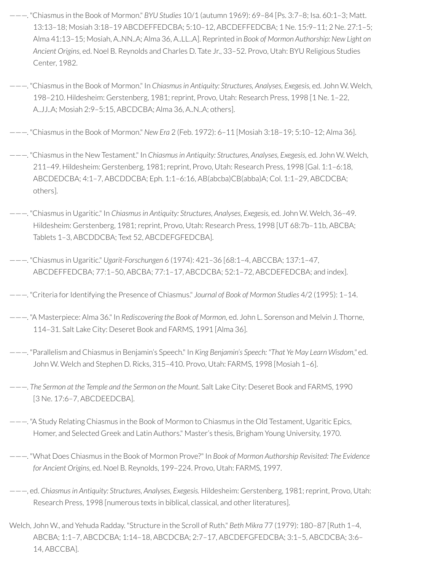- ———. "Chiasmus in the Book of Mormon." *BYU Studies* 10/1 (autumn 1969): 69–84 [Ps. 3:7–8; Isa. 60:1–3; Matt. 13:13–18; Mosiah 3:18–19 ABCDEFFEDCBA; 5:10–12, ABCDEFFEDCBA; 1 Ne. 15:9–11; 2 Ne. 27:1–5; Alma 41:13–15; Mosiah, A..NN..A; Alma 36, A..LL..A]. Reprinted in *Book of Mormon Authorship: New Light on Ancient Origins,* ed. Noel B. Reynolds and Charles D. Tate Jr., 33–52. Provo, Utah: BYU Religious Studies Center, 1982.
- ———. "Chiasmus in the Book of Mormon." In *Chiasmusin Antiquity: Structures, Analyses, Exegesis,* ed. John W. Welch, 198–210. Hildesheim: Gerstenberg, 1981;reprint, Provo, Utah: Research Press, 1998 [1 Ne. 1–22, A..JJ..A; Mosiah 2:9–5:15, ABCDCBA; Alma 36, A..N..A; others].
- ———. "Chiasmus in the Book of Mormon." *New Era* 2 (Feb. 1972): 6–11 [Mosiah 3:18–19; 5:10–12; Alma 36].
- ———. "Chiasmus in the New Testament." In *Chiasmusin Antiquity: Structures, Analyses, Exegesis,* ed. John W. Welch, 211–49. Hildesheim: Gerstenberg, 1981;reprint, Provo, Utah: Research Press, 1998 [Gal. 1:1–6:18, ABCDEDCBA; 4:1–7, ABCDDCBA; Eph. 1:1–6:16, AB(abcba)CB(abba)A; Col. 1:1–29, ABCDCBA; others].
- ———. "Chiasmus in Ugaritic." In *Chiasmusin Antiquity: Structures, Analyses, Exegesis,* ed. John W. Welch, 36–49. Hildesheim: Gerstenberg, 1981; reprint, Provo, Utah: Research Press, 1998 [UT 68:7b-11b, ABCBA; Tablets 1–3, ABCDDCBA; Text 52, ABCDEFGFEDCBA].
- ———. "Chiasmus in Ugaritic." *Ugarit-Forschungen* 6 (1974): 421–36 [68:1–4, ABCCBA; 137:1–47, ABCDEFFEDCBA; 77:1–50, ABCBA; 77:1–17, ABCDCBA; 52:1–72, ABCDEFEDCBA; and index].
- ———. "Criteria forIdentifying the Presence of Chiasmus." *Journal of Book of Mormon Studies* 4/2 (1995): 1–14.
- ———. "A Masterpiece: Alma 36." In *Rediscovering the Book of Mormon,* ed. John L. Sorenson and Melvin J. Thorne, 114–31. Salt Lake City: Deseret Book and FARMS, 1991 [Alma 36].
- ———. "Parallelism and Chiasmus in Benjamin's Speech." In *King Benjamin's Speech: "That Ye May Learn Wisdom,"* ed. John W. Welch and Stephen D. Ricks, 315–410. Provo, Utah: FARMS, 1998 [Mosiah 1–6].
- ———. *The Sermon at the Temple and the Sermon on the Mount.* Salt Lake City: Deseret Book and FARMS, 1990 [3 Ne. 17:6–7, ABCDEEDCBA].
- ———. "A Study Relating Chiasmus in the Book of Mormon to Chiasmus in the Old Testament, Ugaritic Epics, Homer, and Selected Greek and Latin Authors." Master's thesis, Brigham Young University, 1970.
- ———. "What Does Chiasmus in the Book of Mormon Prove?" In *Book of Mormon Authorship Revisited: The Evidence for Ancient Origins,* ed. Noel B. Reynolds, 199–224. Provo, Utah: FARMS, 1997.
- ———, ed. *Chiasmusin Antiquity: Structures, Analyses, Exegesis.* Hildesheim: Gerstenberg, 1981;reprint, Provo, Utah: Research Press, 1998 [numerous texts in biblical, classical, and other literatures].
- Welch, John W., and Yehuda Radday. "Structure in the Scroll of Ruth." *Beth Mikra* 77 (1979): 180–87 [Ruth 1–4, ABCBA; 1:1–7, ABCDCBA; 1:14–18, ABCDCBA; 2:7–17, ABCDEFGFEDCBA; 3:1–5, ABCDCBA; 3:6– 14, ABCCBA].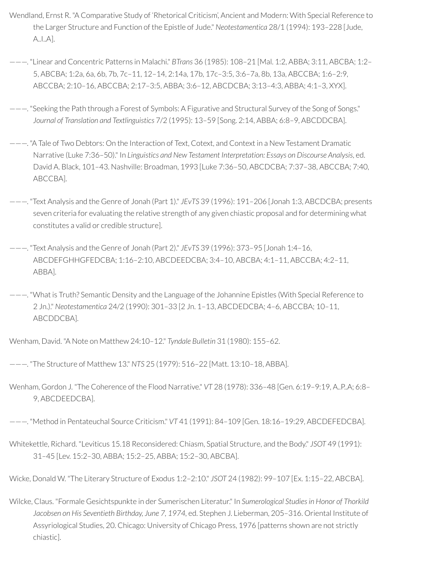- Wendland, Ernst R. "A Comparative Study of 'Rhetorical Criticism', Ancient and Modern: With Special Reference to the Larger Structure and Function of the Epistle of Jude." *Neotestamentica* 28/1 (1994): 193–228 [Jude, A..I..A].
- ———. "Linear and Concentric Patterns in Malachi." *BTrans* 36 (1985): 108–21 [Mal. 1:2, ABBA; 3:11, ABCBA; 1:2– 5, ABCBA; 1:2a, 6a, 6b, 7b, 7c–11, 12–14, 2:14a, 17b, 17c–3:5, 3:6–7a, 8b, 13a, ABCCBA; 1:6–2:9, ABCCBA; 2:10–16, ABCCBA; 2:17–3:5, ABBA; 3:6–12, ABCDCBA; 3:13–4:3, ABBA; 4:1–3, XYX].
- ———. "Seeking the Path through a Forest of Symbols: A Figurative and Structural Survey of the Song of Songs." *Journal of Translation and Textlinguistics* 7/2 (1995): 13–59 [Song. 2:14, ABBA; 6:8–9, ABCDDCBA].
- ———. "A Tale of Two Debtors: On the Interaction of Text, Cotext, and Context in a New Testament Dramatic Narrative (Luke 7:36–50)." In *Linguistics and New Testament Interpretation: Essays on Discourse Analysis*, ed. David A. Black, 101–43. Nashville: Broadman, 1993 [Luke 7:36–50, ABCDCBA; 7:37–38, ABCCBA; 7:40, ABCCBA].
- ———. "Text Analysis and the Genre of Jonah (Part 1)." *JEvTS* 39 (1996): 191–206 [Jonah 1:3, ABCDCBA; presents seven criteria for evaluating the relative strength of any given chiastic proposal and for determining what constitutes a valid or credible structure].
- ———. "Text Analysis and the Genre of Jonah (Part 2)." *JEvTS* 39 (1996): 373–95 [Jonah 1:4–16, ABCDEFGHHGFEDCBA; 1:16–2:10, ABCDEEDCBA; 3:4–10, ABCBA; 4:1–11, ABCCBA; 4:2–11, ABBA].
- ———. "What is Truth? Semantic Density and the Language of the Johannine Epistles (With Special Reference to 2 Jn.)." *Neotestamentica* 24/2 (1990): 301–33 [2 Jn. 1–13, ABCDEDCBA; 4–6, ABCCBA; 10–11, ABCDDCBA].

Wenham, David. "A Note on Matthew 24:10–12." *Tyndale Bulletin* 31 (1980): 155–62.

- ———. "The Structure of Matthew 13." *NTS* 25 (1979): 516–22 [Matt. 13:10–18, ABBA].
- Wenham, Gordon J. "The Coherence of the Flood Narrative." *VT* 28 (1978): 336–48 [Gen. 6:19–9:19, A..P..A; 6:8– 9, ABCDEEDCBA].

———. "Method in Pentateuchal Source Criticism." *VT* 41 (1991): 84–109 [Gen. 18:16–19:29, ABCDEFEDCBA].

Whitekettle, Richard. "Leviticus 15.18 Reconsidered: Chiasm, Spatial Structure, and the Body." *JSOT* 49 (1991): 31–45 [Lev. 15:2–30, ABBA; 15:2–25, ABBA; 15:2–30, ABCBA].

Wicke, Donald W. "The Literary Structure of Exodus 1:2–2:10." *JSOT* 24 (1982): 99–107 [Ex. 1:15–22, ABCBA].

Wilcke, Claus. "Formale Gesichtspunkte in der Sumerischen Literatur." In *Sumerological Studies in Honor of Thorkild Jacobsen on His Seventieth Birthday, June 7, 1974,* ed. Stephen J. Lieberman, 205–316. Oriental Institute of Assyriological Studies, 20. Chicago: University of Chicago Press, 1976 [patterns shown are not strictly chiastic].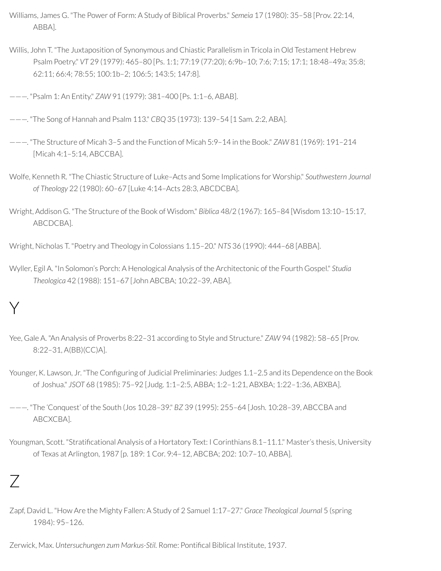- Williams, James G. "The Power of Form: A Study of Biblical Proverbs." *Semeia* 17 (1980): 35–58 [Prov. 22:14, ABBA].
- Willis, John T. "The Juxtaposition of Synonymous and Chiastic Parallelism in Tricola in Old Testament Hebrew Psalm Poetry." *VT* 29 (1979): 465–80 [Ps. 1:1; 77:19 (77:20); 6:9b–10; 7:6; 7:15; 17:1; 18:48–49a; 35:8; 62:11; 66:4; 78:55; 100:1b–2; 106:5; 143:5; 147:8].
- ———. "Psalm 1: An Entity." *ZAW* 91 (1979): 381–400 [Ps. 1:1–6, ABAB].
- ———. "The Song of Hannah and Psalm 113." *CBQ* 35 (1973): 139–54 [1 Sam. 2:2, ABA].
- ———. "The Structure of Micah 3–5 and the Function of Micah 5:9–14 in the Book." *ZAW* 81 (1969): 191–214 [Micah 4:1–5:14, ABCCBA].
- Wolfe, Kenneth R. "The Chiastic Structure of Luke–Acts and Some Implications for Worship." *Southwestern Journal of Theology* 22 (1980): 60–67 [Luke 4:14–Acts 28:3, ABCDCBA].
- Wright, Addison G. "The Structure of the Book of Wisdom." *Biblica* 48/2 (1967): 165–84 [Wisdom 13:10–15:17, ABCDCBA].
- Wright, Nicholas T. "Poetry and Theology in Colossians 1.15–20." *NTS* 36 (1990): 444–68 [ABBA].
- Wyller, Egil A. "In Solomon's Porch: A Henological Analysis of the Architectonic of the Fourth Gospel." *Studia Theologica* 42 (1988): 151–67 [John ABCBA; 10:22–39, ABA].

## Y

- Yee, Gale A. "An Analysis of Proverbs 8:22–31 according to Style and Structure." *ZAW* 94 (1982): 58–65 [Prov. 8:22–31, A(BB)(CC)A].
- Younger, K. Lawson, Jr. "The Configuring of Judicial Preliminaries: Judges 1.1-2.5 and its Dependence on the Book of Joshua." *JSOT* 68 (1985): 75–92 [Judg. 1:1–2:5, ABBA; 1:2–1:21, ABXBA; 1:22–1:36, ABXBA].
- ———. "The 'Conquest' of the South (Jos 10,28–39." *BZ* 39 (1995): 255–64 [Josh. 10:28–39, ABCCBA and ABCXCBA].
- Youngman, Scott. "Stratificational Analysis of a Hortatory Text: I Corinthians 8.1-11.1." Master's thesis, University of Texas at Arlington, 1987 [p. 189: 1 Cor. 9:4–12, ABCBA; 202: 10:7–10, ABBA].

#### $\overline{ }$

Zapf, David L. "How Are the Mighty Fallen: A Study of 2 Samuel 1:17–27." *Grace Theological Journal* 5 (spring 1984): 95–126.

Zerwick, Max. *Untersuchungen zum Markus-Stil.* Rome: Pontical Biblical Institute, 1937.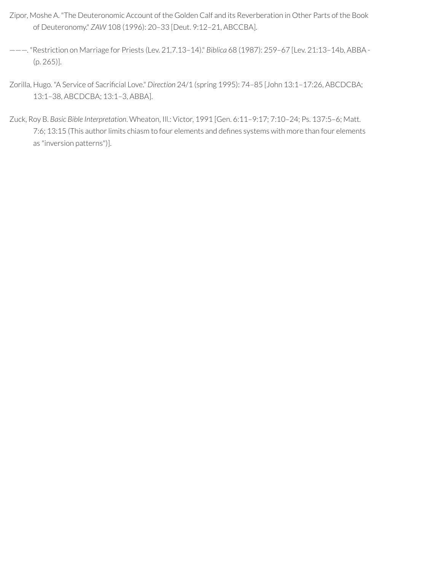- Zipor, Moshe A. "The Deuteronomic Account of the Golden Calf and its Reverberation in Other Parts of the Book of Deuteronomy." *ZAW* 108 (1996): 20–33 [Deut. 9:12–21, ABCCBA].
- ———. "Restriction on Marriage for Priests (Lev. 21,7.13–14)." *Biblica* 68 (1987): 259–67 [Lev. 21:13–14b, ABBA (p. 265)].
- Zorilla, Hugo. "A Service of Sacrificial Love." *Direction* 24/1 (spring 1995): 74-85 [John 13:1-17:26, ABCDCBA; 13:1–38, ABCDCBA; 13:1–3, ABBA].
- Zuck, Roy B. *Basic Bible Interpretation*. Wheaton, Ill.: Victor, 1991 [Gen. 6:11–9:17; 7:10–24; Ps. 137:5–6; Matt. 7:6; 13:15 (This author limits chiasm to four elements and defines systems with more than four elements as "inversion patterns")].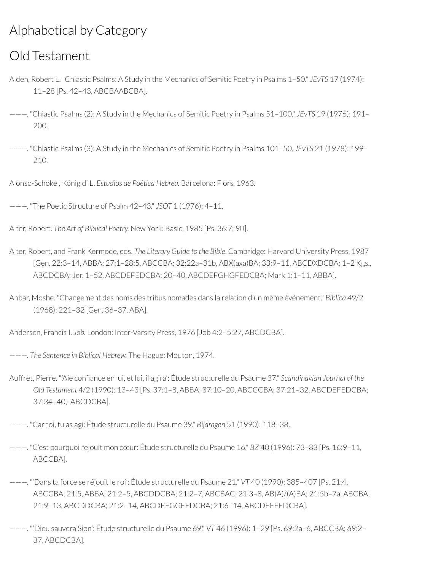#### Alphabetical by Category

#### Old Testament

- Alden, Robert L. "Chiastic Psalms: A Study in the Mechanics of Semitic Poetry in Psalms 1–50." *JEvTS* 17 (1974): 11–28 [Ps. 42–43, ABCBAABCBA].
- ———. "Chiastic Psalms (2): A Study in the Mechanics of Semitic Poetry in Psalms 51–100." *JEvTS* 19 (1976): 191– 200.
- ———. "Chiastic Psalms (3): A Study in the Mechanics of Semitic Poetry in Psalms 101–50, *JEvTS* 21 (1978): 199– 210.

Alonso-Schökel, König di L. *Estudios de Poética Hebrea.* Barcelona: Flors, 1963.

———. "The Poetic Structure of Psalm 42–43." *JSOT* 1 (1976): 4–11.

Alter, Robert. *The Art of Biblical Poetry.* New York: Basic, 1985 [Ps. 36:7; 90].

- Alter, Robert, and Frank Kermode, eds. *The Literary Guide to the Bible*. Cambridge: Harvard University Press, 1987 [Gen. 22:3–14, ABBA; 27:1–28:5, ABCCBA; 32:22a–31b, ABX(axa)BA; 33:9–11, ABCDXDCBA; 1–2 Kgs., ABCDCBA; Jer. 1–52, ABCDEFEDCBA; 20–40, ABCDEFGHGFEDCBA; Mark 1:1–11, ABBA].
- Anbar, Moshe. "Changement des noms des tribus nomades dans la relation d'un même événement." *Biblica* 49/2 (1968): 221–32 [Gen. 36–37, ABA].

Andersen, Francis I. *Job.* London: Inter-Varsity Press, 1976 [Job 4:2–5:27, ABCDCBA].

- ———. *The Sentence in Biblical Hebrew.* The Hague: Mouton, 1974.
- Auffret, Pierre. "'Aie confiance en lui, et lui, il agira': Étude structurelle du Psaume 37." Scandinavian Journal of the *Old Testament* 4/2 (1990): 13–43 [Ps. 37:1–8, ABBA; 37:10–20, ABCCCBA; 37:21–32, ABCDEFEDCBA; 37:34–40,- ABCDCBA].
- ———. "Cartoi, tu as agi: Étude structurelle du Psaume 39." *Bijdragen* 51 (1990): 118–38.
- ———. "C'est pourquoirejouit mon cœur: Étude structurelle du Psaume 16." *BZ* 40 (1996): 73–83 [Ps. 16:9–11, ABCCBA].
- ———. "'Dans ta force se réjouit le roi': Étude structurelle du Psaume 21." *VT* 40 (1990): 385–407 [Ps. 21:4, ABCCBA; 21:5, ABBA; 21:2–5, ABCDDCBA; 21:2–7, ABCBAC; 21:3–8, AB(A)/(A)BA; 21:5b–7a, ABCBA; 21:9–13, ABCDDCBA; 21:2–14, ABCDEFGGFEDCBA; 21:6–14, ABCDEFFEDCBA].
- ———. "'Dieu sauvera Sion': Étude structurelle du Psaume 69." *VT* 46 (1996): 1–29 [Ps. 69:2a–6, ABCCBA; 69:2– 37, ABCDCBA].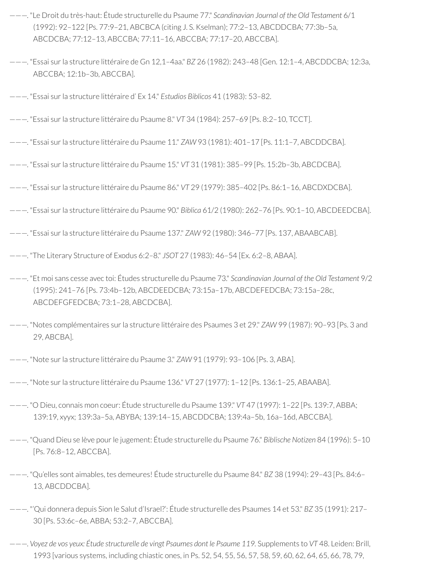- ———. "Le Droit du très-haut: Étude structurelle du Psaume 77." *Scandinavian Journal of the Old Testament* 6/1 (1992): 92–122 [Ps. 77:9–21, ABCBCA (citing J. S. Kselman); 77:2–13, ABCDDCBA; 77:3b–5a, ABCDCBA; 77:12–13, ABCCBA; 77:11–16, ABCCBA; 77:17–20, ABCCBA].
- ———. "Essai surla structure littéraire de Gn 12,1–4aa." *BZ* 26 (1982): 243–48 [Gen. 12:1–4, ABCDDCBA; 12:3a, ABCCBA; 12:1b–3b, ABCCBA].
- ———. "Essai surla structure littéraire d' Ex 14." *Estudios Biblicos* 41 (1983): 53–82.
- ———. "Essai surla structure littéraire du Psaume 8." *VT* 34 (1984): 257–69 [Ps. 8:2–10, TCCT].
- ———. "Essai surla structure littéraire du Psaume 11." *ZAW* 93 (1981): 401–17 [Ps. 11:1–7, ABCDDCBA].
- ———. "Essai surla structure littéraire du Psaume 15." *VT* 31 (1981): 385–99 [Ps. 15:2b–3b, ABCDCBA].
- ———. "Essai surla structure littéraire du Psaume 86." *VT* 29 (1979): 385–402 [Ps. 86:1–16, ABCDXDCBA].
- ———. "Essai surla structure littéraire du Psaume 90." *Biblica* 61/2 (1980): 262–76 [Ps. 90:1–10, ABCDEEDCBA].
- ———. "Essai surla structure littéraire du Psaume 137." *ZAW* 92 (1980): 346–77 [Ps. 137, ABAABCAB].
- ———. "The Literary Structure of Exodus 6:2–8." *JSOT* 27 (1983): 46–54 [Ex. 6:2–8, ABAA].
- ———. "Et moi sans cesse avec toi: Études structurelle du Psaume 73." *Scandinavian Journal of the Old Testament* 9/2 (1995): 241–76 [Ps. 73:4b–12b, ABCDEEDCBA; 73:15a–17b, ABCDEFEDCBA; 73:15a–28c, ABCDEFGFEDCBA; 73:1–28, ABCDCBA].
- ———. "Notes complémentaires surla structure littéraire des Psaumes 3 et 29." *ZAW* 99 (1987): 90–93 [Ps. 3 and 29, ABCBA].
- ———. "Note surla structure littéraire du Psaume 3." *ZAW* 91 (1979): 93–106 [Ps. 3, ABA].
- ———. "Note surla structure littéraire du Psaume 136." *VT* 27 (1977): 1–12 [Ps. 136:1–25, ABAABA].
- ———. "O Dieu, connais mon coeur: Étude structurelle du Psaume 139." *VT* 47 (1997): 1–22 [Ps. 139:7, ABBA; 139:19, xyyx; 139:3a–5a, ABYBA; 139:14–15, ABCDDCBA; 139:4a–5b, 16a–16d, ABCCBA].
- ———. "Quand Dieu se lève pourle jugement: Étude structurelle du Psaume 76." *Biblische Notizen* 84 (1996): 5–10 [Ps. 76:8–12, ABCCBA].
- ———. "Qu'elles sont aimables, tes demeures! Étude structurelle du Psaume 84." *BZ* 38 (1994): 29–43 [Ps. 84:6– 13, ABCDDCBA].
- ———. "'Qui donnera depuis Sion le Salut d'Israel?': Étude structurelle des Psaumes 14 et 53." *BZ* 35 (1991): 217– 30 [Ps. 53:6c–6e, ABBA; 53:2–7, ABCCBA].
- ———. *Voyez de vos yeux: Étude structurelle de vingt Psaumes dont le Psaume 119.* Supplements to *VT* 48. Leiden: Brill, 1993 [various systems, including chiastic ones, in Ps. 52, 54, 55, 56, 57, 58, 59, 60, 62, 64, 65, 66, 78, 79,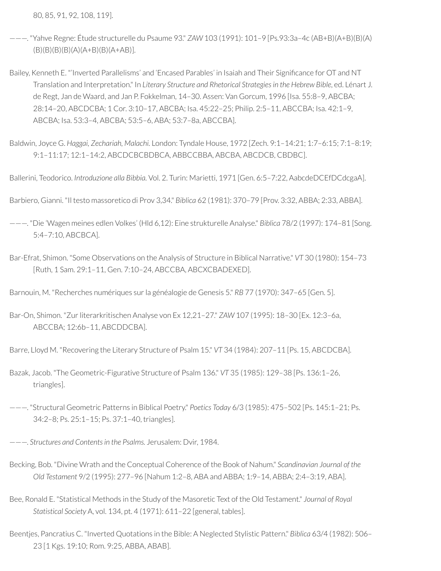80, 85, 91, 92, 108, 119].

- ———. "Yahve Regne: Étude structurelle du Psaume 93." *ZAW* 103 (1991): 101–9 [Ps.93:3a–4c (AB+B)(A+B)(B)(A) (B)(B)(B)(B)(A)(A+B)(B)(A+AB)].
- Bailey, Kenneth E. "'Inverted Parallelisms' and 'Encased Parables' in Isaiah and Their Significance for OT and NT Translation and Interpretation." In *Literary Structure and Rhetorical Strategies in the Hebrew Bible*, ed. Lénart J. de Regt, Jan de Waard, and Jan P. Fokkelman, 14–30. Assen: Van Gorcum, 1996 [Isa. 55:8–9, ABCBA; 28:14–20, ABCDCBA; 1 Cor. 3:10–17, ABCBA; Isa. 45:22–25; Philip. 2:5–11, ABCCBA; Isa. 42:1–9, ABCBA; Isa. 53:3–4, ABCBA; 53:5–6, ABA; 53:7–8a, ABCCBA].
- Baldwin, Joyce G. *Haggai, Zechariah, Malachi.* London: Tyndale House, 1972 [Zech. 9:1–14:21; 1:7–6:15; 7:1–8:19; 9:1–11:17; 12:1–14:2, ABCDCBCBDBCA, ABBCCBBA, ABCBA, ABCDCB, CBDBC].

Ballerini, Teodorico. *Introduzione alla Bibbia.* Vol. 2. Turin: Marietti, 1971 [Gen. 6:5–7:22, AabcdeDCEfDCdcgaA].

Barbiero, Gianni. "Il testo massoretico di Prov 3,34." *Biblica* 62 (1981): 370–79 [Prov. 3:32, ABBA; 2:33, ABBA].

———. "Die 'Wagen meines edlen Volkes' (Hld 6,12): Eine strukturelle Analyse." *Biblica* 78/2 (1997): 174–81 [Song. 5:4–7:10, ABCBCA].

Bar-Efrat, Shimon. "Some Observations on the Analysis of Structure in Biblical Narrative." *VT* 30 (1980): 154–73 [Ruth, 1 Sam. 29:1–11, Gen. 7:10–24, ABCCBA, ABCXCBADEXED].

Barnouin, M. "Recherches numériques surla généalogie de Genesis 5." *RB* 77 (1970): 347–65 [Gen. 5].

Bar-On, Shimon. "Zurliterarkritischen Analyse von Ex 12,21–27." *ZAW* 107 (1995): 18–30 [Ex. 12:3–6a, ABCCBA; 12:6b–11, ABCDDCBA].

Barre, Lloyd M. "Recovering the Literary Structure of Psalm 15." *VT* 34 (1984): 207–11 [Ps. 15, ABCDCBA].

- Bazak, Jacob. "The Geometric-Figurative Structure of Psalm 136." *VT* 35 (1985): 129–38 [Ps. 136:1–26, triangles].
- ———. "Structural Geometric Patterns in Biblical Poetry." *Poetics Today* 6/3 (1985): 475–502 [Ps. 145:1–21; Ps. 34:2–8; Ps. 25:1–15; Ps. 37:1–40, triangles].
- ———. *Structures and Contentsin the Psalms.* Jerusalem: Dvir, 1984.
- Becking, Bob. "Divine Wrath and the Conceptual Coherence of the Book of Nahum." *Scandinavian Journal of the Old Testament* 9/2 (1995): 277–96 [Nahum 1:2–8, ABA and ABBA; 1:9–14, ABBA; 2:4–3:19, ABA].
- Bee, Ronald E. "Statistical Methods in the Study of the Masoretic Text of the Old Testament." *Journal of Royal Statistical Society* A, vol. 134, pt. 4 (1971): 611–22 [general, tables].
- Beentjes, Pancratius C. "Inverted Quotations in the Bible: A Neglected Stylistic Pattern." *Biblica* 63/4 (1982): 506– 23 [1 Kgs. 19:10; Rom. 9:25, ABBA, ABAB].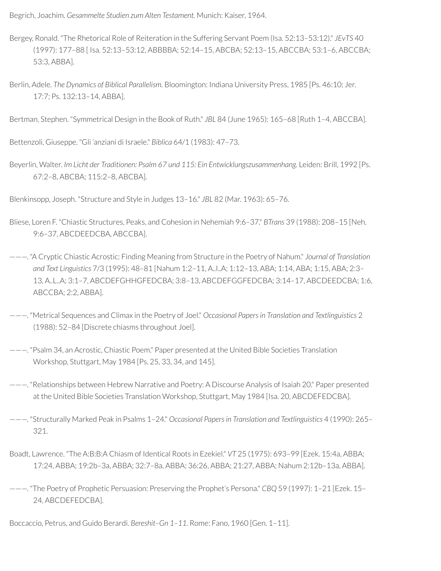Begrich, Joachim. *Gesammelte Studien zum Alten Testament.* Munich: Kaiser, 1964.

- Bergey, Ronald. "The Rhetorical Role of Reiteration in the Suffering Servant Poem (Isa. 52:13–53:12)." *JEvTS* 40 (1997): 177–88 [ Isa. 52:13–53:12, ABBBBA; 52:14–15, ABCBA; 52:13–15, ABCCBA; 53:1–6, ABCCBA; 53:3, ABBA].
- Berlin, Adele. *The Dynamics of Biblical Parallelism.* Bloomington: Indiana University Press, 1985 [Ps. 46:10; Jer. 17:7; Ps. 132:13–14, ABBA].

Bertman, Stephen. "Symmetrical Design in the Book of Ruth." *JBL* 84 (June 1965): 165–68 [Ruth 1–4, ABCCBA].

Bettenzoli, Giuseppe. "Gli 'anziani di Israele." *Biblica* 64/1 (1983): 47–73.

Beyerlin, Walter. *Im Licht der Traditionen: Psalm 67 und 115: Ein Entwicklungszusammenhang.* Leiden: Brill, 1992 [Ps. 67:2–8, ABCBA; 115:2–8, ABCBA].

Blenkinsopp, Joseph. "Structure and Style in Judges 13–16." *JBL* 82 (Mar. 1963): 65–76.

- Bliese, Loren F. "Chiastic Structures, Peaks, and Cohesion in Nehemiah 9:6–37." *BTrans* 39 (1988): 208–15 [Neh. 9:6–37, ABCDEEDCBA, ABCCBA].
- ———. "A Cryptic Chiastic Acrostic: Finding Meaning from Structure in the Poetry of Nahum." *Journal of Translation and Text Linguistics* 7/3 (1995): 48–81 [Nahum 1:2–11, A..I..A; 1:12–13, ABA; 1:14, ABA; 1:15, ABA; 2:3– 13, A..L..A; 3:1–7, ABCDEFGHHGFEDCBA; 3:8–13, ABCDEFGGFEDCBA; 3:14–17, ABCDEEDCBA; 1:6, ABCCBA; 2:2, ABBA].
- ———. "Metrical Sequences and Climax in the Poetry of Joel." *Occasional Papers in Translation and Textlinguistics* 2 (1988): 52–84 [Discrete chiasms throughout Joel].
- ———. "Psalm 34, an Acrostic, Chiastic Poem." Paper presented at the United Bible Societies Translation Workshop, Stuttgart, May 1984 [Ps. 25, 33, 34, and 145].
- ———. "Relationships between Hebrew Narrative and Poetry: A Discourse Analysis of Isaiah 20." Paper presented at the United Bible Societies Translation Workshop, Stuttgart, May 1984 [Isa. 20, ABCDEFEDCBA].
- ———. "Structurally Marked Peak in Psalms 1–24." *Occasional Papers in Translation and Textlinguistics* 4 (1990): 265– 321.
- Boadt, Lawrence. "The A:B:B:A Chiasm of Identical Roots in Ezekiel." *VT* 25 (1975): 693–99 [Ezek. 15:4a, ABBA; 17:24, ABBA; 19:2b–3a, ABBA; 32:7–8a, ABBA; 36:26, ABBA; 21:27, ABBA; Nahum 2:12b–13a, ABBA].
- ———. "The Poetry of Prophetic Persuasion: Preserving the Prophet's Persona." *CBQ* 59 (1997): 1–21 [Ezek. 15– 24, ABCDEFEDCBA].

Boccaccio, Petrus, and Guido Berardi. *Bereshit–Gn 1–11.* Rome: Fano, 1960 [Gen. 1–11].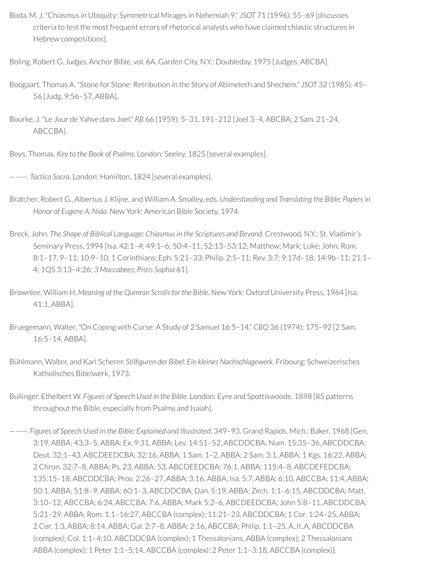Boda, M. J. "Chiasmus in Ubiquity: Symmetrical Mirages in Nehemiah 9." *JSOT* 71 (1996): 55–69 [discusses criteria to test the most frequent errors ofrhetorical analysts who have claimed chiastic structures in Hebrew compositions].

Boling, Robert G. *Judges.* Anchor Bible, vol. 6A. Garden City, N.Y.: Doubleday, 1975 [Judges, ABCBA].

- Boogaart, Thomas A. "Stone for Stone: Retribution in the Story of Abimelech and Shechem." *JSOT* 32 (1985): 45– 56 [Judg. 9:56–57, ABBA].
- Bourke, J. "Le Jour de Yahve dans Joel." *RB* 66 (1959): 5–31, 191–212 [Joel 3–4, ABCBA; 2 Sam. 21–24, ABCCBA].

Boys, Thomas. *Key to the Book of Psalms.* London: Seeley, 1825 [several examples].

———. *Tactica Sacra.* London: Hamilton, 1824 [several examples].

- Bratcher, Robert G., Albertus J. Klijne, and William A. Smalley, eds. *Understanding and Translating the Bible: Papers in Honor of Eugene A. Nida.* New York: American Bible Society, 1974.
- Breck, John. *The Shape of Biblical Language: Chiasmusin the Scriptures and Beyond.* Crestwood, N.Y.: St. Vladimir's Seminary Press, 1994 [Isa. 42:1–4; 49:1–6; 50:4–11; 52:13–53:12; Matthew; Mark; Luke; John; Rom. 8:1–17, 9–11; 10:9–10; 1 Corinthians; Eph. 5:21–33; Philip. 2:5–11; Rev. 3:7; 9:17d–18; 14:9b–11; 21:1– 4; 1QS 3:13–4:26; *3 Maccabees*; *Pistis Sophia* 61].
- Brownlee, William H. *Meaning of the Qumran Scrollsfor the Bible.* New York: Oxford University Press, 1964 [Isa. 41:1, ABBA].
- Bruegemann, Walter. "On Coping with Curse: A Study of 2 Samuel 16:5–14." *CBQ* 36 (1974): 175–92 [2 Sam. 16:5–14, ABBA].
- Bühlmann, Walter, and Karl Scherer. *Stilguren der Bibel: Ein kleines Nachschlagewerk.* Fribourg: Schweizerisches Katholisches Bibelwerk, 1973.
- Bullinger, Ethelbert W. *Figures of Speech Used in the Bible.* London: Eyre and Spottiswoode, 1898 [85 patterns throughout the Bible, especially from Psalms and Isaiah].
- ———. *Figures of Speech Used in the Bible: Explained and Illustrated*, 349–93. Grand Rapids, Mich.: Baker, 1968 [Gen. 3:19, ABBA; 43:3–5, ABBA; Ex. 9:31, ABBA; Lev. 14:51–52, ABCDDCBA; Num. 15:35–36, ABCDDCBA; Deut. 32:1–43, ABCDEEDCBA; 32:16, ABBA; 1 Sam. 1–2, ABBA; 2 Sam. 3:1, ABBA; 1 Kgs. 16:22, ABBA; 2 Chron. 32:7–8, ABBA; Ps. 23, ABBA; 53, ABCDEEDCBA; 76:1, ABBA; 115:4–8, ABCDEFEDCBA; 135:15–18, ABCDDCBA; Prov. 2:26–27, ABBA; 3:16, ABBA; Isa. 5:7, ABBA; 6:10, ABCCBA; 11:4, ABBA; 50:1, ABBA; 51:8–9, ABBA; 60:1–3, ABCDDCBA; Dan. 5:19, ABBA; Zech. 1:1–6:15, ABCDDCBA; Matt. 3:10–12, ABCCBA; 6:24, ABCCBA; 7:6, ABBA; Mark 5:2–6, ABCDEEDCBA; John 5:8–11, ABCDDCBA; 5:21–29, ABBA; Rom. 1:1–16:27, ABCCBA (complex); 11:21–23, ABCDDCBA; 1 Cor. 1:24–25, ABBA; 2 Cor. 1:3, ABBA; 8:14, ABBA; Gal. 2:7–8, ABBA; 2:16, ABCCBA; Philip. 1:1–25, A..II..A, ABCDDCBA (complex); Col. 1:1–4:10, ABCDDCBA (complex); 1 Thessalonians. ABBA (complex); 2 Thessalonians ABBA (complex); 1 Peter 1:1–5:14, ABCCBA (complex); 2 Peter 1:1–3:18, ABCCBA (complex)].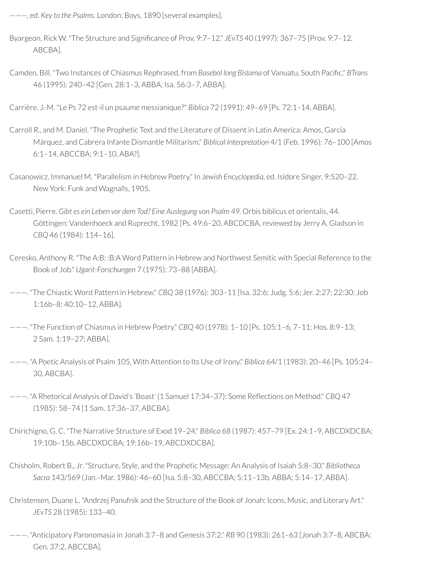———, ed. *Key to the Psalms.* London: Boys, 1890 [several examples].

- Byargeon, Rick W. "The Structure and Significance of Prov. 9:7-12." *JEvTS* 40 (1997): 367-75 [Prov. 9:7-12, ABCBA].
- Camden, Bill. "Two Instances of Chiasmus Rephrased, from *Basebol long Bislama* of Vanuatu, South Pacic." *BTrans* 46 (1995): 240–42 [Gen. 28:1–3, ABBA; Isa. 56:3–7, ABBA].

Carrière, J.-M. "Le Ps 72 est-il un psaume messianique?" *Biblica* 72 (1991): 49–69 [Ps. 72:1–14, ABBA].

- Carroll R., and M. Daniel. "The Prophetic Text and the Literature of Dissent in Latin America: Amos, García Márquez, and Cabrera Infante Dismantle Militarism." *Biblical Interpretation* 4/1 (Feb. 1996): 76–100 [Amos 6:1–14, ABCCBA; 9:1–10, ABA?].
- Casanowicz, Immanuel M. "Parallelism in Hebrew Poetry." In *Jewish Encyclopedia,* ed. Isidore Singer, 9:520–22. New York: Funk and Wagnalls, 1905.
- Casetti, Pierre. *Gibt es ein Leben vor dem Tod? Eine Auslegung von Psalm 49.* Orbis biblicus et orientalis, 44. Göttingen: Vandenhoeck and Ruprecht, 1982 [Ps. 49:6-20, ABCDCBA, reviewed by Jerry A. Gladson in *CBQ* 46 (1984): 114–16].
- Ceresko, Anthony R. "The A:B: :B:A Word Pattern in Hebrew and Northwest Semitic with Special Reference to the Book of Job." *Ugarit-Forschungen* 7 (1975): 73–88 [ABBA].
- ———. "The Chiastic Word Pattern in Hebrew." *CBQ* 38 (1976): 303–11 [Isa. 32:6; Judg. 5:6; Jer. 2:27; 22:30; Job 1:16b–8; 40:10–12, ABBA].
- ———. "The Function of Chiasmus in Hebrew Poetry." *CBQ* 40 (1978): 1–10 [Ps. 105:1–6, 7–11; Hos. 8:9–13; 2 Sam. 1:19–27; ABBA].
- ———. "A Poetic Analysis of Psalm 105, With Attention to Its Use of Irony." *Biblica* 64/1 (1983): 20–46 [Ps. 105:24– 30, ABCBA].
- ———. "A Rhetorical Analysis of David's 'Boast' (1 Samuel 17:34–37): Some Reections on Method." *CBQ* 47 (1985): 58–74 [1 Sam. 17:36–37, ABCBA].
- Chirichigno, G. C. "The Narrative Structure of Exod 19–24." *Biblica* 68 (1987): 457–79 [Ex. 24:1–9, ABCDXDCBA; 19:10b–15b, ABCDXDCBA; 19:16b–19, ABCDXDCBA].
- Chisholm, Robert B., Jr. "Structure, Style, and the Prophetic Message: An Analysis of Isaiah 5:8–30." *Bibliotheca Sacra* 143/569 (Jan.–Mar. 1986): 46–60 [Isa. 5:8–30, ABCCBA; 5:11–13b, ABBA; 5:14–17, ABBA].
- Christensen, Duane L. "Andrzej Panufnik and the Structure of the Book of Jonah: Icons, Music, and Literary Art." *JEvTS* 28 (1985): 133–40.
- ———. "Anticipatory Paronomasia in Jonah 3:7–8 and Genesis 37:2." *RB* 90 (1983): 261–63 [Jonah 3:7–8, ABCBA; Gen. 37:2, ABCCBA].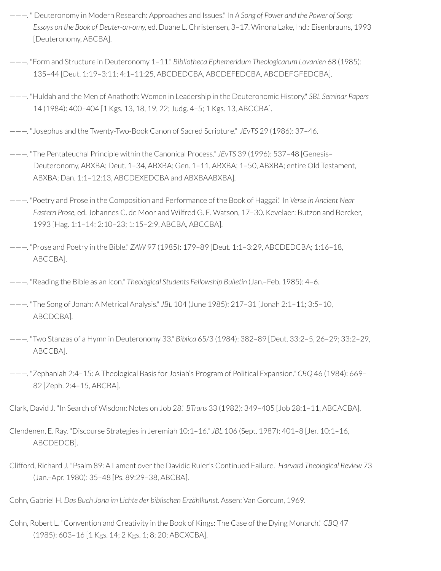- ———. " Deuteronomy in Modern Research: Approaches and Issues." In *A Song of Power and the Power of Song: Essays on the Book of Deuter-on-omy,* ed. Duane L. Christensen, 3–17. Winona Lake, Ind.: Eisenbrauns, 1993 [Deuteronomy, ABCBA].
- ———. "Form and Structure in Deuteronomy 1–11." *Bibliotheca Ephemeridum Theologicarum Lovanien* 68 (1985): 135–44 [Deut. 1:19–3:11; 4:1–11:25, ABCDEDCBA, ABCDEFEDCBA, ABCDEFGFEDCBA].
- ———. "Huldah and the Men of Anathoth: Women in Leadership in the Deuteronomic History." *SBL Seminar Papers* 14 (1984): 400–404 [1 Kgs. 13, 18, 19, 22; Judg. 4–5; 1 Kgs. 13, ABCCBA].
- ———. "Josephus and the Twenty-Two-Book Canon of Sacred Scripture." *JEvTS* 29 (1986): 37–46.
- ———. "The Pentateuchal Principle within the Canonical Process." *JEvTS* 39 (1996): 537–48 [Genesis– Deuteronomy, ABXBA; Deut. 1–34, ABXBA; Gen. 1–11, ABXBA; 1–50, ABXBA; entire Old Testament, ABXBA; Dan. 1:1–12:13, ABCDEXEDCBA and ABXBAABXBA].
- ———. "Poetry and Prose in the Composition and Performance of the Book of Haggai." In *Verse in Ancient Near Eastern Prose,* ed. Johannes C. de Moor and Wilfred G. E. Watson, 17–30. Kevelaer: Butzon and Bercker, 1993 [Hag. 1:1–14; 2:10–23; 1:15–2:9, ABCBA, ABCCBA].
- ———. "Prose and Poetry in the Bible." *ZAW* 97 (1985): 179–89 [Deut. 1:1–3:29, ABCDEDCBA; 1:16–18, ABCCBA].
- ———. "Reading the Bible as an Icon." *Theological Students Fellowship Bulletin* (Jan.–Feb. 1985): 4–6.
- ———. "The Song of Jonah: A Metrical Analysis." *JBL* 104 (June 1985): 217–31 [Jonah 2:1–11; 3:5–10, ABCDCBA].
- ———. "Two Stanzas of a Hymn in Deuteronomy 33." *Biblica* 65/3 (1984): 382–89 [Deut. 33:2–5, 26–29; 33:2–29, ABCCBA].
- ———. "Zephaniah 2:4–15: A Theological Basis for Josiah's Program of Political Expansion." *CBQ* 46 (1984): 669– 82 [Zeph. 2:4–15, ABCBA].
- Clark, David J. "In Search of Wisdom: Notes on Job 28." *BTrans* 33 (1982): 349–405 [Job 28:1–11, ABCACBA].
- Clendenen, E. Ray. "Discourse Strategies in Jeremiah 10:1–16." *JBL* 106 (Sept. 1987): 401–8 [Jer. 10:1–16, ABCDEDCB].
- Clifford, Richard J. "Psalm 89: A Lament overthe Davidic Ruler's Continued Failure." *Harvard Theological Review* 73 (Jan.–Apr. 1980): 35–48 [Ps. 89:29–38, ABCBA].
- Cohn, Gabriel H. *Das Buch Jona im Lichte der biblischen Erzählkunst.* Assen: Van Gorcum, 1969.
- Cohn, Robert L. "Convention and Creativity in the Book of Kings: The Case of the Dying Monarch." *CBQ* 47 (1985): 603–16 [1 Kgs. 14; 2 Kgs. 1; 8; 20; ABCXCBA].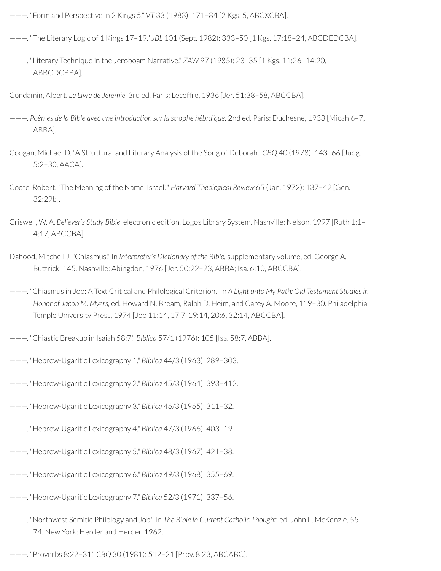- ———. "Form and Perspective in 2 Kings 5." *VT* 33 (1983): 171–84 [2 Kgs. 5, ABCXCBA].
- ———. "The Literary Logic of 1 Kings 17–19." *JBL* 101 (Sept. 1982): 333–50 [1 Kgs. 17:18–24, ABCDEDCBA].
- ———. "Literary Technique in the Jeroboam Narrative." *ZAW* 97 (1985): 23–35 [1 Kgs. 11:26–14:20, ABBCDCBBA].

Condamin, Albert. *Le Livre de Jeremie.* 3rd ed. Paris: Lecoffre, 1936 [Jer. 51:38–58, ABCCBA].

- ———. *Poèmes de la Bible avec une introduction sur la strophe hébraïque.* 2nd ed. Paris: Duchesne, 1933 [Micah 6–7, ABBA].
- Coogan, Michael D. "A Structural and Literary Analysis of the Song of Deborah." *CBQ* 40 (1978): 143–66 [Judg. 5:2–30, AACA].
- Coote, Robert. "The Meaning of the Name 'Israel.'" *Harvard Theological Review* 65 (Jan. 1972): 137–42 [Gen. 32:29b].
- Criswell, W. A. *Believer's Study Bible*, electronic edition, Logos Library System. Nashville: Nelson, 1997 [Ruth 1:1– 4:17, ABCCBA].
- Dahood, Mitchell J. "Chiasmus." In *Interpreter's Dictionary of the Bible,* supplementary volume, ed. George A. Buttrick, 145. Nashville: Abingdon, 1976 [Jer. 50:22–23, ABBA; Isa. 6:10, ABCCBA].
- ———. "Chiasmus in Job: A Text Critical and Philological Criterion." In *A Light unto My Path: Old Testament Studiesin Honor of Jacob M. Myers,* ed. Howard N. Bream, Ralph D. Heim, and Carey A. Moore, 119–30. Philadelphia: Temple University Press, 1974 [Job 11:14, 17:7, 19:14, 20:6, 32:14, ABCCBA].
- ———. "Chiastic Breakup in Isaiah 58:7." *Biblica* 57/1 (1976): 105 [Isa. 58:7, ABBA].
- ———. "Hebrew-Ugaritic Lexicography 1." *Biblica* 44/3 (1963): 289–303.
- ———. "Hebrew-Ugaritic Lexicography 2." *Biblica* 45/3 (1964): 393–412.
- ———. "Hebrew-Ugaritic Lexicography 3." *Biblica* 46/3 (1965): 311–32.
- ———. "Hebrew-Ugaritic Lexicography 4." *Biblica* 47/3 (1966): 403–19.
- ———. "Hebrew-Ugaritic Lexicography 5." *Biblica* 48/3 (1967): 421–38.
- ———. "Hebrew-Ugaritic Lexicography 6." *Biblica* 49/3 (1968): 355–69.
- ———. "Hebrew-Ugaritic Lexicography 7." *Biblica* 52/3 (1971): 337–56.
- ———. "Northwest Semitic Philology and Job." In *The Bible in Current Catholic Thought,* ed. John L. McKenzie, 55– 74. New York: Herder and Herder, 1962.
- ———. "Proverbs 8:22–31." *CBQ* 30 (1981): 512–21 [Prov. 8:23, ABCABC].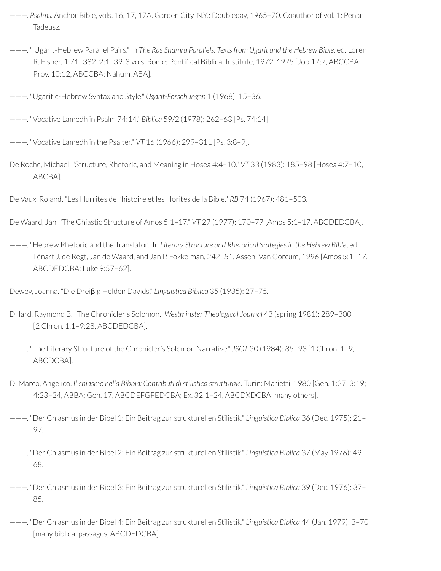- ———. *Psalms.* Anchor Bible, vols. 16, 17, 17A. Garden City, N.Y.: Doubleday, 1965–70. Coauthor of vol. 1: Penar Tadeusz.
- ———. " Ugarit-Hebrew Parallel Pairs." In *The Ras Shamra Parallels: Textsfrom Ugarit and the Hebrew Bible,* ed. Loren R. Fisher, 1:71-382, 2:1-39. 3 vols. Rome: Pontifical Biblical Institute, 1972, 1975 [Job 17:7, ABCCBA; Prov. 10:12, ABCCBA; Nahum, ABA].
- ———. "Ugaritic-Hebrew Syntax and Style." *Ugarit-Forschungen* 1 (1968): 15–36.
- ———. "Vocative Lamedh in Psalm 74:14." *Biblica* 59/2 (1978): 262–63 [Ps. 74:14].
- ———. "Vocative Lamedh in the Psalter." *VT* 16 (1966): 299–311 [Ps. 3:8–9].
- De Roche, Michael. "Structure, Rhetoric, and Meaning in Hosea 4:4–10." *VT* 33 (1983): 185–98 [Hosea 4:7–10, ABCBA].
- De Vaux, Roland. "Les Hurrites de l'histoire et les Horites de la Bible." *RB* 74 (1967): 481–503.
- De Waard, Jan. "The Chiastic Structure of Amos 5:1–17." *VT* 27 (1977): 170–77 [Amos 5:1–17, ABCDEDCBA].
- ———. "Hebrew Rhetoric and the Translator." In *Literary Structure and Rhetorical Srategies in the Hebrew Bible*, ed. Lénart J. de Regt, Jan de Waard, and Jan P. Fokkelman, 242–51. Assen: Van Gorcum, 1996 [Amos 5:1–17, ABCDEDCBA; Luke 9:57–62].
- Dewey, Joanna. "Die Dreiβig Helden Davids." *Linguistica Biblica* 35 (1935): 27–75.
- Dillard, Raymond B. "The Chronicler's Solomon." *Westminster Theological Journal* 43 (spring 1981): 289–300 [2 Chron. 1:1–9:28, ABCDEDCBA].
- ———. "The Literary Structure of the Chronicler's Solomon Narrative." *JSOT* 30 (1984): 85–93 [1 Chron. 1–9, ABCDCBA].
- Di Marco, Angelico. *Il chiasmo nella Bibbia: Contributi di stilistica strutturale.* Turin: Marietti, 1980 [Gen. 1:27; 3:19; 4:23–24, ABBA; Gen. 17, ABCDEFGFEDCBA; Ex. 32:1–24, ABCDXDCBA; many others].
- ———. "Der Chiasmus in der Bibel 1: Ein Beitrag zur strukturellen Stilistik." *Linguistica Biblica* 36 (Dec. 1975): 21– 97.
- ———. "Der Chiasmus in der Bibel 2: Ein Beitrag zur strukturellen Stilistik." *Linguistica Biblica* 37 (May 1976): 49– 68.
- ———. "Der Chiasmus in der Bibel 3: Ein Beitrag zur strukturellen Stilistik." *Linguistica Biblica* 39 (Dec. 1976): 37– 85.
- ———. "Der Chiasmus in der Bibel 4: Ein Beitrag zur strukturellen Stilistik." *Linguistica Biblica* 44 (Jan. 1979): 3–70 [many biblical passages, ABCDEDCBA].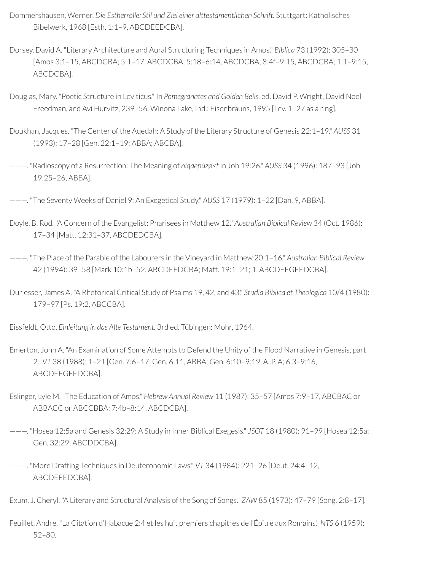- Dommershausen, Werner. *Die Estherrolle: Stil und Ziel einer alttestamentlichen Schrift.* Stuttgart: Katholisches Bibelwerk, 1968 [Esth. 1:1–9, ABCDEEDCBA].
- Dorsey, David A. "Literary Architecture and Aural Structuring Techniques in Amos." *Biblica* 73 (1992): 305–30 [Amos 3:1–15, ABCDCBA; 5:1–17, ABCDCBA; 5:18–6:14, ABCDCBA; 8:4f–9:15, ABCDCBA; 1:1–9:15, ABCDCBA].
- Douglas, Mary. "Poetic Structure in Leviticus." In *Pomegranates and Golden Bells,* ed. David P. Wright, David Noel Freedman, and Avi Hurvitz, 239–56. Winona Lake, Ind.: Eisenbrauns, 1995 [Lev. 1–27 as a ring].
- Doukhan, Jacques. "The Center of the Aqedah: A Study of the Literary Structure of Genesis 22:1–19." *AUSS* 31 (1993): 17–28 [Gen. 22:1–19; ABBA; ABCBA].
- ———. "Radioscopy of a Resurrection: The Meaning of *niqqepûzø<t* in Job 19:26." *AUSS* 34 (1996): 187–93 [Job 19:25–26, ABBA].
- ———. "The Seventy Weeks of Daniel 9: An Exegetical Study." *AUSS* 17 (1979): 1–22 [Dan. 9, ABBA].
- Doyle, B. Rod. "A Concern of the Evangelist: Pharisees in Matthew 12." *Australian Biblical Review* 34 (Oct. 1986): 17–34 [Matt. 12:31–37, ABCDEDCBA].
- ———. "The Place of the Parable of the Labourers in the Vineyard in Matthew 20:1–16." *Australian Biblical Review* 42 (1994): 39–58 [Mark 10:1b–52, ABCDEEDCBA; Matt. 19:1–21; 1, ABCDEFGFEDCBA].
- Durlesser, James A. "A Rhetorical Critical Study of Psalms 19, 42, and 43." *Studia Biblica et Theologica* 10/4 (1980): 179–97 [Ps. 19:2, ABCCBA].
- Eissfeldt, Otto. *Einleitung in das Alte Testament.* 3rd ed. Tübingen: Mohr, 1964.
- Emerton, John A. "An Examination of Some Attempts to Defend the Unity of the Flood Narrative in Genesis, part 2." *VT* 38 (1988): 1–21 [Gen. 7:6–17; Gen. 6:11, ABBA; Gen. 6:10–9:19, A..P..A; 6:3–9:16, ABCDEFGFEDCBA].
- Eslinger, Lyle M. "The Education of Amos." *Hebrew Annual Review* 11 (1987): 35–57 [Amos 7:9–17, ABCBAC or ABBACC or ABCCBBA; 7:4b–8:14, ABCDCBA].
- ———. "Hosea 12:5a and Genesis 32:29: A Study in Inner Biblical Exegesis." *JSOT* 18 (1980): 91–99 [Hosea 12:5a; Gen. 32:29; ABCDDCBA].
- ———. "More Drafting Techniques in Deuteronomic Laws." *VT* 34 (1984): 221–26 [Deut. 24:4–12, ABCDEFEDCBA].
- Exum, J. Cheryl. "A Literary and Structural Analysis of the Song of Songs." *ZAW* 85 (1973): 47–79 [Song. 2:8–17].
- Feuillet, Andre. "La Citation d'Habacue 2:4 et les huit premiers chapitres de l'Épître aux Romains." *NTS* 6 (1959): 52–80.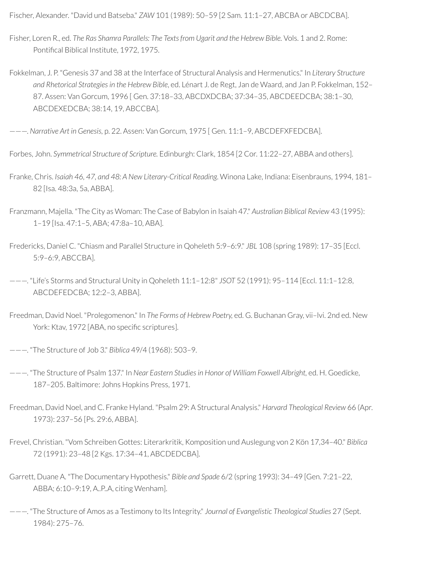Fischer, Alexander. "David und Batseba." *ZAW* 101 (1989): 50–59 [2 Sam. 11:1–27, ABCBA or ABCDCBA].

- Fisher, Loren R., ed. *The Ras Shamra Parallels: The Texts from Ugarit and the Hebrew Bible.* Vols. 1 and 2. Rome: Pontifical Biblical Institute, 1972, 1975.
- Fokkelman, J. P. "Genesis 37 and 38 at the Interface of Structural Analysis and Hermenutics." In *Literary Structure and Rhetorical Strategiesin the Hebrew Bible*, ed. Lénart J. de Regt, Jan de Waard, and Jan P. Fokkelman, 152– 87. Assen: Van Gorcum, 1996 [ Gen. 37:18–33, ABCDXDCBA; 37:34–35, ABCDEEDCBA; 38:1–30, ABCDEXEDCBA; 38:14, 19, ABCCBA].

———. *Narrative Art in Genesis,* p. 22. Assen: Van Gorcum, 1975 [ Gen. 11:1–9, ABCDEFXFEDCBA].

Forbes, John. *Symmetrical Structure of Scripture.* Edinburgh: Clark, 1854 [2 Cor. 11:22–27, ABBA and others].

Franke, Chris. *Isaiah 46, 47, and 48: A New Literary-Critical Reading*. Winona Lake, Indiana: Eisenbrauns, 1994, 181– 82 [Isa. 48:3a, 5a, ABBA].

Franzmann, Majella. "The City as Woman: The Case of Babylon in Isaiah 47." *Australian Biblical Review* 43 (1995): 1–19 [Isa. 47:1–5, ABA; 47:8a–10, ABA].

Fredericks, Daniel C. "Chiasm and Parallel Structure in Qoheleth 5:9–6:9." *JBL* 108 (spring 1989): 17–35 [Eccl. 5:9–6:9, ABCCBA].

———. "Life's Storms and Structural Unity in Qoheleth 11:1–12:8" *JSOT* 52 (1991): 95–114 [Eccl. 11:1–12:8, ABCDEFEDCBA; 12:2–3, ABBA].

Freedman, David Noel. "Prolegomenon." In *The Forms of Hebrew Poetry,* ed. G. Buchanan Gray, vii–lvi. 2nd ed. New York: Ktav, 1972 [ABA, no specific scriptures].

———. "The Structure of Job 3." *Biblica* 49/4 (1968): 503–9.

- ———. "The Structure of Psalm 137." In *Near Eastern Studiesin Honor of William Foxwell Albright,* ed. H. Goedicke, 187–205. Baltimore: Johns Hopkins Press, 1971.
- Freedman, David Noel, and C. Franke Hyland. "Psalm 29: A Structural Analysis." *Harvard Theological Review* 66 (Apr. 1973): 237–56 [Ps. 29:6, ABBA].
- Frevel, Christian. "Vom Schreiben Gottes: Literarkritik, Komposition und Auslegung von 2 Kön 17,34–40." *Biblica* 72 (1991): 23–48 [2 Kgs. 17:34–41, ABCDEDCBA].
- Garrett, Duane A. "The Documentary Hypothesis." *Bible and Spade* 6/2 (spring 1993): 34–49 [Gen. 7:21–22, ABBA; 6:10–9:19, A..P..A, citing Wenham].
- ———. "The Structure of Amos as a Testimony to Its Integrity." *Journal of Evangelistic Theological Studies* 27 (Sept. 1984): 275–76.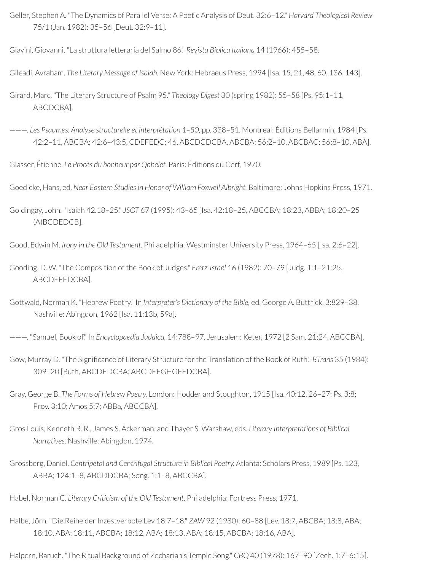Geller, Stephen A. "The Dynamics of Parallel Verse: A Poetic Analysis of Deut. 32:6–12." *Harvard Theological Review* 75/1 (Jan. 1982): 35–56 [Deut. 32:9–11].

Giavini, Giovanni. "La struttura letteraria del Salmo 86." *Revista Biblica Italiana* 14 (1966): 455–58.

Gileadi, Avraham. *The Literary Message of Isaiah.* New York: Hebraeus Press, 1994 [Isa. 15, 21, 48, 60, 136, 143].

Girard, Marc. "The Literary Structure of Psalm 95." *Theology Digest* 30 (spring 1982): 55–58 [Ps. 95:1–11, ABCDCBA].

———. *Les Psaumes: Analyse structurelle et interprétation 1–50,* pp. 338–51. Montreal: Éditions Bellarmin, 1984 [Ps. 42:2–11, ABCBA; 42:6–43:5, CDEFEDC; 46, ABCDCDCBA, ABCBA; 56:2–10, ABCBAC; 56:8–10, ABA].

Glasser, Étienne. *Le Procès du bonheur par Qohelet.* Paris: Éditions du Cerf, 1970.

Goedicke, Hans, ed. *Near Eastern Studiesin Honor of William Foxwell Albright.* Baltimore: Johns Hopkins Press, 1971.

Goldingay, John. "Isaiah 42.18–25." *JSOT* 67 (1995): 43–65 [Isa. 42:18–25, ABCCBA; 18:23, ABBA; 18:20–25 (A)BCDEDCB].

Good, Edwin M. *Irony in the Old Testament.* Philadelphia: Westminster University Press, 1964–65 [Isa. 2:6–22].

Gooding, D. W. "The Composition of the Book of Judges." *Eretz-Israel* 16 (1982): 70–79 [Judg. 1:1–21:25, ABCDEFEDCBA].

Gottwald, Norman K. "Hebrew Poetry." In *Interpreter's Dictionary of the Bible,* ed. George A. Buttrick, 3:829–38. Nashville: Abingdon, 1962 [Isa. 11:13b, 59a].

———. "Samuel, Book of." In *Encyclopaedia Judaica,* 14:788–97. Jerusalem: Keter, 1972 [2 Sam. 21:24, ABCCBA].

Gow, Murray D. "The Significance of Literary Structure for the Translation of the Book of Ruth." *BTrans* 35 (1984): 309–20 [Ruth, ABCDEDCBA; ABCDEFGHGFEDCBA].

Gray, George B. *The Forms of Hebrew Poetry.* London: Hodder and Stoughton, 1915 [Isa. 40:12, 26–27; Ps. 3:8; Prov. 3:10; Amos 5:7; ABBa, ABCCBA].

- Gros Louis, Kenneth R. R., James S. Ackerman, and Thayer S. Warshaw, eds. *Literary Interpretations of Biblical Narratives.* Nashville: Abingdon, 1974.
- Grossberg, Daniel. *Centripetal and Centrifugal Structure in Biblical Poetry.* Atlanta: Scholars Press, 1989 [Ps. 123, ABBA; 124:1–8, ABCDDCBA; Song. 1:1–8, ABCCBA].

Habel, Norman C. *Literary Criticism of the Old Testament.* Philadelphia: Fortress Press, 1971.

Halbe, Jörn. "Die Reihe der Inzestverbote Lev 18:7-18." *ZAW* 92 (1980): 60-88 [Lev. 18:7, ABCBA; 18:8, ABA; 18:10, ABA; 18:11, ABCBA; 18:12, ABA; 18:13, ABA; 18:15, ABCBA; 18:16, ABA].

Halpern, Baruch. "The Ritual Background of Zechariah's Temple Song." *CBQ* 40 (1978): 167–90 [Zech. 1:7–6:15].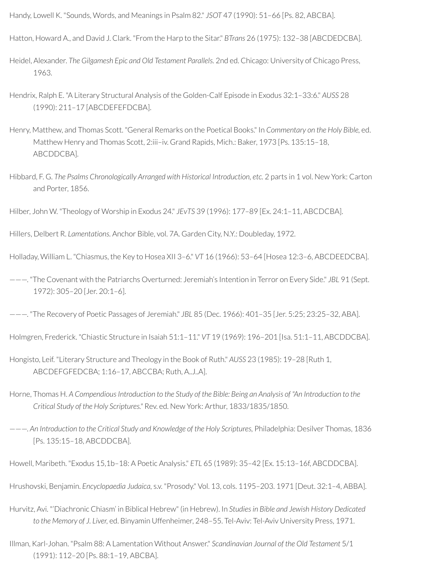Handy, Lowell K. "Sounds, Words, and Meanings in Psalm 82." *JSOT* 47 (1990): 51–66 [Ps. 82, ABCBA].

Hatton, Howard A., and David J. Clark. "From the Harp to the Sitar." *BTrans* 26 (1975): 132–38 [ABCDEDCBA].

Heidel, Alexander. *The Gilgamesh Epic and Old Testament Parallels.* 2nd ed. Chicago: University of Chicago Press, 1963.

- Hendrix, Ralph E. "A Literary Structural Analysis of the Golden-Calf Episode in Exodus 32:1–33:6." *AUSS* 28 (1990): 211–17 [ABCDEFEFDCBA].
- Henry, Matthew, and Thomas Scott. "General Remarks on the Poetical Books." In *Commentary on the Holy Bible,* ed. Matthew Henry and Thomas Scott, 2:iii–iv. Grand Rapids, Mich.: Baker, 1973 [Ps. 135:15–18, ABCDDCBA].
- Hibbard, F. G. *The Psalms Chronologically Arranged with Historical Introduction, etc.* 2 parts in 1 vol. New York: Carton and Porter, 1856.

Hilber, John W. "Theology of Worship in Exodus 24." *JEvTS* 39 (1996): 177–89 [Ex. 24:1–11, ABCDCBA].

Hillers, Delbert R. *Lamentations.* Anchor Bible, vol. 7A. Garden City, N.Y.: Doubleday, 1972.

Holladay, William L. "Chiasmus, the Key to Hosea XII 3–6." *VT* 16 (1966): 53–64 [Hosea 12:3–6, ABCDEEDCBA].

———. "The Covenant with the Patriarchs Overturned: Jeremiah's Intention in Terror on Every Side." *JBL* 91 (Sept. 1972): 305–20 [Jer. 20:1–6].

———. "The Recovery of Poetic Passages of Jeremiah." *JBL* 85 (Dec. 1966): 401–35 [Jer. 5:25; 23:25–32, ABA].

Holmgren, Frederick. "Chiastic Structure in Isaiah 51:1–11." *VT* 19 (1969): 196–201 [Isa. 51:1–11, ABCDDCBA].

- Hongisto, Leif. "Literary Structure and Theology in the Book of Ruth." *AUSS* 23 (1985): 19–28 [Ruth 1, ABCDEFGFEDCBA; 1:16–17, ABCCBA; Ruth, A..J..A].
- Horne, Thomas H. A Compendious Introduction to the Study of the Bible: Being an Analysis of "An Introduction to the *Critical Study of the Holy Scriptures."* Rev. ed. New York: Arthur, 1833/1835/1850.
- ———. *An Introduction to the Critical Study and Knowledge of the Holy Scriptures,* Philadelphia: Desilver Thomas, 1836 [Ps. 135:15–18, ABCDDCBA].

Howell, Maribeth. "Exodus 15,1b–18: A Poetic Analysis." *ETL* 65 (1989): 35–42 [Ex. 15:13–16f, ABCDDCBA].

Hrushovski, Benjamin. *Encyclopaedia Judaica,* s.v. "Prosody." Vol. 13, cols. 1195–203. 1971 [Deut. 32:1–4, ABBA].

Hurvitz, Avi. "'Diachronic Chiasm' in Biblical Hebrew" (in Hebrew). In *Studiesin Bible and Jewish History Dedicated to the Memory of J. Liver,* ed. Binyamin Uffenheimer, 248–55. Tel-Aviv: Tel-Aviv University Press, 1971.

Illman, Karl-Johan. "Psalm 88: A Lamentation Without Answer." *Scandinavian Journal of the Old Testament* 5/1 (1991): 112–20 [Ps. 88:1–19, ABCBA].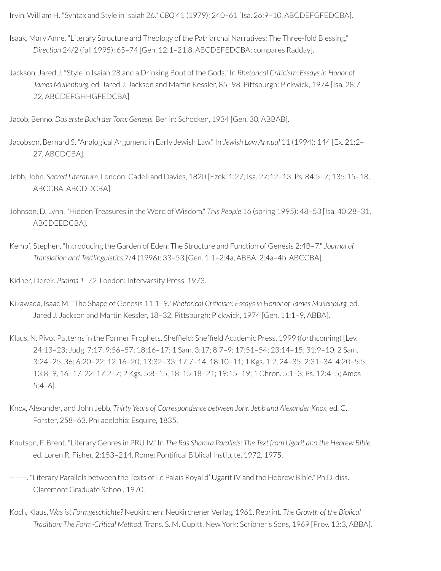Irvin, William H. "Syntax and Style in Isaiah 26." *CBQ* 41 (1979): 240–61 [Isa. 26:9–10, ABCDEFGFEDCBA].

- Isaak, Mary Anne. "Literary Structure and Theology of the Patriarchal Narratives: The Three-fold Blessing." *Direction* 24/2 (fall 1995): 65–74 [Gen. 12:1–21:8, ABCDEFEDCBA; compares Radday].
- Jackson, Jared J. "Style in Isaiah 28 and a Drinking Bout of the Gods." In *Rhetorical Criticism: Essaysin Honor of James Muilenburg,* ed. Jared J. Jackson and Martin Kessler, 85–98. Pittsburgh: Pickwick, 1974 [Isa. 28:7– 22, ABCDEFGHHGFEDCBA].

Jacob, Benno. *Das erste Buch der Tora: Genesis.* Berlin: Schocken, 1934 [Gen. 30, ABBAB].

Jacobson, Bernard S. "Analogical Argument in Early Jewish Law." In *Jewish Law Annual* 11 (1994): 144 [Ex. 21:2– 27, ABCDCBA].

Jebb, John. *Sacred Literature.* London: Cadell and Davies, 1820 [Ezek. 1:27; Isa. 27:12–13; Ps. 84:5–7; 135:15–18, ABCCBA, ABCDDCBA].

- Johnson, D. Lynn. "Hidden Treasures in the Word of Wisdom." *This People* 16 (spring 1995): 48–53 [Isa. 40:28–31, ABCDEEDCBA].
- Kempf, Stephen. "Introducing the Garden of Eden: The Structure and Function of Genesis 2:4B–7." *Journal of Translation and Textlinguistics* 7/4 (1996): 33–53 [Gen. 1:1–2:4a, ABBA; 2:4a–4b, ABCCBA].

Kidner, Derek. *Psalms 1–72.* London: Intervarsity Press, 1973.

- Kikawada, Isaac M. "The Shape of Genesis 11:1–9." *Rhetorical Criticism: Essaysin Honor of James Muilenburg,* ed. Jared J. Jackson and Martin Kessler, 18–32. Pittsburgh: Pickwick, 1974 [Gen. 11:1–9, ABBA].
- Klaus, N. Pivot Patterns in the Former Prophets. Sheffield: Sheffield Academic Press, 1999 (forthcoming) [Lev. 24:13–23; Judg. 7:17; 9:56–57; 18:16–17; 1 Sam. 3:17; 8:7–9; 17:51–54; 23:14–15; 31:9–10; 2 Sam. 3:24–25, 36; 6:20–22; 12:16–20; 13:32–33; 17:7–14; 18:10–11; 1 Kgs. 1:2, 24–35; 2:31–34; 4:20–5:5; 13:8–9, 16–17, 22; 17:2–7; 2 Kgs. 5:8–15, 18; 15:18–21; 19:15–19; 1 Chron. 5:1–3; Ps. 12:4–5; Amos 5:4–6].
- Knox, Alexander, and John Jebb. *Thirty Years of Correspondence between John Jebb and Alexander Knox,* ed. C. Forster, 258–63. Philadelphia: Esquire, 1835.
- Knutson, F. Brent. "Literary Genres in PRU IV." In *The Ras Shamra Parallels: The Text from Ugarit and the Hebrew Bible,* ed. Loren R. Fisher, 2:153-214. Rome: Pontifical Biblical Institute, 1972, 1975.
- ———. "Literary Parallels between the Texts of Le Palais Royal d' Ugarit IV and the Hebrew Bible." Ph.D. diss., Claremont Graduate School, 1970.
- Koch, Klaus. *Wasist Formgeschichte?* Neukirchen: Neukirchener Verlag, 1961. Reprint. *The Growth of the Biblical Tradition: The Form-Critical Method.* Trans. S. M. Cupitt. New York: Scribner's Sons, 1969 [Prov. 13:3, ABBA].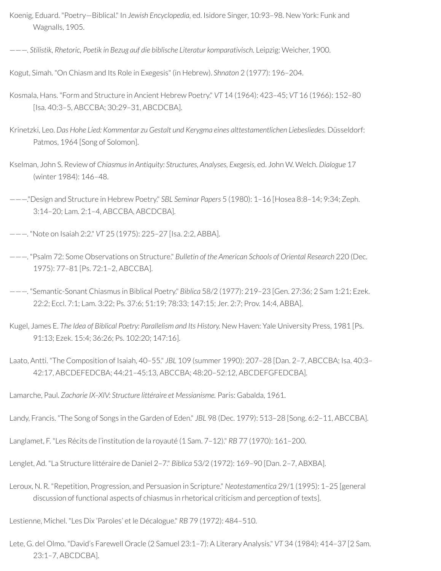- Koenig, Eduard. "Poetry—Biblical." In *Jewish Encyclopedia,* ed. Isidore Singer, 10:93–98. New York: Funk and Wagnalls, 1905.
- ———. *Stilistik, Rhetoric, Poetik in Bezug auf die biblische Literatur komparativisch.* Leipzig: Weicher, 1900.
- Kogut, Simah. "On Chiasm and Its Role in Exegesis" (in Hebrew). *Shnaton* 2 (1977): 196–204.
- Kosmala, Hans. "Form and Structure in Ancient Hebrew Poetry." *VT* 14 (1964): 423–45; *VT* 16 (1966): 152–80 [Isa. 40:3–5, ABCCBA; 30:29–31, ABCDCBA].
- Krinetzki, Leo. *Das Hohe Lied: Kommentar zu Gestalt und Kerygma eines alttestamentlichen Liebesliedes.* Düsseldorf: Patmos, 1964 [Song of Solomon].
- Kselman, John S. Review of *Chiasmusin Antiquity: Structures, Analyses, Exegesis,* ed. John W. Welch. *Dialogue* 17 (winter 1984): 146–48.
- ———."Design and Structure in Hebrew Poetry." *SBL Seminar Papers* 5 (1980): 1–16 [Hosea 8:8–14; 9:34; Zeph. 3:14–20; Lam. 2:1–4, ABCCBA, ABCDCBA].
- ———. "Note on Isaiah 2:2." *VT* 25 (1975): 225–27 [Isa. 2:2, ABBA].
- ———. "Psalm 72: Some Observations on Structure." *Bulletin of the American Schools of Oriental Research* 220 (Dec. 1975): 77–81 [Ps. 72:1–2, ABCCBA].
- ———. "Semantic-Sonant Chiasmus in Biblical Poetry." *Biblica* 58/2 (1977): 219–23 [Gen. 27:36; 2 Sam 1:21; Ezek. 22:2; Eccl. 7:1; Lam. 3:22; Ps. 37:6; 51:19; 78:33; 147:15; Jer. 2:7; Prov. 14:4, ABBA].
- Kugel, James E. *The Idea of Biblical Poetry: Parallelism and Its History.* New Haven: Yale University Press, 1981 [Ps. 91:13; Ezek. 15:4; 36:26; Ps. 102:20; 147:16].
- Laato, Antti. "The Composition of Isaiah, 40–55." *JBL* 109 (summer 1990): 207–28 [Dan. 2–7, ABCCBA; Isa. 40:3– 42:17, ABCDEFEDCBA; 44:21–45:13, ABCCBA; 48:20–52:12, ABCDEFGFEDCBA].
- Lamarche, Paul. *Zacharie IX–XIV: Structure littéraire et Messianisme.* Paris: Gabalda, 1961.
- Landy, Francis. "The Song of Songs in the Garden of Eden." *JBL* 98 (Dec. 1979): 513–28 [Song. 6:2–11, ABCCBA].
- Langlamet, F. "Les Récits de l'institution de la royauté (1 Sam. 7–12)." *RB* 77 (1970): 161–200.
- Lenglet, Ad. "La Structure littéraire de Daniel 2–7." *Biblica* 53/2 (1972): 169–90 [Dan. 2–7, ABXBA].
- Leroux, N. R. "Repetition, Progression, and Persuasion in Scripture." *Neotestamentica* 29/1 (1995): 1–25 [general discussion of functional aspects of chiasmus in rhetorical criticism and perception of texts].
- Lestienne, Michel. "Les Dix 'Paroles' et le Décalogue." *RB* 79 (1972): 484–510.
- Lete, G. del Olmo. "David's Farewell Oracle (2 Samuel 23:1–7): A Literary Analysis." *VT* 34 (1984): 414–37 [2 Sam. 23:1–7, ABCDCBA].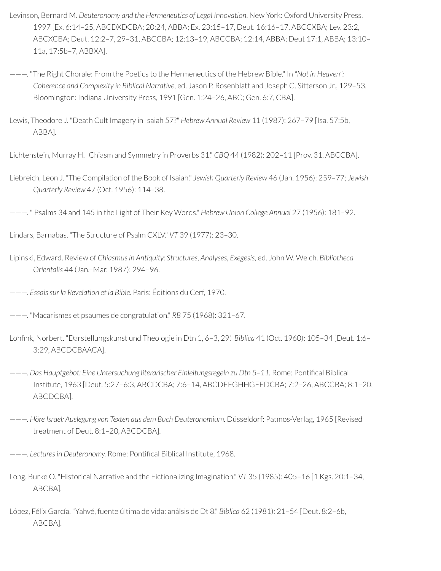- Levinson, Bernard M. *Deuteronomy and the Hermeneutics of Legal Innovation*. New York: Oxford University Press, 1997 [Ex. 6:14–25, ABCDXDCBA; 20:24, ABBA; Ex. 23:15–17, Deut. 16:16–17, ABCCXBA; Lev. 23:2, ABCXCBA; Deut. 12:2–7, 29–31, ABCCBA; 12:13–19, ABCCBA; 12:14, ABBA; Deut 17:1, ABBA; 13:10– 11a, 17:5b–7, ABBXA].
- ———. "The Right Chorale: From the Poetics to the Hermeneutics of the Hebrew Bible." In *"Not in Heaven": Coherence and Complexity in Biblical Narrative,* ed. Jason P. Rosenblatt and Joseph C. Sitterson Jr., 129–53. Bloomington: Indiana University Press, 1991 [Gen. 1:24–26, ABC; Gen. 6:7, CBA].
- Lewis, Theodore J. "Death Cult Imagery in Isaiah 57?" *Hebrew Annual Review* 11 (1987): 267–79 [Isa. 57:5b, ABBA].

Lichtenstein, Murray H. "Chiasm and Symmetry in Proverbs 31." *CBQ* 44 (1982): 202–11 [Prov. 31, ABCCBA].

Liebreich, Leon J. "The Compilation of the Book of Isaiah." *Jewish Quarterly Review* 46 (Jan. 1956): 259–77; *Jewish Quarterly Review* 47 (Oct. 1956): 114–38.

———. " Psalms 34 and 145 in the Light of Their Key Words." *Hebrew Union College Annual* 27 (1956): 181–92.

Lindars, Barnabas. "The Structure of Psalm CXLV." *VT* 39 (1977): 23–30.

- Lipinski, Edward. Review of *Chiasmusin Antiquity: Structures, Analyses, Exegesis,* ed. John W. Welch. *Bibliotheca Orientalis* 44 (Jan.–Mar. 1987): 294–96.
- ———. *Essaissur la Revelation et la Bible.* Paris: Éditions du Cerf, 1970.
- ———. "Macarismes et psaumes de congratulation." *RB* 75 (1968): 321–67.
- Lohnk, Norbert. "Darstellungskunst und Theologie in Dtn 1, 6–3, 29." *Biblica* 41 (Oct. 1960): 105–34 [Deut. 1:6– 3:29, ABCDCBAACA].
- ———. *Das Hauptgebot: Eine Untersuchung literarischer Einleitungsregeln zu Dtn 5–11.* Rome: Pontical Biblical Institute, 1963 [Deut. 5:27–6:3, ABCDCBA; 7:6–14, ABCDEFGHHGFEDCBA; 7:2–26, ABCCBA; 8:1–20, ABCDCBA].
- ———. *Höre Israel: Auslegung von Texten aus dem Buch Deuteronomium.* Düsseldorf: Patmos-Verlag, 1965 [Revised treatment of Deut. 8:1–20, ABCDCBA].

 $---$  *Lectures in Deuteronomy.* Rome: Pontifical Biblical Institute, 1968.

- Long, Burke O. "Historical Narrative and the Fictionalizing Imagination." *VT* 35 (1985): 405–16 [1 Kgs. 20:1–34, ABCBA].
- López, Félix García. "Yahvé, fuente última de vida: análsis de Dt 8." *Biblica* 62 (1981): 21–54 [Deut. 8:2–6b, ABCBA].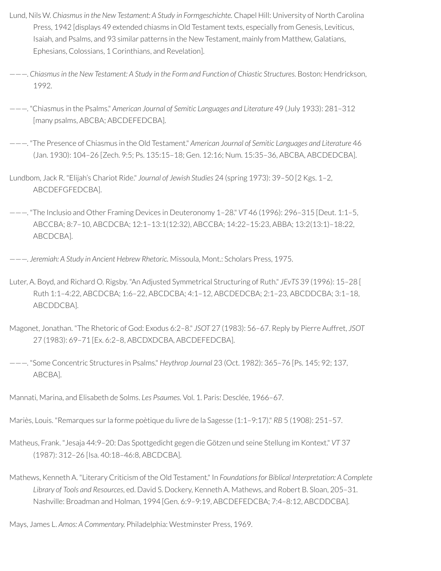- Lund, Nils W. *Chiasmusin the New Testament: A Study in Formgeschichte.* Chapel Hill: University of North Carolina Press, 1942 [displays 49 extended chiasms in Old Testament texts, especially from Genesis, Leviticus, Isaiah, and Psalms, and 93 similar patterns in the New Testament, mainly from Matthew, Galatians, Ephesians, Colossians, 1 Corinthians, and Revelation].
- ———. *Chiasmusin the New Testament: A Study in the Form and Function of Chiastic Structures.* Boston: Hendrickson, 1992.
- ———. "Chiasmus in the Psalms." *American Journal of Semitic Languages and Literature* 49 (July 1933): 281–312 [many psalms, ABCBA; ABCDEFEDCBA].
- ———. "The Presence of Chiasmus in the Old Testament." *American Journal of Semitic Languages and Literature* 46 (Jan. 1930): 104–26 [Zech. 9:5; Ps. 135:15–18; Gen. 12:16; Num. 15:35–36, ABCBA, ABCDEDCBA].
- Lundbom, Jack R. "Elijah's Chariot Ride." *Journal of Jewish Studies* 24 (spring 1973): 39–50 [2 Kgs. 1–2, ABCDEFGFEDCBA].
- ———. "The Inclusio and Other Framing Devices in Deuteronomy 1–28." *VT* 46 (1996): 296–315 [Deut. 1:1–5, ABCCBA; 8:7–10, ABCDCBA; 12:1–13:1(12:32), ABCCBA; 14:22–15:23, ABBA; 13:2(13:1)–18:22, ABCDCBA].
- ———. *Jeremiah: A Study in Ancient Hebrew Rhetoric.* Missoula, Mont.: Scholars Press, 1975.
- Luter, A. Boyd, and Richard O. Rigsby. "An Adjusted Symmetrical Structuring of Ruth." *JEvTS* 39 (1996): 15–28 [ Ruth 1:1–4:22, ABCDCBA; 1:6–22, ABCDCBA; 4:1–12, ABCDEDCBA; 2:1–23, ABCDDCBA; 3:1–18, ABCDDCBA].
- Magonet, Jonathan. "The Rhetoric of God: Exodus 6:2–8." *JSOT* 27 (1983): 56–67. Reply by Pierre Auffret, *JSOT* 27 (1983): 69–71 [Ex. 6:2–8, ABCDXDCBA, ABCDEFEDCBA].
- ———. "Some Concentric Structures in Psalms." *Heythrop Journal* 23 (Oct. 1982): 365–76 [Ps. 145; 92; 137, ABCBA].
- Mannati, Marina, and Elisabeth de Solms. *Les Psaumes.* Vol. 1. Paris: Desclée, 1966–67.
- Mariès, Louis. "Remarques surla forme poètique du livre de la Sagesse (1:1–9:17)." *RB* 5 (1908): 251–57.
- Matheus, Frank. "Jesaja 44:9–20: Das Spottgedicht gegen die Götzen und seine Stellung im Kontext." *VT* 37 (1987): 312–26 [Isa. 40:18–46:8, ABCDCBA].
- Mathews, Kenneth A. "Literary Criticism of the Old Testament." In *Foundationsfor Biblical Interpretation: A Complete Library of Tools and Resources*, ed. David S. Dockery, Kenneth A. Mathews, and Robert B. Sloan, 205–31. Nashville: Broadman and Holman, 1994 [Gen. 6:9–9:19, ABCDEFEDCBA; 7:4–8:12, ABCDDCBA].
- Mays, James L. *Amos: A Commentary.* Philadelphia: Westminster Press, 1969.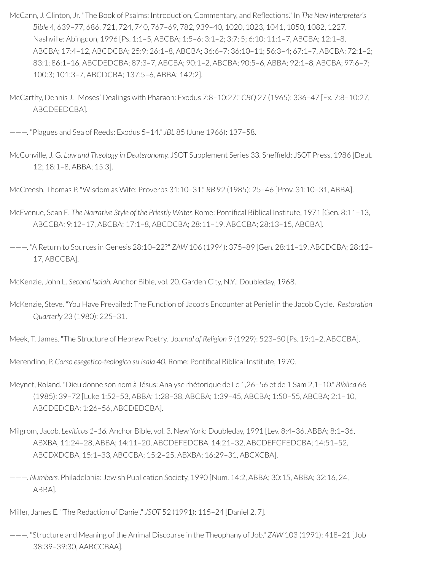- McCann, J. Clinton, Jr. "The Book of Psalms: Introduction, Commentary, and Reflections." In *The New Interpreter's Bible* 4, 639–77, 686, 721, 724, 740, 767–69, 782, 939–40, 1020, 1023, 1041, 1050, 1082, 1227. Nashville: Abingdon, 1996 [Ps. 1:1–5, ABCBA; 1:5–6; 3:1–2; 3:7; 5; 6:10; 11:1–7, ABCBA; 12:1–8, ABCBA; 17:4–12, ABCDCBA; 25:9; 26:1–8, ABCBA; 36:6–7; 36:10–11; 56:3–4; 67:1–7, ABCBA; 72:1–2; 83:1; 86:1–16, ABCDEDCBA; 87:3–7, ABCBA; 90:1–2, ABCBA; 90:5–6, ABBA; 92:1–8, ABCBA; 97:6–7; 100:3; 101:3–7, ABCDCBA; 137:5–6, ABBA; 142:2].
- McCarthy, Dennis J. "Moses' Dealings with Pharaoh: Exodus 7:8–10:27." *CBQ* 27 (1965): 336–47 [Ex. 7:8–10:27, ABCDEEDCBA].

———. "Plagues and Sea of Reeds: Exodus 5–14." *JBL* 85 (June 1966): 137–58.

McConville, J. G. *Law and Theology in Deuteronomy.* JSOT Supplement Series 33. Shefeld: JSOT Press, 1986 [Deut. 12; 18:1–8, ABBA; 15:3].

McCreesh, Thomas P. "Wisdom as Wife: Proverbs 31:10–31." *RB* 92 (1985): 25–46 [Prov. 31:10–31, ABBA].

- McEvenue, Sean E. The Narrative Style of the Priestly Writer. Rome: Pontifical Biblical Institute, 1971 [Gen. 8:11-13, ABCCBA; 9:12–17, ABCBA; 17:1–8, ABCDCBA; 28:11–19, ABCCBA; 28:13–15, ABCBA].
- ———. "A Return to Sources in Genesis 28:10–22?" *ZAW* 106 (1994): 375–89 [Gen. 28:11–19, ABCDCBA; 28:12– 17, ABCCBA].

McKenzie, John L. *Second Isaiah.* Anchor Bible, vol. 20. Garden City, N.Y.: Doubleday, 1968.

McKenzie, Steve. "You Have Prevailed: The Function of Jacob's Encounter at Peniel in the Jacob Cycle." *Restoration Quarterly* 23 (1980): 225–31.

Meek, T. James. "The Structure of Hebrew Poetry." *Journal of Religion* 9 (1929): 523–50 [Ps. 19:1–2, ABCCBA].

Merendino, P. *Corso esegetico-teologico su Isaia 40.* Rome: Pontical Biblical Institute, 1970.

- Meynet, Roland. "Dieu donne son nom à Jésus: Analyse rhétorique de Lc 1,26–56 et de 1 Sam 2,1–10." *Biblica* 66 (1985): 39–72 [Luke 1:52–53, ABBA; 1:28–38, ABCBA; 1:39–45, ABCBA; 1:50–55, ABCBA; 2:1–10, ABCDEDCBA; 1:26–56, ABCDEDCBA].
- Milgrom, Jacob. *Leviticus 1–16.* Anchor Bible, vol. 3. New York: Doubleday, 1991 [Lev. 8:4–36, ABBA; 8:1–36, ABXBA, 11:24–28, ABBA; 14:11–20, ABCDEFEDCBA, 14:21–32, ABCDEFGFEDCBA; 14:51–52, ABCDXDCBA, 15:1–33, ABCCBA; 15:2–25, ABXBA; 16:29–31, ABCXCBA].
- ———. *Numbers.* Philadelphia: Jewish Publication Society, 1990 [Num. 14:2, ABBA; 30:15, ABBA; 32:16, 24, ABBA].

Miller, James E. "The Redaction of Daniel." *JSOT* 52 (1991): 115–24 [Daniel 2, 7].

———. "Structure and Meaning of the Animal Discourse in the Theophany of Job." *ZAW* 103 (1991): 418–21 [Job 38:39–39:30, AABCCBAA].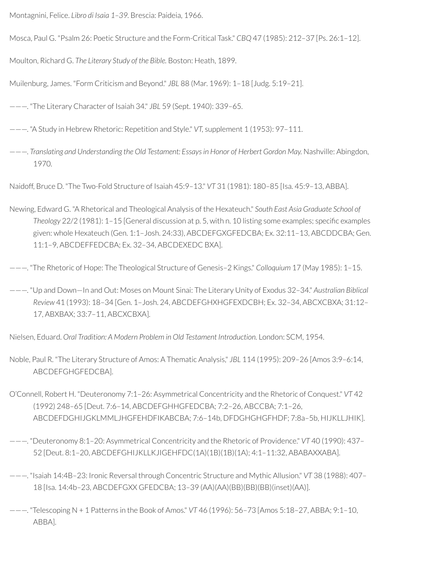Montagnini, Felice. *Libro di Isaia 1–39.* Brescia: Paideia, 1966.

Mosca, Paul G. "Psalm 26: Poetic Structure and the Form-Critical Task." *CBQ* 47 (1985): 212–37 [Ps. 26:1–12].

Moulton, Richard G. *The Literary Study of the Bible.* Boston: Heath, 1899.

Muilenburg, James. "Form Criticism and Beyond." *JBL* 88 (Mar. 1969): 1–18 [Judg. 5:19–21].

———. "The Literary Character of Isaiah 34." *JBL* 59 (Sept. 1940): 339–65.

———. "A Study in Hebrew Rhetoric: Repetition and Style." *VT,* supplement 1 (1953): 97–111.

———. *Translating and Understanding the Old Testament: Essaysin Honor of Herbert Gordon May.* Nashville: Abingdon, 1970.

Naidoff, Bruce D. "The Two-Fold Structure of Isaiah 45:9–13." *VT* 31 (1981): 180–85 [Isa. 45:9–13, ABBA].

Newing, Edward G. "A Rhetorical and Theological Analysis of the Hexateuch." *South East Asia Graduate School of Theology* 22/2 (1981): 1–15 [General discussion at p. 5, with n. 10 listing some examples; specific examples given: whole Hexateuch (Gen. 1:1–Josh. 24:33), ABCDEFGXGFEDCBA; Ex. 32:11–13, ABCDDCBA; Gen. 11:1–9, ABCDEFFEDCBA; Ex. 32–34, ABCDEXEDC BXA].

———. "The Rhetoric of Hope: The Theological Structure of Genesis–2 Kings." *Colloquium* 17 (May 1985): 1–15.

———. "Up and Down—In and Out: Moses on Mount Sinai: The Literary Unity of Exodus 32–34." *Australian Biblical Review* 41 (1993): 18–34 [Gen. 1–Josh. 24, ABCDEFGHXHGFEXDCBH; Ex. 32–34, ABCXCBXA; 31:12– 17, ABXBAX; 33:7–11, ABCXCBXA].

Nielsen, Eduard. *Oral Tradition: A Modern Problem in Old Testament Introduction.* London: SCM, 1954.

Noble, Paul R. "The Literary Structure of Amos: A Thematic Analysis," *JBL* 114 (1995): 209–26 [Amos 3:9–6:14, ABCDEFGHGFEDCBA].

O'Connell, Robert H. "Deuteronomy 7:1–26: Asymmetrical Concentricity and the Rhetoric of Conquest." *VT* 42 (1992) 248–65 [Deut. 7:6–14, ABCDEFGHHGFEDCBA; 7:2–26, ABCCBA; 7:1–26, ABCDEFDGHIJGKLMMLJHGFEHDFIKABCBA; 7:6–14b, DFDGHGHGFHDF; 7:8a–5b, HIJKLLJHIK].

———. "Deuteronomy 8:1–20: Asymmetrical Concentricity and the Rhetoric of Providence." *VT* 40 (1990): 437– 52 [Deut. 8:1–20, ABCDEFGHIJKLLKJIGEHFDC(1A)(1B)(1B)(1A); 4:1–11:32, ABABAXXABA].

———. "Isaiah 14:4B–23: Ironic Reversal through Concentric Structure and Mythic Allusion." *VT* 38 (1988): 407– 18 [Isa. 14:4b–23, ABCDEFGXX GFEDCBA; 13–39 (AA)(AA)(BB)(BB)(BB)(inset)(AA)].

———. "Telescoping N + 1 Patterns in the Book of Amos." *VT* 46 (1996): 56–73 [Amos 5:18–27, ABBA; 9:1–10, ABBA].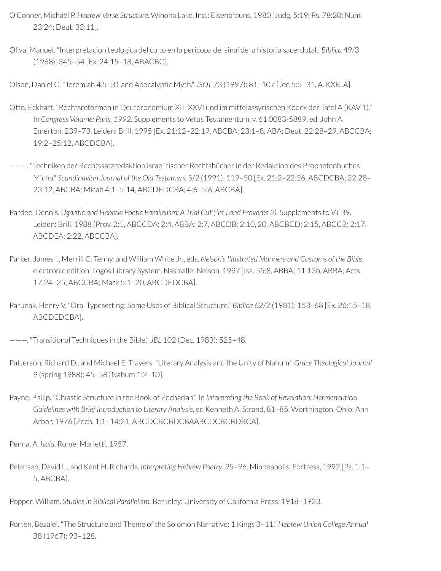- O'Conner, Michael P. *Hebrew Verse Structure.* Winona Lake, Ind.: Eisenbrauns, 1980 [Judg. 5:19; Ps. 78:20; Num. 23:24; Deut. 33:11].
- Oliva, Manuel. "Interpretacion teologica del culto en la pericopa del sinai de la historia sacerdotal." *Biblica* 49/3 (1968): 345–54 [Ex. 24:15–18, ABACBC].

Olson, Daniel C. "Jeremiah 4.5–31 and Apocalyptic Myth." *JSOT* 73 (1997): 81–107 [Jer. 5:5–31, A..KXK..A].

- Otto, Eckhart. "Rechtsreformen in Deuteronomium XII–XXVI und im mittelassyrischen Kodex der Tafel A (KAV 1)." In *Congress Volume: Paris, 1992.* Supplements to Vetus Testamentum, v. 61 0083-5889, ed. John A. Emerton, 239–73. Leiden: Brill, 1995 [Ex. 21:12–22:19, ABCBA; 23:1–8, ABA; Deut. 22:28–29, ABCCBA; 19:2–25:12, ABCDCBA].
- ———. "Techniken der Rechtssatzredaktion israelitischer Rechtsbücherin der Redaktion des Prophetenbuches Micha." *Scandinavian Journal of the Old Testament* 5/2 (1991): 119–50 [Ex. 21:2–22:26, ABCDCBA; 22:28– 23:12, ABCBA; Micah 4:1–5:14, ABCDEDCBA; 4:6–5:6, ABCBA].
- Pardee, Dennis. *Ugaritic and Hebrew Poetic Parallelism: A Trial Cut (ʿnt I and Proverbs 2).* Supplements to *VT* 39. Leiden: Brill, 1988 [Prov. 2:1, ABCCDA; 2:4, ABBA; 2:7, ABCDB; 2:10, 20, ABCBCD; 2:15, ABCCB; 2:17, ABCDEA; 2:22, ABCCBA].
- Parker, James I., Merrill C. Tenny, and William White Jr., eds. *Nelson'sIllustrated Manners and Customs of the Bible*, electronic edition, Logos Library System. Nashville: Nelson, 1997 [Isa. 55:8, ABBA; 11:13b, ABBA; Acts 17:24–25, ABCCBA; Mark 5:1–20, ABCDEDCBA].
- Parunak, Henry V. "Oral Typesetting: Some Uses of Biblical Structure." *Biblica* 62/2 (1981): 153–68 [Ex. 26:15–18, ABCDEDCBA].

———. "Transitional Techniques in the Bible." *JBL* 102 (Dec. 1983): 525–48.

- Patterson, Richard D., and Michael E. Travers. "Literary Analysis and the Unity of Nahum." *Grace Theological Journal* 9 (spring 1988): 45–58 [Nahum 1:2–10].
- Payne, Philip. "Chiastic Structure in the Book of Zechariah." In *Interpreting the Book of Revelation: Hermeneutical Guidelines with Brief Introduction to Literary Analysis*, ed Kenneth A. Strand, 81–85. Worthington, Ohio: Ann Arbor, 1976 [Zech. 1:1–14:21, ABCDCBCBDCBAABCDCBCBDBCA].

Penna, A. *Isaia.* Rome: Marietti, 1957.

Petersen, David L., and Kent H. Richards. *Interpreting Hebrew Poetry*, 95–96. Minneapolis: Fortress, 1992 [Ps. 1:1– 5, ABCBA].

Popper, William. *Studiesin Biblical Parallelism.* Berkeley: University of California Press, 1918–1923.

Porten, Bezalel. "The Structure and Theme of the Solomon Narrative: 1 Kings 3–11." *Hebrew Union College Annual* 38 (1967): 93–128.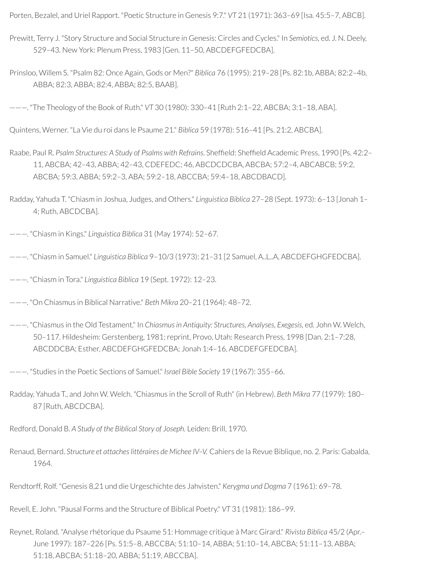Porten, Bezalel, and Uriel Rapport. "Poetic Structure in Genesis 9:7." *VT* 21 (1971): 363–69 [Isa. 45:5–7, ABCB].

- Prewitt, Terry J. "Story Structure and Social Structure in Genesis: Circles and Cycles." In *Semiotics,* ed. J. N. Deely, 529–43. New York: Plenum Press, 1983 [Gen. 11–50, ABCDEFGFEDCBA].
- Prinsloo, Willem S. "Psalm 82: Once Again, Gods or Men?" *Biblica* 76 (1995): 219–28 [Ps. 82:1b, ABBA; 82:2–4b, ABBA; 82:3, ABBA; 82:4, ABBA; 82:5, BAAB].

———. "The Theology of the Book of Ruth." *VT* 30 (1980): 330–41 [Ruth 2:1–22, ABCBA; 3:1–18, ABA].

Quintens, Werner. "La Vie du roi dans le Psaume 21." *Biblica* 59 (1978): 516–41 [Ps. 21:2, ABCBA].

Raabe, Paul R. Psalm Structures: A Study of Psalms with Refrains. Sheffield: Sheffield Academic Press, 1990 [Ps. 42:2– 11, ABCBA; 42–43, ABBA; 42–43, CDEFEDC; 46, ABCDCDCBA, ABCBA; 57:2–4, ABCABCB; 59:2, ABCBA; 59:3, ABBA; 59:2–3, ABA; 59:2–18, ABCCBA; 59:4–18, ABCDBACD].

Radday, Yahuda T. "Chiasm in Joshua, Judges, and Others." *Linguistica Biblica* 27–28 (Sept. 1973): 6–13 [Jonah 1– 4; Ruth, ABCDCBA].

———. "Chiasm in Kings." *Linguistica Biblica* 31 (May 1974): 52–67.

———. "Chiasm in Samuel." *Linguistica Biblica* 9–10/3 (1973): 21–31 [2 Samuel, A..L..A, ABCDEFGHGFEDCBA].

———. "Chiasm in Tora." *Linguistica Biblica* 19 (Sept. 1972): 12–23.

———. "On Chiasmus in Biblical Narrative." *Beth Mikra* 20–21 (1964): 48–72.

———. "Chiasmus in the Old Testament." In *Chiasmusin Antiquity: Structures, Analyses, Exegesis,* ed. John W. Welch, 50–117. Hildesheim: Gerstenberg, 1981; reprint, Provo, Utah: Research Press, 1998 [Dan. 2:1–7:28, ABCDDCBA; Esther, ABCDEFGHGFEDCBA; Jonah 1:4–16, ABCDEFGFEDCBA].

———. "Studies in the Poetic Sections of Samuel." *Israel Bible Society* 19 (1967): 355–66.

Radday, Yahuda T., and John W. Welch. "Chiasmus in the Scroll of Ruth" (in Hebrew). *Beth Mikra* 77 (1979): 180– 87 [Ruth, ABCDCBA].

Redford, Donald B. *A Study of the Biblical Story of Joseph.* Leiden: Brill, 1970.

Renaud, Bernard. *Structure et attacheslittéraires de Michee IV–V.* Cahiers de la Revue Biblique, no. 2. Paris: Gabalda, 1964.

Rendtorff, Rolf. "Genesis 8,21 und die Urgeschichte des Jahvisten." *Kerygma und Dogma* 7 (1961): 69–78.

Revell, E. John. "Pausal Forms and the Structure of Biblical Poetry." *VT* 31 (1981): 186–99.

Reynet, Roland. "Analyse rhétorique du Psaume 51: Hommage critique à Marc Girard." *Rivista Biblica* 45/2 (Apr.– June 1997): 187–226 [Ps. 51:5–8, ABCCBA; 51:10–14, ABBA; 51:10–14, ABCBA; 51:11–13, ABBA; 51:18, ABCBA; 51:18–20, ABBA; 51:19, ABCCBA].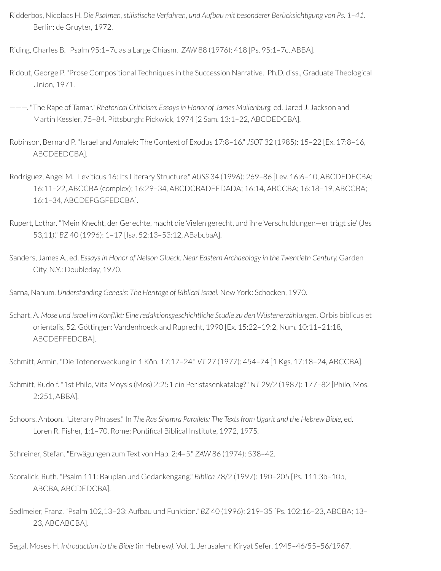Ridderbos, Nicolaas H. *Die Psalmen, stilistische Verfahren, und Aufbau mit besonderer Berücksichtigung von Ps. 1–41.* Berlin: de Gruyter, 1972.

Riding, Charles B. "Psalm 95:1–7c as a Large Chiasm." *ZAW* 88 (1976): 418 [Ps. 95:1–7c, ABBA].

- Ridout, George P. "Prose Compositional Techniques in the Succession Narrative." Ph.D. diss., Graduate Theological Union, 1971.
- ———. "The Rape of Tamar." *Rhetorical Criticism: Essays in Honor of James Muilenburg,* ed. Jared J. Jackson and Martin Kessler, 75–84. Pittsburgh: Pickwick, 1974 [2 Sam. 13:1–22, ABCDEDCBA].
- Robinson, Bernard P. "Israel and Amalek: The Context of Exodus 17:8–16." *JSOT* 32 (1985): 15–22 [Ex. 17:8–16, ABCDEEDCBA].
- Rodriguez, Angel M. "Leviticus 16: Its Literary Structure." *AUSS* 34 (1996): 269–86 [Lev. 16:6–10, ABCDEDECBA; 16:11–22, ABCCBA (complex); 16:29–34, ABCDCBADEEDADA; 16:14, ABCCBA; 16:18–19, ABCCBA; 16:1–34, ABCDEFGGFEDCBA].
- Rupert, Lothar. "'Mein Knecht, der Gerechte, macht die Vielen gerecht, und ihre Verschuldungen-er trägt sie' (Jes 53,11)." *BZ* 40 (1996): 1–17 [Isa. 52:13–53:12, ABabcbaA].
- Sanders, James A., ed. *Essaysin Honor of Nelson Glueck: Near Eastern Archaeology in the Twentieth Century.* Garden City, N.Y.: Doubleday, 1970.

Sarna, Nahum. *Understanding Genesis: The Heritage of Biblical Israel.* New York: Schocken, 1970.

Schart, A. *Mose und Israel im Konikt: Eine redaktionsgeschichtliche Studie zu den Wüstenerzählungen.* Orbis biblicus et orientalis, 52. Göttingen: Vandenhoeck and Ruprecht, 1990 [Ex. 15:22–19:2, Num. 10:11–21:18, ABCDEFFEDCBA].

Schmitt, Armin. "Die Totenerweckung in 1 Kön. 17:17–24." *VT* 27 (1977): 454–74 [1 Kgs. 17:18–24, ABCCBA].

Schmitt, Rudolf. "1st Philo, Vita Moysis (Mos) 2:251 ein Peristasenkatalog?" *NT* 29/2 (1987): 177–82 [Philo, Mos. 2:251, ABBA].

Schoors, Antoon. "Literary Phrases." In *The Ras Shamra Parallels: The Textsfrom Ugarit and the Hebrew Bible,* ed. Loren R. Fisher, 1:1-70. Rome: Pontifical Biblical Institute, 1972, 1975.

Schreiner, Stefan. "Erwägungen zum Text von Hab. 2:4–5." *ZAW* 86 (1974): 538–42.

Scoralick, Ruth. "Psalm 111: Bauplan und Gedankengang." *Biblica* 78/2 (1997): 190–205 [Ps. 111:3b–10b, ABCBA, ABCDEDCBA].

Sedlmeier, Franz. "Psalm 102,13–23: Aufbau und Funktion." *BZ* 40 (1996): 219–35 [Ps. 102:16–23, ABCBA; 13– 23, ABCABCBA].

Segal, Moses H. *Introduction to the Bible* (in Hebrew*).* Vol. 1. Jerusalem: Kiryat Sefer, 1945–46/55–56/1967.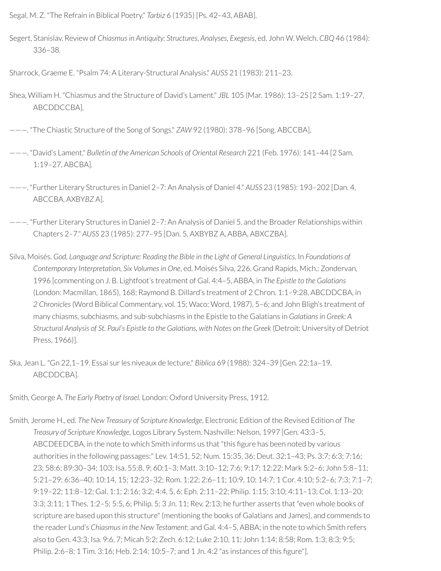Segal, M. Z. "The Refrain in Biblical Poetry." *Tarbiz* 6 (1935) [Ps. 42–43, ABAB].

Segert, Stanislav. Review of *Chiasmusin Antiquity: Structures, Analyses, Exegesis,* ed. John W. Welch. *CBQ* 46 (1984): 336–38.

Sharrock, Graeme E. "Psalm 74: A Literary-Structural Analysis." *AUSS* 21 (1983): 211–23.

- Shea, William H. "Chiasmus and the Structure of David's Lament." *JBL* 105 (Mar. 1986): 13–25 [2 Sam. 1:19–27, ABCDDCCBA].
- ———. "The Chiastic Structure of the Song of Songs." *ZAW* 92 (1980): 378–96 [Song. ABCCBA].
- ———. "David's Lament." *Bulletin of the American Schools of Oriental Research* 221 (Feb. 1976): 141–44 [2 Sam. 1:19–27, ABCBA].
- ———. "Further Literary Structures in Daniel 2–7: An Analysis of Daniel 4." *AUSS* 23 (1985): 193–202 [Dan. 4, ABCCBA, AXBY*BZ* A].
- ———. "Further Literary Structures in Daniel 2–7: An Analysis of Daniel 5, and the Broader Relationships within Chapters 2–7." *AUSS* 23 (1985): 277–95 [Dan. 5, AXBYBZ A, ABBA, ABXCZBA].
- Silva, Moisés. *God, Language and Scripture: Reading the Bible in the Light of General Linguistics*. In *Foundations of Contemporary Interpretation, Six Volumesin One*, ed. Moisés Silva, 226. Grand Rapids, Mich.: Zondervan, 1996 [commenting on J. B. Lightfoot's treatment of Gal. 4:4–5, ABBA, in *The Epistle to the Galatians* (London: Macmillan, 1865), 168; Raymond B. Dillard's treatment of 2 Chron. 1:1–9:28, ABCDDCBA, in *2 Chronicles*(Word Biblical Commentary, vol. 15; Waco: Word, 1987), 5–6; and John Bligh's treatment of many chiasms, subchiasms, and sub-subchiasms in the Epistle to the Galatians in *Galatians in Greek: A Structural Analysis of St. Paul's Epistle to the Galatians, with Notes on the Greek* (Detroit: University of Detriot Press, 1966)].
- Ska, Jean L. "Gn 22,1–19. Essai surles niveaux de lecture." *Biblica* 69 (1988): 324–39 [Gen. 22:1a–19, ABCDDCBA].

Smith, George A. *The Early Poetry of Israel.* London: Oxford University Press, 1912.

Smith, Jerome H., ed. *The New Treasury of Scripture Knowledge*, Electronic Edition of the Revised Edition of *The Treasury of Scripture Knowledge*, Logos Library System. Nashville: Nelson, 1997 [Gen. 43:3–5, ABCDEEDCBA, in the note to which Smith informs us that "this figure has been noted by various authorities in the following passages:" Lev. 14:51, 52; Num. 15:35, 36; Deut. 32:1–43; Ps. 3:7; 6:3; 7:16; 23; 58:6; 89:30–34; 103; Isa. 55:8, 9; 60:1–3; Matt. 3:10–12; 7:6; 9:17; 12:22; Mark 5:2–6; John 5:8–11; 5:21–29; 6:36–40; 10:14, 15; 12:23–32; Rom. 1:22; 2:6–11; 10:9, 10; 14:7; 1 Cor. 4:10; 5:2–6; 7:3; 7:1–7; 9:19–22; 11:8–12; Gal. 1:1; 2:16; 3:2; 4:4, 5, 6; Eph. 2:11–22; Philip. 1:15; 3:10; 4:11–13; Col. 1:13–20; 3:3; 3:11; 1 Thes. 1:2–5; 5:5, 6; Philip. 5; 3 Jn. 11; Rev. 2:13; he further asserts that "even whole books of scripture are based upon this structure" (mentioning the books of Galatians and James), and commends to the reader Lund's *Chiasmusin the New Testament*; and Gal. 4:4–5, ABBA; in the note to which Smith refers also to Gen. 43:3; Isa. 9:6, 7; Micah 5:2; Zech. 6:12; Luke 2:10, 11; John 1:14; 8:58; Rom. 1:3; 8:3; 9:5; Philip. 2:6–8; 1 Tim. 3:16; Heb. 2:14; 10:5–7; and 1 Jn. 4:2 "as instances of this figure"].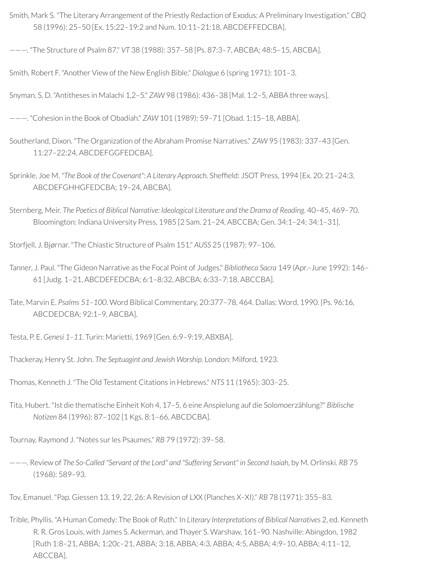- Smith, Mark S. "The Literary Arrangement of the Priestly Redaction of Exodus: A Preliminary Investigation." *CBQ* 58 (1996): 25–50 [Ex. 15:22–19:2 and Num. 10:11–21:18, ABCDEFFEDCBA].
- ———. "The Structure of Psalm 87." *VT* 38 (1988): 357–58 [Ps. 87:3–7, ABCBA; 48:5–15, ABCBA].

Smith, Robert F. "Another View of the New English Bible." *Dialogue* 6 (spring 1971): 101–3.

Snyman, S. D. "Antitheses in Malachi 1,2–5." *ZAW* 98 (1986): 436–38 [Mal. 1:2–5, ABBA three ways].

———. "Cohesion in the Book of Obadiah." *ZAW* 101 (1989): 59–71 [Obad. 1:15–18, ABBA].

- Southerland, Dixon. "The Organization of the Abraham Promise Narratives." *ZAW* 95 (1983): 337–43 [Gen. 11:27–22:24, ABCDEFGGFEDCBA].
- Sprinkle, Joe M. *"The Book of the Covenant": A Literary Approach.* Shefeld: JSOT Press, 1994 [Ex. 20: 21–24:3, ABCDEFGHHGFEDCBA; 19–24, ABCBA].

Sternberg, Meir. *The Poetics of Biblical Narrative: Ideological Literature and the Drama of Reading*. 40–45, 469–70. Bloomington: Indiana University Press, 1985 [2 Sam. 21–24, ABCCBA; Gen. 34:1–24; 34:1–31].

Storfjell, J. Bjørnar. "The Chiastic Structure of Psalm 151." *AUSS* 25 (1987): 97–106.

- Tanner, J. Paul. "The Gideon Narrative as the Focal Point of Judges." *Bibliotheca Sacra* 149 (Apr.–June 1992): 146– 61 [Judg. 1–21, ABCDEFEDCBA; 6:1–8:32, ABCBA; 6:33–7:18, ABCCBA].
- Tate, Marvin E. *Psalms 51–100*. Word Biblical Commentary, 20:377–78, 464. Dallas: Word, 1990. [Ps. 96:16, ABCDEDCBA; 92:1–9, ABCBA].

Testa, P. E. *Genesi 1–11.* Turin: Marietti, 1969 [Gen. 6:9–9:19, ABXBA].

Thackeray, Henry St. John. *The Septuagint and Jewish Worship.* London: Milford, 1923.

Thomas, Kenneth J. "The Old Testament Citations in Hebrews." *NTS* 11 (1965): 303–25.

Tita, Hubert. "Ist die thematische Einheit Koh 4, 17–5, 6 eine Anspielung auf die Solomoerzählung?" *Biblische Notizen* 84 (1996): 87–102 [1 Kgs. 8:1–66, ABCDCBA].

Tournay, Raymond J. "Notes surles Psaumes." *RB* 79 (1972): 39–58.

———. Review of *The So-Called "Servant of the Lord" and "Suffering Servant" in Second Isaiah,* by M. Orlinski. *RB* 75 (1968): 589–93.

Tov, Emanuel. "Pap. Giessen 13, 19, 22, 26: A Revision of LXX (Planches X–XI)." *RB* 78 (1971): 355–83.

Trible, Phyllis. "A Human Comedy: The Book of Ruth." In *Literary Interpretations of Biblical Narratives* 2, ed. Kenneth R. R*.* Gros Louis, with James S. Ackerman, and Thayer S. Warshaw, 161–90. Nashville: Abingdon, 1982 [Ruth 1:8–21, ABBA; 1:20c–21, ABBA; 3:18, ABBA; 4:3, ABBA; 4:5, ABBA; 4:9–10, ABBA; 4:11–12, ABCCBA].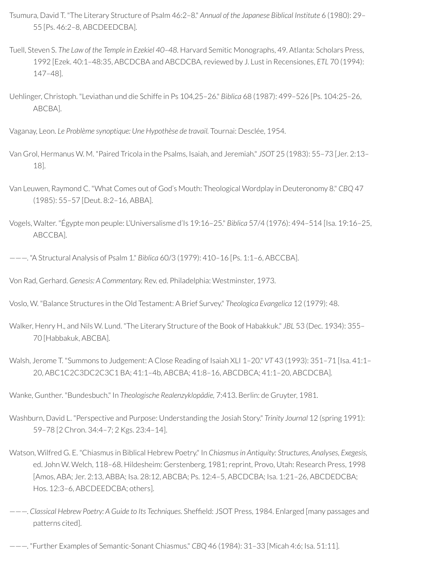- Tsumura, David T. "The Literary Structure of Psalm 46:2–8." *Annual of the Japanese Biblical Institute* 6 (1980): 29– 55 [Ps. 46:2–8, ABCDEEDCBA].
- Tuell, Steven S. *The Law of the Temple in Ezekiel 40–48.* Harvard Semitic Monographs, 49. Atlanta: Scholars Press, 1992 [Ezek. 40:1–48:35, ABCDCBA and ABCDCBA,reviewed by J. Lust in Recensiones, *ETL* 70 (1994): 147–48].
- Uehlinger, Christoph. "Leviathan und die Schiffe in Ps 104,25–26." *Biblica* 68 (1987): 499–526 [Ps. 104:25–26, ABCBA].
- Vaganay, Leon. *Le Problème synoptique: Une Hypothèse de travail.* Tournai: Desclée, 1954.
- Van Grol, Hermanus W. M. "Paired Tricola in the Psalms, Isaiah, and Jeremiah." *JSOT* 25 (1983): 55–73 [Jer. 2:13– 18].
- Van Leuwen, Raymond C. "What Comes out of God's Mouth: Theological Wordplay in Deuteronomy 8." *CBQ* 47 (1985): 55–57 [Deut. 8:2–16, ABBA].
- Vogels, Walter. "Égypte mon peuple: L'Universalisme d'Is 19:16–25." *Biblica* 57/4 (1976): 494–514 [Isa. 19:16–25, ABCCBA].
- ———. "A Structural Analysis of Psalm 1." *Biblica* 60/3 (1979): 410–16 [Ps. 1:1–6, ABCCBA].
- Von Rad, Gerhard. *Genesis: A Commentary.* Rev. ed. Philadelphia: Westminster, 1973.
- Voslo, W. "Balance Structures in the Old Testament: A Brief Survey." *Theologica Evangelica* 12 (1979): 48.
- Walker, Henry H., and Nils W. Lund. "The Literary Structure of the Book of Habakkuk." *JBL* 53 (Dec. 1934): 355– 70 [Habbakuk, ABCBA].
- Walsh, Jerome T. "Summons to Judgement: A Close Reading of Isaiah XLI 1–20." *VT* 43 (1993): 351–71 [Isa. 41:1– 20, ABC1C2C3DC2C3C1 BA; 41:1–4b, ABCBA; 41:8–16, ABCDBCA; 41:1–20, ABCDCBA].

Wanke, Gunther. "Bundesbuch." In *Theologische Realenzyklopädie,* 7:413. Berlin: de Gruyter, 1981.

- Washburn, David L. "Perspective and Purpose: Understanding the Josiah Story." *Trinity Journal* 12 (spring 1991): 59–78 [2 Chron. 34:4–7; 2 Kgs. 23:4–14].
- Watson, Wilfred G. E. "Chiasmus in Biblical Hebrew Poetry." In *Chiasmusin Antiquity: Structures, Analyses, Exegesis,* ed. John W. Welch, 118-68. Hildesheim: Gerstenberg, 1981; reprint, Provo, Utah: Research Press, 1998 [Amos, ABA; Jer. 2:13, ABBA; Isa. 28:12, ABCBA; Ps. 12:4–5, ABCDCBA; Isa. 1:21–26, ABCDEDCBA; Hos. 12:3–6, ABCDEEDCBA; others].
- ———. *Classical Hebrew Poetry: A Guide to Its Techniques.* Shefeld: JSOT Press, 1984. Enlarged [many passages and patterns cited].
- ———. "Further Examples of Semantic-Sonant Chiasmus." *CBQ* 46 (1984): 31–33 [Micah 4:6; Isa. 51:11].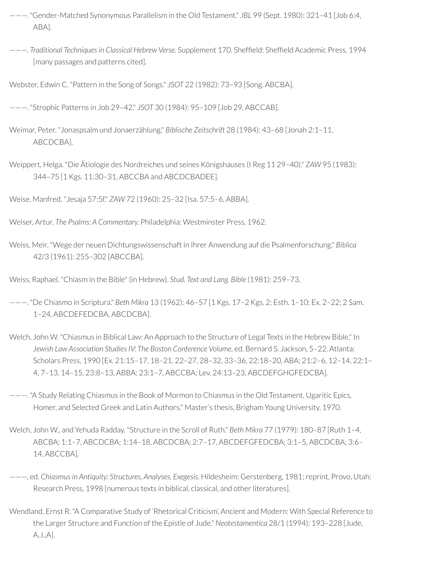- ———. "Gender-Matched Synonymous Parallelism in the Old Testament." *JBL* 99 (Sept. 1980): 321–41 [Job 6:4, ABA].
- ———. *Traditional Techniquesin Classical Hebrew Verse.* Supplement 170. Shefeld: Shefeld Academic Press, 1994 [many passages and patterns cited].
- Webster, Edwin C. "Pattern in the Song of Songs." *JSOT* 22 (1982): 73–93 [Song. ABCBA].
- ———. "Strophic Patterns in Job 29–42." *JSOT* 30 (1984): 95–109 [Job 29, ABCCAB].
- Weimar, Peter. "Jonaspsalm und Jonaerzählung." *Biblische Zeitschrift* 28 (1984): 43–68 [Jonah 2:1–11, ABCDCBA].
- Weippert, Helga. "Die Ätiologie des Nordreiches und seines Königshauses (I Reg 11 29–40)." *ZAW* 95 (1983): 344–75 [1 Kgs. 11:30–31, ABCCBA and ABCDCBADEE].

Weise, Manfred. "Jesaja 57:5f." *ZAW* 72 (1960): 25–32 [Isa. 57:5–6, ABBA].

- Weiser, Artur. *The Psalms: A Commentary.* Philadelphia: Westminster Press, 1962.
- Weiss, Meir. "Wege der neuen Dichtungswissenschaft in Ihrer Anwendung auf die Psalmenforschung." *Biblica* 42/3 (1961): 255–302 [ABCCBA].

Weiss, Raphael. "Chiasm in the Bible" (in Hebrew). *Stud. Text and Lang. Bible* (1981): 259–73.

———. "De Chiasmo in Scriptura." *Beth Mikra* 13 (1962): 46–57 [1 Kgs. 17–2 Kgs. 2; Esth. 1–10; Ex. 2–22; 2 Sam. 1–24, ABCDEFEDCBA, ABCDCBA].

- Welch, John W. "Chiasmus in Biblical Law: An Approach to the Structure of Legal Texts in the Hebrew Bible." In *Jewish Law Association StudiesIV: The Boston Conference Volume,* ed. Bernard S. Jackson, 5–22. Atlanta: Scholars Press, 1990 [Ex. 21:15–17, 18–21, 22–27, 28–32, 33–36, 22:18–20, ABA; 21:2–6, 12–14, 22:1– 4, 7–13, 14–15, 23:8–13, ABBA; 23:1–7, ABCCBA; Lev. 24:13–23, ABCDEFGHGFEDCBA].
- ———. "A Study Relating Chiasmus in the Book of Mormon to Chiasmus in the Old Testament, Ugaritic Epics, Homer, and Selected Greek and Latin Authors." Master's thesis, Brigham Young University, 1970.
- Welch, John W., and Yehuda Radday. "Structure in the Scroll of Ruth." *Beth Mikra* 77 (1979): 180–87 [Ruth 1–4, ABCBA; 1:1–7, ABCDCBA; 1:14–18, ABCDCBA; 2:7–17, ABCDEFGFEDCBA; 3:1–5, ABCDCBA; 3:6– 14, ABCCBA].
- ———, ed. *Chiasmusin Antiquity: Structures, Analyses, Exegesis.* Hildesheim: Gerstenberg, 1981;reprint, Provo, Utah: Research Press, 1998 [numerous texts in biblical, classical, and other literatures].
- Wendland, Ernst R. "A Comparative Study of 'Rhetorical Criticism', Ancient and Modern: With Special Reference to the Larger Structure and Function of the Epistle of Jude." *Neotestamentica* 28/1 (1994): 193–228 [Jude, A..I..A].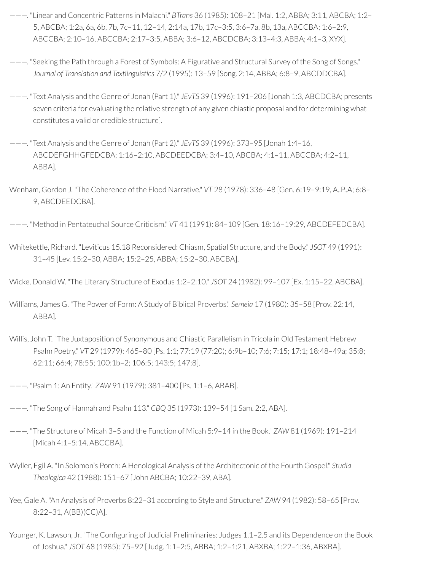- ———. "Linear and Concentric Patterns in Malachi." *BTrans* 36 (1985): 108–21 [Mal. 1:2, ABBA; 3:11, ABCBA; 1:2– 5, ABCBA; 1:2a, 6a, 6b, 7b, 7c–11, 12–14, 2:14a, 17b, 17c–3:5, 3:6–7a, 8b, 13a, ABCCBA; 1:6–2:9, ABCCBA; 2:10–16, ABCCBA; 2:17–3:5, ABBA; 3:6–12, ABCDCBA; 3:13–4:3, ABBA; 4:1–3, XYX].
- ———. "Seeking the Path through a Forest of Symbols: A Figurative and Structural Survey of the Song of Songs." *Journal of Translation and Textlinguistics* 7/2 (1995): 13–59 [Song. 2:14, ABBA; 6:8–9, ABCDDCBA].
- ———. "Text Analysis and the Genre of Jonah (Part 1)." *JEvTS* 39 (1996): 191–206 [Jonah 1:3, ABCDCBA; presents seven criteria for evaluating the relative strength of any given chiastic proposal and for determining what constitutes a valid or credible structure].
- ———. "Text Analysis and the Genre of Jonah (Part 2)." *JEvTS* 39 (1996): 373–95 [Jonah 1:4–16, ABCDEFGHHGFEDCBA; 1:16–2:10, ABCDEEDCBA; 3:4–10, ABCBA; 4:1–11, ABCCBA; 4:2–11, ABBA].
- Wenham, Gordon J. "The Coherence of the Flood Narrative." *VT* 28 (1978): 336–48 [Gen. 6:19–9:19, A..P..A; 6:8– 9, ABCDEEDCBA].
- ———. "Method in Pentateuchal Source Criticism." *VT* 41 (1991): 84–109 [Gen. 18:16–19:29, ABCDEFEDCBA].
- Whitekettle, Richard. "Leviticus 15.18 Reconsidered: Chiasm, Spatial Structure, and the Body." *JSOT* 49 (1991): 31–45 [Lev. 15:2–30, ABBA; 15:2–25, ABBA; 15:2–30, ABCBA].
- Wicke, Donald W. "The Literary Structure of Exodus 1:2–2:10." *JSOT* 24 (1982): 99–107 [Ex. 1:15–22, ABCBA].
- Williams, James G. "The Power of Form: A Study of Biblical Proverbs." *Semeia* 17 (1980): 35–58 [Prov. 22:14, ABBA].
- Willis, John T. "The Juxtaposition of Synonymous and Chiastic Parallelism in Tricola in Old Testament Hebrew Psalm Poetry." *VT* 29 (1979): 465–80 [Ps. 1:1; 77:19 (77:20); 6:9b–10; 7:6; 7:15; 17:1; 18:48–49a; 35:8; 62:11; 66:4; 78:55; 100:1b–2; 106:5; 143:5; 147:8].
- ———. "Psalm 1: An Entity." *ZAW* 91 (1979): 381–400 [Ps. 1:1–6, ABAB].
- ———. "The Song of Hannah and Psalm 113." *CBQ* 35 (1973): 139–54 [1 Sam. 2:2, ABA].
- ———. "The Structure of Micah 3–5 and the Function of Micah 5:9–14 in the Book." *ZAW* 81 (1969): 191–214 [Micah 4:1–5:14, ABCCBA].
- Wyller, Egil A. "In Solomon's Porch: A Henological Analysis of the Architectonic of the Fourth Gospel." *Studia Theologica* 42 (1988): 151–67 [John ABCBA; 10:22–39, ABA].
- Yee, Gale A. "An Analysis of Proverbs 8:22–31 according to Style and Structure." *ZAW* 94 (1982): 58–65 [Prov. 8:22–31, A(BB)(CC)A].
- Younger, K. Lawson, Jr. "The Configuring of Judicial Preliminaries: Judges 1.1-2.5 and its Dependence on the Book of Joshua." *JSOT* 68 (1985): 75–92 [Judg. 1:1–2:5, ABBA; 1:2–1:21, ABXBA; 1:22–1:36, ABXBA].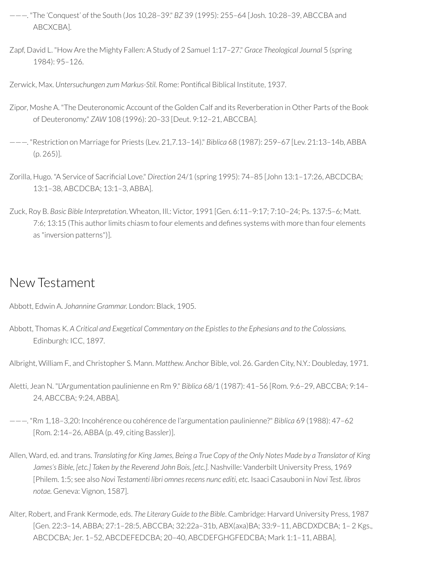- ———. "The 'Conquest' of the South (Jos 10,28–39." *BZ* 39 (1995): 255–64 [Josh. 10:28–39, ABCCBA and ABCXCBA].
- Zapf, David L. "How Are the Mighty Fallen: A Study of 2 Samuel 1:17–27." *Grace Theological Journal* 5 (spring 1984): 95–126.
- Zerwick, Max. *Untersuchungen zum Markus-Stil.* Rome: Pontical Biblical Institute, 1937.
- Zipor, Moshe A. "The Deuteronomic Account of the Golden Calf and its Reverberation in Other Parts of the Book of Deuteronomy." *ZAW* 108 (1996): 20–33 [Deut. 9:12–21, ABCCBA].
- ———. "Restriction on Marriage for Priests (Lev. 21,7.13–14)." *Biblica* 68 (1987): 259–67 [Lev. 21:13–14b, ABBA (p. 265)].
- Zorilla, Hugo. "A Service of Sacrificial Love." *Direction* 24/1 (spring 1995): 74-85 [John 13:1-17:26, ABCDCBA; 13:1–38, ABCDCBA; 13:1–3, ABBA].
- Zuck, Roy B. *Basic Bible Interpretation*. Wheaton, Ill.: Victor, 1991 [Gen. 6:11–9:17; 7:10–24; Ps. 137:5–6; Matt. 7:6; 13:15 (This author limits chiasm to four elements and defines systems with more than four elements as "inversion patterns")].

## New Testament

- Abbott, Edwin A. *Johannine Grammar.* London: Black, 1905.
- Abbott, Thomas K. *A Critical and Exegetical Commentary on the Epistlesto the Ephesians and to the Colossians.* Edinburgh: ICC, 1897.
- Albright, William F., and Christopher S. Mann. *Matthew.* Anchor Bible, vol. 26. Garden City, N.Y.: Doubleday, 1971.
- Aletti, Jean N. "L'Argumentation paulinienne en Rm 9." *Biblica* 68/1 (1987): 41–56 [Rom. 9:6–29, ABCCBA; 9:14– 24, ABCCBA; 9:24, ABBA].
- ———. "Rm 1,18–3,20: Incohérence ou cohérence de l'argumentation paulinienne?" *Biblica* 69 (1988): 47–62 [Rom. 2:14–26, ABBA (p. 49, citing Bassler)].
- Allen, Ward, ed. and trans. Translating for King James, Being a True Copy of the Only Notes Made by a Translator of King *James's Bible, [etc.] Taken by the Reverend John Bois, [etc.].* Nashville: Vanderbilt University Press, 1969 [Philem. 1:5; see also *Novi Testamenti libri omnes recens nunc editi, etc.* Isaaci Casauboni in *Novi Test. libros notae.* Geneva: Vignon, 1587].
- Alter, Robert, and Frank Kermode, eds. *The Literary Guide to the Bible*. Cambridge: Harvard University Press, 1987 [Gen. 22:3–14, ABBA; 27:1–28:5, ABCCBA; 32:22a–31b, ABX(axa)BA; 33:9–11, ABCDXDCBA; 1– 2 Kgs., ABCDCBA; Jer. 1–52, ABCDEFEDCBA; 20–40, ABCDEFGHGFEDCBA; Mark 1:1–11, ABBA].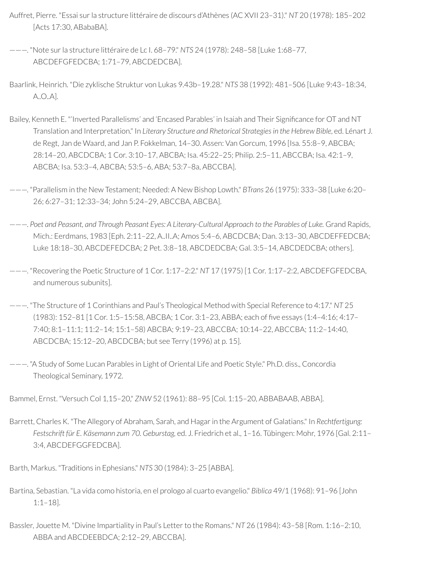- Auffret, Pierre. "Essai surla structure littéraire de discours d'Athènes (AC XVII 23–31)." *NT* 20 (1978): 185–202 [Acts 17:30, ABabaBA].
- ———. "Note surla structure littéraire de Lc I. 68–79." *NTS* 24 (1978): 248–58 [Luke 1:68–77, ABCDEFGFEDCBA; 1:71–79, ABCDEDCBA].
- Baarlink, Heinrich. "Die zyklische Struktur von Lukas 9.43b–19.28." *NTS* 38 (1992): 481–506 [Luke 9:43–18:34, A..O..A].
- Bailey, Kenneth E. "'Inverted Parallelisms' and 'Encased Parables' in Isaiah and Their Significance for OT and NT Translation and Interpretation." In *Literary Structure and Rhetorical Strategiesin the Hebrew Bible*, ed. Lénart J. de Regt, Jan de Waard, and Jan P. Fokkelman, 14–30. Assen: Van Gorcum, 1996 [Isa. 55:8–9, ABCBA; 28:14–20, ABCDCBA; 1 Cor. 3:10–17, ABCBA; Isa. 45:22–25; Philip. 2:5–11, ABCCBA; Isa. 42:1–9, ABCBA; Isa. 53:3–4, ABCBA; 53:5–6, ABA; 53:7–8a, ABCCBA].
- ———. "Parallelism in the New Testament; Needed: A New Bishop Lowth." *BTrans* 26 (1975): 333–38 [Luke 6:20– 26; 6:27–31; 12:33–34; John 5:24–29, ABCCBA, ABCBA].
- ———. *Poet and Peasant, and Through Peasant Eyes: A Literary-Cultural Approach to the Parables of Luke.* Grand Rapids, Mich.: Eerdmans, 1983 [Eph. 2:11–22, A..II..A; Amos 5:4–6, ABCDCBA; Dan. 3:13–30, ABCDEFFEDCBA; Luke 18:18–30, ABCDEFEDCBA; 2 Pet. 3:8–18, ABCDEDCBA; Gal. 3:5–14, ABCDEDCBA; others].
- ———. "Recovering the Poetic Structure of 1 Cor. 1:17–2:2." *NT* 17 (1975) [1 Cor. 1:17–2:2, ABCDEFGFEDCBA, and numerous subunits].
- ———. "The Structure of 1 Corinthians and Paul's Theological Method with Special Reference to 4:17." *NT* 25 (1983): 152–81 [1 Cor. 1:5–15:58, ABCBA; 1 Cor. 3:1–23, ABBA; each of ve essays (1:4–4:16; 4:17– 7:40; 8:1–11:1; 11:2–14; 15:1–58) ABCBA; 9:19–23, ABCCBA; 10:14–22, ABCCBA; 11:2–14:40, ABCDCBA; 15:12–20, ABCDCBA; but see Terry (1996) at p. 15].
- ———. "A Study of Some Lucan Parables in Light of Oriental Life and Poetic Style." Ph.D. diss., Concordia Theological Seminary, 1972.

Bammel, Ernst. "Versuch Col 1,15–20," *ZNW* 52 (1961): 88–95 [Col. 1:15–20, ABBABAAB, ABBA].

Barrett, Charles K. "The Allegory of Abraham, Sarah, and Hagarin the Argument of Galatians." In *Rechtfertigung: Festschrift für E. Käsemann zum 70. Geburstag,* ed. J. Friedrich et al., 1–16. Tübingen: Mohr, 1976 [Gal. 2:11– 3:4, ABCDEFGGFEDCBA].

Barth, Markus. "Traditions in Ephesians." *NTS* 30 (1984): 3–25 [ABBA].

- Bartina, Sebastian. "La vida como historia, en el prologo al cuarto evangelio." *Biblica* 49/1 (1968): 91–96 [John 1:1–18].
- Bassler, Jouette M. "Divine Impartiality in Paul's Letter to the Romans." *NT* 26 (1984): 43-58 [Rom. 1:16-2:10, ABBA and ABCDEEBDCA; 2:12–29, ABCCBA].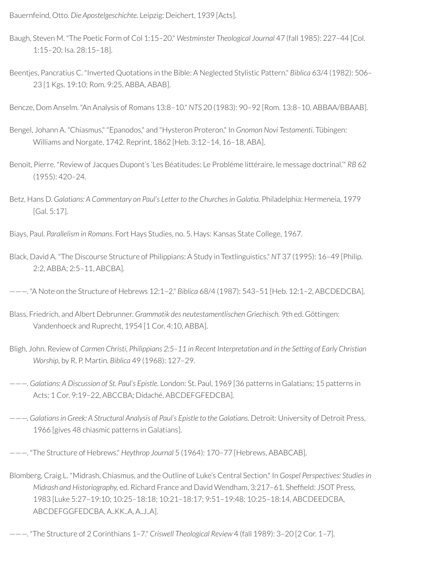Bauernfeind, Otto. *Die Apostelgeschichte.* Leipzig: Deichert, 1939 [Acts].

- Baugh, Steven M. "The Poetic Form of Col 1:15–20." *Westminster Theological Journal* 47 (fall 1985): 227–44 [Col. 1:15–20; Isa. 28:15–18].
- Beentjes, Pancratius C. "Inverted Quotations in the Bible: A Neglected Stylistic Pattern." *Biblica* 63/4 (1982): 506– 23 [1 Kgs. 19:10; Rom. 9:25, ABBA, ABAB].

Bencze, Dom Anselm. "An Analysis of Romans 13:8–10." *NTS* 20 (1983): 90–92 [Rom. 13:8–10, ABBAA/BBAAB].

- Bengel, Johann A. "Chiasmus," "Epanodos," and "Hysteron Proteron." In *Gnomon Novi Testamenti.* Tübingen: Williams and Norgate, 1742. Reprint, 1862 [Heb. 3:12–14, 16–18, ABA].
- Benoit, Pierre. "Review of Jacques Dupont's 'Les Béatitudes: Le Probléme littéraire, le message doctrinal.'" *RB* 62 (1955): 420–24.
- Betz, Hans D. *Galatians: A Commentary on Paul's Letter to the Churchesin Galatia.* Philadelphia: Hermeneia, 1979 [Gal. 5:17].

Biays, Paul. *Parallelism in Romans*. Fort Hays Studies, no. 5. Hays: Kansas State College, 1967.

Black, David A. "The Discourse Structure of Philippians: A Study in Textlinguistics." *NT* 37 (1995): 16–49 [Philip. 2:2, ABBA; 2:5–11, ABCBA].

———. "A Note on the Structure of Hebrews 12:1–2." *Biblica* 68/4 (1987): 543–51 [Heb. 12:1–2, ABCDEDCBA].

- Blass, Friedrich, and Albert Debrunner. *Grammatik des neutestamentlischen Griechisch.* 9th ed. Göttingen: Vandenhoeck and Ruprecht, 1954 [1 Cor. 4:10, ABBA].
- Bligh, John. Review of *Carmen Christi, Philippians 2:5–11 in Recent Interpretation and in the Setting of Early Christian Worship,* by R. P. Martin. *Biblica* 49 (1968): 127–29.
- ———. *Galatians: A Discussion of St. Paul's Epistle.* London: St. Paul, 1969 [36 patterns in Galatians; 15 patterns in Acts; 1 Cor. 9:19–22, ABCCBA; Didaché, ABCDEFGFEDCBA].
- ———. *Galatiansin Greek: A Structural Analysis of Paul's Epistle to the Galatians.* Detroit: University of Detroit Press, 1966 [gives 48 chiasmic patterns in Galatians].
- ———. "The Structure of Hebrews." *Heythrop Journal* 5 (1964): 170–77 [Hebrews, ABABCAB].
- Blomberg, Craig L. "Midrash, Chiasmus, and the Outline of Luke's Central Section." In *Gospel Perspectives: Studiesin Midrash and Historiography, ed. Richard France and David Wendham, 3:217-61. Sheffield: JSOT Press,* 1983 [Luke 5:27–19:10; 10:25–18:18; 10:21–18:17; 9:51–19:48; 10:25–18:14, ABCDEEDCBA, ABCDEFGGFEDCBA, A..KK..A, A..J..A].
- ———. "The Structure of 2 Corinthians 1–7." *Criswell Theological Review* 4 (fall 1989): 3–20 [2 Cor. 1–7].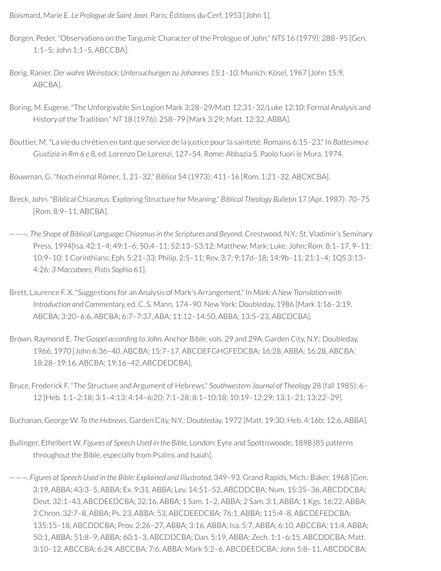Boismard, Marie E. *Le Prologue de Saint Jean.* Paris: Éditions du Cerf, 1953 [John 1].

- Borgen, Peder. "Observations on the Targumic Character of the Prologue of John." *NTS* 16 (1979): 288–95 [Gen. 1:1–5; John 1:1–5, ABCCBA].
- Borig, Ranier. *Der wahre Weinstock: Untersuchungen zu Johannes 15:1–10.* Munich: Kösel, 1967 [John 15:9, ABCBA].
- Boring, M. Eugene. "The Unforgivable Sin Logion Mark 3:28–29/Matt 12:31–32/Luke 12:10: Formal Analysis and History of the Tradition." *NT* 18 (1976): 258–79 [Mark 3:29; Matt. 12:32, ABBA].
- Bouttier, M. "La vie du chrétien en tant que service de la justice pourla sainteté: Romains 6:15–23." In *Battesimo e Giustizia in Rm 6 e 8,* ed. Lorenzo De Lorenzi, 127–54. Rome: Abbazia S. Paolo fuori le Mura, 1974.

Bouwman, G. "Noch einmal Römer, 1, 21–32." *Biblica* 54 (1973): 411–16 [Rom. 1:21–32, ABCXCBA].

- Breck, John. "Biblical Chiasmus: Exploring Structure for Meaning." *Biblical Theology Bulletin* 17 (Apr. 1987): 70–75 [Rom. 8:9–11, ABCBA].
- ———. *The Shape of Biblical Language: Chiasmus in the Scriptures and Beyond.* Crestwood, N.Y.: St. Vladimir's Seminary Press, 1994[Isa. 42:1–4; 49:1–6; 50:4–11; 52:13–53:12; Matthew; Mark; Luke; John; Rom. 8:1–17, 9–11; 10:9–10; 1 Corinthians; Eph. 5:21–33; Philip. 2:5–11; Rev. 3:7; 9:17d–18; 14:9b–11; 21:1–4; 1QS 3:13– 4:26; *3 Maccabees*; *Pistis Sophia* 61].
- Brett, Laurence F. X. "Suggestions for an Analysis of Mark's Arrangement." In *Mark: A New Translation with Introduction and Commentary,* ed. C. S. Mann, 174–90. New York: Doubleday, 1986 [Mark 1:16–3:19, ABCBA; 3:20–6:6, ABCBA; 6:7–7:37, ABA; 11:12–14:50, ABBA; 13:5–23, ABCDCBA].
- Brown, Raymond E. *The Gospel according to John.* Anchor Bible, vols. 29 and 29A. Garden City, N.Y.: Doubleday, 1966, 1970 [John 6:36–40, ABCBA; 15:7–17, ABCDEFGHGFEDCBA; 16:28, ABBA; 16:28, ABCBA; 18:28–19:16, ABCBA; 19:16–42, ABCDEDCBA].
- Bruce, Frederick F. "The Structure and Argument of Hebrews." *Southwestern Journal of Theology* 28 (fall 1985): 6– 12 [Heb. 1:1–2:18; 3:1–4:13; 4:14–6:20; 7:1–28; 8:1–10:18; 10:19–12:29; 13:1–21; 13:22–29].

Buchanan, George W. *To the Hebrews.* Garden City, N.Y.: Doubleday, 1972 [Matt. 19:30; Heb. 4:16b; 12:6, ABBA].

- Bullinger, Ethelbert W. *Figures of Speech Used in the Bible.* London: Eyre and Spottiswoode, 1898 [85 patterns throughout the Bible, especially from Psalms and Isaiah].
- ———. *Figures of Speech Used in the Bible: Explained and Illustrated*, 349–93. Grand Rapids, Mich.: Baker, 1968 [Gen. 3:19, ABBA; 43:3–5, ABBA; Ex. 9:31, ABBA; Lev. 14:51–52, ABCDDCBA; Num. 15:35–36, ABCDDCBA; Deut. 32:1–43, ABCDEEDCBA; 32:16, ABBA; 1 Sam. 1–2, ABBA; 2 Sam. 3:1, ABBA; 1 Kgs. 16:22, ABBA; 2 Chron. 32:7–8, ABBA; Ps. 23, ABBA; 53, ABCDEEDCBA; 76:1, ABBA; 115:4–8, ABCDEFEDCBA; 135:15–18, ABCDDCBA; Prov. 2:26–27, ABBA; 3:16, ABBA; Isa. 5:7, ABBA; 6:10, ABCCBA; 11:4, ABBA; 50:1, ABBA; 51:8–9, ABBA; 60:1–3, ABCDDCBA; Dan. 5:19, ABBA; Zech. 1:1–6:15, ABCDDCBA; Matt. 3:10–12, ABCCBA; 6:24, ABCCBA; 7:6, ABBA; Mark 5:2–6, ABCDEEDCBA; John 5:8–11, ABCDDCBA;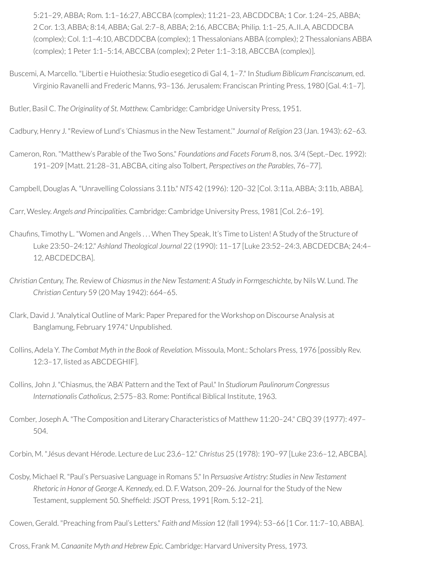5:21–29, ABBA; Rom. 1:1–16:27, ABCCBA (complex); 11:21–23, ABCDDCBA; 1 Cor. 1:24–25, ABBA; 2 Cor. 1:3, ABBA; 8:14, ABBA; Gal. 2:7–8, ABBA; 2:16, ABCCBA; Philip. 1:1–25, A..II..A, ABCDDCBA (complex); Col. 1:1–4:10, ABCDDCBA (complex); 1 Thessalonians ABBA (complex); 2 Thessalonians ABBA (complex); 1 Peter 1:1–5:14, ABCCBA (complex); 2 Peter 1:1–3:18, ABCCBA (complex)].

Buscemi, A. Marcello. "Liberti e Huiothesia: Studio esegetico di Gal 4, 1–7." In *Studium Biblicum Franciscanum,* ed. Virginio Ravanelli and Frederic Manns, 93–136. Jerusalem: Franciscan Printing Press, 1980 [Gal. 4:1–7].

Butler, Basil C. *The Originality of St. Matthew.* Cambridge: Cambridge University Press, 1951.

Cadbury, Henry J. "Review of Lund's 'Chiasmus in the New Testament.'" *Journal of Religion* 23 (Jan. 1943): 62–63.

Cameron, Ron. "Matthew's Parable of the Two Sons." *Foundations and Facets Forum* 8, nos. 3/4 (Sept.–Dec. 1992): 191–209 [Matt. 21:28–31, ABCBA, citing also Tolbert, *Perspectives on the Parables*, 76–77].

Campbell, Douglas A. "Unravelling Colossians 3.11b." *NTS* 42 (1996): 120–32 [Col. 3:11a, ABBA; 3:11b, ABBA].

Carr, Wesley. *Angels and Principalities.* Cambridge: Cambridge University Press, 1981 [Col. 2:6–19].

- Chaufins, Timothy L. "Women and Angels ... When They Speak, It's Time to Listen! A Study of the Structure of Luke 23:50–24:12." *Ashland Theological Journal* 22 (1990): 11–17 [Luke 23:52–24:3, ABCDEDCBA; 24:4– 12, ABCDEDCBA].
- *Christian Century, The.* Review of *Chiasmusin the New Testament: A Study in Formgeschichte,* by Nils W. Lund. *The Christian Century* 59 (20 May 1942): 664–65.
- Clark, David J. "Analytical Outline of Mark: Paper Prepared forthe Workshop on Discourse Analysis at Banglamung, February 1974." Unpublished.
- Collins, Adela Y. *The Combat Myth in the Book of Revelation.* Missoula, Mont.: Scholars Press, 1976 [possibly Rev. 12:3–17, listed as ABCDEGHIF].
- Collins, John J. "Chiasmus, the 'ABA' Pattern and the Text of Paul." In *Studiorum Paulinorum Congressus Internationalis Catholicus, 2:575-83. Rome: Pontifical Biblical Institute, 1963.*
- Comber, Joseph A. "The Composition and Literary Characteristics of Matthew 11:20–24." *CBQ* 39 (1977): 497– 504.

Corbin, M. "Jésus devant Hérode. Lecture de Luc 23,6–12." *Christus* 25 (1978): 190–97 [Luke 23:6–12, ABCBA].

Cosby, Michael R. "Paul's Persuasive Language in Romans 5." In *Persuasive Artistry: Studies in New Testament Rhetoric in Honor of George A. Kennedy,* ed. D. F. Watson, 209–26. Journal forthe Study of the New Testament, supplement 50. Sheffield: JSOT Press, 1991 [Rom. 5:12-21].

Cowen, Gerald. "Preaching from Paul's Letters." *Faith and Mission* 12 (fall 1994): 53–66 [1 Cor. 11:7–10, ABBA].

Cross, Frank M. *Canaanite Myth and Hebrew Epic.* Cambridge: Harvard University Press, 1973.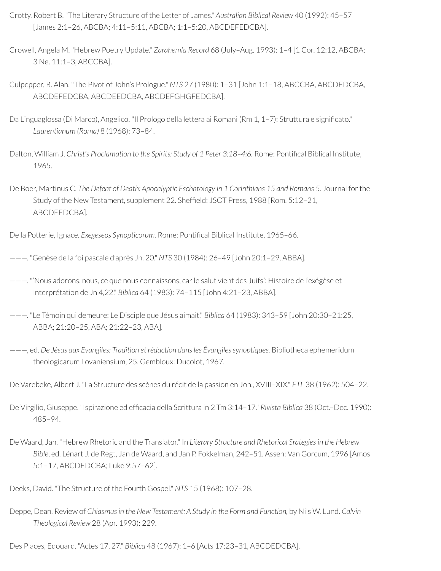- Crotty, Robert B. "The Literary Structure of the Letter of James." *Australian Biblical Review* 40 (1992): 45–57 [James 2:1–26, ABCBA; 4:11–5:11, ABCBA; 1:1–5:20, ABCDEFEDCBA].
- Crowell, Angela M. "Hebrew Poetry Update." *Zarahemla Record* 68 (July–Aug. 1993): 1–4 [1 Cor. 12:12, ABCBA; 3 Ne. 11:1–3, ABCCBA].
- Culpepper, R. Alan. "The Pivot of John's Prologue." *NTS* 27 (1980): 1–31 [John 1:1–18, ABCCBA, ABCDEDCBA, ABCDEFEDCBA, ABCDEEDCBA, ABCDEFGHGFEDCBA].
- Da Linguaglossa (Di Marco), Angelico. "Il Prologo della lettera ai Romani (Rm 1, 1-7): Struttura e significato." *Laurentianum (Roma)* 8 (1968): 73–84.
- Dalton, William J. *Christ's Proclamation to the Spirits: Study of 1 Peter 3:18–4:6.* Rome: Pontical Biblical Institute, 1965.
- De Boer, Martinus C. *The Defeat of Death: Apocalyptic Eschatology in 1 Corinthians 15 and Romans 5.* Journal forthe Study of the New Testament, supplement 22. Sheffield: JSOT Press, 1988 [Rom. 5:12-21, ABCDEEDCBA].
- De la Potterie, Ignace. *Exegeseos Synopticorum.* Rome: Pontical Biblical Institute, 1965–66.
- ———. "Genèse de la foi pascale d'après Jn. 20." *NTS* 30 (1984): 26–49 [John 20:1–29, ABBA].
- ———. "'Nous adorons, nous, ce que nous connaissons, carle salut vient des Juifs': Histoire de l'exégèse et interprétation de Jn 4,22." *Biblica* 64 (1983): 74–115 [John 4:21–23, ABBA].
- ———. "Le Témoin qui demeure: Le Disciple que Jésus aimait." *Biblica* 64 (1983): 343–59 [John 20:30–21:25, ABBA; 21:20–25, ABA; 21:22–23, ABA].
- ———, ed. *De Jésus aux Evangiles: Tradition et rédaction dansles Évangilessynoptiques.* Bibliotheca ephemeridum theologicarum Lovaniensium, 25. Gembloux: Ducolot, 1967.
- De Varebeke, Albert J. "La Structure des scènes du récit de la passion en Joh., XVIII–XIX." *ETL* 38 (1962): 504–22.
- De Virgilio, Giuseppe. "Ispirazione ed efcacia della Scrittura in 2 Tm 3:14–17." *Rivista Biblica* 38 (Oct.–Dec. 1990): 485–94.
- De Waard, Jan. "Hebrew Rhetoric and the Translator." In *Literary Structure and Rhetorical Srategies in the Hebrew Bible*, ed. Lénart J. de Regt, Jan de Waard, and Jan P. Fokkelman, 242–51. Assen: Van Gorcum, 1996 [Amos 5:1–17, ABCDEDCBA; Luke 9:57–62].
- Deeks, David. "The Structure of the Fourth Gospel." *NTS* 15 (1968): 107–28.
- Deppe, Dean. Review of *Chiasmusin the New Testament: A Study in the Form and Function,* by Nils W. Lund. *Calvin Theological Review* 28 (Apr. 1993): 229.
- Des Places, Edouard. "Actes 17, 27." *Biblica* 48 (1967): 1–6 [Acts 17:23–31, ABCDEDCBA].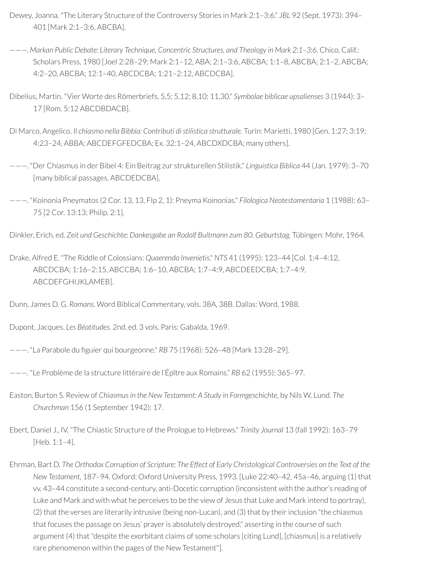- Dewey, Joanna. "The Literary Structure of the Controversy Stories in Mark 2:1–3:6." *JBL* 92 (Sept. 1973): 394– 401 [Mark 2:1–3:6, ABCBA].
- ———. *Markan Public Debate: Literary Technique, Concentric Structures, and Theology in Mark 2:1–3:6.* Chico, Calif.: Scholars Press, 1980 [Joel 2:28–29; Mark 2:1–12, ABA; 2:1–3:6, ABCBA; 1:1–8, ABCBA; 2:1–2, ABCBA; 4:2–20, ABCBA; 12:1–40, ABCDCBA; 1:21–2:12, ABCDCBA].
- Dibelius, Martin. "Vier Worte des Römerbriefs, 5,5; 5,12; 8,10; 11,30." *Symbolae biblicae upsalienses* 3 (1944): 3– 17 [Rom. 5:12 ABCDBDACB].
- Di Marco, Angelico. *Il chiasmo nella Bibbia: Contributi di stilistica strutturale.* Turin: Marietti, 1980 [Gen. 1:27; 3:19; 4:23–24, ABBA; ABCDEFGFEDCBA; Ex. 32:1–24, ABCDXDCBA; many others].
- ———. "Der Chiasmus in der Bibel 4: Ein Beitrag zur strukturellen Stilistik." *Linguistica Biblica* 44 (Jan. 1979): 3–70 [many biblical passages, ABCDEDCBA].
- ———. "Koinonia Pneymatos (2 Cor. 13, 13, Flp 2, 1): Pneyma Koinonias." *Filologica Neotestamentaria* 1 (1988): 63– 75 [2 Cor. 13:13; Philip. 2:1].

Dinkler, Erich, ed. *Zeit und Geschichte: Dankesgabe an Rodolf Bultmann zum 80. Geburtstag.* Tübingen: Mohr, 1964.

Drake, Alfred E. "The Riddle of Colossians: *Quaerendo Invenietis*." *NTS* 41 (1995): 123–44 [Col. 1:4–4:12, ABCDCBA; 1:16–2:15, ABCCBA; 1:6–10, ABCBA; 1:7–4:9, ABCDEEDCBA; 1:7–4:9, ABCDEFGHIJKLAMEB].

Dupont, Jacques. *Les Béatitudes.* 2nd. ed. 3 vols. Paris: Gabalda, 1969.

- ---. "La Parabole du figuier qui bourgeonne." *RB* 75 (1968): 526-48 [Mark 13:28-29].
- ———. "Le Problème de la structure littéraire de l'Épître aux Romains." *RB* 62 (1955): 365–97.
- Easton, Burton S. Review of *Chiasmus in the New Testament: A Study in Formgeschichte,* by Nils W. Lund. *The Churchman* 156 (1 September 1942): 17.
- Ebert, Daniel J., IV. "The Chiastic Structure of the Prologue to Hebrews." *Trinity Journal* 13 (fall 1992): 163–79 [Heb. 1:1–4].
- Ehrman, Bart D. The Orthodox Corruption of Scripture: The Effect of Early Christological Controversies on the Text of the *New Testament*, 187–94. Oxford: Oxford University Press, 1993. [Luke 22:40–42, 45a–46, arguing (1) that vv. 43–44 constitute a second-century, anti-Docetic corruption (inconsistent with the author's reading of Luke and Mark and with what he perceives to be the view of Jesus that Luke and Mark intend to portray), (2) that the verses are literarily intrusive (being non-Lucan), and (3) that by theirinclusion "the chiasmus that focuses the passage on Jesus' prayer is absolutely destroyed," asserting in the course of such argument (4) that "despite the exorbitant claims of some scholars [citing Lund], [chiasmus] is a relatively rare phenomenon within the pages of the New Testament"].

Dunn, James D. G. *Romans.* Word Biblical Commentary, vols. 38A, 38B. Dallas: Word, 1988.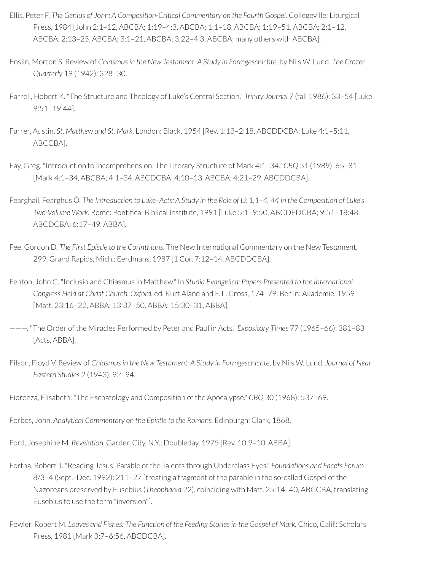- Ellis, Peter F. *The Genius of John: A Composition-Critical Commentary on the Fourth Gospel.* Collegeville: Liturgical Press, 1984 [John 2:1–12, ABCBA; 1:19–4:3, ABCBA; 1:1–18, ABCBA; 1:19–51, ABCBA; 2:1–12, ABCBA; 2:13–25, ABCBA; 3:1–21, ABCBA; 3:22–4:3, ABCBA; many others with ABCBA].
- Enslin, Morton S. Review of *Chiasmusin the New Testament: A Study in Formgeschichte,* by Nils W. Lund. *The Crozer Quarterly* 19 (1942): 328–30.
- Farrell, Hobert K. "The Structure and Theology of Luke's Central Section." *Trinity Journal* 7 (fall 1986): 33–54 [Luke 9:51–19:44].
- Farrer, Austin. *St. Matthew and St. Mark.* London: Black, 1954 [Rev. 1:13–2:18, ABCDDCBA; Luke 4:1–5:11, ABCCBA].
- Fay, Greg. "Introduction to Incomprehension: The Literary Structure of Mark 4:1–34." *CBQ* 51 (1989): 65–81 [Mark 4:1–34, ABCBA; 4:1–34, ABCDCBA; 4:10–13, ABCBA; 4:21–29, ABCDDCBA].
- Fearghail, Fearghus Ó. The Introduction to Luke-Acts: A Study in the Role of Lk 1,1-4, 44 in the Composition of Luke's *Two-Volume Work*. Rome: Pontifical Biblical Institute, 1991 [Luke 5:1-9:50, ABCDEDCBA; 9:51-18:48, ABCDCBA; 6:17–49, ABBA].
- Fee, Gordon D. *The First Epistle to the Corinthians*. The New International Commentary on the New Testament, 299. Grand Rapids, Mich.: Eerdmans, 1987 [1 Cor. 7:12–14, ABCDDCBA].
- Fenton, John C. "Inclusio and Chiasmus in Matthew." In *Studia Evangelica: Papers Presented to the International Congress Held at Christ Church, Oxford,* ed. Kurt Aland and F. L. Cross, 174–79. Berlin: Akademie, 1959 [Matt. 23:16–22, ABBA; 13:37–50, ABBA; 15:30–31, ABBA].
- ———. "The Order of the Miracles Performed by Peter and Paul in Acts." *Expository Times* 77 (1965–66): 381–83 [Acts, ABBA].
- Filson, Floyd V. Review of *Chiasmus in the New Testament: A Study in Formgeschichte,* by Nils W. Lund. *Journal of Near Eastern Studies* 2 (1943): 92–94.
- Fiorenza, Elisabeth. "The Eschatology and Composition of the Apocalypse." *CBQ* 30 (1968): 537–69.
- Forbes, John. *Analytical Commentary on the Epistle to the Romans.* Edinburgh: Clark, 1868.
- Ford, Josephine M. *Revelation.* Garden City, N.Y.: Doubleday, 1975 [Rev. 10:9–10, ABBA].
- Fortna, Robert T. "Reading Jesus' Parable of the Talents through Underclass Eyes." *Foundations and Facets Forum* 8/3–4 (Sept.–Dec. 1992): 211–27 [treating a fragment of the parable in the so-called Gospel of the Nazoreans preserved by Eusebius (*Theophania* 22), coinciding with Matt. 25:14–40, ABCCBA, translating Eusebius to use the term "inversion"].
- Fowler, Robert M. *Loaves and Fishes: The Function of the Feeding Storiesin the Gospel of Mark.* Chico, Calif.: Scholars Press, 1981 [Mark 3:7–6:56, ABCDCBA].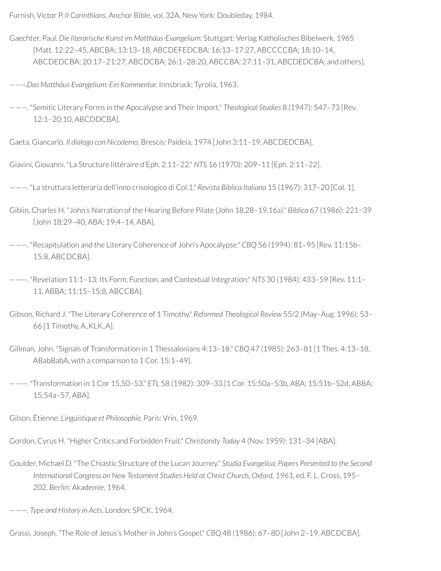Furnish, Victor P. *II Corinthians.* Anchor Bible, vol. 32A. New York: Doubleday, 1984.

- Gaechter, Paul. *Die literarische Kunst im Matthäus-Evangelium.* Stuttgart: Verlag Katholisches Bibelwerk, 1965 [Matt. 12:22–45, ABCBA; 13:13–18, ABCDEFEDCBA; 16:13–17:27, ABCCCCBA; 18:10–14, ABCDEDCBA; 20:17–21:27, ABCDCBA; 26:1–28:20, ABCCBA; 27:11–31, ABCDEDCBA; and others].
- *———.Das Matthäus Evangelium: Ein Kommentar.* Innsbruck: Tyrolia, 1963.
- ———. "Semitic Literary Forms in the Apocalypse and TheirImport." *Theological Studies* 8 (1947): 547–73 [Rev. 12:1–20:10, ABCDDCBA].
- Gaeta, Giancarlo. *Il dialogo con Nicodemo.* Brescis: Paideia, 1974 [John 3:11–19, ABCDEDCBA].
- Giavini, Giovanni. "La Structure littéraire d'Eph. 2.11–22." *NTS* 16 (1970): 209–11 [Eph. 2:11–22].
- ———. "La struttura letteraria dell'inno crisologico di Col.1." *Revista Biblica Italiana* 15 (1967): 317–20 [Col. 1].
- Giblin, Charles H. "John's Narration of the Hearing Before Pilate (John 18,28–19,16a)." *Biblica* 67 (1986): 221–39 [John 18:29–40, ABA; 19:4–14, ABA].
- ———. "Recapitulation and the Literary Coherence of John's Apocalypse." *CBQ* 56 (1994): 81–95 [Rev. 11:15b– 15:8, ABCDCBA].

———. "Revelation 11:1–13: Its Form, Function, and Contextual Integration." *NTS* 30 (1984): 433–59 [Rev. 11:1– 11, ABBA; 11:15–15:8, ABCCBA].

- Gibson, Richard J. "The Literary Coherence of 1 Timothy." *Reformed Theological Review* 55/2 (May–Aug. 1996): 53– 66 [1 Timothy, A..KLK..A].
- Gillman, John. "Signals of Transformation in 1 Thessalonians 4:13–18." *CBQ* 47 (1985): 263–81 [1 Thes. 4:13–18, ABabBabA, with a comparison to 1 Cor. 15:1–49].
- ———. "Transformation in 1 Cor 15,50–53." *ETL* 58 (1982): 309–33 [1 Cor. 15:50a–53b, ABA; 15:51b–52d, ABBA; 15:54a–57, ABA].
- Gilson, Étienne. *Linguistique et Philosophie.* Paris: Vrin, 1969.
- Gordon, Cyrus H. "Higher Critics and Forbidden Fruit." *Christianity Today* 4 (Nov. 1959): 131–34 [ABA].
- Goulder, Michael D. "The Chiastic Structure of the Lucan Journey." *Studia Evangelica: Papers Presented to the Second International Congress on New Testament Studies Held at Christ Church, Oxford, 1961,* ed. F. L. Cross, 195– 202. Berlin: Akademie, 1964.

———. *Type and History in Acts.* London: SPCK, 1964.

Grassi, Joseph. "The Role of Jesus's Motherin John's Gospel." *CBQ* 48 (1986): 67–80 [John 2–19, ABCDCBA].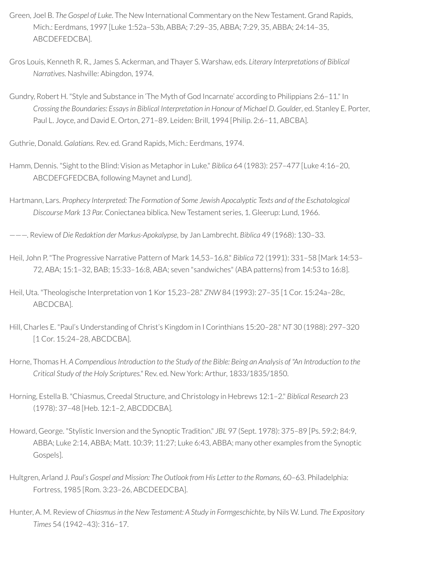- Green, Joel B. *The Gospel of Luke*. The New International Commentary on the New Testament. Grand Rapids, Mich.: Eerdmans, 1997 [Luke 1:52a–53b, ABBA; 7:29–35, ABBA; 7:29, 35, ABBA; 24:14–35, ABCDEFEDCBA].
- Gros Louis, Kenneth R. R., James S. Ackerman, and Thayer S. Warshaw, eds. *Literary Interpretations of Biblical Narratives.* Nashville: Abingdon, 1974.
- Gundry, Robert H. "Style and Substance in 'The Myth of God Incarnate' according to Philippians 2:6–11." In *Crossing the Boundaries: Essaysin Biblical Interpretation in Honour of Michael D. Goulder*, ed. Stanley E. Porter, Paul L. Joyce, and David E. Orton, 271–89. Leiden: Brill, 1994 [Philip. 2:6–11, ABCBA].

Guthrie, Donald. *Galatians.* Rev. ed. Grand Rapids, Mich.: Eerdmans, 1974.

- Hamm, Dennis. "Sight to the Blind: Vision as Metaphorin Luke." *Biblica* 64 (1983): 257–477 [Luke 4:16–20, ABCDEFGFEDCBA, following Maynet and Lund].
- Hartmann, Lars. *Prophecy Interpreted: The Formation of Some Jewish Apocalyptic Texts and of the Eschatological Discourse Mark 13 Par.* Coniectanea biblica. New Testament series, 1. Gleerup: Lund, 1966.

———. Review of *Die Redaktion der Markus-Apokalypse,* by Jan Lambrecht. *Biblica* 49 (1968): 130–33.

- Heil, John P. "The Progressive Narrative Pattern of Mark 14,53–16,8." *Biblica* 72 (1991): 331–58 [Mark 14:53– 72, ABA; 15:1–32, BAB; 15:33–16:8, ABA; seven "sandwiches" (ABA patterns) from 14:53 to 16:8].
- Heil, Uta. "Theologische Interpretation von 1 Kor 15,23–28." *ZNW* 84 (1993): 27–35 [1 Cor. 15:24a–28c, ABCDCBA].
- Hill, Charles E. "Paul's Understanding of Christ's Kingdom in I Corinthians 15:20–28." *NT* 30 (1988): 297–320 [1 Cor. 15:24–28, ABCDCBA].
- Horne, Thomas H. A Compendious Introduction to the Study of the Bible: Being an Analysis of "An Introduction to the *Critical Study of the Holy Scriptures."* Rev. ed. New York: Arthur, 1833/1835/1850.
- Horning, Estella B. "Chiasmus, Creedal Structure, and Christology in Hebrews 12:1–2." *Biblical Research* 23 (1978): 37–48 [Heb. 12:1–2, ABCDDCBA].
- Howard, George. "Stylistic Inversion and the Synoptic Tradition." *JBL* 97 (Sept. 1978): 375–89 [Ps. 59:2; 84:9, ABBA; Luke 2:14, ABBA; Matt. 10:39; 11:27; Luke 6:43, ABBA; many other examples from the Synoptic Gospels].
- Hultgren, Arland J. *Paul's Gospel and Mission: The Outlook from His Letter to the Romans,* 60–63. Philadelphia: Fortress, 1985 [Rom. 3:23–26, ABCDEEDCBA].
- Hunter, A. M. Review of *Chiasmusin the New Testament: A Study in Formgeschichte,* by Nils W. Lund. *The Expository Times* 54 (1942–43): 316–17.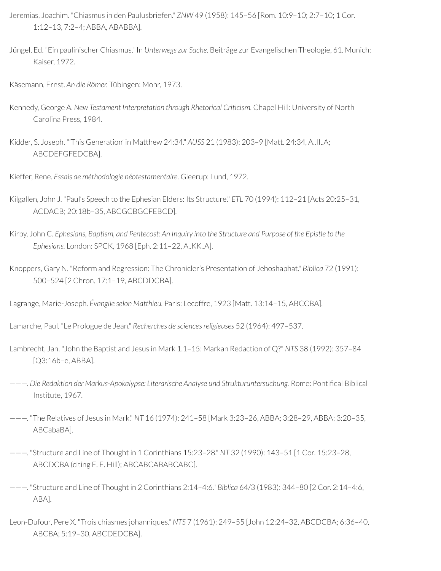- Jeremias, Joachim. "Chiasmus in den Paulusbriefen." *ZNW* 49 (1958): 145–56 [Rom. 10:9–10; 2:7–10; 1 Cor. 1:12–13, 7:2–4; ABBA, ABABBA].
- Jüngel, Ed. "Ein paulinischer Chiasmus." In *Unterwegs zur Sache.* Beiträge zur Evangelischen Theologie, 61. Munich: Kaiser, 1972.
- Käsemann, Ernst. *An die Römer.* Tübingen: Mohr, 1973.
- Kennedy, George A. *New Testament Interpretation through Rhetorical Criticism.* Chapel Hill: University of North Carolina Press, 1984.
- Kidder, S. Joseph. "'This Generation' in Matthew 24:34." *AUSS* 21 (1983): 203–9 [Matt. 24:34, A..II..A; ABCDEFGFEDCBA].

Kieffer, Rene. *Essais de méthodologie néotestamentaire.* Gleerup: Lund, 1972.

- Kilgallen, John J. "Paul's Speech to the Ephesian Elders: Its Structure." *ETL* 70 (1994): 112–21 [Acts 20:25–31, ACDACB; 20:18b–35, ABCGCBGCFEBCD].
- Kirby, John C. Ephesians, Baptism, and Pentecost: An Inquiry into the Structure and Purpose of the Epistle to the *Ephesians.* London: SPCK, 1968 [Eph. 2:11–22, A..KK..A].

Knoppers, Gary N. "Reform and Regression: The Chronicler's Presentation of Jehoshaphat." *Biblica* 72 (1991): 500–524 [2 Chron. 17:1–19, ABCDDCBA].

Lagrange, Marie-Joseph. *Évangile selon Matthieu.* Paris: Lecoffre, 1923 [Matt. 13:14–15, ABCCBA].

Lamarche, Paul. "Le Prologue de Jean." *Recherches de sciencesreligieuses* 52 (1964): 497–537.

Lambrecht, Jan. "John the Baptist and Jesus in Mark 1.1–15: Markan Redaction of Q?" *NTS* 38 (1992): 357–84 [Q3:16b–e, ABBA].

- ———. *Die Redaktion der Markus-Apokalypse: Literarische Analyse und Strukturuntersuchung.* Rome: Pontical Biblical Institute, 1967.
- ———. "The Relatives of Jesus in Mark." *NT* 16 (1974): 241–58 [Mark 3:23–26, ABBA; 3:28–29, ABBA; 3:20–35, ABCabaBA].
- ———. "Structure and Line of Thought in 1 Corinthians 15:23–28." *NT* 32 (1990): 143–51 [1 Cor. 15:23–28, ABCDCBA (citing E. E. Hill); ABCABCABABCABC].
- ———. "Structure and Line of Thought in 2 Corinthians 2:14–4:6." *Biblica* 64/3 (1983): 344–80 [2 Cor. 2:14–4:6, ABA].
- Leon-Dufour, Pere X. "Trois chiasmes johanniques." *NTS* 7 (1961): 249–55 [John 12:24–32, ABCDCBA; 6:36–40, ABCBA; 5:19–30, ABCDEDCBA].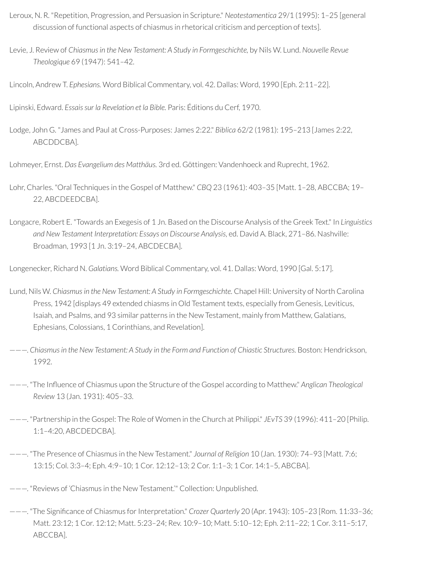- Leroux, N. R. "Repetition, Progression, and Persuasion in Scripture." *Neotestamentica* 29/1 (1995): 1–25 [general discussion of functional aspects of chiasmus in rhetorical criticism and perception of texts].
- Levie, J. Review of *Chiasmusin the New Testament: A Study in Formgeschichte,* by Nils W. Lund. *Nouvelle Revue Theologique* 69 (1947): 541–42.
- Lincoln, Andrew T. *Ephesians.* Word Biblical Commentary, vol. 42. Dallas: Word, 1990 [Eph. 2:11–22].

Lipinski, Edward. *Essaissur la Revelation et la Bible.* Paris: Éditions du Cerf, 1970.

Lodge, John G. "James and Paul at Cross-Purposes: James 2:22." *Biblica* 62/2 (1981): 195–213 [James 2:22, ABCDDCBA].

Lohmeyer, Ernst. *Das Evangelium des Matthäus.* 3rd ed. Göttingen: Vandenhoeck and Ruprecht, 1962.

- Lohr, Charles. "Oral Techniques in the Gospel of Matthew." *CBQ* 23 (1961): 403–35 [Matt. 1–28, ABCCBA; 19– 22, ABCDEEDCBA].
- Longacre, Robert E. "Towards an Exegesis of 1 Jn. Based on the Discourse Analysis of the Greek Text." In *Linguistics and New Testament Interpretation: Essays on Discourse Analysis*, ed. David A. Black, 271–86. Nashville: Broadman, 1993 [1 Jn. 3:19–24, ABCDECBA].

Longenecker, Richard N. *Galatians.* Word Biblical Commentary, vol. 41. Dallas: Word, 1990 [Gal. 5:17].

- Lund, Nils W. *Chiasmusin the New Testament: A Study in Formgeschichte.* Chapel Hill: University of North Carolina Press, 1942 [displays 49 extended chiasms in Old Testament texts, especially from Genesis, Leviticus, Isaiah, and Psalms, and 93 similar patterns in the New Testament, mainly from Matthew, Galatians, Ephesians, Colossians, 1 Corinthians, and Revelation].
- ———. *Chiasmusin the New Testament: A Study in the Form and Function of Chiastic Structures.* Boston: Hendrickson, 1992.
- ———. "The Inuence of Chiasmus upon the Structure of the Gospel according to Matthew." *Anglican Theological Review* 13 (Jan. 1931): 405–33.
- ———. "Partnership in the Gospel: The Role of Women in the Church at Philippi." *JEvTS* 39 (1996): 411–20 [Philip. 1:1–4:20, ABCDEDCBA].
- ———. "The Presence of Chiasmus in the New Testament." *Journal of Religion* 10 (Jan. 1930): 74–93 [Matt. 7:6; 13:15; Col. 3:3–4; Eph. 4:9–10; 1 Cor. 12:12–13; 2 Cor. 1:1–3; 1 Cor. 14:1–5, ABCBA].
- ———. "Reviews of 'Chiasmus in the New Testament.'" Collection: Unpublished.
- ———. "The Signicance of Chiasmus forInterpretation." *Crozer Quarterly* 20 (Apr. 1943): 105–23 [Rom. 11:33–36; Matt. 23:12; 1 Cor. 12:12; Matt. 5:23–24; Rev. 10:9–10; Matt. 5:10–12; Eph. 2:11–22; 1 Cor. 3:11–5:17, ABCCBA].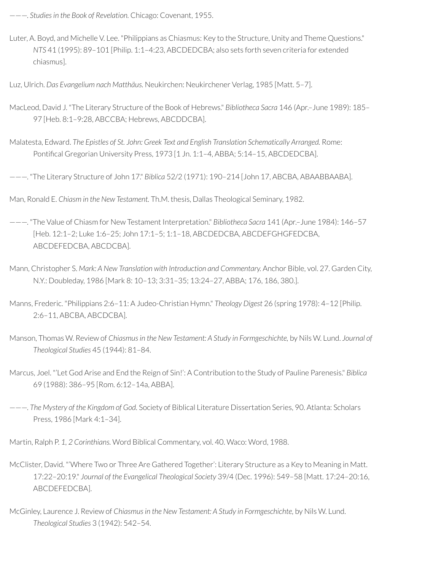———. *Studiesin the Book of Revelation.* Chicago: Covenant, 1955.

Luter, A. Boyd, and Michelle V. Lee. "Philippians as Chiasmus: Key to the Structure, Unity and Theme Questions." *NTS* 41 (1995): 89–101 [Philip. 1:1–4:23, ABCDEDCBA; also sets forth seven criteria for extended chiasmus].

Luz, Ulrich. *Das Evangelium nach Matthäus.* Neukirchen: Neukirchener Verlag, 1985 [Matt. 5–7].

- MacLeod, David J. "The Literary Structure of the Book of Hebrews." *Bibliotheca Sacra* 146 (Apr.–June 1989): 185– 97 [Heb. 8:1–9:28, ABCCBA; Hebrews, ABCDDCBA].
- Malatesta, Edward. *The Epistles of St. John: Greek Text and English Translation Schematically Arranged.* Rome: Pontifical Gregorian University Press, 1973 [1 Jn. 1:1-4, ABBA; 5:14-15, ABCDEDCBA].

———. "The Literary Structure of John 17." *Biblica* 52/2 (1971): 190–214 [John 17, ABCBA, ABAABBAABA].

Man, Ronald E. *Chiasm in the New Testament.* Th.M. thesis, Dallas Theological Seminary, 1982.

- ———. "The Value of Chiasm for New Testament Interpretation." *Bibliotheca Sacra* 141 (Apr.–June 1984): 146–57 [Heb. 12:1–2; Luke 1:6–25; John 17:1–5; 1:1–18, ABCDEDCBA, ABCDEFGHGFEDCBA, ABCDEFEDCBA, ABCDCBA].
- Mann, Christopher S. *Mark: A New Translation with Introduction and Commentary.* Anchor Bible, vol. 27. Garden City, N.Y.: Doubleday, 1986 [Mark 8: 10–13; 3:31–35; 13:24–27, ABBA; 176, 186, 380.].

Manns, Frederic. "Philippians 2:6–11: A Judeo-Christian Hymn." *Theology Digest* 26 (spring 1978): 4–12 [Philip. 2:6–11, ABCBA, ABCDCBA].

- Manson, Thomas W. Review of *Chiasmus in the New Testament: A Study in Formgeschichte,* by Nils W. Lund. *Journal of Theological Studies* 45 (1944): 81–84.
- Marcus, Joel. "'Let God Arise and End the Reign of Sin!': A Contribution to the Study of Pauline Parenesis." *Biblica* 69 (1988): 386–95 [Rom. 6:12–14a, ABBA].
- ———. *The Mystery of the Kingdom of God.* Society of Biblical Literature Dissertation Series, 90. Atlanta: Scholars Press, 1986 [Mark 4:1–34].

Martin, Ralph P. *1, 2 Corinthians.* Word Biblical Commentary, vol. 40. Waco: Word, 1988.

- McClister, David. "'Where Two or Three Are Gathered Together': Literary Structure as a Key to Meaning in Matt. 17:22–20:19." *Journal of the Evangelical Theological Society* 39/4 (Dec. 1996): 549–58 [Matt. 17:24–20:16, ABCDEFEDCBA].
- McGinley, Laurence J. Review of *Chiasmus in the New Testament: A Study in Formgeschichte,* by Nils W. Lund. *Theological Studies* 3 (1942): 542–54.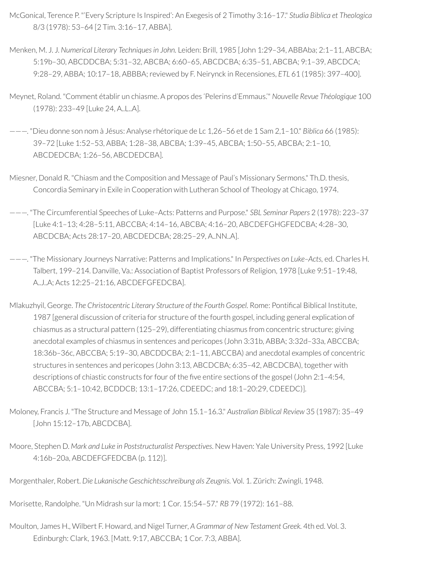- McGonical, Terence P. "'Every Scripture Is Inspired': An Exegesis of 2 Timothy 3:16–17." *Studia Biblica et Theologica* 8/3 (1978): 53–64 [2 Tim. 3:16–17, ABBA].
- Menken, M. J. J. *Numerical Literary Techniquesin John.* Leiden: Brill, 1985 [John 1:29–34, ABBAba; 2:1–11, ABCBA; 5:19b–30, ABCDDCBA; 5:31–32, ABCBA; 6:60–65, ABCDCBA; 6:35–51, ABCBA; 9:1–39, ABCDCA; 9:28–29, ABBA; 10:17–18, ABBBA;reviewed by F. Neirynck in Recensiones, *ETL* 61 (1985): 397–400].
- Meynet, Roland. "Comment établir un chiasme. A propos des 'Pelerins d'Emmaus.'" *Nouvelle Revue Théologique* 100 (1978): 233–49 [Luke 24, A..L..A].
- ———. "Dieu donne son nom à Jésus: Analyse rhétorique de Lc 1,26–56 et de 1 Sam 2,1–10." *Biblica* 66 (1985): 39–72 [Luke 1:52–53, ABBA; 1:28–38, ABCBA; 1:39–45, ABCBA; 1:50–55, ABCBA; 2:1–10, ABCDEDCBA; 1:26–56, ABCDEDCBA].
- Miesner, Donald R. "Chiasm and the Composition and Message of Paul's Missionary Sermons." Th.D. thesis, Concordia Seminary in Exile in Cooperation with Lutheran School of Theology at Chicago, 1974.
- ———. "The Circumferential Speeches of Luke–Acts: Patterns and Purpose." *SBL Seminar Papers* 2 (1978): 223–37 [Luke 4:1–13; 4:28–5:11, ABCCBA; 4:14–16, ABCBA; 4:16–20, ABCDEFGHGFEDCBA; 4:28–30, ABCDCBA; Acts 28:17–20, ABCDEDCBA; 28:25–29, A..NN..A].
- ———. "The Missionary Journeys Narrative: Patterns and Implications." In *Perspectives on Luke–Acts,* ed. Charles H. Talbert, 199–214. Danville, Va.: Association of Baptist Professors of Religion, 1978 [Luke 9:51–19:48, A..J..A; Acts 12:25–21:16, ABCDEFGFEDCBA].
- Mlakuzhyil, George. *The Christocentric Literary Structure of the Fourth Gospel.* Rome: Pontical Biblical Institute, 1987 [general discussion of criteria for structure of the fourth gospel, including general explication of chiasmus as a structural pattern (125–29), differentiating chiasmus from concentric structure; giving anecdotal examples of chiasmus in sentences and pericopes (John 3:31b, ABBA; 3:32d–33a, ABCCBA; 18:36b–36c, ABCCBA; 5:19–30, ABCDDCBA; 2:1–11, ABCCBA) and anecdotal examples of concentric structures in sentences and pericopes (John 3:13, ABCDCBA; 6:35–42, ABCDCBA), together with descriptions of chiastic constructs for four of the five entire sections of the gospel (John 2:1-4:54, ABCCBA; 5:1–10:42, BCDDCB; 13:1–17:26, CDEEDC; and 18:1–20:29, CDEEDC)].
- Moloney, Francis J. "The Structure and Message of John 15.1–16.3." *Australian Biblical Review* 35 (1987): 35–49 [John 15:12–17b, ABCDCBA].
- Moore, Stephen D. *Mark and Luke in Poststructuralist Perspectives*. New Haven: Yale University Press, 1992 [Luke 4:16b–20a, ABCDEFGFEDCBA (p. 112)].

Morgenthaler, Robert. *Die Lukanische Geschichtsschreibung als Zeugnis.* Vol. 1. Zürich: Zwingli, 1948.

Morisette, Randolphe. "Un Midrash surla mort: 1 Cor. 15:54–57." *RB* 79 (1972): 161–88.

Moulton, James H., Wilbert F. Howard, and Nigel Turner, *A Grammar of New Testament Greek.* 4th ed. Vol. 3. Edinburgh: Clark, 1963. [Matt. 9:17, ABCCBA; 1 Cor. 7:3, ABBA].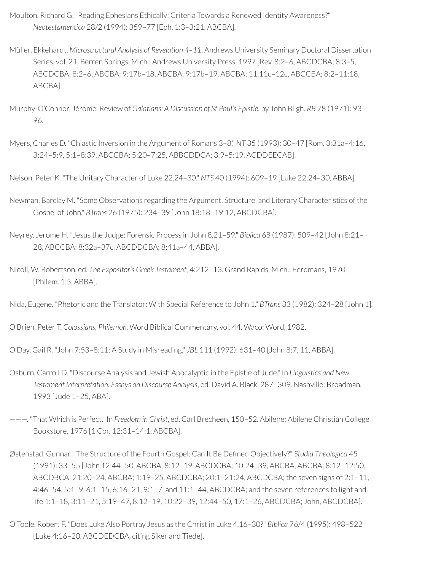- Moulton, Richard G. "Reading Ephesians Ethically: Criteria Towards a Renewed Identity Awareness?" *Neotestamentica* 28/2 (1994): 359–77 [Eph. 1:3–3:21, ABCBA].
- Müller, Ekkehardt. *Microstructural Analysis of Revelation 4–11*. Andrews University Seminary Doctoral Dissertation Series, vol. 21. Berren Springs, Mich.: Andrews University Press, 1997 [Rev. 8:2–6, ABCDCBA; 8:3–5, ABCDCBA; 8:2–6, ABCBA; 9:17b–18, ABCBA; 9:17b–19, ABCBA; 11:11c–12c, ABCCBA; 8:2–11:18, ABCBA].
- Murphy-O'Connor, Jérome. Review of *Galatians: A Discussion of St Paul's Epistle,* by John Bligh. *RB* 78 (1971): 93– 96.
- Myers, Charles D. "Chiastic Inversion in the Argument of Romans 3–8." *NT* 35 (1993): 30–47 [Rom. 3:31a–4:16, 3:24–5:9, 5:1–8:39, ABCCBA; 5:20–7:25, ABBCDDCA; 3:9–5:19, ACDDEECAB].
- Nelson, Peter K. "The Unitary Character of Luke 22.24–30." *NTS* 40 (1994): 609–19 [Luke 22:24–30, ABBA].
- Newman, Barclay M. "Some Observations regarding the Argument, Structure, and Literary Characteristics of the Gospel of John." *BTrans* 26 (1975): 234–39 [John 18:18–19:12, ABCDCBA].
- Neyrey, Jerome H. "Jesus the Judge: Forensic Process in John 8,21–59." *Biblica* 68 (1987): 509–42 [John 8:21– 28, ABCCBA; 8:32a–37c, ABCDDCBA; 8:41a–44, ABBA].
- Nicoll, W. Robertson, ed. *The Expositor's Greek Testament,* 4:212–13. Grand Rapids, Mich.: Eerdmans, 1970, [Philem. 1:5, ABBA].

Nida, Eugene. "Rhetoric and the Translator: With Special Reference to John 1." *BTrans* 33 (1982): 324–28 [John 1].

O'Brien, Peter T. *Colossians, Philemon.* Word Biblical Commentary, vol. 44. Waco: Word, 1982.

O'Day, Gail R. "John 7:53–8:11: A Study in Misreading," *JBL* 111 (1992): 631–40 [John 8:7, 11, ABBA].

- Osburn, Carroll D. "Discourse Analysis and Jewish Apocalyptic in the Epistle of Jude." In *Linguistics and New Testament Interpretation: Essays on Discourse Analysis*, ed. David A. Black, 287–309. Nashville: Broadman, 1993 [Jude 1–25, ABA].
- ———. "That Which is Perfect." In *Freedom in Christ*, ed. Carl Brecheen, 150–52. Abilene: Abilene Christian College Bookstore, 1976 [1 Cor. 12:31–14:1, ABCBA].
- Østenstad, Gunnar. "The Structure of the Fourth Gospel: Can It Be Dened Objectively?" *Studia Theologica* 45 (1991): 33–55 [John 12:44–50, ABCBA; 8:12–19, ABCDCBA; 10:24–39, ABCBA, ABCBA; 8:12–12:50, ABCDBCA; 21:20–24, ABCBA; 1:19–25, ABCDCBA; 20:1–21:24, ABCDCBA; the seven signs of 2:1–11, 4:46–54, 5:1–9, 6:1–15, 6:16–21, 9:1–7, and 11:1–44, ABCDCBA; and the seven references to light and life 1:1–18, 3:11–21, 5:19–47, 8:12–19, 10:22–39, 12:44–50, 17:1–26, ABCDCBA; John, ABCDCBA].
- O'Toole, Robert F. "Does Luke Also Portray Jesus as the Christ in Luke 4,16–30?" *Biblica* 76/4 (1995): 498–522 [Luke 4:16–20, ABCDEDCBA, citing Siker and Tiede].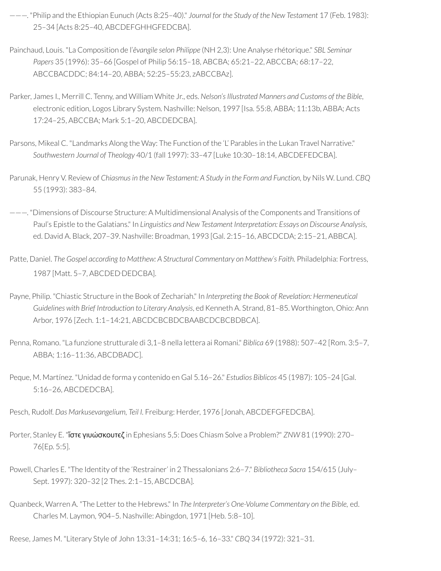- ———. "Philip and the Ethiopian Eunuch (Acts 8:25–40)." *Journal for the Study of the New Testament* 17 (Feb. 1983): 25–34 [Acts 8:25–40, ABCDEFGHHGFEDCBA].
- Painchaud, Louis. "La Composition de l'*êvangile selon Philippe* (NH 2,3): Une Analyse rhétorique." *SBL Seminar Papers* 35 (1996): 35–66 [Gospel of Philip 56:15–18, ABCBA; 65:21–22, ABCCBA; 68:17–22, ABCCBACDDC; 84:14–20, ABBA; 52:25–55:23, zABCCBAz].
- Parker, James I., Merrill C. Tenny, and William White Jr., eds. *Nelson'sIllustrated Manners and Customs of the Bible*, electronic edition, Logos Library System. Nashville: Nelson, 1997 [Isa. 55:8, ABBA; 11:13b, ABBA; Acts 17:24–25, ABCCBA; Mark 5:1–20, ABCDEDCBA].
- Parsons, Mikeal C. "Landmarks Along the Way: The Function of the 'L' Parables in the Lukan Travel Narrative." *Southwestern Journal of Theology* 40/1 (fall 1997): 33–47 [Luke 10:30–18:14, ABCDEFEDCBA].
- Parunak, Henry V. Review of *Chiasmusin the New Testament: A Study in the Form and Function,* by Nils W. Lund. *CBQ* 55 (1993): 383–84.
- ———. "Dimensions of Discourse Structure: A Multidimensional Analysis of the Components and Transitions of Paul's Epistle to the Galatians." In *Linguistics and New Testament Interpretation: Essays on Discourse Analysis*, ed. David A. Black, 207–39. Nashville: Broadman, 1993 [Gal. 2:15–16, ABCDCDA; 2:15–21, ABBCA].
- Patte, Daniel. *The Gospel according to Matthew: A Structural Commentary on Matthew's Faith.* Philadelphia: Fortress, 1987 [Matt. 5–7, ABCDED.DEDCBA].
- Payne, Philip. "Chiastic Structure in the Book of Zechariah." In *Interpreting the Book of Revelation: Hermeneutical Guidelines with Brief Introduction to Literary Analysis*, ed Kenneth A. Strand, 81–85. Worthington, Ohio: Ann Arbor, 1976 [Zech. 1:1–14:21, ABCDCBCBDCBAABCDCBCBDBCA].
- Penna, Romano. "La funzione strutturale di 3,1–8 nella lettera ai Romani." *Biblica* 69 (1988): 507–42 [Rom. 3:5–7, ABBA; 1:16–11:36, ABCDBADC].
- Peque, M. Martínez. "Unidad de forma y contenido en Gal 5.16–26." *Estudios Biblicos* 45 (1987): 105–24 [Gal. 5:16–26, ABCDEDCBA].
- Pesch, Rudolf. *Das Markusevangelium, Teil I.* Freiburg: Herder, 1976 [Jonah, ABCDEFGFEDCBA].
- Porter, Stanley E. "ἴστϵ γιυώσκουτϵζ in Ephesians 5,5: Does Chiasm Solve a Problem?" *ZNW* 81 (1990): 270– 76[Ep. 5:5].
- Powell, Charles E. "The Identity of the 'Restrainer' in 2 Thessalonians 2:6–7." *Bibliotheca Sacra* 154/615 (July– Sept. 1997): 320–32 [2 Thes. 2:1–15, ABCDCBA].
- Quanbeck, Warren A. "The Letterto the Hebrews." In *The Interpreter's One-Volume Commentary on the Bible,* ed. Charles M. Laymon, 904–5. Nashville: Abingdon, 1971 [Heb. 5:8–10].
- Reese, James M. "Literary Style of John 13:31–14:31; 16:5–6, 16–33." *CBQ* 34 (1972): 321–31.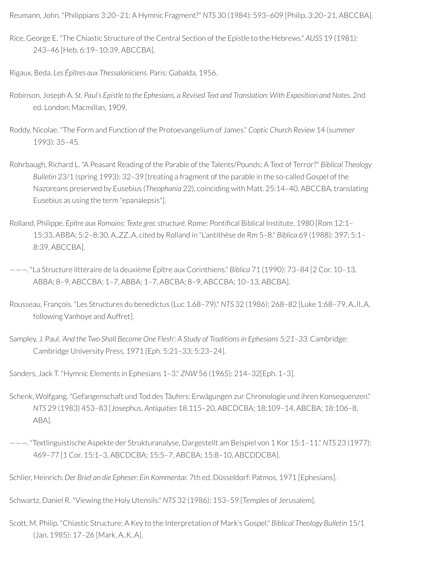Reumann, John. "Philippians 3:20–21: A Hymnic Fragment?" *NTS* 30 (1984): 593–609 [Philip. 3:20–21, ABCCBA].

Rice, George E. "The Chiastic Structure of the Central Section of the Epistle to the Hebrews." *AUSS* 19 (1981): 243–46 [Heb. 6:19–10:39, ABCCBA].

Rigaux, Beda. *Les Épîtres aux Thessaloniciens.* Paris: Gabalda, 1956.

- Robinson, Joseph A. *St. Paul's Epistle to the Ephesians, a Revised Text and Translation: With Exposition and Notes.* 2nd ed. London: Macmillan, 1909.
- Roddy, Nicolae. "The Form and Function of the Protoevangelium of James." *Coptic Church Review* 14 (summer 1993): 35–45.
- Rohrbaugh, Richard L. "A Peasant Reading of the Parable of the Talents/Pounds: A Text of Terror?" *Biblical Theology Bulletin* 23/1 (spring 1993): 32–39 [treating a fragment of the parable in the so-called Gospel of the Nazoreans preserved by Eusebius (*Theophania* 22), coinciding with Matt. 25:14–40, ABCCBA, translating Eusebius as using the term "epanalepsis"].
- Rolland, Philippe. *Epître aux Romains: Texte grec structuré*. Rome: Pontical Biblical Institute, 1980 [Rom 12:1– 15:33, ABBA; 5:2–8:30, A..ZZ..A, cited by Rolland in "L'antithèse de Rm 5–8." *Biblica* 69 (1988): 397; 5:1– 8:39, ABCCBA].

———. "La Structure littéraire de la deuxième Épître aux Corinthiens." *Biblica* 71 (1990): 73–84 [2 Cor. 10–13, ABBA; 8–9, ABCCBA; 1–7, ABBA; 1–7, ABCBA; 8–9, ABCCBA; 10–13, ABCBA].

- Rousseau, François. "Les Structures du benedictus (Luc 1.68–79)." *NTS* 32 (1986): 268–82 [Luke 1:68–79, A..II..A, following Vanhoye and Auffret].
- Sampley, J. Paul. *'And the Two Shall Become One Flesh': A Study of Traditionsin Ephesians 5:21–33.* Cambridge: Cambridge University Press, 1971 [Eph. 5:21–33; 5:23–24].

Sanders, Jack T. "Hymnic Elements in Ephesians 1–3." *ZNW* 56 (1965): 214–32[Eph. 1–3].

- Schenk, Wolfgang. "Gefangenschaft und Tod des Täufers: Erwägungen zur Chronologie und ihren Konsequenzen." *NTS* 29 (1983) 453–83 [Josephus, *Antiquities* 18.115–20, ABCDCBA; 18:109–14, ABCBA; 18:106–8, ABA].
- ———. "Textlinguistische Aspekte der Strukturanalyse, Dargestellt am Beispiel von 1 Kor 15:1–11." *NTS* 23 (1977): 469–77 [1 Cor. 15:1–3, ABCDCBA; 15:5–7, ABCBA; 15:8–10, ABCDDCBA].

Schlier, Heinrich. *Der Brief an die Epheser: Ein Kommentar.* 7th ed. Düsseldorf: Patmos, 1971 [Ephesians].

Schwartz, Daniel R. "Viewing the Holy Utensils." *NTS* 32 (1986): 153–59 [Temples of Jerusalem].

Scott, M. Philip. "Chiastic Structure: A Key to the Interpretation of Mark's Gospel." *Biblical Theology Bulletin* 15/1 (Jan. 1985): 17–26 [Mark, A..K..A].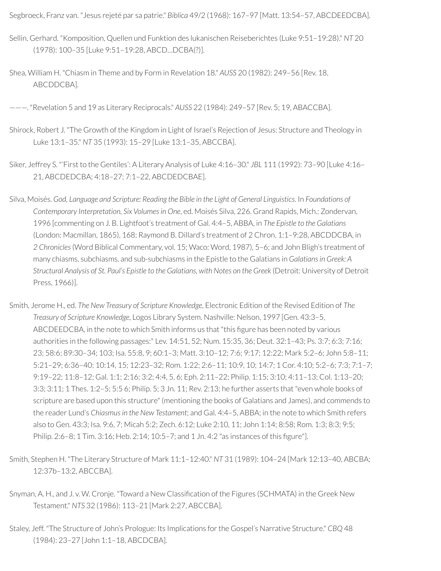Segbroeck, Franz van. "Jesus rejeté par sa patrie." *Biblica* 49/2 (1968): 167–97 [Matt. 13:54–57, ABCDEEDCBA].

- Sellin, Gerhard. "Komposition, Quellen und Funktion des lukanischen Reiseberichtes (Luke 9:51–19:28)." *NT* 20 (1978): 100–35 [Luke 9:51–19:28, ABCD…DCBA(?)].
- Shea, William H. "Chiasm in Theme and by Form in Revelation 18." *AUSS* 20 (1982): 249–56 [Rev. 18, ABCDDCBA].

———. "Revelation 5 and 19 as Literary Reciprocals." *AUSS* 22 (1984): 249–57 [Rev. 5; 19, ABACCBA].

- Shirock, Robert J. "The Growth of the Kingdom in Light of Israel's Rejection of Jesus: Structure and Theology in Luke 13:1–35." *NT* 35 (1993): 15–29 [Luke 13:1–35, ABCCBA].
- Siker, Jeffrey S. "'First to the Gentiles': A Literary Analysis of Luke 4:16–30." *JBL* 111 (1992): 73–90 [Luke 4:16– 21, ABCDEDCBA; 4:18–27; 7:1–22, ABCDEDCBAE].
- Silva, Moisés. *God, Language and Scripture: Reading the Bible in the Light of General Linguistics*. In *Foundations of Contemporary Interpretation, Six Volumesin One*, ed. Moisés Silva, 226. Grand Rapids, Mich.: Zondervan, 1996 [commenting on J. B. Lightfoot's treatment of Gal. 4:4–5, ABBA, in *The Epistle to the Galatians* (London: Macmillan, 1865), 168; Raymond B. Dillard's treatment of 2 Chron. 1:1–9:28, ABCDDCBA, in *2 Chronicles*(Word Biblical Commentary, vol. 15; Waco: Word, 1987), 5–6; and John Bligh's treatment of many chiasms, subchiasms, and sub-subchiasms in the Epistle to the Galatians in *Galatians in Greek: A Structural Analysis of St. Paul's Epistle to the Galatians, with Notes on the Greek* (Detroit: University of Detroit Press, 1966)].
- Smith, Jerome H., ed. *The New Treasury of Scripture Knowledge*, Electronic Edition of the Revised Edition of *The Treasury of Scripture Knowledge*, Logos Library System. Nashville: Nelson, 1997 [Gen. 43:3–5, ABCDEEDCBA, in the note to which Smith informs us that "this figure has been noted by various authorities in the following passages:" Lev. 14:51, 52; Num. 15:35, 36; Deut. 32:1–43; Ps. 3:7; 6:3; 7:16; 23; 58:6; 89:30–34; 103; Isa. 55:8, 9; 60:1–3; Matt. 3:10–12; 7:6; 9:17; 12:22; Mark 5:2–6; John 5:8–11; 5:21–29; 6:36–40; 10:14, 15; 12:23–32; Rom. 1:22; 2:6–11; 10:9, 10; 14:7; 1 Cor. 4:10; 5:2–6; 7:3; 7:1–7; 9:19–22; 11:8–12; Gal. 1:1; 2:16; 3:2; 4:4, 5, 6; Eph. 2:11–22; Philip. 1:15; 3:10; 4:11–13; Col. 1:13–20; 3:3; 3:11; 1 Thes. 1:2–5; 5:5 6; Philip. 5; 3 Jn. 11; Rev. 2:13; he further asserts that "even whole books of scripture are based upon this structure" (mentioning the books of Galatians and James), and commends to the reader Lund's *Chiasmusin the New Testament*; and Gal. 4:4–5, ABBA; in the note to which Smith refers also to Gen. 43:3; Isa. 9:6, 7; Micah 5:2; Zech. 6:12; Luke 2:10, 11; John 1:14; 8:58; Rom. 1:3; 8:3; 9:5; Philip. 2:6-8; 1 Tim. 3:16; Heb. 2:14; 10:5-7; and 1 Jn. 4:2 "as instances of this figure"].
- Smith, Stephen H. "The Literary Structure of Mark 11:1–12:40." *NT* 31 (1989): 104–24 [Mark 12:13–40, ABCBA; 12:37b–13:2, ABCCBA].
- Snyman, A. H., and J. v. W. Cronje. "Toward a New Classification of the Figures (SCHMATA) in the Greek New Testament." *NTS* 32 (1986): 113–21 [Mark 2:27, ABCCBA].
- Staley, Jeff. "The Structure of John's Prologue: Its Implications forthe Gospel's Narrative Structure." *CBQ* 48 (1984): 23–27 [John 1:1–18, ABCDCBA].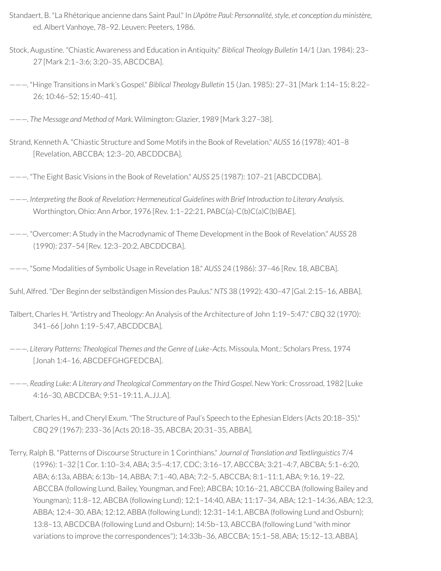- Standaert, B. "La Rhétorique ancienne dans Saint Paul." In *L'Apôtre Paul: Personnalité, style, et conception du ministère,* ed. Albert Vanhoye, 78–92. Leuven: Peeters, 1986.
- Stock, Augustine. "Chiastic Awareness and Education in Antiquity." *Biblical Theology Bulletin* 14/1 (Jan. 1984): 23– 27 [Mark 2:1–3:6; 3:20–35, ABCDCBA].
- ———. "Hinge Transitions in Mark's Gospel." *Biblical Theology Bulletin* 15 (Jan. 1985): 27–31 [Mark 1:14–15; 8:22– 26; 10:46–52; 15:40–41].
- ———. *The Message and Method of Mark.* Wilmington: Glazier, 1989 [Mark 3:27–38].
- Strand, Kenneth A. "Chiastic Structure and Some Motifs in the Book of Revelation." *AUSS* 16 (1978): 401–8 [Revelation, ABCCBA; 12:3–20, ABCDDCBA].
- ———. "The Eight Basic Visions in the Book of Revelation." *AUSS* 25 (1987): 107–21 [ABCDCDBA].
- ———. *Interpreting the Book of Revelation: Hermeneutical Guidelines with Brief Introduction to Literary Analysis*. Worthington, Ohio: Ann Arbor, 1976 [Rev. 1:1–22:21, PABC(a)-C(b)C(a)C(b)BAE].
- ———. "Overcomer: A Study in the Macrodynamic of Theme Development in the Book of Revelation." *AUSS* 28 (1990): 237–54 [Rev. 12:3–20:2, ABCDDCBA].
- ———. "Some Modalities of Symbolic Usage in Revelation 18." *AUSS* 24 (1986): 37–46 [Rev. 18, ABCBA].
- Suhl, Alfred. "Der Beginn der selbständigen Mission des Paulus." *NTS* 38 (1992): 430–47 [Gal. 2:15–16, ABBA].
- Talbert, Charles H. "Artistry and Theology: An Analysis of the Architecture of John 1:19–5:47." *CBQ* 32 (1970): 341–66 [John 1:19–5:47, ABCDDCBA].
- ———. *Literary Patterns: Theological Themes and the Genre of Luke–Acts.* Missoula, Mont.: Scholars Press, 1974 [Jonah 1:4–16, ABCDEFGHGFEDCBA].
- ———. *Reading Luke: A Literary and Theological Commentary on the Third Gospel.* New York: Crossroad, 1982 [Luke 4:16–30, ABCDCBA; 9:51–19:11, A..JJ..A].
- Talbert, Charles H., and Cheryl Exum. "The Structure of Paul's Speech to the Ephesian Elders (Acts 20:18–35)." *CBQ* 29 (1967): 233–36 [Acts 20:18–35, ABCBA; 20:31–35, ABBA].
- Terry, Ralph B. "Patterns of Discourse Structure in 1 Corinthians." *Journal of Translation and Textlinguistics* 7/4 (1996): 1–32 [1 Cor. 1:10–3:4, ABA; 3:5–4:17, CDC; 3:16–17, ABCCBA; 3:21–4:7, ABCBA; 5:1–6:20, ABA; 6:13a, ABBA; 6:13b–14, ABBA; 7:1–40, ABA; 7:2–5, ABCCBA; 8:1–11:1, ABA; 9:16, 19–22, ABCCBA (following Lund, Bailey, Youngman, and Fee); ABCBA; 10:16–21, ABCCBA (following Bailey and Youngman); 11:8–12, ABCBA (following Lund); 12:1–14:40, ABA; 11:17–34, ABA; 12:1–14:36, ABA; 12:3, ABBA; 12:4–30, ABA; 12:12, ABBA (following Lund); 12:31–14:1, ABCBA (following Lund and Osburn); 13:8–13, ABCDCBA (following Lund and Osburn); 14:5b–13, ABCCBA (following Lund "with minor variations to improve the correspondences"); 14:33b–36, ABCCBA; 15:1–58, ABA; 15:12–13, ABBA].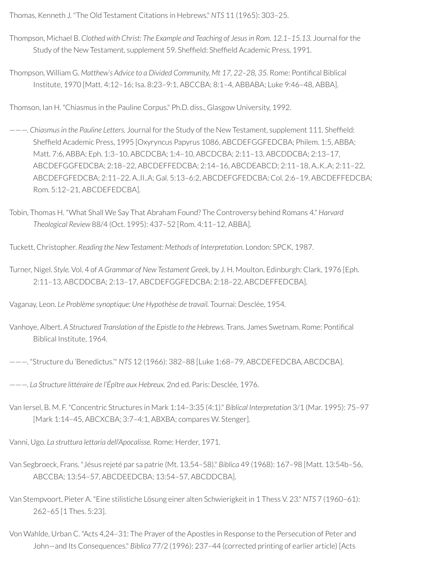Thomas, Kenneth J. "The Old Testament Citations in Hebrews." *NTS* 11 (1965): 303–25.

- Thompson, Michael B. *Clothed with Christ: The Example and Teaching of Jesusin Rom. 12.1–15.13.* Journal forthe Study of the New Testament, supplement 59. Sheffield: Sheffield Academic Press, 1991.
- Thompson, William G. *Matthew's Advice to a Divided Community, Mt 17, 22–28, 35.* Rome: Pontical Biblical Institute, 1970 [Matt. 4:12–16; Isa. 8:23–9:1, ABCCBA; 8:1–4, ABBABA; Luke 9:46–48, ABBA].

Thomson, Ian H. "Chiasmus in the Pauline Corpus." Ph.D. diss., Glasgow University, 1992.

- ———. *Chiasmusin the Pauline Letters.* Journal forthe Study of the New Testament, supplement 111. Shefeld: Sheffield Academic Press, 1995 [Oxyryncus Papyrus 1086, ABCDEFGGFEDCBA; Philem. 1:5, ABBA; Matt. 7:6, ABBA; Eph. 1:3–10, ABCDCBA; 1:4–10, ABCDCBA; 2:11–13, ABCDDCBA; 2:13–17, ABCDEFGGFEDCBA; 2:18–22, ABCDEFFEDCBA; 2:14–16, ABCDEABCD; 2:11–18, A..K..A; 2:11–22, ABCDEFGFEDCBA; 2:11–22, A..II..A; Gal. 5:13–6:2, ABCDEFGFEDCBA; Col. 2:6–19, ABCDEFFEDCBA; Rom. 5:12–21, ABCDEFEDCBA].
- Tobin, Thomas H. "What Shall We Say That Abraham Found? The Controversy behind Romans 4." *Harvard Theological Review* 88/4 (Oct. 1995): 437–52 [Rom. 4:11–12, ABBA].
- Tuckett, Christopher. *Reading the New Testament: Methods of Interpretation.* London: SPCK, 1987.
- Turner, Nigel. *Style.* Vol. 4 of *A Grammar of New Testament Greek,* by J. H. Moulton. Edinburgh: Clark, 1976 [Eph. 2:11–13, ABCDDCBA; 2:13–17, ABCDEFGGFEDCBA; 2:18–22, ABCDEFFEDCBA].

Vaganay, Leon. *Le Problème synoptique: Une Hypothèse de travail.* Tournai: Desclée, 1954.

- Vanhoye, Albert. *A Structured Translation of the Epistle to the Hebrews.* Trans. James Swetnam. Rome: Pontical Biblical Institute, 1964.
- ———. "Structure du 'Benedictus.'" *NTS* 12 (1966): 382–88 [Luke 1:68–79, ABCDEFEDCBA, ABCDCBA].
- ———. *La Structure littéraire de l'Épître aux Hebreux.* 2nd ed. Paris: Desclée, 1976.
- Van Iersel, B. M. F. "Concentric Structures in Mark 1:14–3:35 (4:1)." *Biblical Interpretation* 3/1 (Mar. 1995): 75–97 [Mark 1:14–45, ABCXCBA; 3:7–4:1, ABXBA; compares W. Stenger].

Vanni, Ugo. *La struttura lettaria dell'Apocalisse.* Rome: Herder, 1971.

- Van Segbroeck, Frans. "Jésus rejeté par sa patrie (Mt. 13,54–58)." *Biblica* 49 (1968): 167–98 [Matt. 13:54b–56, ABCCBA; 13:54–57, ABCDEEDCBA; 13:54–57, ABCDDCBA].
- Van Stempvoort, Pieter A. "Eine stilistiche Lösung einer alten Schwierigkeit in 1 Thess V. 23." *NTS* 7 (1960–61): 262–65 [1 Thes. 5:23].
- Von Wahlde, Urban C. "Acts 4,24–31: The Prayer of the Apostles in Response to the Persecution of Peter and John—and Its Consequences." *Biblica* 77/2 (1996): 237–44 (corrected printing of earlier article) [Acts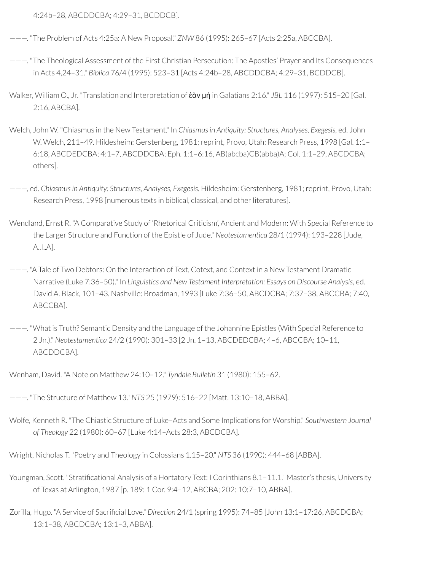4:24b–28, ABCDDCBA; 4:29–31, BCDDCB].

———. "The Problem of Acts 4:25a: A New Proposal." *ZNW* 86 (1995): 265–67 [Acts 2:25a, ABCCBA].

- ———. "The Theological Assessment of the First Christian Persecution: The Apostles' Prayer and Its Consequences in Acts 4,24–31." *Biblica* 76/4 (1995): 523–31 [Acts 4:24b–28, ABCDDCBA; 4:29–31, BCDDCB].
- Walker, William O., Jr. "Translation and Interpretation of ἐὰν μή in Galatians 2:16." *JBL* 116 (1997): 515–20 [Gal. 2:16, ABCBA].
- Welch, John W. "Chiasmus in the New Testament." In *Chiasmusin Antiquity: Structures, Analyses, Exegesis,* ed. John W. Welch, 211-49. Hildesheim: Gerstenberg, 1981; reprint, Provo, Utah: Research Press, 1998 [Gal. 1:1-6:18, ABCDEDCBA; 4:1–7, ABCDDCBA; Eph. 1:1–6:16, AB(abcba)CB(abba)A; Col. 1:1–29, ABCDCBA; others].
- ———, ed. *Chiasmusin Antiquity: Structures, Analyses, Exegesis.* Hildesheim: Gerstenberg, 1981;reprint, Provo, Utah: Research Press, 1998 [numerous texts in biblical, classical, and other literatures].
- Wendland, Ernst R. "A Comparative Study of 'Rhetorical Criticism', Ancient and Modern: With Special Reference to the Larger Structure and Function of the Epistle of Jude." *Neotestamentica* 28/1 (1994): 193–228 [Jude, A..I..A].
- ———. "A Tale of Two Debtors: On the Interaction of Text, Cotext, and Context in a New Testament Dramatic Narrative (Luke 7:36–50)." In *Linguistics and New Testament Interpretation: Essays on Discourse Analysis*, ed. David A. Black, 101–43. Nashville: Broadman, 1993 [Luke 7:36–50, ABCDCBA; 7:37–38, ABCCBA; 7:40, ABCCBA].
- ———. "What is Truth? Semantic Density and the Language of the Johannine Epistles (With Special Reference to 2 Jn.)." *Neotestamentica* 24/2 (1990): 301–33 [2 Jn. 1–13, ABCDEDCBA; 4–6, ABCCBA; 10–11, ABCDDCBA].

Wenham, David. "A Note on Matthew 24:10–12." *Tyndale Bulletin* 31 (1980): 155–62.

———. "The Structure of Matthew 13." *NTS* 25 (1979): 516–22 [Matt. 13:10–18, ABBA].

Wolfe, Kenneth R. "The Chiastic Structure of Luke–Acts and Some Implications for Worship." *Southwestern Journal of Theology* 22 (1980): 60–67 [Luke 4:14–Acts 28:3, ABCDCBA].

Wright, Nicholas T. "Poetry and Theology in Colossians 1.15–20." *NTS* 36 (1990): 444–68 [ABBA].

- Youngman, Scott. "Stratificational Analysis of a Hortatory Text: I Corinthians 8.1–11.1." Master's thesis, University of Texas at Arlington, 1987 [p. 189: 1 Cor. 9:4–12, ABCBA; 202: 10:7–10, ABBA].
- Zorilla, Hugo. "A Service of Sacrificial Love." *Direction* 24/1 (spring 1995): 74-85 [John 13:1-17:26, ABCDCBA; 13:1–38, ABCDCBA; 13:1–3, ABBA].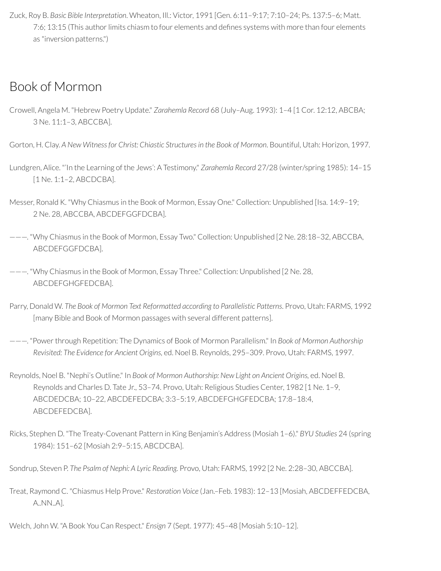Zuck, Roy B. *Basic Bible Interpretation*. Wheaton, Ill.: Victor, 1991 [Gen. 6:11–9:17; 7:10–24; Ps. 137:5–6; Matt. 7:6; 13:15 (This author limits chiasm to four elements and defines systems with more than four elements as "inversion patterns.")

# Book of Mormon

Crowell, Angela M. "Hebrew Poetry Update." *Zarahemla Record* 68 (July–Aug. 1993): 1–4 [1 Cor. 12:12, ABCBA; 3 Ne. 11:1–3, ABCCBA].

Gorton, H. Clay. *A New Witness for Christ: Chiastic Structuresin the Book of Mormon*. Bountiful, Utah: Horizon, 1997.

- Lundgren, Alice. "'In the Learning of the Jews': A Testimony." *Zarahemla Record* 27/28 (winter/spring 1985): 14–15 [1 Ne. 1:1–2, ABCDCBA].
- Messer, Ronald K. "Why Chiasmus in the Book of Mormon, Essay One." Collection: Unpublished [Isa. 14:9–19; 2 Ne. 28, ABCCBA, ABCDEFGGFDCBA].
- ———. "Why Chiasmus in the Book of Mormon, Essay Two." Collection: Unpublished [2 Ne. 28:18–32, ABCCBA, ABCDEFGGFDCBA].
- ———. "Why Chiasmus in the Book of Mormon, Essay Three." Collection: Unpublished [2 Ne. 28, ABCDEFGHGFEDCBA].
- Parry, Donald W. *The Book of Mormon Text Reformatted according to Parallelistic Patterns*. Provo, Utah: FARMS, 1992 [many Bible and Book of Mormon passages with several different patterns].
- ———. "Powerthrough Repetition: The Dynamics of Book of Mormon Parallelism." In *Book of Mormon Authorship Revisited: The Evidence for Ancient Origins,* ed. Noel B. Reynolds, 295–309. Provo, Utah: FARMS, 1997.
- Reynolds, Noel B. "Nephi's Outline." In *Book of Mormon Authorship: New Light on Ancient Origins,* ed. Noel B. Reynolds and Charles D. Tate Jr., 53–74. Provo, Utah: Religious Studies Center, 1982 [1 Ne. 1–9, ABCDEDCBA; 10–22, ABCDEFEDCBA; 3:3–5:19, ABCDEFGHGFEDCBA; 17:8–18:4, ABCDEFEDCBA].
- Ricks, Stephen D. "The Treaty-Covenant Pattern in King Benjamin's Address (Mosiah 1–6)." *BYU Studies* 24 (spring 1984): 151–62 [Mosiah 2:9–5:15, ABCDCBA].

Sondrup, Steven P. *The Psalm of Nephi: A Lyric Reading.* Provo, Utah: FARMS, 1992 [2 Ne. 2:28–30, ABCCBA].

Treat, Raymond C. "Chiasmus Help Prove." *Restoration Voice* (Jan.–Feb. 1983): 12–13 [Mosiah, ABCDEFFEDCBA, A..NN..A].

Welch, John W. "A Book You Can Respect." *Ensign* 7 (Sept. 1977): 45–48 [Mosiah 5:10–12].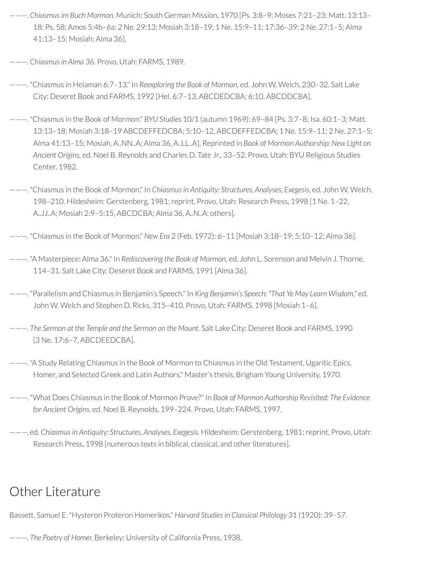- ———. *Chiasmusim Buch Mormon.* Munich: South German Mission, 1970 [Ps. 3:8–9; Moses 7:21–23; Matt. 13:13– 18; Ps. 58; Amos 5:4b–6a; 2 Ne. 29:13; Mosiah 3:18–19; 1 Ne. 15:9–11; 17:36–39; 2 Ne. 27:1–5; Alma 41:13–15; Mosiah; Alma 36].
- ———. *Chiasmusin Alma 36.* Provo, Utah: FARMS, 1989.
- ———. "Chiasmus in Helaman 6:7–13." In *Reexploring the Book of Mormon,* ed. John W. Welch, 230–32. Salt Lake City: Deseret Book and FARMS, 1992 [Hel. 6:7–13, ABCDEDCBA; 6:10, ABCDDCBA].
- ———. "Chiasmus in the Book of Mormon." *BYU Studies* 10/1 (autumn 1969): 69–84 [Ps. 3:7–8; Isa. 60:1–3; Matt. 13:13–18; Mosiah 3:18–19 ABCDEFFEDCBA; 5:10–12, ABCDEFFEDCBA; 1 Ne. 15:9–11; 2 Ne. 27:1–5; Alma 41:13–15; Mosiah, A..NN..A; Alma 36, A..LL..A]. Reprinted in *Book of Mormon Authorship: New Light on Ancient Origins,* ed. Noel B. Reynolds and Charles D. Tate Jr., 33–52. Provo, Utah: BYU Religious Studies Center, 1982.
- ———. "Chiasmus in the Book of Mormon." In *Chiasmusin Antiquity: Structures, Analyses, Exegesis,* ed. John W. Welch, 198–210. Hildesheim: Gerstenberg, 1981;reprint, Provo, Utah: Research Press, 1998 [1 Ne. 1–22, A..JJ..A; Mosiah 2:9–5:15, ABCDCBA; Alma 36, A..N..A; others].
- ———. "Chiasmus in the Book of Mormon." *New Era* 2 (Feb. 1972): 6–11 [Mosiah 3:18–19; 5:10–12; Alma 36].
- ———. "A Masterpiece: Alma 36." In *Rediscovering the Book of Mormon,* ed. John L. Sorenson and Melvin J. Thorne, 114–31. Salt Lake City: Deseret Book and FARMS, 1991 [Alma 36].
- ———. "Parallelism and Chiasmus in Benjamin's Speech." In *King Benjamin's Speech: "That Ye May Learn Wisdom,"* ed. John W. Welch and Stephen D. Ricks, 315–410. Provo, Utah: FARMS, 1998 [Mosiah 1–6].
- ———. *The Sermon at the Temple and the Sermon on the Mount.* Salt Lake City: Deseret Book and FARMS, 1990 [3 Ne. 17:6–7, ABCDEEDCBA].
- ———. "A Study Relating Chiasmus in the Book of Mormon to Chiasmus in the Old Testament, Ugaritic Epics, Homer, and Selected Greek and Latin Authors." Master's thesis, Brigham Young University, 1970.
- ———. "What Does Chiasmus in the Book of Mormon Prove?" In *Book of Mormon Authorship Revisited: The Evidence for Ancient Origins,* ed. Noel B. Reynolds, 199–224. Provo, Utah: FARMS, 1997.
- ———, ed. *Chiasmusin Antiquity: Structures, Analyses, Exegesis.* Hildesheim: Gerstenberg, 1981;reprint, Provo, Utah: Research Press, 1998 [numerous texts in biblical, classical, and other literatures].

## Other Literature

Bassett, Samuel E. "Hysteron Proteron Homerikos." *Harvard Studies in Classical Philology* 31 (1920): 39–57.

———. *The Poetry of Homer.* Berkeley: University of California Press, 1938.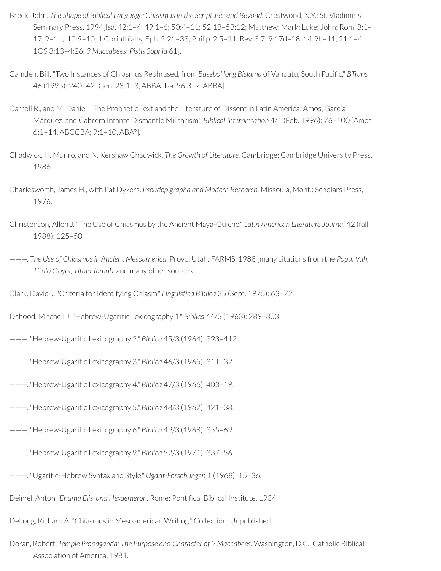- Breck, John. *The Shape of Biblical Language: Chiasmusin the Scriptures and Beyond.* Crestwood, N.Y.: St. Vladimir's Seminary Press, 1994[Isa. 42:1–4; 49:1–6; 50:4–11; 52:13–53:12; Matthew; Mark; Luke; John; Rom. 8:1– 17, 9–11; 10:9–10; 1 Corinthians; Eph. 5:21–33; Philip. 2:5–11; Rev. 3:7; 9:17d–18; 14:9b–11; 21:1–4; 1QS 3:13–4:26; *3 Maccabees*; *Pistis Sophia* 61].
- Camden, Bill. "Two Instances of Chiasmus Rephrased, from *Basebol long Bislama* of Vanuatu, South Pacic." *BTrans* 46 (1995): 240–42 [Gen. 28:1–3, ABBA; Isa. 56:3–7, ABBA].
- Carroll R., and M. Daniel. "The Prophetic Text and the Literature of Dissent in Latin America: Amos, García Márquez, and Cabrera Infante Dismantle Militarism." *Biblical Interpretation* 4/1 (Feb. 1996): 76–100 [Amos 6:1–14, ABCCBA; 9:1–10, ABA?].
- Chadwick, H. Munro, and N. Kershaw Chadwick. *The Growth of Literature.* Cambridge: Cambridge University Press, 1986.
- Charlesworth, James H., with Pat Dykers. *Pseudepigrapha and Modern Research.* Missoula, Mont.: Scholars Press, 1976.
- Christenson, Allen J. "The Use of Chiasmus by the Ancient Maya-Quiche." *Latin American Literature Journal* 42 (fall 1988): 125–50.
- ———. *The Use of Chiasmusin Ancient Mesoamerica.* Provo, Utah: FARMS, 1988 [many citations from the *Popul Vuh, Título C'oyoi, Título Tamub,* and many other sources].
- Clark, David J. "Criteria for Identifying Chiasm." *Linguistica Biblica* 35 (Sept. 1975): 63-72.
- Dahood, Mitchell J. "Hebrew-Ugaritic Lexicography 1." *Biblica* 44/3 (1963): 289–303.
- ———. "Hebrew-Ugaritic Lexicography 2." *Biblica* 45/3 (1964): 393–412.
- ———. "Hebrew-Ugaritic Lexicography 3." *Biblica* 46/3 (1965): 311–32.
- ———. "Hebrew-Ugaritic Lexicography 4." *Biblica* 47/3 (1966): 403–19.
- ———. "Hebrew-Ugaritic Lexicography 5." *Biblica* 48/3 (1967): 421–38.
- ———. "Hebrew-Ugaritic Lexicography 6." *Biblica* 49/3 (1968): 355–69.
- ———. "Hebrew-Ugaritic Lexicography 9." *Biblica* 52/3 (1971): 337–56.
- ———. "Ugaritic-Hebrew Syntax and Style." *Ugarit-Forschungen* 1 (1968): 15–36.
- Deimel, Anton. *'Enuma Elis' und Hexaemeron.* Rome: Pontical Biblical Institute, 1934.
- DeLong, Richard A. "Chiasmus in Mesoamerican Writing." Collection: Unpublished.
- Doran, Robert. *Temple Propaganda: The Purpose and Character of 2 Maccabees.* Washington, D.C.: Catholic Biblical Association of America, 1981.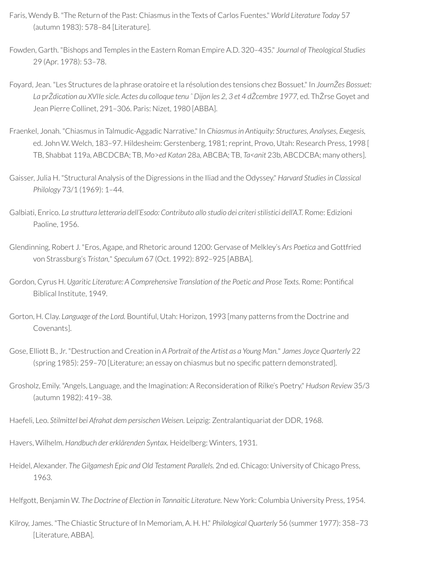- Faris, Wendy B. "The Return of the Past: Chiasmus in the Texts of Carlos Fuentes." *World Literature Today* 57 (autumn 1983): 578–84 [Literature].
- Fowden, Garth. "Bishops and Temples in the Eastern Roman Empire A.D. 320–435." *Journal of Theological Studies* 29 (Apr. 1978): 53–78.
- Foyard, Jean. "Les Structures de la phrase oratoire et la résolution des tensions chez Bossuet." In *JournŽes Bossuet:* La prŽdication au XVIIe sicle. Actes du colloaue tenu ^ Diion les 2, 3 et 4 dŽcembre 1977, ed. ThŽrse Govet and Jean Pierre Collinet, 291–306. Paris: Nizet, 1980 [ABBA].
- Fraenkel, Jonah. "Chiasmus in Talmudic-Aggadic Narrative." In *Chiasmusin Antiquity: Structures, Analyses, Exegesis,* ed. John W. Welch, 183-97. Hildesheim: Gerstenberg, 1981; reprint, Provo, Utah: Research Press, 1998 [ TB, Shabbat 119a, ABCDCBA; TB, *Mo*>*ed Katan* 28a, ABCBA; TB, *Ta<anit* 23b, ABCDCBA; many others].
- Gaisser, Julia H. "Structural Analysis of the Digressions in the Iliad and the Odyssey." *Harvard Studies in Classical Philology* 73/1 (1969): 1–44.
- Galbiati, Enrico. *La struttura letteraria dell'Esodo: Contributo allo studio dei criteri stilistici dell'A.T.* Rome: Edizioni Paoline, 1956.
- Glendinning, Robert J. "Eros, Agape, and Rhetoric around 1200: Gervase of Melkley's *Ars Poetica* and Gottfried von Strassburg's *Tristan,*" *Speculum* 67 (Oct. 1992): 892–925 [ABBA].
- Gordon, Cyrus H. *Ugaritic Literature: A Comprehensive Translation of the Poetic and Prose Texts.* Rome: Pontical Biblical Institute, 1949.
- Gorton, H. Clay. *Language of the Lord.* Bountiful, Utah: Horizon, 1993 [many patterns from the Doctrine and Covenants].
- Gose, Elliott B., Jr. "Destruction and Creation in *A Portrait of the Artist as a Young Man.*" *James Joyce Quarterly* 22 (spring 1985): 259–70 [Literature; an essay on chiasmus but no specific pattern demonstrated].
- Grosholz, Emily. "Angels, Language, and the Imagination: A Reconsideration of Rilke's Poetry." *Hudson Review* 35/3 (autumn 1982): 419–38.
- Haefeli, Leo. *Stilmittel bei Afrahat dem persischen Weisen.* Leipzig: Zentralantiquariat der DDR, 1968.
- Havers, Wilhelm. *Handbuch der erklärenden Syntax.* Heidelberg: Winters, 1931.
- Heidel, Alexander. *The Gilgamesh Epic and Old Testament Parallels.* 2nd ed. Chicago: University of Chicago Press, 1963.
- Helfgott, Benjamin W. *The Doctrine of Election in Tannaitic Literature.* New York: Columbia University Press, 1954.
- Kilroy, James. "The Chiastic Structure of In Memoriam, A. H. H." *Philological Quarterly* 56 (summer 1977): 358–73 [Literature, ABBA].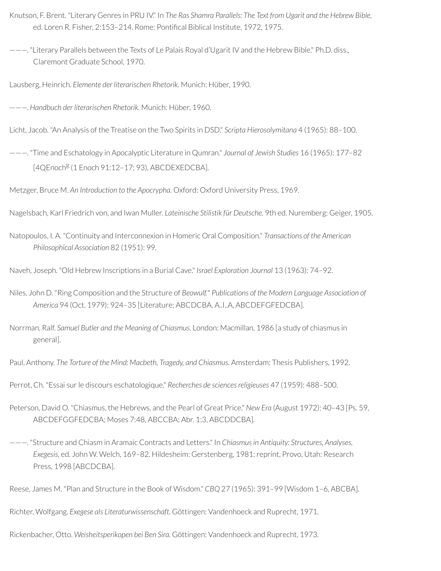- Knutson, F. Brent. "Literary Genres in PRU IV." In *The Ras Shamra Parallels: The Text from Ugarit and the Hebrew Bible,* ed. Loren R. Fisher, 2:153-214. Rome: Pontifical Biblical Institute, 1972, 1975.
- ———. "Literary Parallels between the Texts of Le Palais Royal d'Ugarit IV and the Hebrew Bible." Ph.D. diss., Claremont Graduate School, 1970.

Lausberg, Heinrich. *Elemente der literarischen Rhetorik.* Munich: Hüber, 1990.

———. *Handbuch der literarischen Rhetorik.* Munich: Hüber, 1960.

Licht, Jacob. "An Analysis of the Treatise on the Two Spirits in DSD." *Scripta Hierosolymitana* 4 (1965): 88–100.

———. "Time and Eschatology in Apocalyptic Literature in Qumran." *Journal of Jewish Studies* 16 (1965): 177–82 [4QEnoch<sup>g</sup> (1 Enoch 91:12-17; 93), ABCDEXEDCBA].

Metzger, Bruce M. *An Introduction to the Apocrypha.* Oxford: Oxford University Press, 1969.

Nagelsbach, Karl Friedrich von, and Iwan Muller. *Lateinische Stilistik für Deutsche.* 9th ed. Nuremberg: Geiger, 1905.

Natopoulos, I. A. "Continuity and Interconnexion in Homeric Oral Composition." *Transactions of the American Philosophical Association* 82 (1951): 99.

Naveh, Joseph. "Old Hebrew Inscriptions in a Burial Cave." *Israel Exploration Journal* 13 (1963): 74–92.

- Niles, John D. "Ring Composition and the Structure of *Beowulf.*" *Publications of the Modern Language Association of America* 94 (Oct. 1979): 924–35 [Literature; ABCDCBA, A..I..A, ABCDEFGFEDCBA].
- Norrman, Ralf. *Samuel Butler and the Meaning of Chiasmus.* London: Macmillan, 1986 [a study of chiasmus in general].

Paul, Anthony. *The Torture of the Mind: Macbeth, Tragedy, and Chiasmus.* Amsterdam: Thesis Publishers, 1992.

- Perrot, Ch. "Essai sur le discours eschatologique." *Recherches de sciences religieuses* 47 (1959): 488-500.
- Peterson, David O. "Chiasmus, the Hebrews, and the Pearl of Great Price." *New Era* (August 1972): 40–43 [Ps. 59, ABCDEFGGFEDCBA; Moses 7:48, ABCCBA; Abr. 1:3, ABCDDCBA].
- ———. "Structure and Chiasm in Aramaic Contracts and Letters." In *Chiasmusin Antiquity: Structures, Analyses, Exegesis,* ed. John W. Welch, 169–82. Hildesheim: Gerstenberg, 1981;reprint, Provo, Utah: Research Press, 1998 [ABCDCBA].

Richter, Wolfgang. *Exegese als Literaturwissenschaft.* Göttingen: Vandenhoeck and Ruprecht, 1971.

Rickenbacher, Otto. *Weisheitsperikopen bei Ben Sira.* Göttingen: Vandenhoeck and Ruprecht, 1973.

Reese, James M. "Plan and Structure in the Book of Wisdom." *CBQ* 27 (1965): 391–99 [Wisdom 1–6, ABCBA].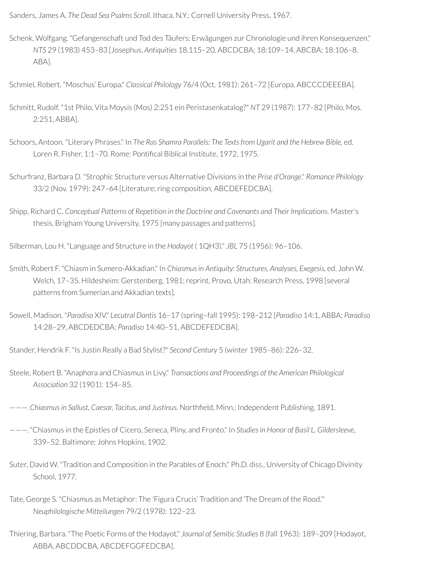Sanders, James A. *The Dead Sea Psalms Scroll.* Ithaca, N.Y.: Cornell University Press, 1967.

- Schenk, Wolfgang. "Gefangenschaft und Tod des Täufers: Erwägungen zur Chronologie und ihren Konsequenzen." *NTS* 29 (1983) 453–83 [Josephus, *Antiquities* 18.115–20, ABCDCBA; 18:109–14, ABCBA; 18:106–8, ABA].
- Schmiel, Robert. "Moschus' Europa." *Classical Philology* 76/4 (Oct. 1981): 261–72 [Europa, ABCCCDEEEBA].
- Schmitt, Rudolf. "1st Philo, Vita Moysis (Mos) 2:251 ein Peristasenkatalog?" *NT* 29 (1987): 177–82 [Philo, Mos. 2:251, ABBA].
- Schoors, Antoon. "Literary Phrases." In *The Ras Shamra Parallels: The Textsfrom Ugarit and the Hebrew Bible,* ed. Loren R. Fisher, 1:1-70. Rome: Pontifical Biblical Institute, 1972, 1975.
- Schurfranz, Barbara D. "Strophic Structure versus Alternative Divisions in the *Prise d'Orange*." *Romance Philology* 33/2 (Nov. 1979): 247-64 [Literature; ring composition, ABCDEFEDCBA].
- Shipp, Richard C. *Conceptual Patterns of Repetition in the Doctrine and Covenants and Their Implications.* Master's thesis, Brigham Young University, 1975 [many passages and patterns].
- Silberman, Lou H. "Language and Structure in the *Hodayot* ( 1QH3)." *JBL* 75 (1956): 96–106.
- Smith, Robert F. "Chiasm in Sumero-Akkadian." In *Chiasmusin Antiquity: Structures, Analyses, Exegesis,* ed. John W. Welch, 17-35. Hildesheim: Gerstenberg, 1981; reprint, Provo, Utah: Research Press, 1998 [several] patterns from Sumerian and Akkadian texts].
- Sowell, Madison. "*Paradiso* XIV." *Lecutral Dantis* 16–17 (spring–fall 1995): 198–212 [*Paradiso* 14:1, ABBA; *Paradiso* 14:28–29, ABCDEDCBA; *Paradiso* 14:40–51, ABCDEFEDCBA].
- Stander, Hendrik F. "Is Justin Really a Bad Stylist?" *Second Century* 5 (winter 1985–86): 226–32.
- Steele, Robert B. "Anaphora and Chiasmus in Livy." *Transactions and Proceedings of the American Philological Association* 32 (1901): 154–85.
- ———. *Chiasmusin Sallust, Caesar, Tacitus, and Justinus.* Northeld, Minn.: Independent Publishing, 1891.
- ———. "Chiasmus in the Epistles of Cicero, Seneca, Pliny, and Fronto." In *Studiesin Honor of Basil L. Gildersleeve,* 339–52. Baltimore: Johns Hopkins, 1902.
- Suter, David W. "Tradition and Composition in the Parables of Enoch." Ph.D. diss., University of Chicago Divinity School, 1977.
- Tate, George S. "Chiasmus as Metaphor: The 'Figura Crucis' Tradition and 'The Dream of the Rood.'" *Neuphilologische Mitteilungen* 79/2 (1978): 122–23.
- Thiering, Barbara. "The Poetic Forms of the Hodayot." *Journal of Semitic Studies* 8 (fall 1963): 189–209 [Hodayot, ABBA, ABCDDCBA, ABCDEFGGFEDCBA].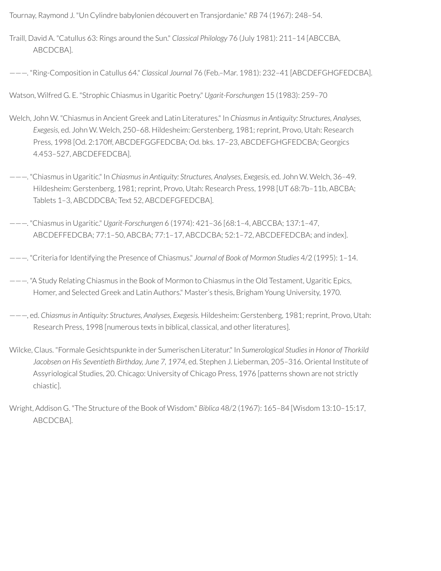Tournay, Raymond J. "Un Cylindre babylonien découvert en Transjordanie." *RB* 74 (1967): 248–54.

Traill, David A. "Catullus 63: Rings around the Sun." *Classical Philology* 76 (July 1981): 211–14 [ABCCBA, ABCDCBA].

———. "Ring-Composition in Catullus 64." *Classical Journal* 76 (Feb.–Mar. 1981): 232–41 [ABCDEFGHGFEDCBA].

Watson, Wilfred G. E. "Strophic Chiasmus in Ugaritic Poetry." *Ugarit-Forschungen* 15 (1983): 259–70

- Welch, John W. "Chiasmus in Ancient Greek and Latin Literatures." In *Chiasmus in Antiquity: Structures, Analyses, Exegesis,* ed. John W. Welch, 250–68. Hildesheim: Gerstenberg, 1981;reprint, Provo, Utah: Research Press, 1998 [Od. 2:170ff, ABCDEFGGFEDCBA; Od. bks. 17–23, ABCDEFGHGFEDCBA; Georgics 4.453–527, ABCDEFEDCBA].
- ———. "Chiasmus in Ugaritic." In *Chiasmusin Antiquity: Structures, Analyses, Exegesis,* ed. John W. Welch, 36–49. Hildesheim: Gerstenberg, 1981; reprint, Provo, Utah: Research Press, 1998 [UT 68:7b-11b, ABCBA; Tablets 1–3, ABCDDCBA; Text 52, ABCDEFGFEDCBA].
- ———. "Chiasmus in Ugaritic." *Ugarit-Forschungen* 6 (1974): 421–36 [68:1–4, ABCCBA; 137:1–47, ABCDEFFEDCBA; 77:1–50, ABCBA; 77:1–17, ABCDCBA; 52:1–72, ABCDEFEDCBA; and index].
- ———. "Criteria forIdentifying the Presence of Chiasmus." *Journal of Book of Mormon Studies* 4/2 (1995): 1–14.

———. "A Study Relating Chiasmus in the Book of Mormon to Chiasmus in the Old Testament, Ugaritic Epics, Homer, and Selected Greek and Latin Authors." Master's thesis, Brigham Young University, 1970.

- ———, ed. *Chiasmusin Antiquity: Structures, Analyses, Exegesis.* Hildesheim: Gerstenberg, 1981;reprint, Provo, Utah: Research Press, 1998 [numerous texts in biblical, classical, and other literatures].
- Wilcke, Claus. "Formale Gesichtspunkte in der Sumerischen Literatur." In *Sumerological Studies in Honor of Thorkild Jacobsen on His Seventieth Birthday, June 7, 1974,* ed. Stephen J. Lieberman, 205–316. Oriental Institute of Assyriological Studies, 20. Chicago: University of Chicago Press, 1976 [patterns shown are not strictly chiastic].
- Wright, Addison G. "The Structure of the Book of Wisdom." *Biblica* 48/2 (1967): 165–84 [Wisdom 13:10–15:17, ABCDCBA].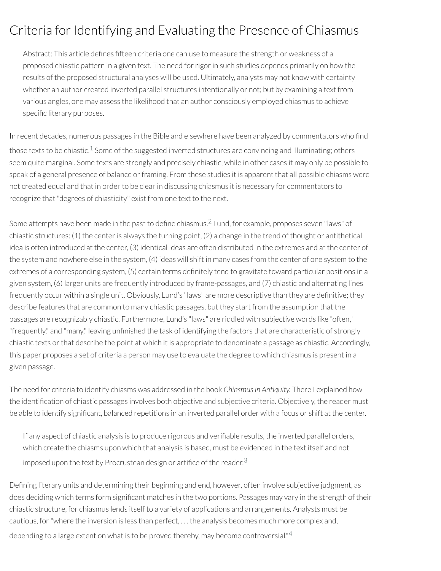# Criteria for Identifying and Evaluating the Presence of Chiasmus

Abstract: This article defines fifteen criteria one can use to measure the strength or weakness of a proposed chiastic pattern in a given text. The need forrigorin such studies depends primarily on how the results of the proposed structural analyses will be used. Ultimately, analysts may not know with certainty whether an author created inverted parallel structures intentionally or not; but by examining a text from various angles, one may assess the likelihood that an author consciously employed chiasmus to achieve specific literary purposes.

<span id="page-123-0"></span>In recent decades, numerous passages in the Bible and elsewhere have been analyzed by commentators who find those texts to be chiastic.<sup>[1](#page-129-0)</sup> Some of the suggested inverted structures are convincing and illuminating; others seem quite marginal. Some texts are strongly and precisely chiastic, while in other cases it may only be possible to speak of a general presence of balance or framing. From these studies it is apparent that all possible chiasms were not created equal and that in order to be clear in discussing chiasmus it is necessary for commentators to recognize that "degrees of chiasticity" exist from one text to the next.

<span id="page-123-1"></span>Some attempts have been made in the past to define chiasmus. $^2$  $^2$  Lund, for example, proposes seven "laws" of chiastic structures: (1) the center is always the turning point, (2) a change in the trend of thought or antithetical idea is often introduced at the center, (3) identical ideas are often distributed in the extremes and at the center of the system and nowhere else in the system, (4) ideas will shift in many cases from the center of one system to the extremes of a corresponding system, (5) certain terms definitely tend to gravitate toward particular positions in a given system, (6) larger units are frequently introduced by frame-passages, and (7) chiastic and alternating lines frequently occur within a single unit. Obviously, Lund's "laws" are more descriptive than they are definitive; they describe features that are common to many chiastic passages, but they start from the assumption that the passages are recognizably chiastic. Furthermore, Lund's "laws" are riddled with subjective words like "often," "frequently," and "many," leaving unfinished the task of identifying the factors that are characteristic of strongly chiastic texts orthat describe the point at which it is appropriate to denominate a passage as chiastic. Accordingly, this paper proposes a set of criteria a person may use to evaluate the degree to which chiasmus is present in a given passage.

The need for criteria to identify chiasms was addressed in the book *Chiasmusin Antiquity.* There I explained how the identification of chiastic passages involves both objective and subjective criteria. Objectively, the reader must be able to identify significant, balanced repetitions in an inverted parallel order with a focus or shift at the center.

<span id="page-123-2"></span>If any aspect of chiastic analysis is to produce rigorous and veriable results, the inverted parallel orders, which create the chiasms upon which that analysis is based, must be evidenced in the text itself and not imposed upon the text by Procrustean design or artifice of the reader. $^3$  $^3$ 

<span id="page-123-3"></span>Defining literary units and determining their beginning and end, however, often involve subjective judgment, as does deciding which terms form significant matches in the two portions. Passages may vary in the strength of their chiastic structure, for chiasmus lends itself to a variety of applications and arrangements. Analysts must be cautious, for"where the inversion is less than perfect, . . . the analysis becomes much more complex and, depending to a large extent on what is to be proved thereby, may become controversial."<sup>[4](#page-130-1)</sup>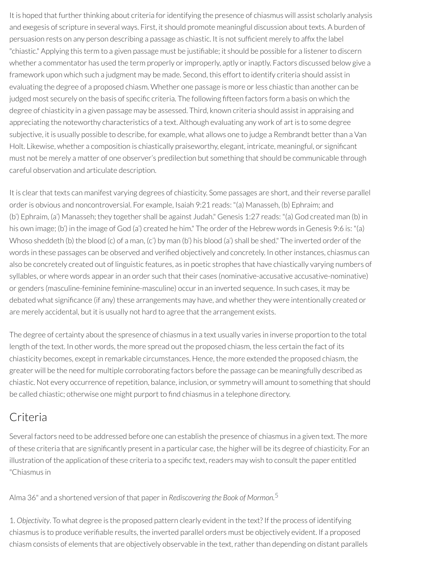It is hoped that further thinking about criteria for identifying the presence of chiasmus will assist scholarly analysis and exegesis of scripture in several ways. First, it should promote meaningful discussion about texts. A burden of persuasion rests on any person describing a passage as chiastic. It is not sufficient merely to affix the label "chiastic." Applying this term to a given passage must be justifiable; it should be possible for a listener to discern whether a commentator has used the term properly or improperly, aptly or inaptly. Factors discussed below give a framework upon which such a judgment may be made. Second, this effort to identify criteria should assist in evaluating the degree of a proposed chiasm. Whether one passage is more or less chiastic than another can be judged most securely on the basis of specific criteria. The following fifteen factors form a basis on which the degree of chiasticity in a given passage may be assessed. Third, known criteria should assist in appraising and appreciating the noteworthy characteristics of a text. Although evaluating any work of art is to some degree subjective, it is usually possible to describe, for example, what allows one to judge a Rembrandt better than a Van Holt. Likewise, whether a composition is chiastically praiseworthy, elegant, intricate, meaningful, or signicant must not be merely a matter of one observer's predilection but something that should be communicable through careful observation and articulate description.

It is clear that texts can manifest varying degrees of chiasticity. Some passages are short, and their reverse parallel order is obvious and noncontroversial. For example, Isaiah 9:21 reads: "(a) Manasseh, (b) Ephraim; and (b') Ephraim, (a') Manasseh; they together shall be against Judah." Genesis 1:27 reads: "(a) God created man (b) in his own image; (b') in the image of God (a') created he him." The order of the Hebrew words in Genesis 9:6 is: "(a) Whoso sheddeth (b) the blood (c) of a man, (c') by man (b') his blood (a') shall be shed." The inverted order of the words in these passages can be observed and verified objectively and concretely. In other instances, chiasmus can also be concretely created out of linguistic features, as in poetic strophes that have chiastically varying numbers of syllables, or where words appearin an order such that their cases (nominative-accusative accusative-nominative) or genders (masculine-feminine feminine-masculine) occurin an inverted sequence. In such cases, it may be debated what significance (if any) these arrangements may have, and whether they were intentionally created or are merely accidental, but it is usually not hard to agree that the arrangement exists.

The degree of certainty about the spresence of chiasmus in a text usually varies in inverse proportion to the total length of the text. In other words, the more spread out the proposed chiasm, the less certain the fact of its chiasticity becomes, except in remarkable circumstances. Hence, the more extended the proposed chiasm, the greater will be the need for multiple corroborating factors before the passage can be meaningfully described as chiastic. Not every occurrence ofrepetition, balance, inclusion, or symmetry will amount to something that should be called chiastic; otherwise one might purport to find chiasmus in a telephone directory.

### Criteria

Several factors need to be addressed before one can establish the presence of chiasmus in a given text. The more of these criteria that are signicantly present in a particular case, the higher will be its degree of chiasticity. For an illustration of the application of these criteria to a specific text, readers may wish to consult the paper entitled "Chiasmus in

<span id="page-124-0"></span>Alma 36" and a shortened version of that paperin *Rediscovering the Book of Mormon.* [5](#page-130-2)

1. *Objectivity*. To what degree is the proposed pattern clearly evident in the text? If the process of identifying chiasmus is to produce veriable results, the inverted parallel orders must be objectively evident. If a proposed chiasm consists of elements that are objectively observable in the text, rather than depending on distant parallels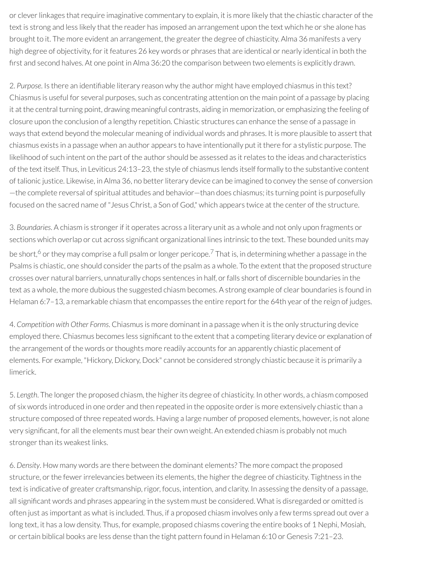or clever linkages that require imaginative commentary to explain, it is more likely that the chiastic character of the text is strong and less likely that the reader has imposed an arrangement upon the text which he or she alone has brought to it. The more evident an arrangement, the greater the degree of chiasticity. Alma 36 manifests a very high degree of objectivity, for it features 26 key words or phrases that are identical or nearly identical in both the first and second halves. At one point in Alma 36:20 the comparison between two elements is explicitly drawn.

2. Purpose. Is there an identifiable literary reason why the author might have employed chiasmus in this text? Chiasmus is useful for several purposes, such as concentrating attention on the main point of a passage by placing it at the central turning point, drawing meaningful contrasts, aiding in memorization, or emphasizing the feeling of closure upon the conclusion of a lengthy repetition. Chiastic structures can enhance the sense of a passage in ways that extend beyond the molecular meaning of individual words and phrases. It is more plausible to assert that chiasmus exists in a passage when an author appears to have intentionally put it there for a stylistic purpose. The likelihood of such intent on the part of the author should be assessed as it relates to the ideas and characteristics of the text itself. Thus, in Leviticus 24:13–23, the style of chiasmus lends itself formally to the substantive content of talionic justice. Likewise, in Alma 36, no better literary device can be imagined to convey the sense of conversion —the complete reversal of spiritual attitudes and behavior—than does chiasmus; its turning point is purposefully focused on the sacred name of "Jesus Christ, a Son of God," which appears twice at the center of the structure.

<span id="page-125-1"></span><span id="page-125-0"></span>3. *Boundaries*. A chiasm is strongerif it operates across a literary unit as a whole and not only upon fragments or sections which overlap or cut across significant organizational lines intrinsic to the text. These bounded units may be short,<sup>[6](#page-130-3)</sup> or they may comprise a full psalm or longer pericope.<sup>[7](#page-130-4)</sup> That is, in determining whether a passage in the Psalms is chiastic, one should consider the parts of the psalm as a whole. To the extent that the proposed structure crosses over natural barriers, unnaturally chops sentences in half, orfalls short of discernible boundaries in the text as a whole, the more dubious the suggested chiasm becomes. A strong example of clear boundaries is found in Helaman 6:7–13, a remarkable chiasm that encompasses the entire report for the 64th year of the reign of judges.

4. *Competition with Other Forms*. Chiasmus is more dominant in a passage when it is the only structuring device employed there. Chiasmus becomes less significant to the extent that a competing literary device or explanation of the arrangement of the words or thoughts more readily accounts for an apparently chiastic placement of elements. For example, "Hickory, Dickory, Dock" cannot be considered strongly chiastic because it is primarily a limerick.

5. *Length*. The longerthe proposed chiasm, the higherits degree of chiasticity. In other words, a chiasm composed of six words introduced in one order and then repeated in the opposite orderis more extensively chiastic than a structure composed of three repeated words. Having a large number of proposed elements, however, is not alone very significant, for all the elements must bear their own weight. An extended chiasm is probably not much stronger than its weakest links.

6. *Density*. How many words are there between the dominant elements? The more compact the proposed structure, or the fewer irrelevancies between its elements, the higher the degree of chiasticity. Tightness in the text is indicative of greater craftsmanship, rigor, focus, intention, and clarity. In assessing the density of a passage, all significant words and phrases appearing in the system must be considered. What is disregarded or omitted is often just as important as what is included. Thus, if a proposed chiasm involves only a few terms spread out over a long text, it has a low density. Thus, for example, proposed chiasms covering the entire books of 1 Nephi, Mosiah, or certain biblical books are less dense than the tight pattern found in Helaman 6:10 or Genesis 7:21–23.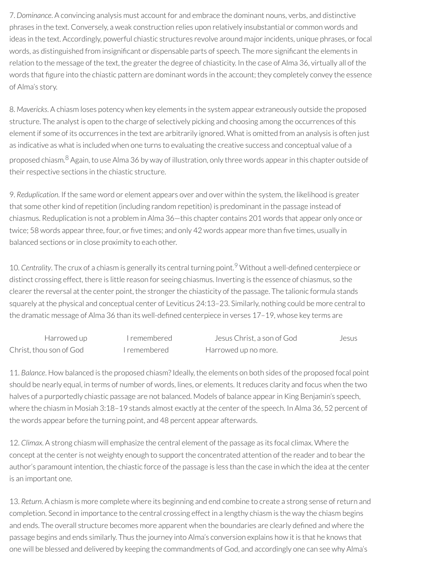7. *Dominance*. A convincing analysis must account for and embrace the dominant nouns, verbs, and distinctive phrases in the text. Conversely, a weak construction relies upon relatively insubstantial or common words and ideas in the text. Accordingly, powerful chiastic structures revolve around major incidents, unique phrases, or focal words, as distinguished from insignificant or dispensable parts of speech. The more significant the elements in relation to the message of the text, the greater the degree of chiasticity. In the case of Alma 36, virtually all of the words that figure into the chiastic pattern are dominant words in the account; they completely convey the essence of Alma's story.

8. *Mavericks*. A chiasm loses potency when key elements in the system appear extraneously outside the proposed structure. The analyst is open to the charge of selectively picking and choosing among the occurrences of this element if some of its occurrences in the text are arbitrarily ignored. What is omitted from an analysis is often just as indicative as what is included when one turns to evaluating the creative success and conceptual value of a proposed chiasm.<sup>[8](#page-130-5)</sup> Again, to use Alma 36 by way of illustration, only three words appear in this chapter outside of their respective sections in the chiastic structure.

<span id="page-126-0"></span>9. *Reduplication*. If the same word or element appears over and over within the system, the likelihood is greater that some other kind of repetition (including random repetition) is predominant in the passage instead of chiasmus. Reduplication is not a problem in Alma 36—this chapter contains 201 words that appear only once or twice; 58 words appear three, four, or five times; and only 42 words appear more than five times, usually in balanced sections or in close proximity to each other.

<span id="page-126-1"></span>10. Centrality. The crux of a chiasm is generally its central turning point.<sup>[9](#page-130-6)</sup> Without a well-defined centerpiece or distinct crossing effect, there is little reason for seeing chiasmus. Inverting is the essence of chiasmus, so the clearer the reversal at the center point, the stronger the chiasticity of the passage. The talionic formula stands squarely at the physical and conceptual center of Leviticus 24:13–23. Similarly, nothing could be more central to the dramatic message of Alma 36 than its well-defined centerpiece in verses 17-19, whose key terms are

| Harrowed up             | <u>I</u> remembered | Jesus Christ, a son of God | Jesus |
|-------------------------|---------------------|----------------------------|-------|
| Christ, thou son of God | Tremembered         | Harrowed up no more.       |       |

11. *Balance*. How balanced is the proposed chiasm? Ideally, the elements on both sides of the proposed focal point should be nearly equal, in terms of number of words, lines, or elements. It reduces clarity and focus when the two halves of a purportedly chiastic passage are not balanced. Models of balance appear in King Benjamin's speech, where the chiasm in Mosiah 3:18–19 stands almost exactly at the center of the speech. In Alma 36, 52 percent of the words appear before the turning point, and 48 percent appear afterwards.

12. *Climax*. A strong chiasm will emphasize the central element of the passage as its focal climax. Where the concept at the center is not weighty enough to support the concentrated attention of the reader and to bear the author's paramount intention, the chiastic force of the passage is less than the case in which the idea at the center is an important one.

13. *Return*. A chiasm is more complete where its beginning and end combine to create a strong sense ofreturn and completion. Second in importance to the central crossing effect in a lengthy chiasm is the way the chiasm begins and ends. The overall structure becomes more apparent when the boundaries are clearly defined and where the passage begins and ends similarly. Thus the journey into Alma's conversion explains how it is that he knows that one will be blessed and delivered by keeping the commandments of God, and accordingly one can see why Alma's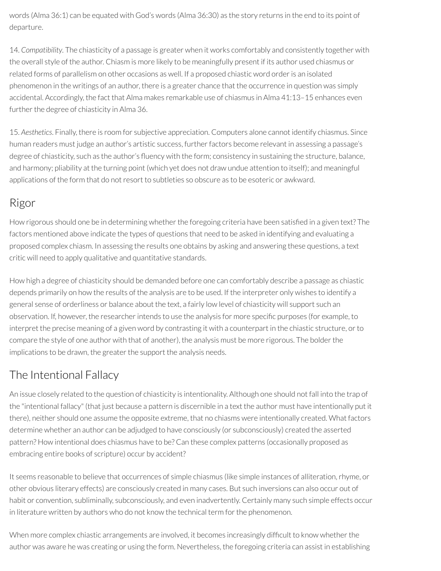words (Alma 36:1) can be equated with God's words (Alma 36:30) as the story returns in the end to its point of departure.

14. *Compatibility*. The chiasticity of a passage is greater when it works comfortably and consistently together with the overall style of the author. Chiasm is more likely to be meaningfully present if its author used chiasmus or related forms of parallelism on other occasions as well. If a proposed chiastic word orderis an isolated phenomenon in the writings of an author, there is a greater chance that the occurrence in question was simply accidental. Accordingly, the fact that Alma makes remarkable use of chiasmus in Alma 41:13–15 enhances even further the degree of chiasticity in Alma 36.

15. *Aesthetics*. Finally, there is room for subjective appreciation. Computers alone cannot identify chiasmus. Since human readers must judge an author's artistic success, further factors become relevant in assessing a passage's degree of chiasticity, such as the author's fluency with the form; consistency in sustaining the structure, balance, and harmony; pliability at the turning point (which yet does not draw undue attention to itself); and meaningful applications of the form that do not resort to subtleties so obscure as to be esoteric or awkward.

## Rigor

How rigorous should one be in determining whether the foregoing criteria have been satisfied in a given text? The factors mentioned above indicate the types of questions that need to be asked in identifying and evaluating a proposed complex chiasm. In assessing the results one obtains by asking and answering these questions, a text critic will need to apply qualitative and quantitative standards.

How high a degree of chiasticity should be demanded before one can comfortably describe a passage as chiastic depends primarily on how the results of the analysis are to be used. If the interpreter only wishes to identify a general sense of orderliness or balance about the text, a fairly low level of chiasticity will support such an observation. If, however, the researcher intends to use the analysis for more specific purposes (for example, to interpret the precise meaning of a given word by contrasting it with a counterpart in the chiastic structure, orto compare the style of one author with that of another), the analysis must be more rigorous. The bolder the implications to be drawn, the greater the support the analysis needs.

## The Intentional Fallacy

An issue closely related to the question of chiasticity is intentionality. Although one should not fall into the trap of the "intentional fallacy" (that just because a pattern is discernible in a text the author must have intentionally put it there), neither should one assume the opposite extreme, that no chiasms were intentionally created. What factors determine whether an author can be adjudged to have consciously (or subconsciously) created the asserted pattern? How intentional does chiasmus have to be? Can these complex patterns (occasionally proposed as embracing entire books of scripture) occur by accident?

It seems reasonable to believe that occurrences of simple chiasmus (like simple instances of alliteration,rhyme, or other obvious literary effects) are consciously created in many cases. But such inversions can also occur out of habit or convention, subliminally, subconsciously, and even inadvertently. Certainly many such simple effects occur in literature written by authors who do not know the technical term for the phenomenon.

When more complex chiastic arrangements are involved, it becomes increasingly difficult to know whether the author was aware he was creating or using the form. Nevertheless, the foregoing criteria can assist in establishing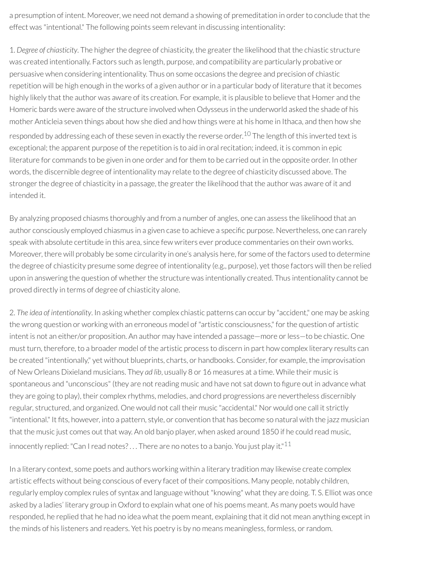a presumption of intent. Moreover, we need not demand a showing of premeditation in order to conclude that the effect was "intentional." The following points seem relevant in discussing intentionality:

1. *Degree* of *chiasticity*. The higher the degree of chiasticity, the greater the likelihood that the chiastic structure was created intentionally. Factors such as length, purpose, and compatibility are particularly probative or persuasive when considering intentionality. Thus on some occasions the degree and precision of chiastic repetition will be high enough in the works of a given author or in a particular body of literature that it becomes highly likely that the author was aware of its creation. For example, it is plausible to believe that Homer and the Homeric bards were aware of the structure involved when Odysseus in the underworld asked the shade of his mother Anticleia seven things about how she died and how things were at his home in Ithaca, and then how she responded by addressing each of these seven in exactly the reverse order.<sup>[10](#page-130-7)</sup> The length of this inverted text is exceptional; the apparent purpose of the repetition is to aid in oralrecitation; indeed, it is common in epic literature for commands to be given in one order and forthem to be carried out in the opposite order. In other words, the discernible degree of intentionality may relate to the degree of chiasticity discussed above. The stronger the degree of chiasticity in a passage, the greater the likelihood that the author was aware of it and intended it.

<span id="page-128-0"></span>By analyzing proposed chiasms thoroughly and from a number of angles, one can assess the likelihood that an author consciously employed chiasmus in a given case to achieve a specific purpose. Nevertheless, one can rarely speak with absolute certitude in this area, since few writers ever produce commentaries on their own works. Moreover, there will probably be some circularity in one's analysis here, for some of the factors used to determine the degree of chiasticity presume some degree of intentionality (e.g., purpose), yet those factors will then be relied upon in answering the question of whether the structure was intentionally created. Thus intentionality cannot be proved directly in terms of degree of chiasticity alone.

2. *The idea of intentionality*. In asking whether complex chiastic patterns can occur by "accident," one may be asking the wrong question or working with an erroneous model of "artistic consciousness," forthe question of artistic intent is not an either/or proposition. An author may have intended a passage—more orless—to be chiastic. One must turn, therefore, to a broader model of the artistic process to discern in part how complex literary results can be created "intentionally," yet without blueprints, charts, or handbooks. Consider, for example, the improvisation of New Orleans Dixieland musicians. They *ad lib*, usually 8 or 16 measures at a time. While their music is spontaneous and "unconscious" (they are not reading music and have not sat down to figure out in advance what they are going to play), their complex rhythms, melodies, and chord progressions are nevertheless discernibly regular, structured, and organized. One would not call their music "accidental." Nor would one call it strictly "intentional." It fits, however, into a pattern, style, or convention that has become so natural with the jazz musician that the music just comes out that way. An old banjo player, when asked around 1850 if he could read music, innocently replied: "Can I read notes?... There are no notes to a banjo. You just play it." $^{11}$  $^{11}$  $^{11}$ 

<span id="page-128-1"></span>In a literary context, some poets and authors working within a literary tradition may likewise create complex artistic effects without being conscious of every facet of their compositions. Many people, notably children, regularly employ complex rules of syntax and language without "knowing" what they are doing. T. S. Elliot was once asked by a ladies' literary group in Oxford to explain what one of his poems meant. As many poets would have responded, he replied that he had no idea what the poem meant, explaining that it did not mean anything except in the minds of his listeners and readers. Yet his poetry is by no means meaningless, formless, or random.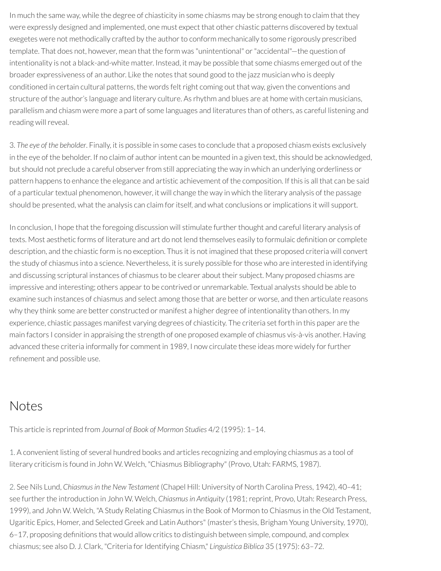In much the same way, while the degree of chiasticity in some chiasms may be strong enough to claim that they were expressly designed and implemented, one must expect that other chiastic patterns discovered by textual exegetes were not methodically crafted by the author to conform mechanically to some rigorously prescribed template. That does not, however, mean that the form was "unintentional" or "accidental"-the question of intentionality is not a black-and-white matter. Instead, it may be possible that some chiasms emerged out of the broader expressiveness of an author. Like the notes that sound good to the jazz musician who is deeply conditioned in certain cultural patterns, the words felt right coming out that way, given the conventions and structure of the author's language and literary culture. As rhythm and blues are at home with certain musicians, parallelism and chiasm were more a part of some languages and literatures than of others, as careful listening and reading will reveal.

3. *The eye of the beholder*. Finally, it is possible in some cases to conclude that a proposed chiasm exists exclusively in the eye of the beholder. If no claim of author intent can be mounted in a given text, this should be acknowledged, but should not preclude a careful observer from still appreciating the way in which an underlying orderliness or pattern happens to enhance the elegance and artistic achievement of the composition. If this is all that can be said of a particular textual phenomenon, however, it will change the way in which the literary analysis of the passage should be presented, what the analysis can claim for itself, and what conclusions or implications it will support.

In conclusion, I hope that the foregoing discussion will stimulate further thought and careful literary analysis of texts. Most aesthetic forms of literature and art do not lend themselves easily to formulaic definition or complete description, and the chiastic form is no exception. Thus it is not imagined that these proposed criteria will convert the study of chiasmus into a science. Nevertheless, it is surely possible forthose who are interested in identifying and discussing scriptural instances of chiasmus to be clearer about their subject. Many proposed chiasms are impressive and interesting; others appear to be contrived or unremarkable. Textual analysts should be able to examine such instances of chiasmus and select among those that are better or worse, and then articulate reasons why they think some are better constructed or manifest a higher degree of intentionality than others. In my experience, chiastic passages manifest varying degrees of chiasticity. The criteria set forth in this paper are the main factors I consider in appraising the strength of one proposed example of chiasmus vis-à-vis another. Having advanced these criteria informally for comment in 1989, I now circulate these ideas more widely for further refinement and possible use.

### Notes

This article is reprinted from *Journal of Book of Mormon Studies* 4/2 (1995): 1–14.

<span id="page-129-0"></span>[1.](#page-123-0) A convenient listing of several hundred books and articles recognizing and employing chiasmus as a tool of literary criticism is found in John W. Welch, "Chiasmus Bibliography" (Provo, Utah: FARMS, 1987).

<span id="page-129-1"></span>[2.](#page-123-1) See Nils Lund, *Chiasmusin the New Testament* (Chapel Hill: University of North Carolina Press, 1942), 40–41; see further the introduction in John W. Welch, *Chiasmus in Antiquity* (1981; reprint, Provo, Utah: Research Press, 1999), and John W. Welch, "A Study Relating Chiasmus in the Book of Mormon to Chiasmus in the Old Testament, Ugaritic Epics, Homer, and Selected Greek and Latin Authors" (master's thesis, Brigham Young University, 1970), 6–17, proposing denitions that would allow critics to distinguish between simple, compound, and complex chiasmus; see also D. J. Clark, "Criteria for Identifying Chiasm," *Linguistica Biblica* 35 (1975): 63-72.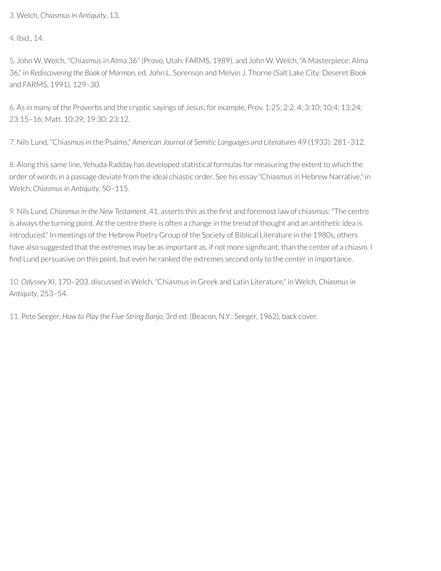<span id="page-130-0"></span>[3.](#page-123-2) Welch, *Chiasmusin Antiquity*, 13.

<span id="page-130-1"></span>[4.](#page-123-3) Ibid., 14.

<span id="page-130-2"></span>[5.](#page-124-0) John W. Welch, "Chiasmus in Alma 36" (Provo, Utah: FARMS, 1989), and John W. Welch, "A Masterpiece: Alma 36," in *Rediscovering the Book of Mormon*, ed. John L. Sorenson and Melvin J. Thorne (Salt Lake City: Deseret Book and FARMS, 1991), 129–30.

<span id="page-130-3"></span>[6.](#page-125-0) As in many of the Proverbs and the cryptic sayings of Jesus; for example, Prov. 1:25; 2:2, 4; 3:10; 10:4; 13:24; 23:15–16; Matt. 10:39; 19:30; 23:12.

<span id="page-130-4"></span>[7.](#page-125-1) Nils Lund, "Chiasmus in the Psalms," *American Journal of Semitic Languages and Literatures* 49 (1933): 281–312.

<span id="page-130-5"></span>[8.](#page-126-0) Along this same line, Yehuda Radday has developed statistical formulas for measuring the extent to which the order of words in a passage deviate from the ideal chiastic order. See his essay "Chiasmus in Hebrew Narrative," in Welch, *Chiasmusin Antiquity*, 50–115.

<span id="page-130-6"></span>[9.](#page-126-1) Nils Lund, *Chiasmus in the New Testament*, 41, asserts this as the first and foremost law of chiasmus: "The centre is always the turning point. At the centre there is often a change in the trend of thought and an antithetic idea is introduced." In meetings of the Hebrew Poetry Group of the Society of Biblical Literature in the 1980s, others have also suggested that the extremes may be as important as, if not more significant, than the center of a chiasm. I find Lund persuasive on this point, but even he ranked the extremes second only to the center in importance.

<span id="page-130-7"></span>[10.](#page-128-0) *Odyssey* XI, 170–203, discussed in Welch, "Chiasmus in Greek and Latin Literature," in Welch, *Chiasmusin Antiquity*, 253–54.

<span id="page-130-8"></span>[11.](#page-128-1) Pete Seeger, *How to Play the Five-String Banjo,* 3rd ed. (Beacon, N.Y.: Seeger, 1962), back cover.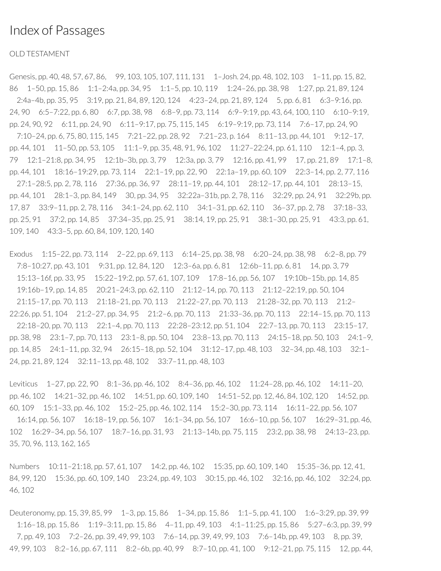#### Index of Passages

#### OLD TESTAMENT

Genesis, pp. 40, 48, 57, 67, 86, 99, 103, 105, 107, 111, 131 1– Josh. 24, pp. 48, 102, 103 1–11, pp. 15, 82, 86 1–50, pp. 15, 86 1:1–2:4a, pp. 34, 95 1:1–5, pp. 10, 119 1:24–26, pp. 38, 98 1:27, pp. 21, 89, 124 2:4a–4b, pp. 35, 95 3:19, pp. 21, 84, 89, 120, 124 4:23–24, pp. 21, 89, 124 5, pp. 6, 81 6:3–9:16, pp. 24, 90 6:5–7:22, pp. 6, 80 6:7, pp. 38, 98 6:8–9, pp. 73, 114 6:9–9:19, pp. 43, 64, 100, 110 6:10–9:19, pp. 24, 90, 92 6:11, pp. 24, 90 6:11–9:17, pp. 75, 115, 145 6:19–9:19, pp. 73, 114 7:6–17, pp. 24, 90 7:10–24, pp. 6, 75, 80, 115, 145 7:21–22, pp. 28, 92 7:21–23, p. 164 8:11–13, pp. 44, 101 9:12–17, pp. 44, 101 11–50, pp. 53, 105 11:1–9, pp. 35, 48, 91, 96, 102 11:27–22:24, pp. 61, 110 12:1–4, pp. 3, 79 12:1–21:8, pp. 34, 95 12:1b–3b, pp. 3, 79 12:3a, pp. 3, 79 12:16, pp. 41, 99 17, pp. 21, 89 17:1–8, pp. 44, 101 18:16–19:29, pp. 73, 114 22:1–19, pp. 22, 90 22:1a–19, pp. 60, 109 22:3–14, pp. 2, 77, 116 27:1–28:5, pp. 2, 78, 116 27:36, pp. 36, 97 28:11–19, pp. 44, 101 28:12–17, pp. 44, 101 28:13–15, pp. 44, 101 28:1–3, pp. 84, 149 30, pp. 34, 95 32:22a–31b, pp. 2, 78, 116 32:29, pp. 24, 91 32:29b, pp. 17, 87 33:9–11, pp. 2, 78, 116 34:1–24, pp. 62, 110 34:1–31, pp. 62, 110 36–37, pp. 2, 78 37:18–33, pp. 25, 91 37:2, pp. 14, 85 37:34–35, pp. 25, 91 38:14, 19, pp. 25, 91 38:1–30, pp. 25, 91 43:3, pp. 61, 109, 140 43:3–5, pp. 60, 84, 109, 120, 140

Exodus 1:15–22, pp. 73, 114 2–22, pp. 69, 113 6:14–25, pp. 38, 98 6:20–24, pp. 38, 98 6:2–8, pp. 79 7:8–10:27, pp. 43, 101 9:31, pp. 12, 84, 120 12:3–6a, pp. 6, 81 12:6b–11, pp. 6, 81 14, pp. 3, 79 15:13–16f, pp. 33, 95 15:22–19:2, pp. 57, 61, 107, 109 17:8–16, pp. 56, 107 19:10b–15b, pp. 14, 85 19:16b–19, pp. 14, 85 20:21–24:3, pp. 62, 110 21:12–14, pp. 70, 113 21:12–22:19, pp. 50, 104 21:15–17, pp. 70, 113 21:18–21, pp. 70, 113 21:22–27, pp. 70, 113 21:28–32, pp. 70, 113 21:2– 22:26, pp. 51, 104 21:2–27, pp. 34, 95 21:2–6, pp. 70, 113 21:33–36, pp. 70, 113 22:14–15, pp. 70, 113 22:18–20, pp. 70, 113 22:1–4, pp. 70, 113 22:28–23:12, pp. 51, 104 22:7–13, pp. 70, 113 23:15–17, pp. 38, 98 23:1–7, pp. 70, 113 23:1–8, pp. 50, 104 23:8–13, pp. 70, 113 24:15–18, pp. 50, 103 24:1–9, pp. 14, 85 24:1–11, pp. 32, 94 26:15–18, pp. 52, 104 31:12–17, pp. 48, 103 32–34, pp. 48, 103 32:1– 24, pp. 21, 89, 124 32:11–13, pp. 48, 102 33:7–11, pp. 48, 103

Leviticus 1–27, pp. 22, 90 8:1–36, pp. 46, 102 8:4–36, pp. 46, 102 11:24–28, pp. 46, 102 14:11–20, pp. 46, 102 14:21–32, pp. 46, 102 14:51, pp. 60, 109, 140 14:51–52, pp. 12, 46, 84, 102, 120 14:52, pp. 60, 109 15:1–33, pp. 46, 102 15:2–25, pp. 46, 102, 114 15:2–30, pp. 73, 114 16:11–22, pp. 56, 107 16:14, pp. 56, 107 16:18–19, pp. 56, 107 16:1–34, pp. 56, 107 16:6–10, pp. 56, 107 16:29–31, pp. 46, 102 16:29–34, pp. 56, 107 18:7–16, pp. 31, 93 21:13–14b, pp. 75, 115 23:2, pp. 38, 98 24:13–23, pp. 35, 70, 96, 113, 162, 165

Numbers 10:11–21:18, pp. 57, 61, 107 14:2, pp. 46, 102 15:35, pp. 60, 109, 140 15:35–36, pp. 12, 41, 84, 99, 120 15:36, pp. 60, 109, 140 23:24, pp. 49, 103 30:15, pp. 46, 102 32:16, pp. 46, 102 32:24, pp. 46, 102

Deuteronomy, pp. 15, 39, 85, 99 1–3, pp. 15, 86 1–34, pp. 15, 86 1:1–5, pp. 41, 100 1:6–3:29, pp. 39, 99 1:16–18, pp. 15, 86 1:19–3:11, pp. 15, 86 4–11, pp. 49, 103 4:1–11:25, pp. 15, 86 5:27–6:3, pp. 39, 99 7, pp. 49, 103 7:2–26, pp. 39, 49, 99, 103 7:6–14, pp. 39, 49, 99, 103 7:6–14b, pp. 49, 103 8, pp. 39, 49, 99, 103 8:2–16, pp. 67, 111 8:2–6b, pp. 40, 99 8:7–10, pp. 41, 100 9:12–21, pp. 75, 115 12, pp. 44,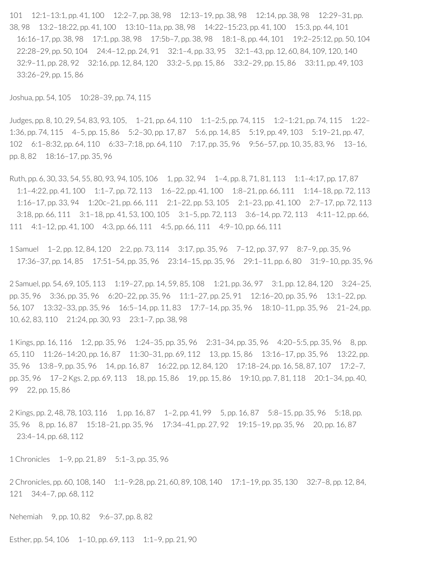101 12:1–13:1, pp. 41, 100 12:2–7, pp. 38, 98 12:13–19, pp. 38, 98 12:14, pp. 38, 98 12:29–31, pp. 38, 98 13:2–18:22, pp. 41, 100 13:10–11a, pp. 38, 98 14:22–15:23, pp. 41, 100 15:3, pp. 44, 101 16:16–17, pp. 38, 98 17:1, pp. 38, 98 17:5b–7, pp. 38, 98 18:1–8, pp. 44, 101 19:2–25:12, pp. 50, 104 22:28–29, pp. 50, 104 24:4–12, pp. 24, 91 32:1–4, pp. 33, 95 32:1–43, pp. 12, 60, 84, 109, 120, 140 32:9–11, pp. 28, 92 32:16, pp. 12, 84, 120 33:2–5, pp. 15, 86 33:2–29, pp. 15, 86 33:11, pp. 49, 103 33:26–29, pp. 15, 86

Joshua, pp. 54, 105 10:28–39, pp. 74, 115

Judges, pp. 8, 10, 29, 54, 83, 93, 105, 1–21, pp. 64, 110 1:1–2:5, pp. 74, 115 1:2–1:21, pp. 74, 115 1:22– 1:36, pp. 74, 115 4–5, pp. 15, 86 5:2–30, pp. 17, 87 5:6, pp. 14, 85 5:19, pp. 49, 103 5:19–21, pp. 47, 102 6:1–8:32, pp. 64, 110 6:33–7:18, pp. 64, 110 7:17, pp. 35, 96 9:56–57, pp. 10, 35, 83, 96 13–16, pp. 8, 82 18:16–17, pp. 35, 96

Ruth, pp. 6, 30, 33, 54, 55, 80, 93, 94, 105, 106 1, pp. 32, 94 1-4, pp. 8, 71, 81, 113 1:1-4:17, pp. 17, 87 1:1–4:22, pp. 41, 100 1:1–7, pp. 72, 113 1:6–22, pp. 41, 100 1:8–21, pp. 66, 111 1:14–18, pp. 72, 113 1:16–17, pp. 33, 94 1:20c–21, pp. 66, 111 2:1–22, pp. 53, 105 2:1–23, pp. 41, 100 2:7–17, pp. 72, 113 3:18, pp. 66, 111 3:1–18, pp. 41, 53, 100, 105 3:1–5, pp. 72, 113 3:6–14, pp. 72, 113 4:11–12, pp. 66, 111 4:1–12, pp. 41, 100 4:3, pp. 66, 111 4:5, pp. 66, 111 4:9–10, pp. 66, 111

1 Samuel 1–2, pp. 12, 84, 120 2:2, pp. 73, 114 3:17, pp. 35, 96 7–12, pp. 37, 97 8:7–9, pp. 35, 96 17:36–37, pp. 14, 85 17:51–54, pp. 35, 96 23:14–15, pp. 35, 96 29:1–11, pp. 6, 80 31:9–10, pp. 35, 96

2 Samuel, pp. 54, 69, 105, 113 1:19–27, pp. 14, 59, 85, 108 1:21, pp. 36, 97 3:1, pp. 12, 84, 120 3:24–25, pp. 35, 96 3:36, pp. 35, 96 6:20–22, pp. 35, 96 11:1–27, pp. 25, 91 12:16–20, pp. 35, 96 13:1–22, pp. 56, 107 13:32–33, pp. 35, 96 16:5–14, pp. 11, 83 17:7–14, pp. 35, 96 18:10–11, pp. 35, 96 21–24, pp. 10, 62, 83, 110 21:24, pp. 30, 93 23:1–7, pp. 38, 98

1 Kings, pp. 16, 116 1:2, pp. 35, 96 1:24–35, pp. 35, 96 2:31–34, pp. 35, 96 4:20–5:5, pp. 35, 96 8, pp. 65, 110 11:26–14:20, pp. 16, 87 11:30–31, pp. 69, 112 13, pp. 15, 86 13:16–17, pp. 35, 96 13:22, pp. 35, 96 13:8–9, pp. 35, 96 14, pp. 16, 87 16:22, pp. 12, 84, 120 17:18–24, pp. 16, 58, 87, 107 17:2–7, pp. 35, 96 17–2 Kgs. 2, pp. 69, 113 18, pp. 15, 86 19, pp. 15, 86 19:10, pp. 7, 81, 118 20:1–34, pp. 40, 99 22, pp. 15, 86

2 Kings, pp. 2, 48, 78, 103, 116 1, pp. 16, 87 1–2, pp. 41, 99 5, pp. 16, 87 5:8–15, pp. 35, 96 5:18, pp. 35, 96 8, pp. 16, 87 15:18–21, pp. 35, 96 17:34–41, pp. 27, 92 19:15–19, pp. 35, 96 20, pp. 16, 87 23:4–14, pp. 68, 112

1 Chronicles 1–9, pp. 21, 89 5:1–3, pp. 35, 96

2 Chronicles, pp. 60, 108, 140 1:1–9:28, pp. 21, 60, 89, 108, 140 17:1–19, pp. 35, 130 32:7–8, pp. 12, 84, 121 34:4–7, pp. 68, 112

Nehemiah 9, pp. 10, 82 9:6–37, pp. 8, 82

Esther, pp. 54, 106 1-10, pp. 69, 113 1:1-9, pp. 21, 90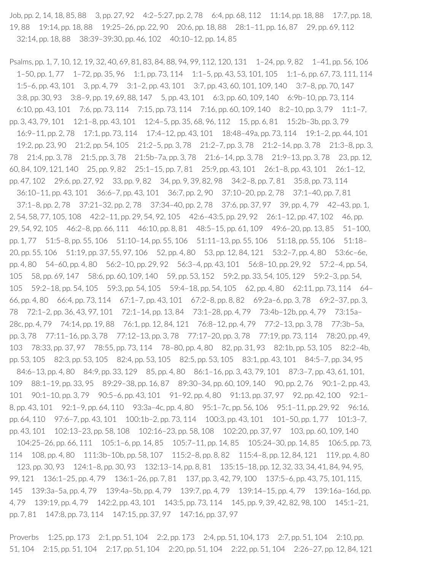Job, pp. 2, 14, 18, 85, 88 3, pp. 27, 92 4:2–5:27, pp. 2, 78 6:4, pp. 68, 112 11:14, pp. 18, 88 17:7, pp. 18, 19, 88 19:14, pp. 18, 88 19:25–26, pp. 22, 90 20:6, pp. 18, 88 28:1–11, pp. 16, 87 29, pp. 69, 112 32:14, pp. 18, 88 38:39–39:30, pp. 46, 102 40:10–12, pp. 14, 85

Psalms, pp. 1, 7, 10, 12, 19, 32, 40, 69, 81, 83, 84, 88, 94, 99, 112, 120, 131 1–24, pp. 9, 82 1–41, pp. 56, 106 1–50, pp. 1, 77 1–72, pp. 35, 96 1:1, pp. 73, 114 1:1–5, pp. 43, 53, 101, 105 1:1–6, pp. 67, 73, 111, 114 1:5–6, pp. 43, 101 3, pp. 4, 79 3:1–2, pp. 43, 101 3:7, pp. 43, 60, 101, 109, 140 3:7–8, pp. 70, 147 3:8, pp. 30, 93 3:8–9, pp. 19, 69, 88, 147 5, pp. 43, 101 6:3, pp. 60, 109, 140 6:9b–10, pp. 73, 114 6:10, pp. 43, 101 7:6, pp. 73, 114 7:15, pp. 73, 114 7:16, pp. 60, 109, 140 8:2–10, pp. 3, 79 11:1–7, pp. 3, 43, 79, 101 12:1–8, pp. 43, 101 12:4–5, pp. 35, 68, 96, 112 15, pp. 6, 81 15:2b–3b, pp. 3, 79 16:9–11, pp. 2, 78 17:1, pp. 73, 114 17:4–12, pp. 43, 101 18:48–49a, pp. 73, 114 19:1–2, pp. 44, 101 19:2, pp. 23, 90 21:2, pp. 54, 105 21:2–5, pp. 3, 78 21:2–7, pp. 3, 78 21:2–14, pp. 3, 78 21:3–8, pp. 3, 78 21:4, pp. 3, 78 21:5, pp. 3, 78 21:5b–7a, pp. 3, 78 21:6–14, pp. 3, 78 21:9–13, pp. 3, 78 23, pp. 12, 60, 84, 109, 121, 140 25, pp. 9, 82 25:1–15, pp. 7, 81 25:9, pp. 43, 101 26:1–8, pp. 43, 101 26:1–12, pp. 47, 102 29:6, pp. 27, 92 33, pp. 9, 82 34, pp. 9, 39, 82, 98 34:2–8, pp. 7, 81 35:8, pp. 73, 114 36:10–11, pp. 43, 101 36:6–7, pp. 43, 101 36:7, pp. 2, 90 37:10–20, pp. 2, 78 37:1–40, pp. 7, 81 37:1–8, pp. 2, 78 37:21–32, pp. 2, 78 37:34–40, pp. 2, 78 37:6, pp. 37, 97 39, pp. 4, 79 42–43, pp. 1, 2, 54, 58, 77, 105, 108 42:2–11, pp. 29, 54, 92, 105 42:6–43:5, pp. 29, 92 26:1–12, pp. 47, 102 46, pp. 29, 54, 92, 105 46:2–8, pp. 66, 111 46:10, pp. 8, 81 48:5–15, pp. 61, 109 49:6–20, pp. 13, 85 51–100, pp. 1, 77 51:5–8, pp. 55, 106 51:10–14, pp. 55, 106 51:11–13, pp. 55, 106 51:18, pp. 55, 106 51:18– 20, pp. 55, 106 51:19, pp. 37, 55, 97, 106 52, pp. 4, 80 53, pp. 12, 84, 121 53:2–7, pp. 4, 80 53:6c–6e, pp. 4, 80 54–60, pp. 4, 80 56:2–10, pp. 29, 92 56:3–4, pp. 43, 101 56:8–10, pp. 29, 92 57:2–4, pp. 54, 105 58, pp. 69, 147 58:6, pp. 60, 109, 140 59, pp. 53, 152 59:2, pp. 33, 54, 105, 129 59:2–3, pp. 54, 105 59:2–18, pp. 54, 105 59:3, pp. 54, 105 59:4–18, pp. 54, 105 62, pp. 4, 80 62:11, pp. 73, 114 64– 66, pp. 4, 80 66:4, pp. 73, 114 67:1–7, pp. 43, 101 67:2–8, pp. 8, 82 69:2a–6, pp. 3, 78 69:2–37, pp. 3, 78 72:1–2, pp. 36, 43, 97, 101 72:1–14, pp. 13, 84 73:1–28, pp. 4, 79 73:4b–12b, pp. 4, 79 73:15a– 28c, pp. 4, 79 74:14, pp. 19, 88 76:1, pp. 12, 84, 121 76:8–12, pp. 4, 79 77:2–13, pp. 3, 78 77:3b–5a, pp. 3, 78 77:11–16, pp. 3, 78 77:12–13, pp. 3, 78 77:17–20, pp. 3, 78 77:19, pp. 73, 114 78:20, pp. 49, 103 78:33, pp. 37, 97 78:55, pp. 73, 114 78–80, pp. 4, 80 82, pp. 31, 93 82:1b, pp. 53, 105 82:2–4b, pp. 53, 105 82:3, pp. 53, 105 82:4, pp. 53, 105 82:5, pp. 53, 105 83:1, pp. 43, 101 84:5–7, pp. 34, 95 84:6–13, pp. 4, 80 84:9, pp. 33, 129 85, pp. 4, 80 86:1–16, pp. 3, 43, 79, 101 87:3–7, pp. 43, 61, 101, 109 88:1–19, pp. 33, 95 89:29–38, pp. 16, 87 89:30–34, pp. 60, 109, 140 90, pp. 2, 76 90:1–2, pp. 43, 101 90:1–10, pp. 3, 79 90:5–6, pp. 43, 101 91–92, pp. 4, 80 91:13, pp. 37, 97 92, pp. 42, 100 92:1– 8, pp. 43, 101 92:1–9, pp. 64, 110 93:3a–4c, pp. 4, 80 95:1–7c, pp. 56, 106 95:1–11, pp. 29, 92 96:16, pp. 64, 110 97:6–7, pp. 43, 101 100:1b–2, pp. 73, 114 100:3, pp. 43, 101 101–50, pp. 1, 77 101:3–7, pp. 43, 101 102:13–23, pp. 58, 108 102:16–23, pp. 58, 108 102:20, pp. 37, 97 103, pp. 60, 109, 140 104:25–26, pp. 66, 111 105:1–6, pp. 14, 85 105:7–11, pp. 14, 85 105:24–30, pp. 14, 85 106:5, pp. 73, 114 108, pp. 4, 80 111:3b–10b, pp. 58, 107 115:2–8, pp. 8, 82 115:4–8, pp. 12, 84, 121 119, pp. 4, 80 123, pp. 30, 93 124:1–8, pp. 30, 93 132:13–14, pp. 8, 81 135:15–18, pp. 12, 32, 33, 34, 41, 84, 94, 95, 99, 121 136:1–25, pp. 4, 79 136:1–26, pp. 7, 81 137, pp. 3, 42, 79, 100 137:5–6, pp. 43, 75, 101, 115, 145 139:3a–5a, pp. 4, 79 139:4a–5b, pp. 4, 79 139:7, pp. 4, 79 139:14–15, pp. 4, 79 139:16a–16d, pp. 4, 79 139:19, pp. 4, 79 142:2, pp. 43, 101 143:5, pp. 73, 114 145, pp. 9, 39, 42, 82, 98, 100 145:1–21, pp. 7, 81 147:8, pp. 73, 114 147:15, pp. 37, 97 147:16, pp. 37, 97

Proverbs 1:25, pp. 173 2:1, pp. 51, 104 2:2, pp. 173 2:4, pp. 51, 104, 173 2:7, pp. 51, 104 2:10, pp. 51, 104 2:15, pp. 51, 104 2:17, pp. 51, 104 2:20, pp. 51, 104 2:22, pp. 51, 104 2:26–27, pp. 12, 84, 121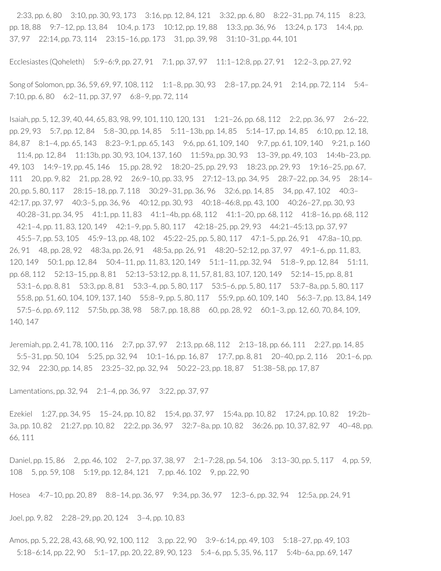2:33, pp. 6, 80 3:10, pp. 30, 93, 173 3:16, pp. 12, 84, 121 3:32, pp. 6, 80 8:22–31, pp. 74, 115 8:23, pp. 18, 88 9:7–12, pp. 13, 84 10:4, p. 173 10:12, pp. 19, 88 13:3, pp. 36, 96 13:24, p. 173 14:4, pp. 37, 97 22:14, pp. 73, 114 23:15–16, pp. 173 31, pp. 39, 98 31:10–31, pp. 44, 101

Ecclesiastes (Qoheleth) 5:9–6:9, pp. 27, 91 7:1, pp. 37, 97 11:1–12:8, pp. 27, 91 12:2–3, pp. 27, 92

Song of Solomon, pp. 36, 59, 69, 97, 108, 112 1:1–8, pp. 30, 93 2:8–17, pp. 24, 91 2:14, pp. 72, 114 5:4– 7:10, pp. 6, 80 6:2–11, pp. 37, 97 6:8–9, pp. 72, 114

Isaiah, pp. 5, 12, 39, 40, 44, 65, 83, 98, 99, 101, 110, 120, 131 1:21–26, pp. 68, 112 2:2, pp. 36, 97 2:6–22, pp. 29, 93 5:7, pp. 12, 84 5:8–30, pp. 14, 85 5:11–13b, pp. 14, 85 5:14–17, pp. 14, 85 6:10, pp. 12, 18, 84, 87 8:1–4, pp. 65, 143 8:23–9:1, pp. 65, 143 9:6, pp. 61, 109, 140 9:7, pp. 61, 109, 140 9:21, p. 160 11:4, pp. 12, 84 11:13b, pp. 30, 93, 104, 137, 160 11:59a, pp. 30, 93 13–39, pp. 49, 103 14:4b–23, pp. 49, 103 14:9–19, pp. 45, 146 15, pp. 28, 92 18:20–25, pp. 29, 93 18:23, pp. 29, 93 19:16–25, pp. 67, 111 20, pp. 9, 82 21, pp. 28, 92 26:9–10, pp. 33, 95 27:12–13, pp. 34, 95 28:7–22, pp. 34, 95 28:14– 20, pp. 5, 80, 117 28:15–18, pp. 7, 118 30:29–31, pp. 36, 96 32:6, pp. 14, 85 34, pp. 47, 102 40:3– 42:17, pp. 37, 97 40:3–5, pp. 36, 96 40:12, pp. 30, 93 40:18–46:8, pp. 43, 100 40:26–27, pp. 30, 93 40:28–31, pp. 34, 95 41:1, pp. 11, 83 41:1–4b, pp. 68, 112 41:1–20, pp. 68, 112 41:8–16, pp. 68, 112 42:1–4, pp. 11, 83, 120, 149 42:1–9, pp. 5, 80, 117 42:18–25, pp. 29, 93 44:21–45:13, pp. 37, 97 45:5–7, pp. 53, 105 45:9–13, pp. 48, 102 45:22–25, pp. 5, 80, 117 47:1–5, pp. 26, 91 47:8a–10, pp. 26, 91 48, pp. 28, 92 48:3a, pp. 26, 91 48:5a, pp. 26, 91 48:20–52:12, pp. 37, 97 49:1–6, pp. 11, 83, 120, 149 50:1, pp. 12, 84 50:4–11, pp. 11, 83, 120, 149 51:1–11, pp. 32, 94 51:8–9, pp. 12, 84 51:11, pp. 68, 112 52:13–15, pp. 8, 81 52:13–53:12, pp. 8, 11, 57, 81, 83, 107, 120, 149 52:14–15, pp. 8, 81 53:1–6, pp. 8, 81 53:3, pp. 8, 81 53:3–4, pp. 5, 80, 117 53:5–6, pp. 5, 80, 117 53:7–8a, pp. 5, 80, 117 55:8, pp. 51, 60, 104, 109, 137, 140 55:8–9, pp. 5, 80, 117 55:9, pp. 60, 109, 140 56:3–7, pp. 13, 84, 149 57:5–6, pp. 69, 112 57:5b, pp. 38, 98 58:7, pp. 18, 88 60, pp. 28, 92 60:1–3, pp. 12, 60, 70, 84, 109, 140, 147

Jeremiah, pp. 2, 41, 78, 100, 116 2:7, pp. 37, 97 2:13, pp. 68, 112 2:13–18, pp. 66, 111 2:27, pp. 14, 85 5:5–31, pp. 50, 104 5:25, pp. 32, 94 10:1–16, pp. 16, 87 17:7, pp. 8, 81 20–40, pp. 2, 116 20:1–6, pp. 32, 94 22:30, pp. 14, 85 23:25–32, pp. 32, 94 50:22–23, pp. 18, 87 51:38–58, pp. 17, 87

Lamentations, pp. 32, 94 2:1–4, pp. 36, 97 3:22, pp. 37, 97

Ezekiel 1:27, pp. 34, 95 15–24, pp. 10, 82 15:4, pp. 37, 97 15:4a, pp. 10, 82 17:24, pp. 10, 82 19:2b– 3a, pp. 10, 82 21:27, pp. 10, 82 22:2, pp. 36, 97 32:7–8a, pp. 10, 82 36:26, pp. 10, 37, 82, 97 40–48, pp. 66, 111

Daniel, pp. 15, 86 2, pp. 46, 102 2-7, pp. 37, 38, 97 2:1-7:28, pp. 54, 106 3:13-30, pp. 5, 117 4, pp. 59, 108 5, pp. 59, 108 5:19, pp. 12, 84, 121 7, pp. 46. 102 9, pp. 22, 90

Hosea 4:7–10, pp. 20, 89 8:8–14, pp. 36, 97 9:34, pp. 36, 97 12:3–6, pp. 32, 94 12:5a, pp. 24, 91

Joel, pp. 9, 82 2:28–29, pp. 20, 124 3–4, pp. 10, 83

Amos, pp. 5, 22, 28, 43, 68, 90, 92, 100, 112 3, pp. 22, 90 3:9-6:14, pp. 49, 103 5:18-27, pp. 49, 103 5:18–6:14, pp. 22, 90 5:1–17, pp. 20, 22, 89, 90, 123 5:4–6, pp. 5, 35, 96, 117 5:4b–6a, pp. 69, 147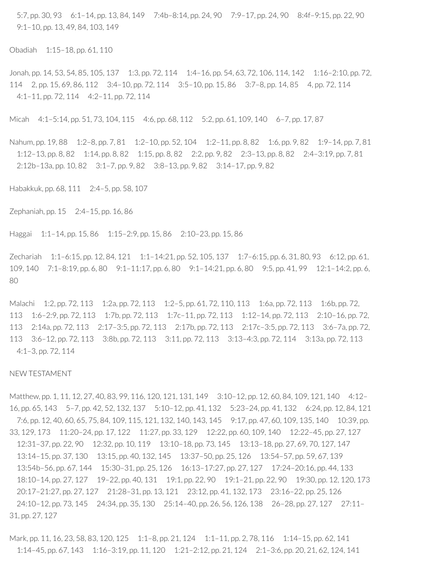5:7, pp. 30, 93 6:1–14, pp. 13, 84, 149 7:4b–8:14, pp. 24, 90 7:9–17, pp. 24, 90 8:4f–9:15, pp. 22, 90 9:1–10, pp. 13, 49, 84, 103, 149

Obadiah 1:15–18, pp. 61, 110

Jonah, pp. 14, 53, 54, 85, 105, 137 1:3, pp. 72, 114 1:4–16, pp. 54, 63, 72, 106, 114, 142 1:16–2:10, pp. 72, 114 2, pp. 15, 69, 86, 112 3:4–10, pp. 72, 114 3:5–10, pp. 15, 86 3:7–8, pp. 14, 85 4, pp. 72, 114 4:1–11, pp. 72, 114 4:2–11, pp. 72, 114

Micah 4:1–5:14, pp. 51, 73, 104, 115 4:6, pp. 68, 112 5:2, pp. 61, 109, 140 6–7, pp. 17, 87

Nahum, pp. 19, 88 1: 2–8, pp. 7, 81 1: 2–10, pp. 52, 104 1: 2–11, pp. 8, 82 1: 6, pp. 9, 82 1: 9–14, pp. 7, 81 1:12–13, pp. 8, 82 1:14, pp. 8, 82 1:15, pp. 8, 82 2:2, pp. 9, 82 2:3–13, pp. 8, 82 2:4–3:19, pp. 7, 81 2:12b–13a, pp. 10, 82 3:1–7, pp. 9, 82 3:8–13, pp. 9, 82 3:14–17, pp. 9, 82

Habakkuk, pp. 68, 111 2:4–5, pp. 58, 107

Zephaniah, pp. 15 2:4–15, pp. 16, 86

Haggai 1:1–14, pp. 15, 86 1:15–2:9, pp. 15, 86 2:10–23, pp. 15, 86

Zechariah 1:1–6:15, pp. 12, 84, 121 1:1–14:21, pp. 52, 105, 137 1:7–6:15, pp. 6, 31, 80, 93 6:12, pp. 61, 109, 140 7:1–8:19, pp. 6, 80 9:1–11:17, pp. 6, 80 9:1–14:21, pp. 6, 80 9:5, pp. 41, 99 12:1–14:2, pp. 6, 80

Malachi 1:2, pp. 72, 113 1:2a, pp. 72, 113 1:2–5, pp. 61, 72, 110, 113 1:6a, pp. 72, 113 1:6b, pp. 72, 113 1:6–2:9, pp. 72, 113 1:7b, pp. 72, 113 1:7c–11, pp. 72, 113 1:12–14, pp. 72, 113 2:10–16, pp. 72, 113 2:14a, pp. 72, 113 2:17–3:5, pp. 72, 113 2:17b, pp. 72, 113 2:17c–3:5, pp. 72, 113 3:6–7a, pp. 72, 113 3:6–12, pp. 72, 113 3:8b, pp. 72, 113 3:11, pp. 72, 113 3:13–4:3, pp. 72, 114 3:13a, pp. 72, 113 4:1–3, pp. 72, 114

#### NEW TESTAMENT

Matthew, pp. 1, 11, 12, 27, 40, 83, 99, 116, 120, 121, 131, 149 3:10-12, pp. 12, 60, 84, 109, 121, 140 4:12-16, pp. 65, 143 5–7, pp. 42, 52, 132, 137 5:10–12, pp. 41, 132 5:23–24, pp. 41, 132 6:24, pp. 12, 84, 121 7:6, pp. 12, 40, 60, 65, 75, 84, 109, 115, 121, 132, 140, 143, 145 9:17, pp. 47, 60, 109, 135, 140 10:39, pp. 33, 129, 173 11:20–24, pp. 17, 122 11:27, pp. 33, 129 12:22, pp. 60, 109, 140 12:22–45, pp. 27, 127 12:31–37, pp. 22, 90 12:32, pp. 10, 119 13:10–18, pp. 73, 145 13:13–18, pp. 27, 69, 70, 127, 147 13:14–15, pp. 37, 130 13:15, pp. 40, 132, 145 13:37–50, pp. 25, 126 13:54–57, pp. 59, 67, 139 13:54b–56, pp. 67, 144 15:30–31, pp. 25, 126 16:13–17:27, pp. 27, 127 17:24–20:16, pp. 44, 133 18:10–14, pp. 27, 127 19–22, pp. 40, 131 19:1, pp. 22, 90 19:1–21, pp. 22, 90 19:30, pp. 12, 120, 173 20:17–21:27, pp. 27, 127 21:28–31, pp. 13, 121 23:12, pp. 41, 132, 173 23:16–22, pp. 25, 126 24:10–12, pp. 73, 145 24:34, pp. 35, 130 25:14–40, pp. 26, 56, 126, 138 26–28, pp. 27, 127 27:11– 31, pp. 27, 127

Mark, pp. 11, 16, 23, 58, 83, 120, 125 1:1-8, pp. 21, 124 1:1-11, pp. 2, 78, 116 1:14-15, pp. 62, 141 1:14–45, pp. 67, 143 1:16–3:19, pp. 11, 120 1:21–2:12, pp. 21, 124 2:1–3:6, pp. 20, 21, 62, 124, 141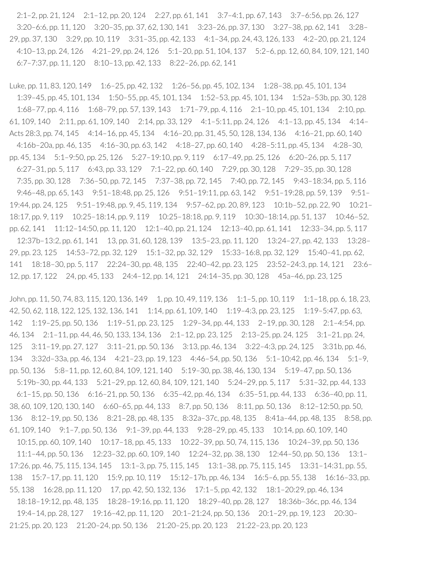2:1–2, pp. 21, 124 2:1–12, pp. 20, 124 2:27, pp. 61, 141 3:7–4:1, pp. 67, 143 3:7–6:56, pp. 26, 127 3:20–6:6, pp. 11, 120 3:20–35, pp. 37, 62, 130, 141 3:23–26, pp. 37, 130 3:27–38, pp. 62, 141 3:28– 29, pp. 37, 130 3:29, pp. 10, 119 3:31–35, pp. 42, 133 4:1–34, pp. 24, 43, 126, 133 4:2–20, pp. 21, 124 4:10–13, pp. 24, 126 4:21–29, pp. 24, 126 5:1–20, pp. 51, 104, 137 5:2–6, pp. 12, 60, 84, 109, 121, 140 6:7–7:37, pp. 11, 120 8:10–13, pp. 42, 133 8:22–26, pp. 62, 141

Luke, pp. 11, 83, 120, 149 1:6–25, pp. 42, 132 1:26–56, pp. 45, 102, 134 1:28–38, pp. 45, 101, 134 1:39–45, pp. 45, 101, 134 1:50–55, pp. 45, 101, 134 1:52–53, pp. 45, 101, 134 1:52a–53b, pp. 30, 128 1:68–77, pp. 4, 116 1:68–79, pp. 57, 139, 143 1:71–79, pp. 4, 116 2:1–10, pp. 45, 101, 134 2:10, pp. 61, 109, 140 2:11, pp. 61, 109, 140 2:14, pp. 33, 129 4:1–5:11, pp. 24, 126 4:1–13, pp. 45, 134 4:14– Acts 28:3, pp. 74, 145 4:14-16, pp. 45, 134 4:16-20, pp. 31, 45, 50, 128, 134, 136 4:16-21, pp. 60, 140 4:16b–20a, pp. 46, 135 4:16–30, pp. 63, 142 4:18–27, pp. 60, 140 4:28–5:11, pp. 45, 134 4:28–30, pp. 45, 134 5:1–9:50, pp. 25, 126 5:27–19:10, pp. 9, 119 6:17–49, pp. 25, 126 6:20–26, pp. 5, 117 6:27–31, pp. 5, 117 6:43, pp. 33, 129 7:1–22, pp. 60, 140 7:29, pp. 30, 128 7:29–35, pp. 30, 128 7:35, pp. 30, 128 7:36–50, pp. 72, 145 7:37–38, pp. 72, 145 7:40, pp. 72, 145 9:43–18:34, pp. 5, 116 9:46–48, pp. 65, 143 9:51–18:48, pp. 25, 126 9:51–19:11, pp. 63, 142 9:51–19:28, pp. 59, 139 9:51– 19:44, pp. 24, 125 9:51–19:48, pp. 9, 45, 119, 134 9:57–62, pp. 20, 89, 123 10:1b–52, pp. 22, 90 10:21– 18:17, pp. 9, 119 10:25–18:14, pp. 9, 119 10:25–18:18, pp. 9, 119 10:30–18:14, pp. 51, 137 10:46–52, pp. 62, 141 11:12–14:50, pp. 11, 120 12:1–40, pp. 21, 124 12:13–40, pp. 61, 141 12:33–34, pp. 5, 117 12:37b–13:2, pp. 61, 141 13, pp. 31, 60, 128, 139 13:5–23, pp. 11, 120 13:24–27, pp. 42, 133 13:28– 29, pp. 23, 125 14:53–72, pp. 32, 129 15:1–32, pp. 32, 129 15:33–16:8, pp. 32, 129 15:40–41, pp. 62, 141 18:18–30, pp. 5, 117 22:24–30, pp. 48, 135 22:40–42, pp. 23, 125 23:52–24:3, pp. 14, 121 23:6– 12, pp. 17, 122 24, pp. 45, 133 24:4–12, pp. 14, 121 24:14–35, pp. 30, 128 45a–46, pp. 23, 125

John, pp. 11, 50, 74, 83, 115, 120, 136, 149 1, pp. 10, 49, 119, 136 1:1–5, pp. 10, 119 1:1–18, pp. 6, 18, 23, 42, 50, 62, 118, 122, 125, 132, 136, 141 1:14, pp. 61, 109, 140 1:19–4:3, pp. 23, 125 1:19–5:47, pp. 63, 142 1:19–25, pp. 50, 136 1:19–51, pp. 23, 125 1:29–34, pp. 44, 133 2–19, pp. 30, 128 2:1–4:54, pp. 46, 134 2:1–11, pp. 44, 46, 50, 133, 134, 136 2:1–12, pp. 23, 125 2:13–25, pp. 24, 125 3:1–21, pp. 24, 125 3:11–19, pp. 27, 127 3:11–21, pp. 50, 136 3:13, pp. 46, 134 3:22–4:3, pp. 24, 125 3:31b, pp. 46, 134 3:32d–33a, pp. 46, 134 4:21–23, pp. 19, 123 4:46–54, pp. 50, 136 5:1–10:42, pp. 46, 134 5:1–9, pp. 50, 136 5:8–11, pp. 12, 60, 84, 109, 121, 140 5:19–30, pp. 38, 46, 130, 134 5:19–47, pp. 50, 136 5:19b–30, pp. 44, 133 5:21–29, pp. 12, 60, 84, 109, 121, 140 5:24–29, pp. 5, 117 5:31–32, pp. 44, 133 6:1–15, pp. 50, 136 6:16–21, pp. 50, 136 6:35–42, pp. 46, 134 6:35–51, pp. 44, 133 6:36–40, pp. 11, 38, 60, 109, 120, 130, 140 6:60–65, pp. 44, 133 8:7, pp. 50, 136 8:11, pp. 50, 136 8:12–12:50, pp. 50, 136 8:12–19, pp. 50, 136 8:21–28, pp. 48, 135 8:32a–37c, pp. 48, 135 8:41a–44, pp. 48, 135 8:58, pp. 61, 109, 140 9:1–7, pp. 50, 136 9:1–39, pp. 44, 133 9:28–29, pp. 45, 133 10:14, pp. 60, 109, 140 10:15, pp. 60, 109, 140 10:17–18, pp. 45, 133 10:22–39, pp. 50, 74, 115, 136 10:24–39, pp. 50, 136 11:1–44, pp. 50, 136 12:23–32, pp. 60, 109, 140 12:24–32, pp. 38, 130 12:44–50, pp. 50, 136 13:1– 17:26, pp. 46, 75, 115, 134, 145 13:1–3, pp. 75, 115, 145 13:1–38, pp. 75, 115, 145 13:31–14:31, pp. 55, 138 15:7–17, pp. 11, 120 15:9, pp. 10, 119 15:12–17b, pp. 46, 134 16:5–6, pp. 55, 138 16:16–33, pp. 55, 138 16:28, pp. 11, 120 17, pp. 42, 50, 132, 136 17:1–5, pp. 42, 132 18:1–20:29, pp. 46, 134

18:18–19:12, pp. 48, 135 18:28–19:16, pp. 11, 120 18:29–40, pp. 28, 127 18:36b–36c, pp. 46, 134 19:4–14, pp. 28, 127 19:16–42, pp. 11, 120 20:1–21:24, pp. 50, 136 20:1–29, pp. 19, 123 20:30– 21:25, pp. 20, 123 21:20–24, pp. 50, 136 21:20–25, pp. 20, 123 21:22–23, pp. 20, 123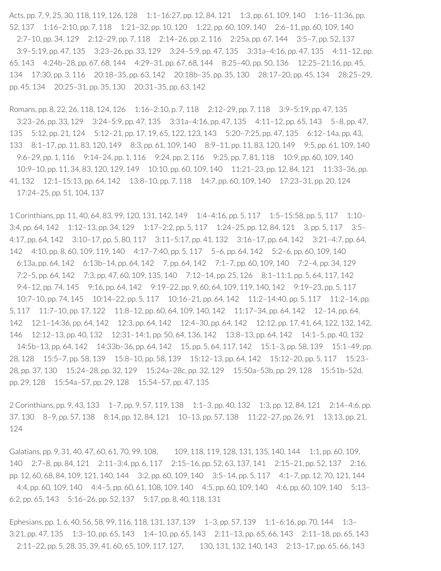Acts, pp. 7, 9, 25, 30, 118, 119, 126, 128 1:1-16:27, pp. 12, 84, 121 1:3, pp. 61, 109, 140 1:16-11:36, pp. 52, 137 1:16–2:10, pp. 7, 118 1:21–32, pp. 10, 120 1:22, pp. 60, 109, 140 2:6–11, pp. 60, 109, 140 2:7–10, pp. 34, 129 2:12–29, pp. 7, 118 2:14–26, pp. 2, 116 2:25a, pp. 67, 144 3:5–7, pp. 52, 137 3:9–5:19, pp. 47, 135 3:23–26, pp. 33, 129 3:24–5:9, pp. 47, 135 3:31a–4:16, pp. 47, 135 4:11–12, pp. 65, 143 4:24b–28, pp. 67, 68, 144 4:29–31, pp. 67, 68, 144 8:25–40, pp. 50, 136 12:25–21:16, pp. 45, 134 17:30, pp. 3, 116 20:18–35, pp. 63, 142 20:18b–35, pp. 35, 130 28:17–20, pp. 45, 134 28:25–29, pp. 45, 134 20:25–31, pp. 35, 130 20:31–35, pp. 63, 142

Romans, pp. 8, 22, 26, 118, 124, 126 1:16-2:10, p. 7, 118 2:12-29, pp. 7, 118 3:9-5:19, pp. 47, 135 3:23–26, pp. 33, 129 3:24–5:9, pp. 47, 135 3:31a–4:16, pp. 47, 135 4:11–12, pp. 65, 143 5–8, pp. 47, 135 5:12, pp. 21, 124 5:12–21, pp. 17, 19, 65, 122, 123, 143 5:20–7:25, pp. 47, 135 6:12–14a, pp. 43, 133 8:1–17, pp. 11, 83, 120, 149 8:3, pp. 61, 109, 140 8:9–11, pp. 11, 83, 120, 149 9:5, pp. 61, 109, 140 9:6–29, pp. 1, 116 9:14–24, pp. 1, 116 9:24, pp. 2, 116 9:25, pp. 7, 81, 118 10:9, pp. 60, 109, 140 10:9–10, pp. 11, 34, 83, 120, 129, 149 10:10, pp. 60, 109, 140 11:21–23, pp. 12, 84, 121 11:33–36, pp. 41, 132 12:1–15:13, pp. 64, 142 13:8–10, pp. 7, 118 14:7, pp. 60, 109, 140 17:23–31, pp. 20, 124 17:24–25, pp. 51, 104, 137

1 Corinthians, pp. 11, 40, 64, 83, 99, 120, 131, 142, 149 1:4–4:16, pp. 5, 117 1:5–15:58, pp. 5, 117 1:10– 3:4, pp. 64, 142 1:12–13, pp. 34, 129 1:17–2:2, pp. 5, 117 1:24–25, pp. 12, 84, 121 3, pp. 5, 117 3:5– 4:17, pp. 64, 142 3:10–17, pp. 5, 80, 117 3:11–5:17, pp. 41, 132 3:16–17, pp. 64, 142 3:21–4:7, pp. 64, 142 4:10, pp. 8, 60, 109, 119, 140 4:17–7:40, pp. 5, 117 5–6, pp. 64, 142 5:2–6, pp. 60, 109, 140 6:13a, pp. 64, 142 6:13b–14, pp. 64, 142 7, pp. 64, 142 7:1–7, pp. 60, 109, 140 7:2–4, pp. 34, 129 7:2–5, pp. 64, 142 7:3, pp. 47, 60, 109, 135, 140 7:12–14, pp. 25, 126 8:1–11:1, pp. 5, 64, 117, 142 9:4–12, pp. 74, 145 9:16, pp. 64, 142 9:19–22, pp. 9, 60, 64, 109, 119, 140, 142 9:19–23, pp. 5, 117 10:7–10, pp. 74, 145 10:14–22, pp. 5, 117 10:16–21, pp. 64, 142 11:2–14:40, pp. 5, 117 11:2–14, pp. 5, 117 11:7–10, pp. 17, 122 11:8–12, pp. 60, 64, 109, 140, 142 11:17–34, pp. 64, 142 12–14, pp. 64, 142 12:1–14:36, pp. 64, 142 12:3, pp. 64, 142 12:4–30, pp. 64, 142 12:12, pp. 17, 41, 64, 122, 132, 142, 146 12:12–13, pp. 40, 132 12:31–14:1, pp. 50, 64, 136, 142 13:8–13, pp. 64, 142 14:1–5, pp. 40, 132 14:5b–13, pp. 64, 142 14:33b–36, pp. 64, 142 15, pp. 5, 64, 117, 142 15:1–3, pp. 58, 139 15:1–49, pp. 28, 128 15:5–7, pp. 58, 139 15:8–10, pp. 58, 139 15:12–13, pp. 64, 142 15:12–20, pp. 5, 117 15:23– 28, pp. 37, 130 15:24–28, pp. 32, 129 15:24a–28c, pp. 32, 129 15:50a–53b, pp. 29, 128 15:51b–52d, pp. 29, 128 15:54a–57, pp. 29, 128 15:54–57, pp. 47, 135

2 Corinthians, pp. 9, 43, 133 1–7, pp. 9, 57, 119, 138 1:1–3, pp. 40, 132 1:3, pp. 12, 84, 121 2:14–4:6, pp. 37, 130 8–9, pp. 57, 138 8:14, pp. 12, 84, 121 10–13, pp. 57, 138 11:22–27, pp. 26, 91 13:13, pp. 21, 124

Galatians, pp. 9, 31, 40, 47, 60, 61, 70, 99, 108, 109, 118, 119, 128, 131, 135, 140, 144 1:1, pp. 60, 109, 140 2:7–8, pp. 84, 121 2:11–3:4, pp. 6, 117 2:15–16, pp. 52, 63, 137, 141 2:15–21, pp. 52, 137 2:16, pp. 12, 60, 68, 84, 109, 121, 140, 144 3:2, pp. 60, 109, 140 3:5–14, pp. 5, 117 4:1–7, pp. 12, 70, 121, 144 4:4, pp. 60, 109, 140 4:4–5, pp. 60, 61, 108, 109, 140 4:5, pp. 60, 109, 140 4:6, pp. 60, 109, 140 5:13– 6:2, pp. 65, 143 5:16–26, pp. 52, 137 5:17, pp. 8, 40, 118, 131

Ephesians, pp. 1, 6, 40, 56, 58, 99, 116, 118, 131, 137, 139 1–3, pp. 57, 139 1:1–6:16, pp. 70, 144 1:3– 3:21, pp. 47, 135 1:3–10, pp. 65, 143 1:4–10, pp. 65, 143 2:11–13, pp. 65, 66, 143 2:11–18, pp. 65, 143 2:11–22, pp. 5, 28, 35, 39, 41, 60, 65, 109, 117, 127, 130, 131, 132, 140, 143 2:13–17, pp. 65, 66, 143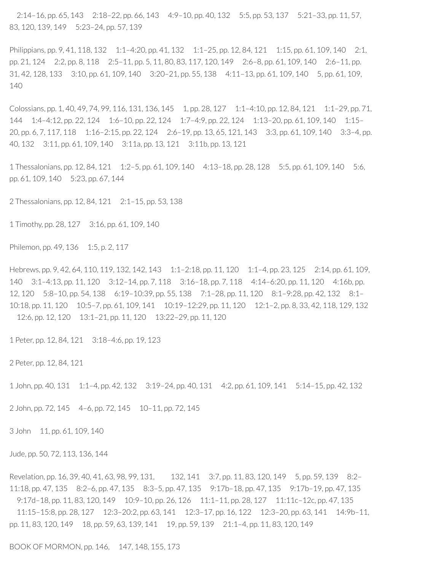2:14–16, pp. 65, 143 2:18–22, pp. 66, 143 4:9–10, pp. 40, 132 5:5, pp. 53, 137 5:21–33, pp. 11, 57, 83, 120, 139, 149 5:23–24, pp. 57, 139

Philippians, pp. 9, 41, 118, 132 1:1-4:20, pp. 41, 132 1:1-25, pp. 12, 84, 121 1:15, pp. 61, 109, 140 2:1, pp. 21, 124 2:2, pp. 8, 118 2:5–11, pp. 5, 11, 80, 83, 117, 120, 149 2:6–8, pp. 61, 109, 140 2:6–11, pp. 31, 42, 128, 133 3:10, pp. 61, 109, 140 3:20–21, pp. 55, 138 4:11–13, pp. 61, 109, 140 5, pp. 61, 109, 140

Colossians, pp. 1, 40, 49, 74, 99, 116, 131, 136, 145 1, pp. 28, 127 1:1–4:10, pp. 12, 84, 121 1:1–29, pp. 71, 144 1:4–4:12, pp. 22, 124 1:6–10, pp. 22, 124 1:7–4:9, pp. 22, 124 1:13–20, pp. 61, 109, 140 1:15– 20, pp. 6, 7, 117, 118 1:16–2:15, pp. 22, 124 2:6–19, pp. 13, 65, 121, 143 3:3, pp. 61, 109, 140 3:3–4, pp. 40, 132 3:11, pp. 61, 109, 140 3:11a, pp. 13, 121 3:11b, pp. 13, 121

1 Thessalonians, pp. 12, 84, 121 1:2–5, pp. 61, 109, 140 4:13–18, pp. 28, 128 5:5, pp. 61, 109, 140 5:6, pp. 61, 109, 140 5:23, pp. 67, 144

2 Thessalonians, pp. 12, 84, 121 2:1–15, pp. 53, 138

1 Timothy, pp. 28, 127 3:16, pp. 61, 109, 140

Philemon, pp. 49, 136 1:5, p. 2, 117

Hebrews, pp. 9, 42, 64, 110, 119, 132, 142, 143 1:1–2:18, pp. 11, 120 1:1–4, pp. 23, 125 2:14, pp. 61, 109, 140 3:1–4:13, pp. 11, 120 3:12–14, pp. 7, 118 3:16–18, pp. 7, 118 4:14–6:20, pp. 11, 120 4:16b, pp. 12, 120 5:8–10, pp. 54, 138 6:19–10:39, pp. 55, 138 7:1–28, pp. 11, 120 8:1–9:28, pp. 42, 132 8:1– 10:18, pp. 11, 120 10:5–7, pp. 61, 109, 141 10:19–12:29, pp. 11, 120 12:1–2, pp. 8, 33, 42, 118, 129, 132 12:6, pp. 12, 120 13:1–21, pp. 11, 120 13:22–29, pp. 11, 120

1 Peter, pp. 12, 84, 121 3:18–4:6, pp. 19, 123

2 Peter, pp. 12, 84, 121

1 John, pp. 40, 131 1:1–4, pp. 42, 132 3:19–24, pp. 40, 131 4:2, pp. 61, 109, 141 5:14–15, pp. 42, 132

2 John, pp. 72, 145 4–6, pp. 72, 145 10–11, pp. 72, 145

3 John 11, pp. 61, 109, 140

Jude, pp. 50, 72, 113, 136, 144

Revelation, pp. 16, 39, 40, 41, 63, 98, 99, 131, 132, 141 3:7, pp. 11, 83, 120, 149 5, pp. 59, 139 8:2– 11:18, pp. 47, 135 8:2–6, pp. 47, 135 8:3–5, pp. 47, 135 9:17b–18, pp. 47, 135 9:17b–19, pp. 47, 135 9:17d–18, pp. 11, 83, 120, 149 10:9–10, pp. 26, 126 11:1–11, pp. 28, 127 11:11c–12c, pp. 47, 135 11:15–15:8, pp. 28, 127 12:3–20:2, pp. 63, 141 12:3–17, pp. 16, 122 12:3–20, pp. 63, 141 14:9b–11, pp. 11, 83, 120, 149 18, pp. 59, 63, 139, 141 19, pp. 59, 139 21:1–4, pp. 11, 83, 120, 149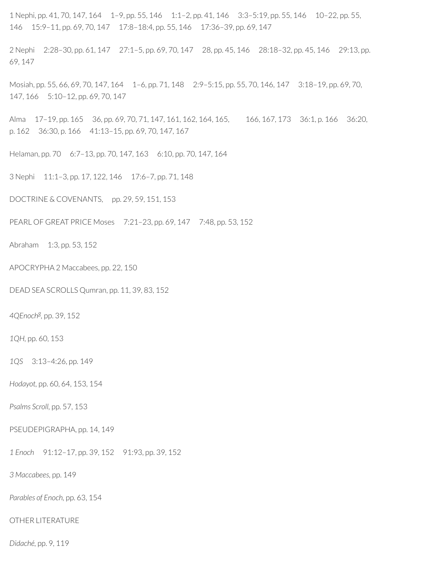1 Nephi, pp. 41, 70, 147, 164 1–9, pp. 55, 146 1:1–2, pp. 41, 146 3:3–5:19, pp. 55, 146 10–22, pp. 55, 146 15:9–11, pp. 69, 70, 147 17:8–18:4, pp. 55, 146 17:36–39, pp. 69, 147

2 Nephi 2:28–30, pp. 61, 147 27:1–5, pp. 69, 70, 147 28, pp. 45, 146 28:18–32, pp. 45, 146 29:13, pp. 69, 147

Mosiah, pp. 55, 66, 69, 70, 147, 164 1–6, pp. 71, 148 2:9–5:15, pp. 55, 70, 146, 147 3:18–19, pp. 69, 70, 147, 166 5:10–12, pp. 69, 70, 147

Alma 17-19, pp. 165 36, pp. 69, 70, 71, 147, 161, 162, 164, 165, 166, 167, 173 36:1, p. 166 36:20, p. 162 36:30, p. 166 41:13–15, pp. 69, 70, 147, 167

Helaman, pp. 70 6:7–13, pp. 70, 147, 163 6:10, pp. 70, 147, 164

3 Nephi 11:1–3, pp. 17, 122, 146 17:6–7, pp. 71, 148

DOCTRINE & COVENANTS, pp. 29, 59, 151, 153

PEARL OF GREAT PRICE Moses 7:21–23, pp. 69, 147 7:48, pp. 53, 152

Abraham 1:3, pp. 53, 152

APOCRYPHA 2 Maccabees, pp. 22, 150

DEAD SEA SCROLLS Qumran, pp. 11, 39, 83, 152

*4QEnoch g ,* pp. 39, 152

*1QH,* pp. 60, 153

*1QS* 3:13–4:26, pp. 149

*Hodayot,* pp. 60, 64, 153, 154

*Psalms Scroll,* pp. 57, 153

PSEUDEPIGRAPHA, pp. 14, 149

*1 Enoch* 91:12–17, pp. 39, 152 91:93, pp. 39, 152

*3 Maccabees,* pp. 149

*Parables of Enoch,* pp. 63, 154

OTHER LITERATURE

*Didaché,* pp. 9, 119